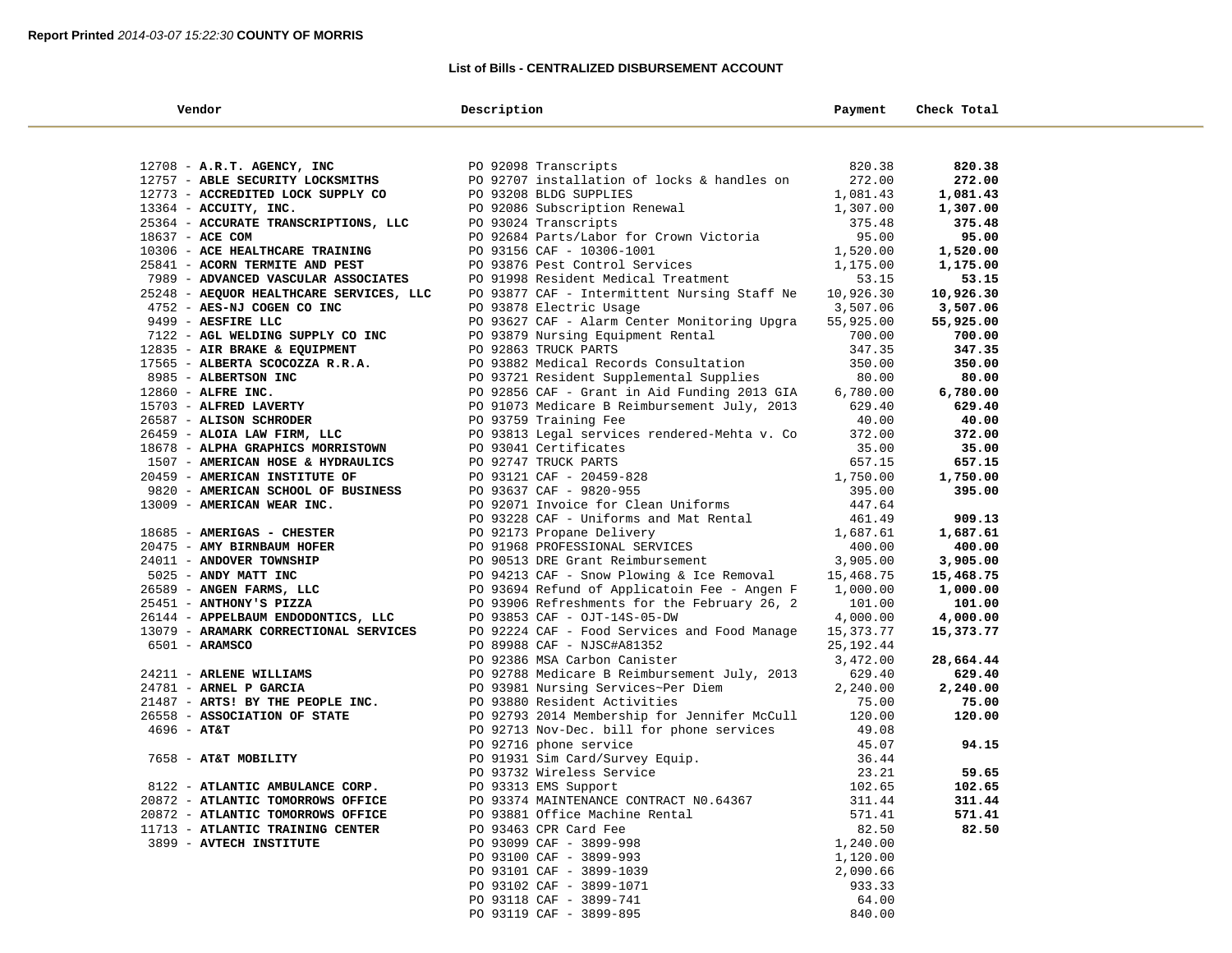#### **List of Bills - CENTRALIZED DISBURSEMENT ACCOUNT**

| Vendor                                  | Description                                                | Payment                | Check Total         |  |
|-----------------------------------------|------------------------------------------------------------|------------------------|---------------------|--|
|                                         |                                                            |                        |                     |  |
| 12708 - A.R.T. AGENCY, INC              | PO 92098 Transcripts                                       | 820.38                 | 820.38              |  |
| 12757 - ABLE SECURITY LOCKSMITHS        | PO 92707 installation of locks & handles on                | 272.00                 | 272.00              |  |
| 12773 - ACCREDITED LOCK SUPPLY CO       | PO 93208 BLDG SUPPLIES                                     | 1,081.43               | 1,081.43            |  |
| $13364$ - ACCUITY, INC.                 | PO 92086 Subscription Renewal                              | 1,307.00               | 1,307.00            |  |
| 25364 - ACCURATE TRANSCRIPTIONS, LLC    | PO 93024 Transcripts                                       | 375.48                 | 375.48              |  |
| 18637 - ACE COM                         | PO 92684 Parts/Labor for Crown Victoria                    | 95.00                  | 95.00               |  |
| 10306 - ACE HEALTHCARE TRAINING         | PO 93156 CAF - 10306-1001                                  | 1,520.00               | 1,520.00            |  |
| 25841 - ACORN TERMITE AND PEST          | PO 93876 Pest Control Services                             | 1,175.00               | 1,175.00            |  |
| 7989 - ADVANCED VASCULAR ASSOCIATES     | PO 91998 Resident Medical Treatment                        | 53.15                  | 53.15               |  |
| 25248 - AEQUOR HEALTHCARE SERVICES, LLC | PO 93877 CAF - Intermittent Nursing Staff Ne               | 10,926.30              | 10,926.30           |  |
| 4752 - AES-NJ COGEN CO INC              | PO 93878 Electric Usage                                    | 3,507.06               | 3,507.06            |  |
| 9499 - AESFIRE LLC                      | PO 93627 CAF - Alarm Center Monitoring Upgra               | 55,925.00              | 55,925.00           |  |
| 7122 - AGL WELDING SUPPLY CO INC        | PO 93879 Nursing Equipment Rental                          | 700.00                 | 700.00              |  |
| 12835 - AIR BRAKE & EQUIPMENT           | PO 92863 TRUCK PARTS                                       | 347.35                 | 347.35              |  |
| 17565 - ALBERTA SCOCOZZA R.R.A.         | PO 93882 Medical Records Consultation                      | 350.00                 | 350.00              |  |
| 8985 - ALBERTSON INC                    | PO 93721 Resident Supplemental Supplies                    | 80.00                  | 80.00               |  |
| 12860 - ALFRE INC.                      | PO 92856 CAF - Grant in Aid Funding 2013 GIA               | 6,780.00               | 6,780.00            |  |
| 15703 - ALFRED LAVERTY                  | PO 91073 Medicare B Reimbursement July, 2013               | 629.40                 | 629.40              |  |
| 26587 - ALISON SCHRODER                 | PO 93759 Training Fee                                      | 40.00                  | 40.00               |  |
| 26459 - ALOIA LAW FIRM, LLC             | PO 93813 Legal services rendered-Mehta v. Co               | 372.00                 | 372.00              |  |
| 18678 - ALPHA GRAPHICS MORRISTOWN       | PO 93041 Certificates                                      | 35.00                  | 35.00               |  |
| 1507 - AMERICAN HOSE & HYDRAULICS       | PO 92747 TRUCK PARTS                                       | 657.15                 | 657.15              |  |
| 20459 - AMERICAN INSTITUTE OF           | PO 93121 CAF - 20459-828                                   | 1,750.00               | 1,750.00            |  |
| 9820 - AMERICAN SCHOOL OF BUSINESS      | PO 93637 CAF - 9820-955                                    | 395.00                 | 395.00              |  |
| 13009 - AMERICAN WEAR INC.              | PO 92071 Invoice for Clean Uniforms                        | 447.64                 |                     |  |
|                                         | PO 93228 CAF - Uniforms and Mat Rental                     | 461.49                 | 909.13              |  |
| 18685 - AMERIGAS - CHESTER              | PO 92173 Propane Delivery                                  | 1,687.61               | 1,687.61            |  |
| 20475 - AMY BIRNBAUM HOFER              | PO 91968 PROFESSIONAL SERVICES                             | 400.00                 | 400.00              |  |
| 24011 - ANDOVER TOWNSHIP                | PO 90513 DRE Grant Reimbursement                           | 3,905.00               | 3,905.00            |  |
| 5025 - ANDY MATT INC                    | PO 94213 CAF - Snow Plowing & Ice Removal                  | 15,468.75              | 15,468.75           |  |
| 26589 - ANGEN FARMS, LLC                | PO 93694 Refund of Applicatoin Fee - Angen F               | 1,000.00               | 1,000.00            |  |
| 25451 - ANTHONY'S PIZZA                 | PO 93906 Refreshments for the February 26, 2               | 101.00                 | 101.00              |  |
| 26144 - APPELBAUM ENDODONTICS, LLC      | PO 93853 CAF - OJT-14S-05-DW                               | 4,000.00               | 4,000.00            |  |
| 13079 - ARAMARK CORRECTIONAL SERVICES   | PO 92224 CAF - Food Services and Food Manage               | 15,373.77              | 15,373.77           |  |
| $6501 - ARAMSCO$                        | PO 89988 CAF - NJSC#A81352<br>PO 92386 MSA Carbon Canister | 25, 192.44<br>3,472.00 |                     |  |
| 24211 - ARLENE WILLIAMS                 | PO 92788 Medicare B Reimbursement July, 2013               | 629.40                 | 28,664.44<br>629.40 |  |
| 24781 - ARNEL P GARCIA                  | PO 93981 Nursing Services~Per Diem                         | 2,240.00               | 2,240.00            |  |
| 21487 - ARTS! BY THE PEOPLE INC.        | PO 93880 Resident Activities                               | 75.00                  | 75.00               |  |
| 26558 - ASSOCIATION OF STATE            | PO 92793 2014 Membership for Jennifer McCull               | 120.00                 | 120.00              |  |
| $4696 - AT&T$                           | PO 92713 Nov-Dec. bill for phone services                  | 49.08                  |                     |  |
|                                         | PO 92716 phone service                                     | 45.07                  | 94.15               |  |
| 7658 - AT&T MOBILITY                    | PO 91931 Sim Card/Survey Equip.                            | 36.44                  |                     |  |
|                                         | PO 93732 Wireless Service                                  | 23.21                  | 59.65               |  |
| 8122 - ATLANTIC AMBULANCE CORP.         | PO 93313 EMS Support                                       | 102.65                 | 102.65              |  |
| 20872 - ATLANTIC TOMORROWS OFFICE       | PO 93374 MAINTENANCE CONTRACT NO.64367                     | 311.44                 | 311.44              |  |
| 20872 - ATLANTIC TOMORROWS OFFICE       | PO 93881 Office Machine Rental                             | 571.41                 | 571.41              |  |
| 11713 - ATLANTIC TRAINING CENTER        | PO 93463 CPR Card Fee                                      | 82.50                  | 82.50               |  |
| 3899 - AVTECH INSTITUTE                 | PO 93099 CAF - 3899-998                                    | 1,240.00               |                     |  |
|                                         | PO 93100 CAF - 3899-993                                    | 1,120.00               |                     |  |
|                                         | PO 93101 CAF - 3899-1039                                   | 2,090.66               |                     |  |
|                                         | PO 93102 CAF - 3899-1071                                   | 933.33                 |                     |  |
|                                         | PO 93118 CAF - 3899-741                                    | 64.00                  |                     |  |
|                                         | PO 93119 CAF - 3899-895                                    | 840.00                 |                     |  |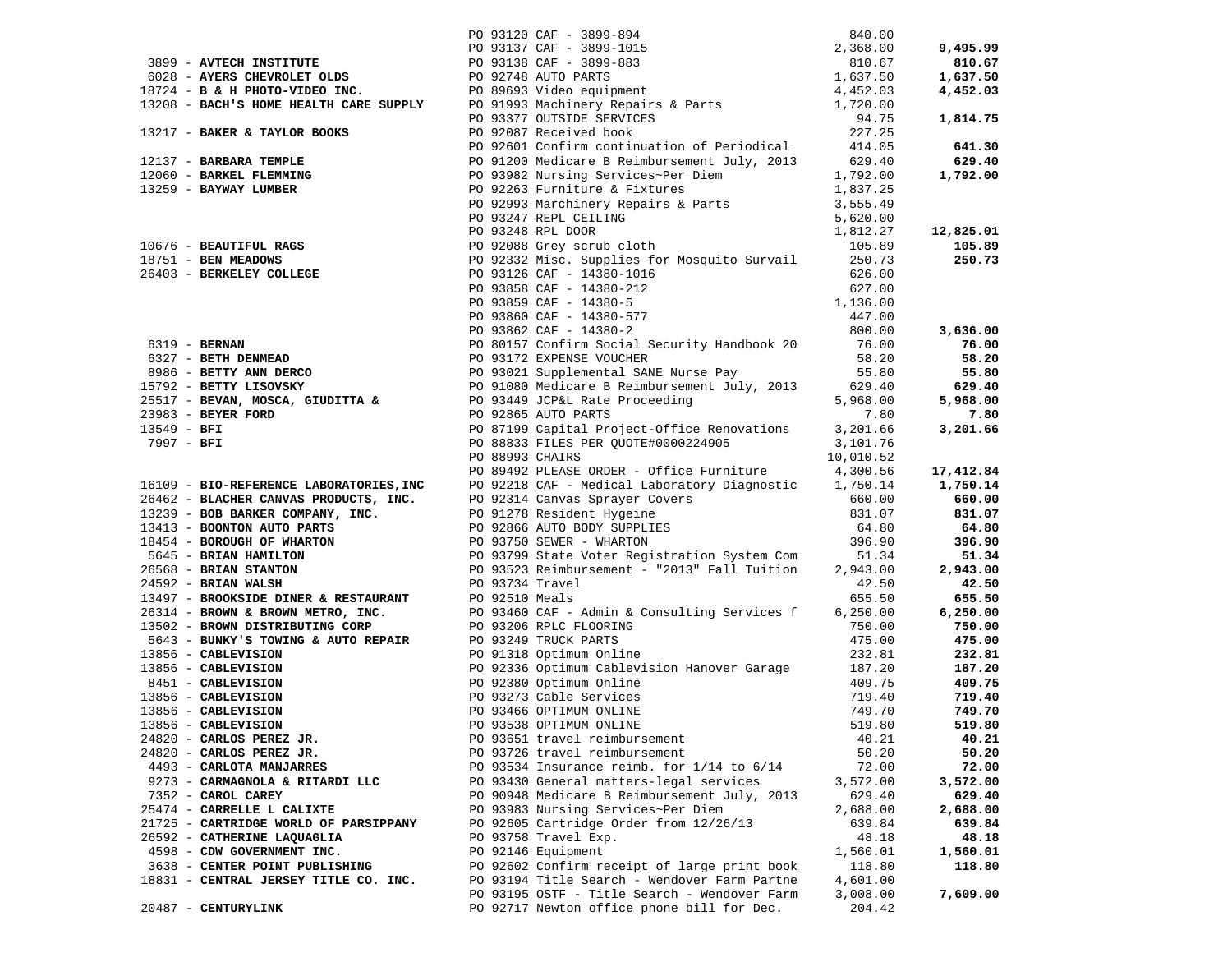|                                 |                                       |                                                                                                                                                                                                                                                                                                |          | 9,495.99  |
|---------------------------------|---------------------------------------|------------------------------------------------------------------------------------------------------------------------------------------------------------------------------------------------------------------------------------------------------------------------------------------------|----------|-----------|
|                                 |                                       |                                                                                                                                                                                                                                                                                                |          | 810.67    |
|                                 |                                       |                                                                                                                                                                                                                                                                                                |          | 1,637.50  |
|                                 |                                       |                                                                                                                                                                                                                                                                                                |          | 4,452.03  |
|                                 |                                       |                                                                                                                                                                                                                                                                                                |          |           |
|                                 |                                       |                                                                                                                                                                                                                                                                                                |          | 1,814.75  |
|                                 |                                       |                                                                                                                                                                                                                                                                                                |          |           |
|                                 |                                       |                                                                                                                                                                                                                                                                                                |          | 641.30    |
|                                 |                                       |                                                                                                                                                                                                                                                                                                |          | 629.40    |
|                                 |                                       |                                                                                                                                                                                                                                                                                                |          | 1,792.00  |
|                                 |                                       |                                                                                                                                                                                                                                                                                                |          |           |
|                                 |                                       | 13217 - <b>BAKER &amp; TAYLOR BOOKS</b><br>24.75<br>2137 - <b>BARBAR TEMPLE</b><br>227.25<br>227.25<br>227.25<br>227.25<br>227.25<br>227.25<br>227.25<br>227.25<br>228.9 - <b>BARWAY LUMBER</b><br>227.25<br>228.9 - <b>BARWAY LUMBER</b><br>228.9 - <b>EXAMPINER</b><br>228.9 - <b>EXAMPI</b> |          |           |
|                                 |                                       |                                                                                                                                                                                                                                                                                                |          |           |
|                                 |                                       |                                                                                                                                                                                                                                                                                                |          | 12,825.01 |
|                                 |                                       |                                                                                                                                                                                                                                                                                                |          | 105.89    |
|                                 |                                       |                                                                                                                                                                                                                                                                                                |          | 250.73    |
|                                 |                                       |                                                                                                                                                                                                                                                                                                |          |           |
|                                 |                                       |                                                                                                                                                                                                                                                                                                |          |           |
|                                 |                                       |                                                                                                                                                                                                                                                                                                |          |           |
|                                 |                                       |                                                                                                                                                                                                                                                                                                |          |           |
|                                 |                                       |                                                                                                                                                                                                                                                                                                |          |           |
|                                 |                                       |                                                                                                                                                                                                                                                                                                |          |           |
|                                 |                                       |                                                                                                                                                                                                                                                                                                |          |           |
|                                 |                                       |                                                                                                                                                                                                                                                                                                |          |           |
|                                 |                                       |                                                                                                                                                                                                                                                                                                |          |           |
|                                 |                                       |                                                                                                                                                                                                                                                                                                |          |           |
|                                 |                                       |                                                                                                                                                                                                                                                                                                |          |           |
|                                 |                                       |                                                                                                                                                                                                                                                                                                |          |           |
|                                 |                                       |                                                                                                                                                                                                                                                                                                |          |           |
|                                 |                                       |                                                                                                                                                                                                                                                                                                |          |           |
|                                 |                                       |                                                                                                                                                                                                                                                                                                |          |           |
|                                 |                                       |                                                                                                                                                                                                                                                                                                |          |           |
|                                 |                                       |                                                                                                                                                                                                                                                                                                |          |           |
|                                 |                                       |                                                                                                                                                                                                                                                                                                |          |           |
|                                 |                                       |                                                                                                                                                                                                                                                                                                |          |           |
|                                 |                                       |                                                                                                                                                                                                                                                                                                |          |           |
|                                 |                                       |                                                                                                                                                                                                                                                                                                |          |           |
|                                 |                                       |                                                                                                                                                                                                                                                                                                |          |           |
|                                 |                                       |                                                                                                                                                                                                                                                                                                |          |           |
|                                 |                                       |                                                                                                                                                                                                                                                                                                |          |           |
|                                 |                                       |                                                                                                                                                                                                                                                                                                |          |           |
|                                 |                                       |                                                                                                                                                                                                                                                                                                |          |           |
|                                 |                                       |                                                                                                                                                                                                                                                                                                |          |           |
|                                 |                                       |                                                                                                                                                                                                                                                                                                |          |           |
|                                 |                                       |                                                                                                                                                                                                                                                                                                |          |           |
|                                 |                                       |                                                                                                                                                                                                                                                                                                |          |           |
|                                 |                                       |                                                                                                                                                                                                                                                                                                |          |           |
| 13856 - CABLEVISION             | PO 93538 OPTIMUM ONLINE               |                                                                                                                                                                                                                                                                                                | 519.80   | 519.80    |
| 24820 - CARLOS PEREZ JR.        |                                       | PO 93651 travel reimbursement                                                                                                                                                                                                                                                                  | 40.21    | 40.21     |
| 24820 - CARLOS PEREZ JR.        |                                       | PO 93726 travel reimbursement                                                                                                                                                                                                                                                                  | 50.20    | 50.20     |
| 4493 - CARLOTA MANJARRES        |                                       | PO 93534 Insurance reimb. for 1/14 to 6/14                                                                                                                                                                                                                                                     | 72.00    | 72.00     |
| 9273 - CARMAGNOLA & RITARDI LLC |                                       | PO 93430 General matters-legal services                                                                                                                                                                                                                                                        | 3,572.00 | 3,572.00  |
| 7352 - CAROL CAREY              |                                       | PO 90948 Medicare B Reimbursement July, 2013                                                                                                                                                                                                                                                   | 629.40   | 629.40    |
| 25474 - CARRELLE L CALIXTE      |                                       | PO 93983 Nursing Services~Per Diem                                                                                                                                                                                                                                                             | 2,688.00 | 2,688.00  |
|                                 | 21725 - CARTRIDGE WORLD OF PARSIPPANY | PO 92605 Cartridge Order from 12/26/13                                                                                                                                                                                                                                                         | 639.84   | 639.84    |
| 26592 - CATHERINE LAQUAGLIA     |                                       | PO 93758 Travel Exp.                                                                                                                                                                                                                                                                           | 48.18    | 48.18     |
| 4598 - CDW GOVERNMENT INC.      |                                       | PO 92146 Equipment                                                                                                                                                                                                                                                                             | 1,560.01 | 1,560.01  |
| 3638 - CENTER POINT PUBLISHING  |                                       | PO 92602 Confirm receipt of large print book                                                                                                                                                                                                                                                   | 118.80   | 118.80    |
|                                 | 18831 - CENTRAL JERSEY TITLE CO. INC. | PO 93194 Title Search - Wendover Farm Partne                                                                                                                                                                                                                                                   | 4,601.00 |           |
|                                 |                                       | PO 93195 OSTF - Title Search - Wendover Farm                                                                                                                                                                                                                                                   | 3,008.00 | 7,609.00  |
| 20487 - CENTURYLINK             |                                       | PO 92717 Newton office phone bill for Dec.                                                                                                                                                                                                                                                     | 204.42   |           |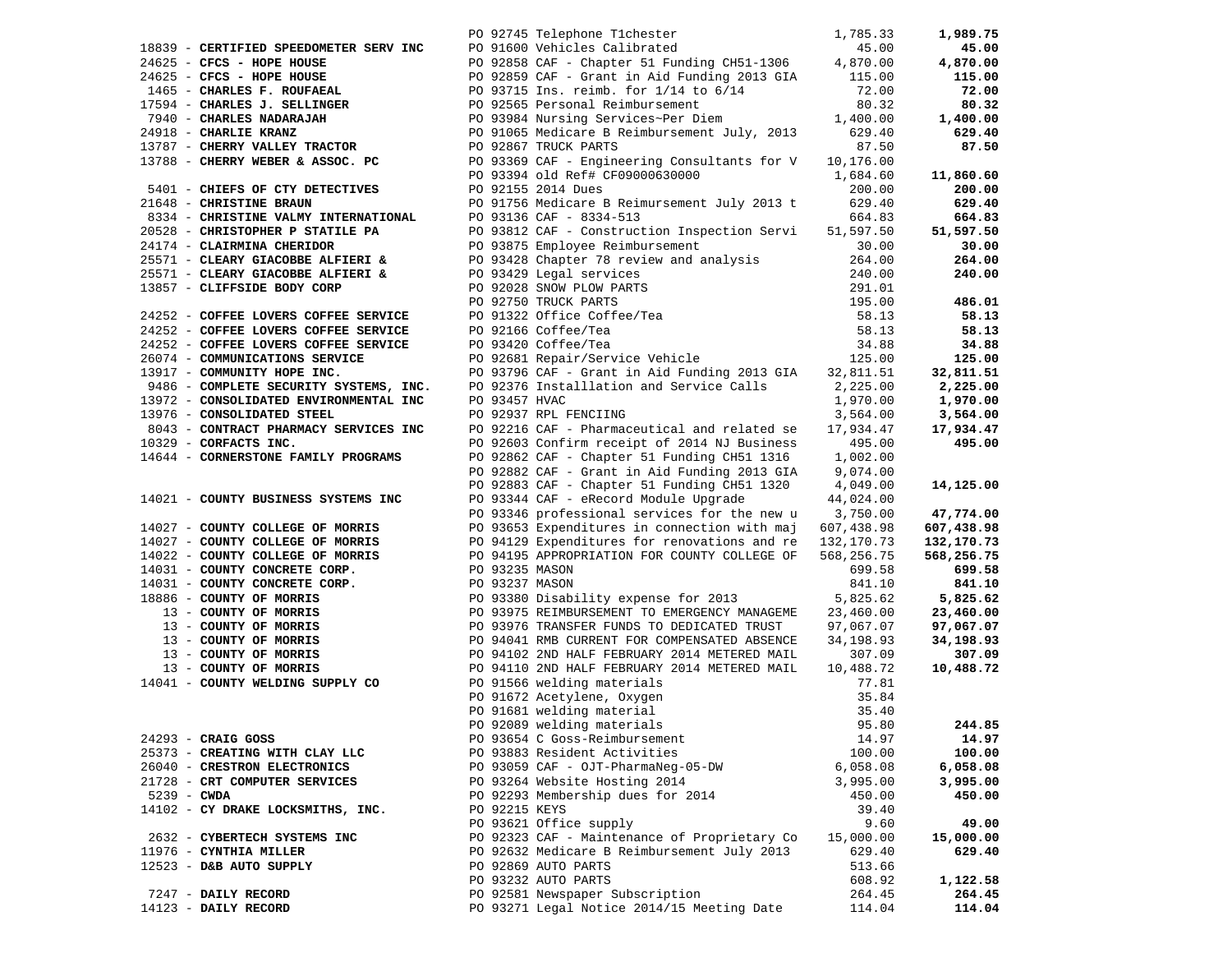|               |                                        |                | PO 92745 Telephone T1chester                                             | 1,785.33   | 1,989.75   |
|---------------|----------------------------------------|----------------|--------------------------------------------------------------------------|------------|------------|
|               | 18839 - CERTIFIED SPEEDOMETER SERV INC |                | PO 91600 Vehicles Calibrated<br>DO 92959 315 - 1                         | 45.00      | 45.00      |
|               | 24625 - CFCS - HOPE HOUSE              |                | PO 92858 CAF - Chapter 51 Funding CH51-1306                              | 4,870.00   | 4,870.00   |
|               | $24625$ - CFCS - HOPE HOUSE            |                | PO 92859 CAF - Grant in Aid Funding 2013 GIA 115.00                      |            | 115.00     |
|               | 1465 - CHARLES F. ROUFAEAL             |                | PO 93715 Ins. reimb. for 1/14 to 6/14                                    | 72.00      | 72.00      |
|               | 17594 - CHARLES J. SELLINGER           |                | PO 92565 Personal Reimbursement                                          | 80.32      | 80.32      |
|               | 7940 - CHARLES NADARAJAH               |                | PO 93984 Nursing Services~Per Diem                                       | 1,400.00   | 1,400.00   |
|               | 24918 - CHARLIE KRANZ                  |                | PO 91065 Medicare B Reimbursement July, 2013                             | 629.40     | 629.40     |
|               | 13787 - CHERRY VALLEY TRACTOR          |                | PO 92867 TRUCK PARTS                                                     | 87.50      | 87.50      |
|               | 13788 - CHERRY WEBER & ASSOC. PC       |                | PO 93369 CAF - Engineering Consultants for V                             | 10,176.00  |            |
|               |                                        |                | PO 93394 old Ref# CF09000630000                                          | 1,684.60   | 11,860.60  |
|               | 5401 - CHIEFS OF CTY DETECTIVES        |                | PO 92155 2014 Dues                                                       | 200.00     | 200.00     |
|               | 21648 - CHRISTINE BRAUN                |                | PO 91756 Medicare B Reimursement July 2013 t                             | 629.40     | 629.40     |
|               | 8334 - CHRISTINE VALMY INTERNATIONAL   |                | PO 93136 CAF - 8334-513                                                  | 664.83     | 664.83     |
|               | 20528 - CHRISTOPHER P STATILE PA       |                | PO 93812 CAF - Construction Inspection Servi                             | 51,597.50  | 51,597.50  |
|               | 24174 - CLAIRMINA CHERIDOR             |                | PO 93875 Employee Reimbursement                                          | 30.00      | 30.00      |
|               | 25571 - CLEARY GIACOBBE ALFIERI &      |                | PO 93428 Chapter 78 review and analysis                                  | 264.00     | 264.00     |
|               | 25571 - CLEARY GIACOBBE ALFIERI &      |                |                                                                          | 240.00     | 240.00     |
|               | 13857 - CLIFFSIDE BODY CORP            |                | -- Lugal Services<br>PO 92028 SNOW PLOW PARTS<br>PO 92750 TRUCK PARTS    | 291.01     |            |
|               |                                        |                |                                                                          | 195.00     | 486.01     |
|               | 24252 - COFFEE LOVERS COFFEE SERVICE   |                | PO 91322 Office Coffee/Tea<br>PO 92166 Coffee/Tea<br>PO 93420 Coffee/Tea | 58.13      | 58.13      |
|               | 24252 - COFFEE LOVERS COFFEE SERVICE   |                |                                                                          | 58.13      | 58.13      |
|               | 24252 - COFFEE LOVERS COFFEE SERVICE   |                |                                                                          | 34.88      | 34.88      |
|               | 26074 - COMMUNICATIONS SERVICE         |                | PO 92681 Repair/Service Vehicle                                          | 125.00     | 125.00     |
|               | 13917 - COMMUNITY HOPE INC.            |                | PO 93796 CAF - Grant in Aid Funding 2013 GIA                             | 32,811.51  | 32,811.51  |
|               | 9486 - COMPLETE SECURITY SYSTEMS, INC. |                | PO 92376 Installlation and Service Calls                                 | 2,225.00   | 2,225.00   |
|               | 13972 - CONSOLIDATED ENVIRONMENTAL INC | PO 93457 HVAC  |                                                                          | 1,970.00   | 1,970.00   |
|               | 13976 - CONSOLIDATED STEEL             |                | PO 92937 RPL FENCIING                                                    | 3,564.00   | 3,564.00   |
|               | 8043 - CONTRACT PHARMACY SERVICES INC  |                | PO 92216 CAF - Pharmaceutical and related se                             | 17,934.47  | 17,934.47  |
|               | 10329 - CORFACTS INC.                  |                | PO 92603 Confirm receipt of 2014 NJ Business                             | 495.00     | 495.00     |
|               | 14644 - CORNERSTONE FAMILY PROGRAMS    |                | PO 92862 CAF - Chapter 51 Funding CH51 1316                              | 1,002.00   |            |
|               |                                        |                | PO 92882 CAF - Grant in Aid Funding 2013 GIA                             | 9,074.00   |            |
|               |                                        |                | PO 92883 CAF - Chapter 51 Funding CH51 1320                              | 4,049.00   | 14,125.00  |
|               | 14021 - COUNTY BUSINESS SYSTEMS INC    |                | PO 93344 CAF - eRecord Module Upgrade                                    | 44,024.00  |            |
|               |                                        |                | PO 93346 professional services for the new u                             | 3,750.00   | 47,774.00  |
|               | 14027 - COUNTY COLLEGE OF MORRIS       |                | PO 93653 Expenditures in connection with maj                             | 607,438.98 | 607,438.98 |
|               | 14027 - COUNTY COLLEGE OF MORRIS       |                | PO 94129 Expenditures for renovations and re                             | 132,170.73 | 132,170.73 |
|               | 14022 - COUNTY COLLEGE OF MORRIS       |                | PO 94195 APPROPRIATION FOR COUNTY COLLEGE OF                             | 568,256.75 | 568,256.75 |
|               | 14031 - COUNTY CONCRETE CORP.          | PO 93235 MASON |                                                                          | 699.58     | 699.58     |
|               | 14031 - COUNTY CONCRETE CORP.          | PO 93237 MASON |                                                                          | 841.10     | 841.10     |
|               | 18886 - COUNTY OF MORRIS               |                | PO 93380 Disability expense for 2013                                     | 5,825.62   | 5,825.62   |
|               | 13 - COUNTY OF MORRIS                  |                | PO 93975 REIMBURSEMENT TO EMERGENCY MANAGEME                             | 23,460.00  | 23,460.00  |
|               | 13 - COUNTY OF MORRIS                  |                | PO 93976 TRANSFER FUNDS TO DEDICATED TRUST                               | 97,067.07  | 97,067.07  |
|               | 13 - COUNTY OF MORRIS                  |                | PO 94041 RMB CURRENT FOR COMPENSATED ABSENCE                             | 34,198.93  | 34,198.93  |
|               | 13 - COUNTY OF MORRIS                  |                | PO 94102 2ND HALF FEBRUARY 2014 METERED MAIL                             | 307.09     | 307.09     |
|               | 13 - COUNTY OF MORRIS                  |                | PO 94110 2ND HALF FEBRUARY 2014 METERED MAIL                             | 10,488.72  | 10,488.72  |
|               | 14041 - COUNTY WELDING SUPPLY CO       |                | PO 91566 welding materials                                               | 77.81      |            |
|               |                                        |                | PO 91672 Acetylene, Oxygen                                               | 35.84      |            |
|               |                                        |                | PO 91681 welding material                                                | 35.40      |            |
|               |                                        |                | PO 92089 welding materials                                               | 95.80      | 244.85     |
|               | 24293 - CRAIG GOSS                     |                | PO 93654 C Goss-Reimbursement                                            | 14.97      | 14.97      |
|               | 25373 - CREATING WITH CLAY LLC         |                | PO 93883 Resident Activities                                             | 100.00     | 100.00     |
|               | 26040 - CRESTRON ELECTRONICS           |                | PO 93059 CAF - OJT-PharmaNeg-05-DW                                       | 6,058.08   | 6,058.08   |
|               | 21728 - CRT COMPUTER SERVICES          |                | PO 93264 Website Hosting 2014                                            | 3,995.00   | 3,995.00   |
| $5239 - CWDA$ |                                        |                | PO 92293 Membership dues for 2014                                        | 450.00     | 450.00     |
|               | 14102 - CY DRAKE LOCKSMITHS, INC.      | PO 92215 KEYS  |                                                                          | 39.40      |            |
|               |                                        |                | PO 93621 Office supply                                                   | 9.60       | 49.00      |
|               | 2632 - CYBERTECH SYSTEMS INC           |                | PO 92323 CAF - Maintenance of Proprietary Co                             | 15,000.00  | 15,000.00  |
|               | 11976 - CYNTHIA MILLER                 |                | PO 92632 Medicare B Reimbursement July 2013                              | 629.40     | 629.40     |
|               | 12523 - D&B AUTO SUPPLY                |                | PO 92869 AUTO PARTS                                                      | 513.66     |            |
|               |                                        |                | PO 93232 AUTO PARTS                                                      | 608.92     | 1,122.58   |
|               | 7247 - DAILY RECORD                    |                | PO 92581 Newspaper Subscription                                          | 264.45     | 264.45     |
|               | 14123 - DAILY RECORD                   |                | PO 93271 Legal Notice 2014/15 Meeting Date                               | 114.04     | 114.04     |
|               |                                        |                |                                                                          |            |            |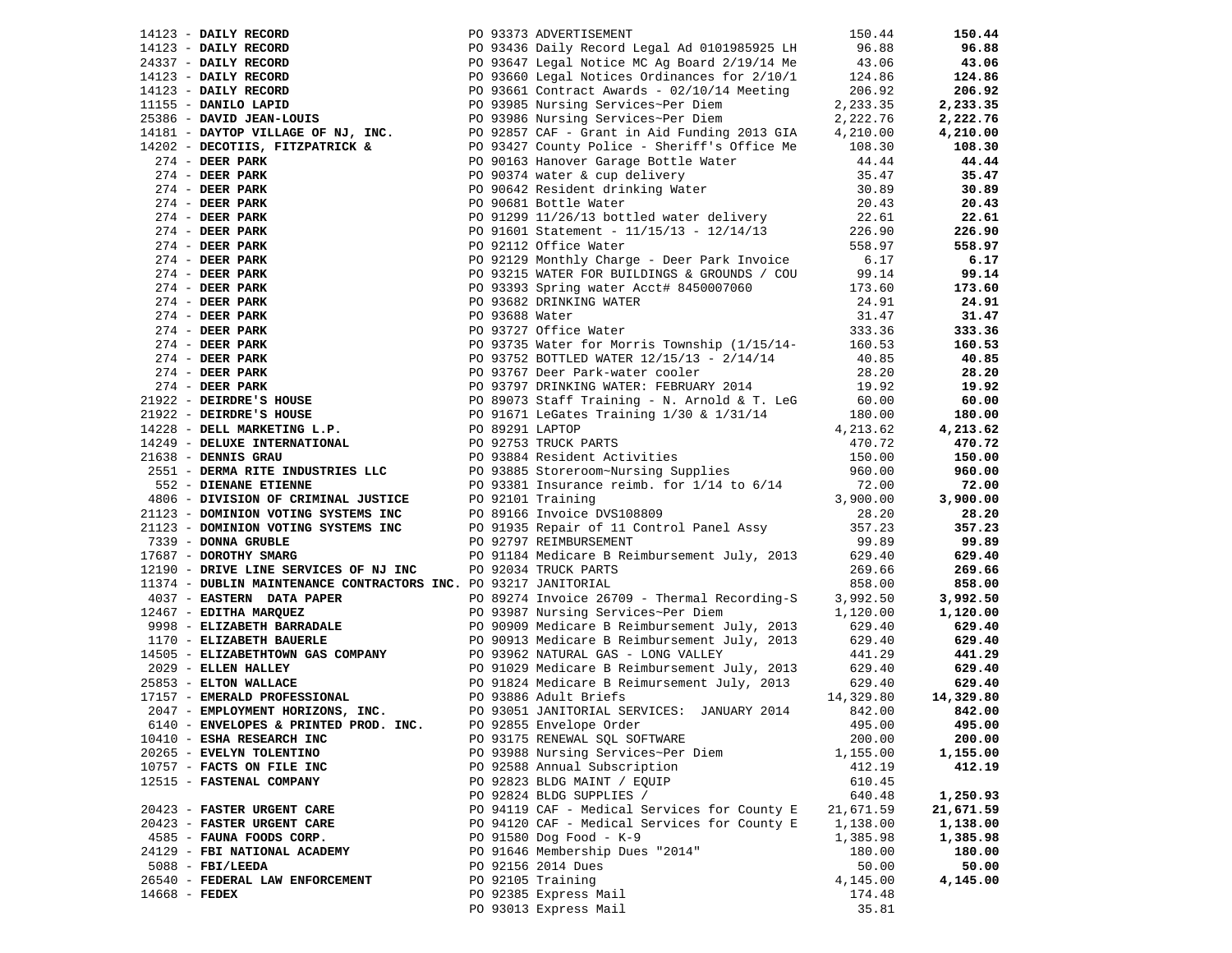|                                       |  |                                                                                                                                                                                                                                                                                                |                    | 150.44             |
|---------------------------------------|--|------------------------------------------------------------------------------------------------------------------------------------------------------------------------------------------------------------------------------------------------------------------------------------------------|--------------------|--------------------|
|                                       |  |                                                                                                                                                                                                                                                                                                |                    | 96.88              |
|                                       |  |                                                                                                                                                                                                                                                                                                |                    | 43.06              |
|                                       |  |                                                                                                                                                                                                                                                                                                |                    | 124.86             |
|                                       |  |                                                                                                                                                                                                                                                                                                |                    | 206.92             |
|                                       |  |                                                                                                                                                                                                                                                                                                |                    | 2,233.35           |
|                                       |  | 14123 - <b>DAILY RECORD</b><br>24337 - <b>DAILY RECORD</b><br>24337 - <b>DAILY RECORD</b><br>24337 - <b>DAILY RECORD</b><br>24337 - <b>DAILY RECORD</b><br>26.88<br>25386 - <b>DAILY RECORD</b><br>26.92<br>26.92<br>26.92<br>26.92<br>26.92<br>26.92<br>27.233.35<br>25386 - <b>DAVID JEA</b> |                    | 2,222.76           |
|                                       |  |                                                                                                                                                                                                                                                                                                |                    | 4,210.00           |
|                                       |  |                                                                                                                                                                                                                                                                                                |                    | 108.30             |
|                                       |  |                                                                                                                                                                                                                                                                                                |                    | 44.44              |
|                                       |  |                                                                                                                                                                                                                                                                                                |                    | 35.47              |
|                                       |  |                                                                                                                                                                                                                                                                                                |                    | 30.89              |
|                                       |  |                                                                                                                                                                                                                                                                                                |                    | 20.43              |
|                                       |  |                                                                                                                                                                                                                                                                                                |                    | 22.61              |
|                                       |  |                                                                                                                                                                                                                                                                                                |                    | 226.90             |
|                                       |  |                                                                                                                                                                                                                                                                                                |                    |                    |
|                                       |  |                                                                                                                                                                                                                                                                                                |                    | 558.97             |
|                                       |  |                                                                                                                                                                                                                                                                                                |                    | 6.17               |
|                                       |  |                                                                                                                                                                                                                                                                                                |                    | 99.14              |
|                                       |  |                                                                                                                                                                                                                                                                                                |                    | 173.60             |
|                                       |  |                                                                                                                                                                                                                                                                                                |                    | 24.91              |
|                                       |  |                                                                                                                                                                                                                                                                                                |                    | 31.47              |
|                                       |  |                                                                                                                                                                                                                                                                                                |                    | 333.36             |
|                                       |  |                                                                                                                                                                                                                                                                                                |                    | 160.53             |
|                                       |  |                                                                                                                                                                                                                                                                                                |                    | 40.85              |
|                                       |  |                                                                                                                                                                                                                                                                                                |                    | 28.20              |
|                                       |  |                                                                                                                                                                                                                                                                                                |                    | 19.92              |
|                                       |  |                                                                                                                                                                                                                                                                                                |                    | 60.00              |
|                                       |  |                                                                                                                                                                                                                                                                                                |                    | 180.00             |
|                                       |  |                                                                                                                                                                                                                                                                                                |                    | 4,213.62           |
|                                       |  |                                                                                                                                                                                                                                                                                                |                    | 470.72             |
|                                       |  |                                                                                                                                                                                                                                                                                                |                    | 150.00             |
|                                       |  |                                                                                                                                                                                                                                                                                                |                    | 960.00             |
|                                       |  |                                                                                                                                                                                                                                                                                                |                    | 72.00              |
|                                       |  |                                                                                                                                                                                                                                                                                                |                    | 3,900.00           |
|                                       |  |                                                                                                                                                                                                                                                                                                |                    | 28.20              |
|                                       |  |                                                                                                                                                                                                                                                                                                |                    | 357.23             |
|                                       |  |                                                                                                                                                                                                                                                                                                |                    | 99.89              |
|                                       |  |                                                                                                                                                                                                                                                                                                |                    | 629.40             |
|                                       |  |                                                                                                                                                                                                                                                                                                |                    | 269.66             |
|                                       |  |                                                                                                                                                                                                                                                                                                |                    | 858.00             |
|                                       |  |                                                                                                                                                                                                                                                                                                |                    | 3,992.50           |
|                                       |  |                                                                                                                                                                                                                                                                                                |                    | 1,120.00           |
|                                       |  |                                                                                                                                                                                                                                                                                                |                    | 629.40             |
|                                       |  |                                                                                                                                                                                                                                                                                                |                    | 629.40             |
|                                       |  | 14505 - ELIZABETHTOWN GAS COMPANY<br>2029 - ELLEN HALLEY<br>25853 - ELTON WALLACE<br>279 - ELTON WALLACE<br>279 - ELTON WALLACE<br>279 - ELTON WALLACE<br>279 - ELTON WALLACE<br>279 - ELTON WALLACE<br>279 - ELTON WALLACE<br>279 - ELTON WALLA                                               |                    | 441.29             |
|                                       |  |                                                                                                                                                                                                                                                                                                | 629.40             | 629.40             |
|                                       |  |                                                                                                                                                                                                                                                                                                | 629.40             | 629.40             |
|                                       |  |                                                                                                                                                                                                                                                                                                | 14,329.80          | 14,329.80          |
| 2047 - EMPLOYMENT HORIZONS, INC.      |  | PO 93051 JANITORIAL SERVICES: JANUARY 2014                                                                                                                                                                                                                                                     | 842.00             | 842.00             |
| 6140 - ENVELOPES & PRINTED PROD. INC. |  | PO 92855 Envelope Order                                                                                                                                                                                                                                                                        | 495.00             | 495.00             |
| 10410 - ESHA RESEARCH INC             |  | PO 93175 RENEWAL SQL SOFTWARE                                                                                                                                                                                                                                                                  | 200.00             | 200.00             |
| 20265 - EVELYN TOLENTINO              |  | PO 93988 Nursing Services~Per Diem                                                                                                                                                                                                                                                             |                    |                    |
| 10757 - FACTS ON FILE INC             |  | PO 92588 Annual Subscription                                                                                                                                                                                                                                                                   | 1,155.00<br>412.19 | 1,155.00<br>412.19 |
|                                       |  |                                                                                                                                                                                                                                                                                                |                    |                    |
| 12515 - FASTENAL COMPANY              |  | PO 92823 BLDG MAINT / EQUIP                                                                                                                                                                                                                                                                    | 610.45<br>640.48   |                    |
|                                       |  | PO 92824 BLDG SUPPLIES /                                                                                                                                                                                                                                                                       |                    | 1,250.93           |
| 20423 - FASTER URGENT CARE            |  | PO 94119 CAF - Medical Services for County E                                                                                                                                                                                                                                                   | 21,671.59          | 21,671.59          |
| 20423 - FASTER URGENT CARE            |  | PO 94120 CAF - Medical Services for County E                                                                                                                                                                                                                                                   | 1,138.00           | 1,138.00           |
| 4585 - FAUNA FOODS CORP.              |  | PO 91580 Dog Food - K-9                                                                                                                                                                                                                                                                        | 1,385.98           | 1,385.98           |
| 24129 - FBI NATIONAL ACADEMY          |  | PO 91646 Membership Dues "2014"                                                                                                                                                                                                                                                                | 180.00             | 180.00             |
| $5088$ - FBI/LEEDA                    |  | PO 92156 2014 Dues                                                                                                                                                                                                                                                                             | 50.00              | 50.00              |
| 26540 - FEDERAL LAW ENFORCEMENT       |  | PO 92105 Training                                                                                                                                                                                                                                                                              | 4,145.00           | 4,145.00           |
| $14668$ - FEDEX                       |  | PO 92385 Express Mail                                                                                                                                                                                                                                                                          | 174.48             |                    |
|                                       |  | PO 93013 Express Mail                                                                                                                                                                                                                                                                          | 35.81              |                    |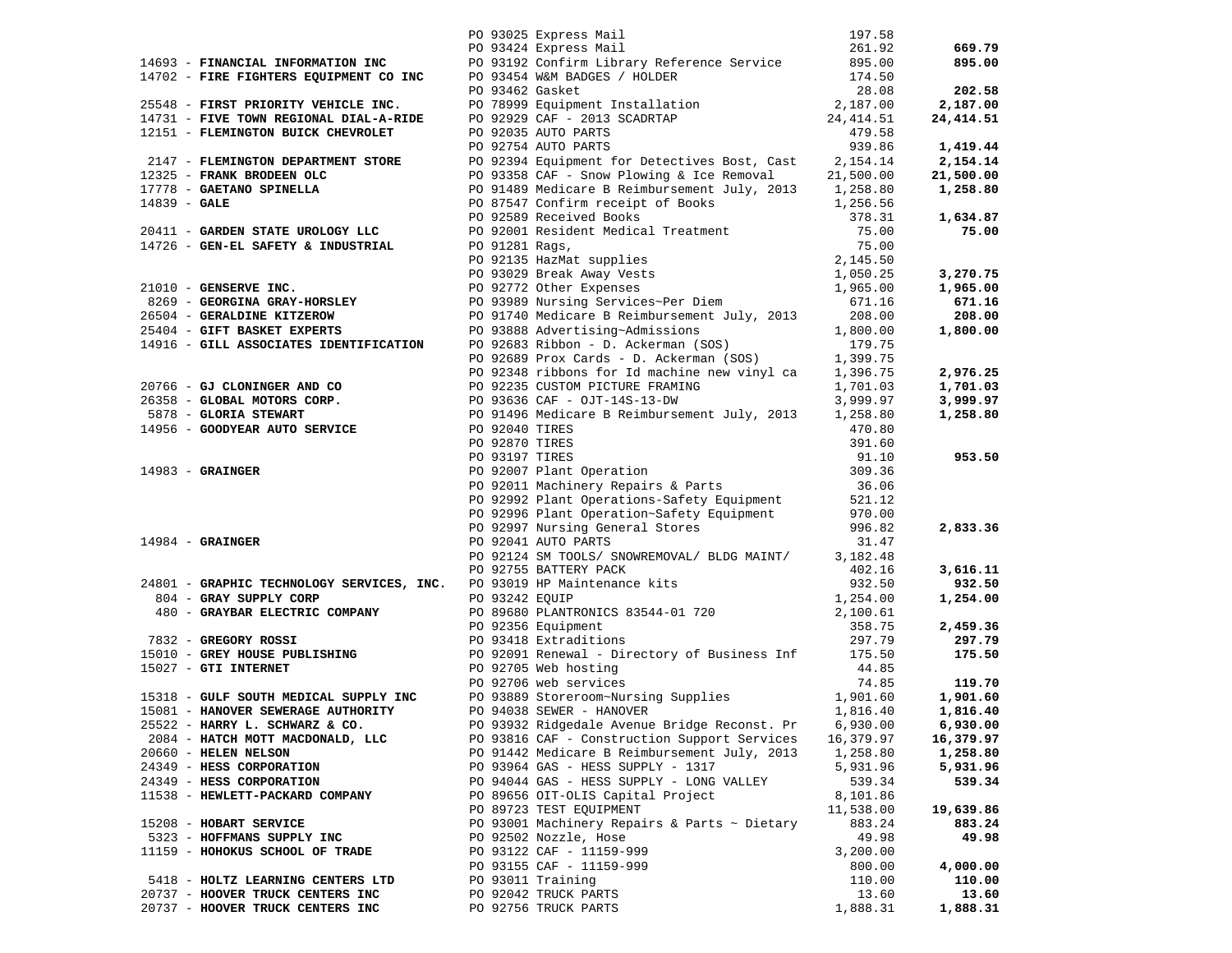|                                                                                                                  |                | PO 93025 Express Mail                                                                                                                                                                                                                                                | 197.58<br>261.92    | 669.79              |
|------------------------------------------------------------------------------------------------------------------|----------------|----------------------------------------------------------------------------------------------------------------------------------------------------------------------------------------------------------------------------------------------------------------------|---------------------|---------------------|
|                                                                                                                  |                | PO 93424 Express Mail<br>14693 - FINANCIAL INFORMATION INC<br>14702 - FIRS FIGHTERS EQUIPMENT CO INC<br>14702 - FIRS FIGHTERS EQUIPMENT CO INC<br>29999 Equipment Installation<br>29999 Equipment Installation<br>174.50<br>29999 Equipment Installation<br>29999 Eq |                     | 895.00              |
|                                                                                                                  |                |                                                                                                                                                                                                                                                                      |                     |                     |
|                                                                                                                  |                |                                                                                                                                                                                                                                                                      |                     | 202.58              |
|                                                                                                                  |                |                                                                                                                                                                                                                                                                      |                     | 2,187.00            |
|                                                                                                                  |                |                                                                                                                                                                                                                                                                      |                     | 24,414.51           |
|                                                                                                                  |                |                                                                                                                                                                                                                                                                      |                     |                     |
|                                                                                                                  |                |                                                                                                                                                                                                                                                                      |                     | 1,419.44            |
|                                                                                                                  |                |                                                                                                                                                                                                                                                                      |                     | 2,154.14            |
|                                                                                                                  |                |                                                                                                                                                                                                                                                                      |                     | 21,500.00           |
|                                                                                                                  |                |                                                                                                                                                                                                                                                                      |                     | 1,258.80            |
|                                                                                                                  |                |                                                                                                                                                                                                                                                                      |                     |                     |
|                                                                                                                  |                |                                                                                                                                                                                                                                                                      |                     | 1,634.87            |
|                                                                                                                  |                |                                                                                                                                                                                                                                                                      |                     | 75.00               |
|                                                                                                                  |                |                                                                                                                                                                                                                                                                      |                     |                     |
|                                                                                                                  |                |                                                                                                                                                                                                                                                                      |                     | 3,270.75            |
|                                                                                                                  |                |                                                                                                                                                                                                                                                                      |                     | 1,965.00            |
|                                                                                                                  |                |                                                                                                                                                                                                                                                                      |                     | 671.16              |
|                                                                                                                  |                |                                                                                                                                                                                                                                                                      |                     | 208.00              |
|                                                                                                                  |                |                                                                                                                                                                                                                                                                      |                     | 1,800.00            |
|                                                                                                                  |                |                                                                                                                                                                                                                                                                      |                     |                     |
|                                                                                                                  |                |                                                                                                                                                                                                                                                                      |                     |                     |
|                                                                                                                  |                |                                                                                                                                                                                                                                                                      |                     | 2,976.25            |
|                                                                                                                  |                |                                                                                                                                                                                                                                                                      |                     | 1,701.03            |
|                                                                                                                  |                |                                                                                                                                                                                                                                                                      |                     | 3,999.97            |
|                                                                                                                  |                |                                                                                                                                                                                                                                                                      |                     | 1,258.80            |
|                                                                                                                  |                |                                                                                                                                                                                                                                                                      |                     |                     |
|                                                                                                                  |                |                                                                                                                                                                                                                                                                      |                     |                     |
| 14983 - GRAINGER<br>14984 - GRAINGER                                                                             |                | PO 92870 TIRES<br>PO 93197 TIRES<br>PO 92007 Plant Operation<br>PO 92011 Machinery Repairs & Parts                                                                                                                                                                   | 91.10<br>309.36     | 953.50              |
|                                                                                                                  |                |                                                                                                                                                                                                                                                                      | 36.06               |                     |
|                                                                                                                  |                |                                                                                                                                                                                                                                                                      |                     |                     |
|                                                                                                                  |                | PO 92992 Plant Operations-Safety Equipment 521.12<br>PO 92996 Plant Operation~Safety Equipment 970.00                                                                                                                                                                |                     |                     |
|                                                                                                                  |                | PO 92997 Nursing General Stores                                                                                                                                                                                                                                      | 996.82              | 2,833.36            |
|                                                                                                                  |                | PO 92041 AUTO PARTS                                                                                                                                                                                                                                                  | 31.47               |                     |
|                                                                                                                  |                | PO 92124 SM TOOLS/ SNOWREMOVAL/ BLDG MAINT/ $3,182.48$                                                                                                                                                                                                               |                     |                     |
| PO 92755 BATTERY PACK<br>24801 - GRAPHIC TECHNOLOGY SERVICES, INC. PO 93019 HP Maintenance kits<br>2693242 FOUIP |                |                                                                                                                                                                                                                                                                      | 402.16              | 3,616.11            |
|                                                                                                                  |                |                                                                                                                                                                                                                                                                      | 932.50<br>1,254.00  | 932.50              |
|                                                                                                                  | PO 93242 EQUIP |                                                                                                                                                                                                                                                                      |                     | 1,254.00            |
|                                                                                                                  |                |                                                                                                                                                                                                                                                                      |                     |                     |
|                                                                                                                  |                | PO 93242 EQUIP<br>PO 89680 PLANTRONICS 83544-01 720<br>PO 92356 Equipment 358.75<br>PO 93418 Extraditions 297.79                                                                                                                                                     |                     | 2,459.36            |
|                                                                                                                  |                |                                                                                                                                                                                                                                                                      |                     | 297.79<br>175.50    |
|                                                                                                                  |                |                                                                                                                                                                                                                                                                      |                     |                     |
|                                                                                                                  |                | 480 - GRAYBAR ELECTRIC COMPANY<br>480 - GRAYBAR ELECTRIC COMPANY<br>480 - GRAYBAR ELECTRIC COMPANY<br>480 - GRAYBAR ELECTRIC COMPANY<br>490 - GREGORY ROSSI<br>490 - GREGORY ROSSI<br>490 - GREGORY ROSSI<br>490 - GREGORY ROSSI<br>490 92356                        |                     | 119.70              |
|                                                                                                                  |                |                                                                                                                                                                                                                                                                      |                     | 1,901.60            |
|                                                                                                                  |                |                                                                                                                                                                                                                                                                      |                     | 1,816.40            |
| 25522 - HARRY L. SCHWARZ & CO.                                                                                   |                | PO 93932 Ridgedale Avenue Bridge Reconst. Pr                                                                                                                                                                                                                         | 6,930.00            | 6,930.00            |
| 2084 - HATCH MOTT MACDONALD, LLC                                                                                 |                | PO 93816 CAF - Construction Support Services                                                                                                                                                                                                                         | 16,379.97           | 16,379.97           |
| 20660 - HELEN NELSON                                                                                             |                | PO 91442 Medicare B Reimbursement July, 2013                                                                                                                                                                                                                         | 1,258.80            | 1,258.80            |
| 24349 - HESS CORPORATION                                                                                         |                | PO 93964 GAS - HESS SUPPLY - 1317                                                                                                                                                                                                                                    | 5,931.96            | 5,931.96            |
| 24349 - HESS CORPORATION                                                                                         |                | PO 94044 GAS - HESS SUPPLY - LONG VALLEY                                                                                                                                                                                                                             | 539.34              | 539.34              |
| 11538 - HEWLETT-PACKARD COMPANY                                                                                  |                | PO 89656 OIT-OLIS Capital Project<br>PO 89723 TEST EQUIPMENT                                                                                                                                                                                                         | 8,101.86            |                     |
| 15208 - HOBART SERVICE                                                                                           |                | PO 93001 Machinery Repairs & Parts ~ Dietary                                                                                                                                                                                                                         | 11,538.00<br>883.24 | 19,639.86<br>883.24 |
| 5323 - HOFFMANS SUPPLY INC                                                                                       |                | PO 92502 Nozzle, Hose                                                                                                                                                                                                                                                | 49.98               | 49.98               |
| 11159 - HOHOKUS SCHOOL OF TRADE                                                                                  |                | PO 93122 CAF - 11159-999                                                                                                                                                                                                                                             | 3,200.00            |                     |
|                                                                                                                  |                | PO 93155 CAF - 11159-999                                                                                                                                                                                                                                             | 800.00              | 4,000.00            |
| 5418 - HOLTZ LEARNING CENTERS LTD                                                                                |                | PO 93011 Training                                                                                                                                                                                                                                                    | 110.00              | 110.00              |
| 20737 - HOOVER TRUCK CENTERS INC                                                                                 |                | PO 92042 TRUCK PARTS                                                                                                                                                                                                                                                 | 13.60               | 13.60               |
| 20737 - HOOVER TRUCK CENTERS INC                                                                                 |                | PO 92756 TRUCK PARTS                                                                                                                                                                                                                                                 | 1,888.31            | 1,888.31            |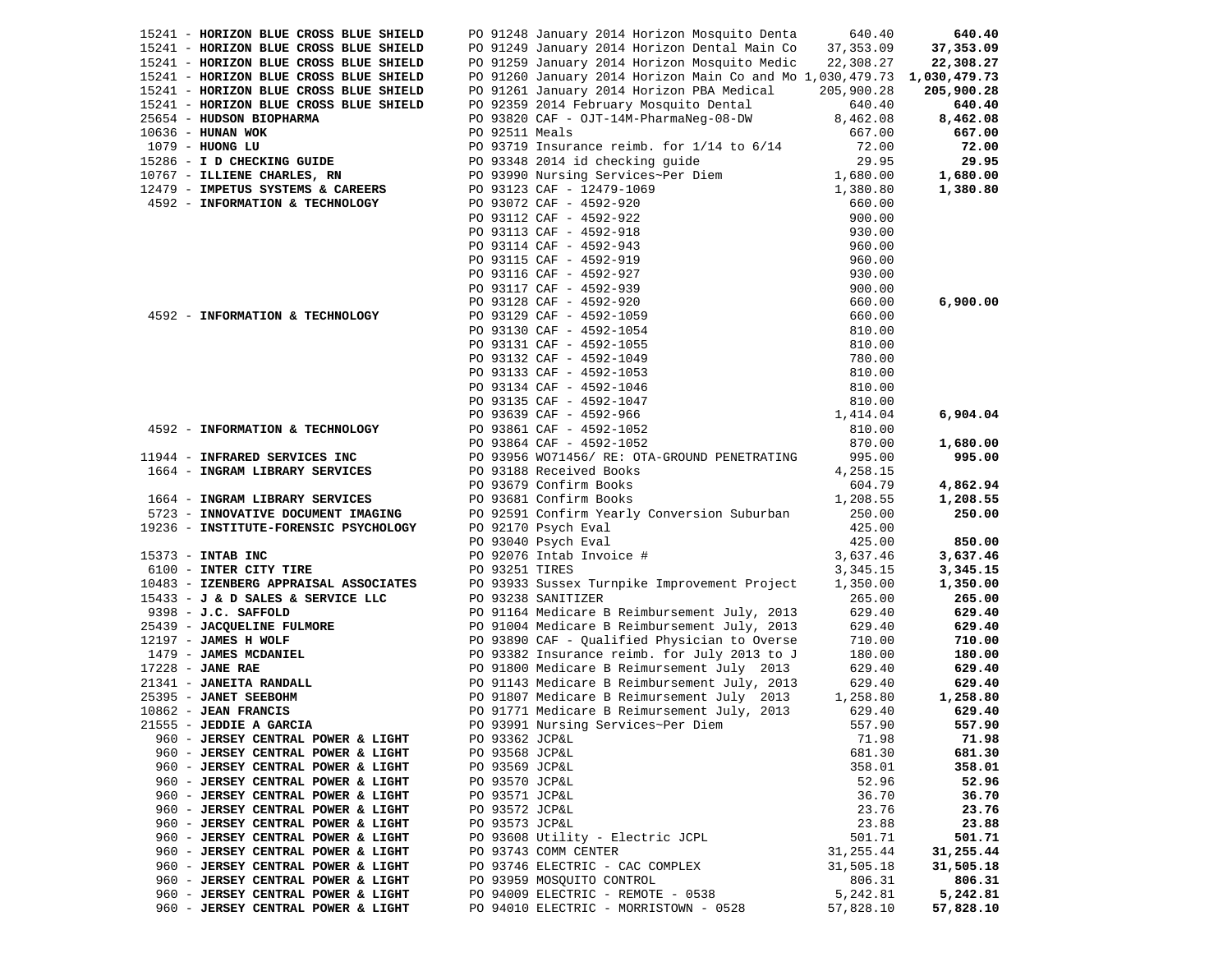| 15241 - HORIZON BLUE CROSS BLUE SHIELD |                | PO 91248 January 2014 Horizon Mosquito Denta 640.40                                                                                                                                                                                               |            | 640.40     |
|----------------------------------------|----------------|---------------------------------------------------------------------------------------------------------------------------------------------------------------------------------------------------------------------------------------------------|------------|------------|
| 15241 - HORIZON BLUE CROSS BLUE SHIELD |                | PO 91249 January 2014 Horizon Dental Main Co                                                                                                                                                                                                      | 37,353.09  | 37,353.09  |
|                                        |                |                                                                                                                                                                                                                                                   |            |            |
| 15241 - HORIZON BLUE CROSS BLUE SHIELD |                | PO 91259 January 2014 Horizon Mosquito Medic 22,308.27                                                                                                                                                                                            |            | 22,308.27  |
| 15241 - HORIZON BLUE CROSS BLUE SHIELD |                | PO 91260 January 2014 Horizon Main Co and Mo 1,030,479.73 1,030,479.73                                                                                                                                                                            |            |            |
| 15241 - HORIZON BLUE CROSS BLUE SHIELD |                | PO 91261 January 2014 Horizon PBA Medical                                                                                                                                                                                                         | 205,900.28 | 205,900.28 |
| 15241 - HORIZON BLUE CROSS BLUE SHIELD |                | PO 92359 2014 February Mosquito Dental                                                                                                                                                                                                            | 640.40     | 640.40     |
| 25654 - HUDSON BIOPHARMA               |                | PO 93820 CAF - OJT-14M-PharmaNeg-08-DW                                                                                                                                                                                                            | 8,462.08   | 8,462.08   |
|                                        |                |                                                                                                                                                                                                                                                   |            |            |
| $10636$ - HUNAN WOK                    | PO 92511 Meals |                                                                                                                                                                                                                                                   | 667.00     | 667.00     |
| 1079 - HUONG LU                        |                | PO 93719 Insurance reimb. for $1/14$ to $6/14$                                                                                                                                                                                                    | 72.00      | 72.00      |
| 15286 - I D CHECKING GUIDE             |                | PO 93348 2014 id checking guide 29.95<br>PO 93990 Nursing Services~Per Diem 1,680.00                                                                                                                                                              |            | 29.95      |
| 10767 - ILLIENE CHARLES, RN            |                |                                                                                                                                                                                                                                                   |            | 1,680.00   |
| 12479 - IMPETUS SYSTEMS & CAREERS      |                |                                                                                                                                                                                                                                                   | 1,380.80   | 1,380.80   |
|                                        |                | PO 93123 CAF - 12479-1069<br>PO 93072 CAF - 4592-920                                                                                                                                                                                              |            |            |
| 4592 - INFORMATION & TECHNOLOGY        |                |                                                                                                                                                                                                                                                   |            |            |
|                                        |                |                                                                                                                                                                                                                                                   |            |            |
|                                        |                |                                                                                                                                                                                                                                                   |            |            |
|                                        |                |                                                                                                                                                                                                                                                   |            |            |
|                                        |                |                                                                                                                                                                                                                                                   |            |            |
|                                        |                |                                                                                                                                                                                                                                                   |            |            |
|                                        |                |                                                                                                                                                                                                                                                   |            |            |
|                                        |                |                                                                                                                                                                                                                                                   |            |            |
|                                        |                |                                                                                                                                                                                                                                                   |            | 6,900.00   |
| 4592 - INFORMATION & TECHNOLOGY        |                |                                                                                                                                                                                                                                                   |            |            |
|                                        |                |                                                                                                                                                                                                                                                   |            |            |
|                                        |                |                                                                                                                                                                                                                                                   |            |            |
|                                        |                |                                                                                                                                                                                                                                                   |            |            |
|                                        |                |                                                                                                                                                                                                                                                   |            |            |
|                                        |                |                                                                                                                                                                                                                                                   |            |            |
|                                        |                |                                                                                                                                                                                                                                                   |            |            |
|                                        |                |                                                                                                                                                                                                                                                   |            |            |
|                                        |                |                                                                                                                                                                                                                                                   |            |            |
|                                        |                | 20 3312 CAF - 124/9-106<br>PO 33172 CAF - 4592-922<br>PO 33112 CAF - 4592-922<br>PO 33113 CAF - 4592-918<br>PO 33113 CAF - 4592-913<br>PO 33114 CAF - 4592-927<br>PO 33116 CAF - 4592-927<br>PO 3312 CAF - 4592-927<br>PO 3312 CAF - 4592-929<br> |            | 6,904.04   |
| 4592 - INFORMATION & TECHNOLOGY        |                | PO 93861 CAF - 4592-1052                                                                                                                                                                                                                          | 810.00     |            |
|                                        |                | PO 93864 CAF - 4592-1052                                                                                                                                                                                                                          | 870.00     | 1,680.00   |
| 11944 - INFRARED SERVICES INC          |                | PO 93956 WO71456/ RE: OTA-GROUND PENETRATING                                                                                                                                                                                                      | 995.00     | 995.00     |
| 1664 - INGRAM LIBRARY SERVICES         |                | PO 93188 Received Books                                                                                                                                                                                                                           | 4,258.15   |            |
|                                        |                |                                                                                                                                                                                                                                                   |            |            |
|                                        |                | PO 93679 Confirm Books                                                                                                                                                                                                                            | 604.79     | 4,862.94   |
| 1664 - INGRAM LIBRARY SERVICES         |                | PO 93681 Confirm Books                                                                                                                                                                                                                            | 1,208.55   | 1,208.55   |
| 5723 - INNOVATIVE DOCUMENT IMAGING     |                | PO 92591 Confirm Yearly Conversion Suburban                                                                                                                                                                                                       | 250.00     | 250.00     |
| 19236 - INSTITUTE-FORENSIC PSYCHOLOGY  |                | PO 92170 Psych Eval                                                                                                                                                                                                                               | 425.00     |            |
|                                        |                | PO 93040 Psych Eval                                                                                                                                                                                                                               | 425.00     | 850.00     |
|                                        |                |                                                                                                                                                                                                                                                   |            |            |
| 15373 - INTAB INC                      |                | PO 92076 Intab Invoice #                                                                                                                                                                                                                          | 3,637.46   | 3,637.46   |
| 6100 - INTER CITY TIRE                 | PO 93251 TIRES |                                                                                                                                                                                                                                                   | 3,345.15   | 3,345.15   |
| 10483 - IZENBERG APPRAISAL ASSOCIATES  |                | PO 93933 Sussex Turnpike Improvement Project                                                                                                                                                                                                      | 1,350.00   | 1,350.00   |
| 15433 - J & D SALES & SERVICE LLC      |                | PO 93238 SANITIZER                                                                                                                                                                                                                                | 265.00     | 265.00     |
| 9398 - J.C. SAFFOLD                    |                | PO 91164 Medicare B Reimbursement July, 2013                                                                                                                                                                                                      | 629.40     | 629.40     |
| 25439 - JACQUELINE FULMORE             |                |                                                                                                                                                                                                                                                   |            | 629.40     |
|                                        |                |                                                                                                                                                                                                                                                   |            |            |
| 12197 - JAMES H WOLF                   |                | PO 91004 Medicare B Reimbursement July, 2013 629.40<br>PO 93890 CAF - Qualified Physician to Overse 710.00                                                                                                                                        |            | 710.00     |
|                                        |                |                                                                                                                                                                                                                                                   | 180.00     | 180.00     |
|                                        |                |                                                                                                                                                                                                                                                   | 629.40     | 629.40     |
|                                        |                | 1479 - JAMES MCDANIEL<br>1479 - JAMES MCDANIEL<br>1479 - JAMES MCDANIEL<br>1479 - JAMES MCDANIEL<br>1479 - JAMES MCDANIEL<br>1479 - JAMES MCDANIEL<br>1479 - JAMES MCDANIEL<br>1479 - JAMES MCDANIEL<br>1479 - JAMES MCDANIEL<br>1479 - JAMES MC  | 629.40     | 629.40     |
|                                        |                |                                                                                                                                                                                                                                                   | 1,258.80   | 1,258.80   |
|                                        |                |                                                                                                                                                                                                                                                   | 629.40     | 629.40     |
|                                        |                |                                                                                                                                                                                                                                                   |            |            |
| 21555 - JEDDIE A GARCIA                |                | PO 93991 Nursing Services~Per Diem                                                                                                                                                                                                                | 557.90     | 557.90     |
| 960 - JERSEY CENTRAL POWER & LIGHT     | PO 93362 JCP&L |                                                                                                                                                                                                                                                   | 71.98      | 71.98      |
| 960 - JERSEY CENTRAL POWER & LIGHT     | PO 93568 JCP&L |                                                                                                                                                                                                                                                   | 681.30     | 681.30     |
| 960 - JERSEY CENTRAL POWER & LIGHT     | PO 93569 JCP&L |                                                                                                                                                                                                                                                   | 358.01     | 358.01     |
| 960 - JERSEY CENTRAL POWER & LIGHT     | PO 93570 JCP&L |                                                                                                                                                                                                                                                   | 52.96      | 52.96      |
|                                        |                |                                                                                                                                                                                                                                                   |            |            |
| 960 - JERSEY CENTRAL POWER & LIGHT     | PO 93571 JCP&L |                                                                                                                                                                                                                                                   | 36.70      | 36.70      |
| 960 - JERSEY CENTRAL POWER & LIGHT     | PO 93572 JCP&L |                                                                                                                                                                                                                                                   | 23.76      | 23.76      |
| 960 - JERSEY CENTRAL POWER & LIGHT     | PO 93573 JCP&L |                                                                                                                                                                                                                                                   | 23.88      | 23.88      |
| 960 - JERSEY CENTRAL POWER & LIGHT     |                | PO 93608 Utility - Electric JCPL                                                                                                                                                                                                                  | 501.71     | 501.71     |
| 960 - JERSEY CENTRAL POWER & LIGHT     |                | PO 93743 COMM CENTER                                                                                                                                                                                                                              | 31,255.44  | 31,255.44  |
|                                        |                |                                                                                                                                                                                                                                                   |            |            |
| 960 - JERSEY CENTRAL POWER & LIGHT     |                | PO 93746 ELECTRIC - CAC COMPLEX                                                                                                                                                                                                                   | 31,505.18  | 31,505.18  |
| 960 - JERSEY CENTRAL POWER & LIGHT     |                | PO 93959 MOSQUITO CONTROL                                                                                                                                                                                                                         | 806.31     | 806.31     |
| 960 - JERSEY CENTRAL POWER & LIGHT     |                | PO 94009 ELECTRIC - REMOTE - 0538                                                                                                                                                                                                                 | 5,242.81   | 5,242.81   |
| 960 - JERSEY CENTRAL POWER & LIGHT     |                | PO 94010 ELECTRIC - MORRISTOWN - 0528                                                                                                                                                                                                             | 57,828.10  | 57,828.10  |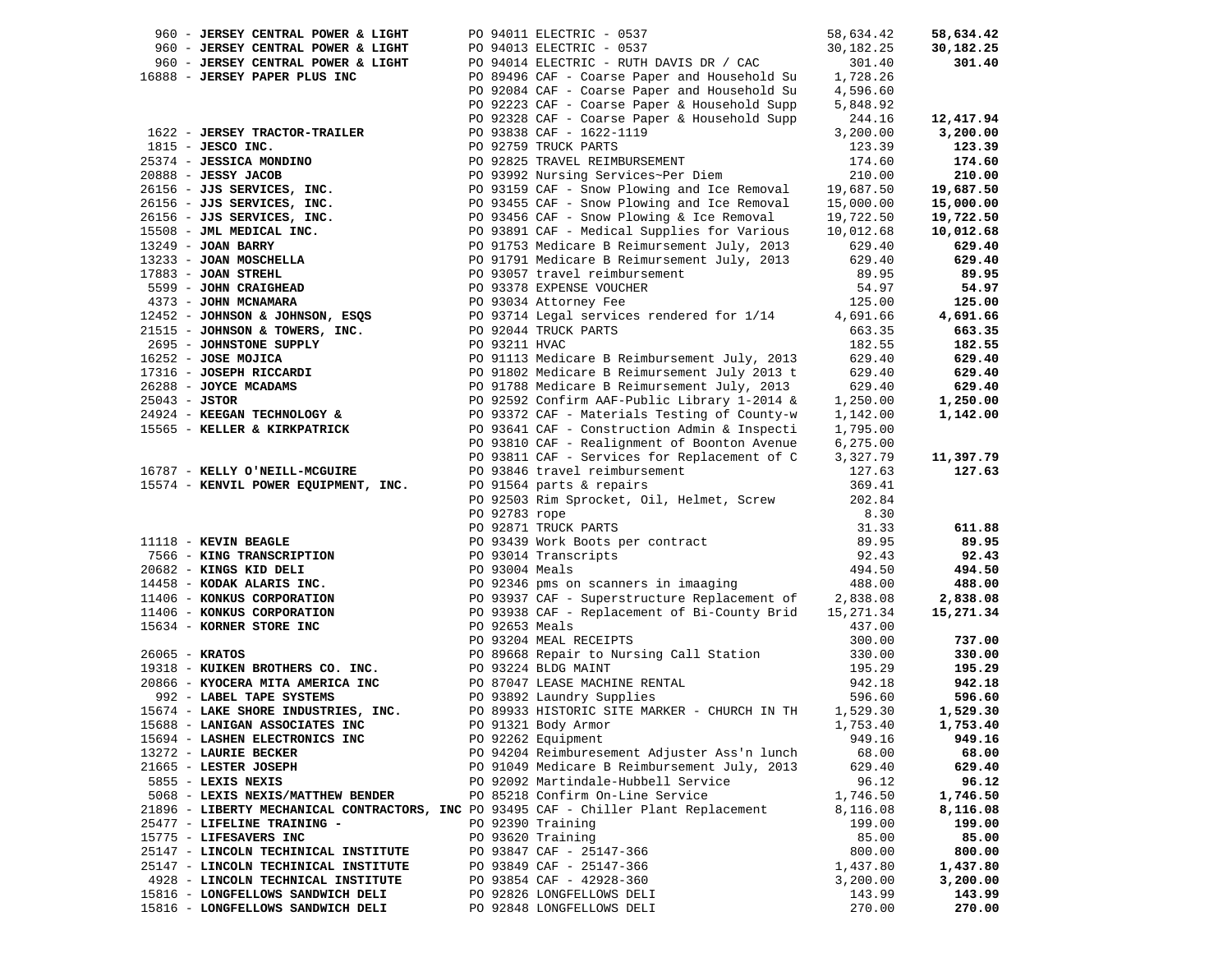| 960 - JERSEY CENTRAL POWER & LIGHT                                                                                                                                                                         |               | PO 94011 ELECTRIC - 0537                                                                                                                                                                                                                                                                          | 58,634.42 | 58,634.42 |
|------------------------------------------------------------------------------------------------------------------------------------------------------------------------------------------------------------|---------------|---------------------------------------------------------------------------------------------------------------------------------------------------------------------------------------------------------------------------------------------------------------------------------------------------|-----------|-----------|
| 960 - JERSEY CENTRAL POWER & LIGHT                                                                                                                                                                         |               | PO 94013 ELECTRIC - 0537                                                                                                                                                                                                                                                                          | 30,182.25 | 30,182.25 |
| 960 - JERSEY CENTRAL POWER & LIGHT                                                                                                                                                                         |               | PO 94014 ELECTRIC - RUTH DAVIS DR / CAC                                                                                                                                                                                                                                                           | 301.40    | 301.40    |
| 16888 - JERSEY PAPER PLUS INC                                                                                                                                                                              |               | PO 89496 CAF - Coarse Paper and Household Su 1,728.26                                                                                                                                                                                                                                             |           |           |
|                                                                                                                                                                                                            |               | PO 92084 CAF - Coarse Paper and Household Su 4,596.60                                                                                                                                                                                                                                             |           |           |
|                                                                                                                                                                                                            |               | PO 92223 CAF - Coarse Paper & Household Supp                                                                                                                                                                                                                                                      | 5,848.92  |           |
|                                                                                                                                                                                                            |               | PO 92328 CAF - Coarse Paper & Household Supp                                                                                                                                                                                                                                                      | 244.16    | 12,417.94 |
| 1622 - JERSEY TRACTOR-TRAILER                                                                                                                                                                              |               | PO 93838 CAF - 1622-1119                                                                                                                                                                                                                                                                          | 3,200.00  | 3,200.00  |
| $1815$ - JESCO INC.                                                                                                                                                                                        |               | PO 93838 CAF - 1622-:<br>PO 92759 TRUCK PARTS<br>1815 - JESO INC.<br>1815 - JESO INC.<br>1815 - JESO INC.<br>1815 - JESO INC.<br>1823.39<br>201888 - JESO INC.<br>201888 - JESO INC.<br>201888 - JESO INC.<br>1716.00 DO 9392 Nursing Services-Per Diem<br>2010.00 1393 - JON BARY<br>20156 - JJS | 123.39    | 123.39    |
|                                                                                                                                                                                                            |               |                                                                                                                                                                                                                                                                                                   |           | 174.60    |
|                                                                                                                                                                                                            |               |                                                                                                                                                                                                                                                                                                   |           | 210.00    |
|                                                                                                                                                                                                            |               |                                                                                                                                                                                                                                                                                                   |           | 19,687.50 |
|                                                                                                                                                                                                            |               |                                                                                                                                                                                                                                                                                                   |           | 15,000.00 |
|                                                                                                                                                                                                            |               |                                                                                                                                                                                                                                                                                                   |           |           |
|                                                                                                                                                                                                            |               |                                                                                                                                                                                                                                                                                                   |           | 19,722.50 |
|                                                                                                                                                                                                            |               |                                                                                                                                                                                                                                                                                                   |           | 10,012.68 |
|                                                                                                                                                                                                            |               |                                                                                                                                                                                                                                                                                                   |           | 629.40    |
|                                                                                                                                                                                                            |               |                                                                                                                                                                                                                                                                                                   |           | 629.40    |
|                                                                                                                                                                                                            |               |                                                                                                                                                                                                                                                                                                   |           | 89.95     |
|                                                                                                                                                                                                            |               |                                                                                                                                                                                                                                                                                                   |           | 54.97     |
|                                                                                                                                                                                                            |               |                                                                                                                                                                                                                                                                                                   |           | 125.00    |
|                                                                                                                                                                                                            |               |                                                                                                                                                                                                                                                                                                   |           | 4,691.66  |
|                                                                                                                                                                                                            |               |                                                                                                                                                                                                                                                                                                   |           | 663.35    |
|                                                                                                                                                                                                            |               |                                                                                                                                                                                                                                                                                                   |           | 182.55    |
|                                                                                                                                                                                                            |               |                                                                                                                                                                                                                                                                                                   |           | 629.40    |
|                                                                                                                                                                                                            |               |                                                                                                                                                                                                                                                                                                   |           | 629.40    |
|                                                                                                                                                                                                            |               |                                                                                                                                                                                                                                                                                                   |           | 629.40    |
|                                                                                                                                                                                                            |               |                                                                                                                                                                                                                                                                                                   |           | 1,250.00  |
|                                                                                                                                                                                                            |               |                                                                                                                                                                                                                                                                                                   |           | 1,142.00  |
| 15565 - KELLER & KIRKPATRICK                                                                                                                                                                               |               | PO 93641 CAF - Construction Admin & Inspecti                                                                                                                                                                                                                                                      | 1,795.00  |           |
|                                                                                                                                                                                                            |               | PO 93810 CAF - Realignment of Boonton Avenue                                                                                                                                                                                                                                                      | 6, 275.00 |           |
|                                                                                                                                                                                                            |               | PO 93811 CAF - Services for Replacement of C                                                                                                                                                                                                                                                      | 3,327.79  | 11,397.79 |
| 16787 - KELLY O'NEILL-MCGUIRE                                                                                                                                                                              |               |                                                                                                                                                                                                                                                                                                   | 127.63    | 127.63    |
| 15574 - KENVIL POWER EQUIPMENT, INC.                                                                                                                                                                       |               | PO 93846 travel reimbursement<br>PO 91564 parts & repairs                                                                                                                                                                                                                                         | 369.41    |           |
|                                                                                                                                                                                                            |               | PO 92503 Rim Sprocket, Oil, Helmet, Screw                                                                                                                                                                                                                                                         | 202.84    |           |
|                                                                                                                                                                                                            | PO 92783 rope |                                                                                                                                                                                                                                                                                                   | 8.30      |           |
|                                                                                                                                                                                                            |               | PO 92871 TRUCK PARTS                                                                                                                                                                                                                                                                              |           | 611.88    |
| 11118 - KEVIN BEAGLE                                                                                                                                                                                       |               | 11118 - KEVIN BEAGLE<br>7566 - KING TRANSCRIPTION<br>20682 - KING KID DELI<br>14458 - KODAK ALARIS INC.<br>1406 - KONKUS CORPORATION<br>20682 - CONSENSIBLE 1494.50<br>20682 - CONSENSIBLE 1494.50<br>20682 - KING SCRPORATION<br>20682 - CONS                                                    | 31.33     | 89.95     |
|                                                                                                                                                                                                            |               |                                                                                                                                                                                                                                                                                                   |           | 92.43     |
|                                                                                                                                                                                                            |               |                                                                                                                                                                                                                                                                                                   |           | 494.50    |
|                                                                                                                                                                                                            |               |                                                                                                                                                                                                                                                                                                   |           | 488.00    |
|                                                                                                                                                                                                            |               |                                                                                                                                                                                                                                                                                                   |           | 2,838.08  |
|                                                                                                                                                                                                            |               |                                                                                                                                                                                                                                                                                                   |           | 15,271.34 |
|                                                                                                                                                                                                            |               |                                                                                                                                                                                                                                                                                                   | 15,271.34 |           |
| 11100<br>15634 - KORNER STORE INC                                                                                                                                                                          |               | PO 92653 Meals<br>PO 93204 MEAL RECEIPTS<br>PO 89668 Repair to Nursing Call Station                                                                                                                                                                                                               | 437.00    |           |
|                                                                                                                                                                                                            |               |                                                                                                                                                                                                                                                                                                   | 300.00    | 737.00    |
| 26065 - <b>KRATOS</b>                                                                                                                                                                                      |               |                                                                                                                                                                                                                                                                                                   | 330.00    | 330.00    |
| 2000 - ANAION PO 8900 REPAIR LO NUISING CALLON<br>19318 - KUIKEN BROTHERS CO. INC.<br>20866 - KYOCERA MITA AMERICA INC PO 87047 LEASE MACHINE RENTAL<br>992 - LABEL TAPE SYSTEMS PO 93892 Laundry Supplies |               |                                                                                                                                                                                                                                                                                                   | 195.29    | 195.29    |
|                                                                                                                                                                                                            |               |                                                                                                                                                                                                                                                                                                   | 942.18    | 942.18    |
|                                                                                                                                                                                                            |               |                                                                                                                                                                                                                                                                                                   | 596.60    | 596.60    |
| 15674 - LAKE SHORE INDUSTRIES, INC. PO 89933 HISTORIC SITE MARKER - CHURCH IN TH                                                                                                                           |               |                                                                                                                                                                                                                                                                                                   | 1,529.30  | 1,529.30  |
| 15688 - LANIGAN ASSOCIATES INC                                                                                                                                                                             |               | PO 91321 Body Armor 1,753.40                                                                                                                                                                                                                                                                      |           | 1,753.40  |
| 15694 - LASHEN ELECTRONICS INC                                                                                                                                                                             |               | PO 92262 Equipment                                                                                                                                                                                                                                                                                | 949.16    | 949.16    |
| 13272 - LAURIE BECKER                                                                                                                                                                                      |               | PO 94204 Reimburesement Adjuster Ass'n lunch                                                                                                                                                                                                                                                      | 68.00     | 68.00     |
| 21665 - LESTER JOSEPH                                                                                                                                                                                      |               | PO 91049 Medicare B Reimbursement July, 2013                                                                                                                                                                                                                                                      | 629.40    | 629.40    |
| 5855 - LEXIS NEXIS                                                                                                                                                                                         |               | PO 92092 Martindale-Hubbell Service                                                                                                                                                                                                                                                               | 96.12     | 96.12     |
| 5068 - LEXIS NEXIS/MATTHEW BENDER                                                                                                                                                                          |               | PO 85218 Confirm On-Line Service                                                                                                                                                                                                                                                                  | 1,746.50  | 1,746.50  |
| 21896 - LIBERTY MECHANICAL CONTRACTORS, INC PO 93495 CAF - Chiller Plant Replacement                                                                                                                       |               |                                                                                                                                                                                                                                                                                                   | 8,116.08  | 8,116.08  |
| 25477 - LIFELINE TRAINING -                                                                                                                                                                                |               | PO 92390 Training                                                                                                                                                                                                                                                                                 | 199.00    | 199.00    |
| 15775 - LIFESAVERS INC                                                                                                                                                                                     |               | PO 93620 Training                                                                                                                                                                                                                                                                                 | 85.00     | 85.00     |
| 25147 - LINCOLN TECHINICAL INSTITUTE                                                                                                                                                                       |               | PO 93847 CAF - 25147-366                                                                                                                                                                                                                                                                          | 800.00    | 800.00    |
| 25147 - LINCOLN TECHINICAL INSTITUTE                                                                                                                                                                       |               | PO 93849 CAF - 25147-366                                                                                                                                                                                                                                                                          | 1,437.80  | 1,437.80  |
| 4928 - LINCOLN TECHNICAL INSTITUTE                                                                                                                                                                         |               | PO 93854 CAF - 42928-360                                                                                                                                                                                                                                                                          | 3,200.00  | 3,200.00  |
| 15816 - LONGFELLOWS SANDWICH DELI                                                                                                                                                                          |               | PO 92826 LONGFELLOWS DELI                                                                                                                                                                                                                                                                         | 143.99    | 143.99    |
| 15816 - LONGFELLOWS SANDWICH DELI                                                                                                                                                                          |               | PO 92848 LONGFELLOWS DELI                                                                                                                                                                                                                                                                         | 270.00    | 270.00    |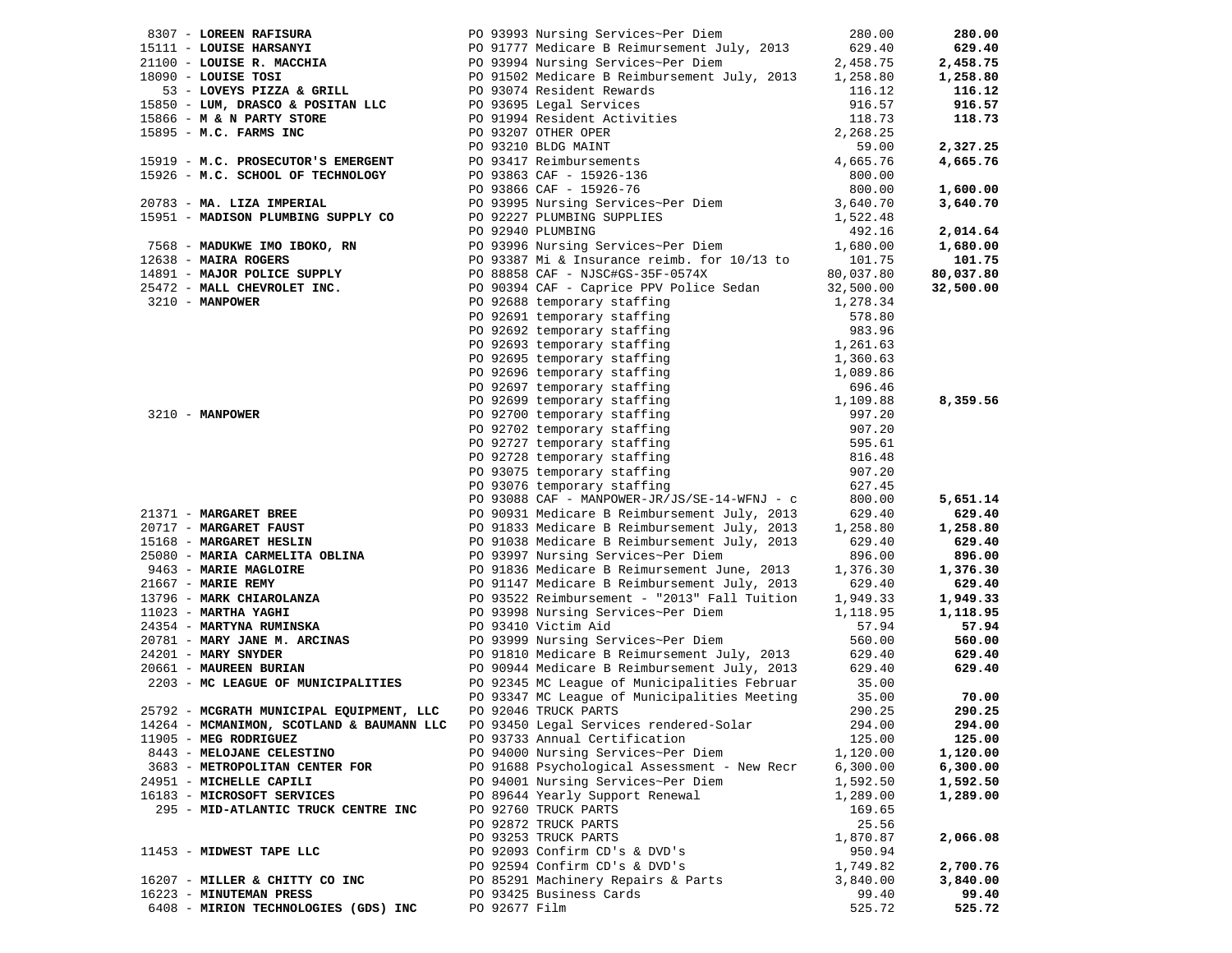| 8307 - LOREEN RAFISURA                   | PO 93993 Nursing Services~Per Diem                                                                                                                                     | 280.00                   | 280.00    |
|------------------------------------------|------------------------------------------------------------------------------------------------------------------------------------------------------------------------|--------------------------|-----------|
| 15111 - LOUISE HARSANYI                  |                                                                                                                                                                        | 629.40                   | 629.40    |
| 21100 - LOUISE R. MACCHIA                |                                                                                                                                                                        | 2,458.75                 | 2,458.75  |
| 18090 - LOUISE TOSI                      |                                                                                                                                                                        | 1,258.80                 | 1,258.80  |
| 53 - LOVEYS PIZZA & GRILL                | PO 91777 Medicare B Reimursement July, 2013<br>PO 93994 Nursing Services~Per Diem<br>PO 91502 Medicare B Reimbursement July, 2013<br>PO 93074 Resident Rewards         | 116.12                   | 116.12    |
| 15850 - LUM, DRASCO & POSITAN LLC        | PO 93695 Legal Services                                                                                                                                                | 916.57                   | 916.57    |
| 15866 - M & N PARTY STORE                | PO 91994 Resident Activities                                                                                                                                           | 118.73                   | 118.73    |
| 15895 - M.C. FARMS INC                   |                                                                                                                                                                        | 2,268.25                 |           |
|                                          | --<br>93410 BLDG MAINT<br>PO 93417 Reimbursements<br>PO 93863 CAF - 15926-136<br>PO 93866 CAF - 15926-76<br>PO 93995 Nursing Services~Per Diction<br>20 92227 PLIMBING | 59.00                    | 2,327.25  |
| 15919 - M.C. PROSECUTOR'S EMERGENT       |                                                                                                                                                                        | 4,665.76                 | 4,665.76  |
| 15926 - M.C. SCHOOL OF TECHNOLOGY        |                                                                                                                                                                        | 800.00                   |           |
|                                          |                                                                                                                                                                        | 800.00                   | 1,600.00  |
| 20783 - MA. LIZA IMPERIAL                |                                                                                                                                                                        | 3,640.70                 | 3,640.70  |
| 15951 - MADISON PLUMBING SUPPLY CO       | PO 93995 Nursing Services~Per Diem<br>PO 92227 PLUMBING SUPPLIES                                                                                                       | 1,522.48                 |           |
|                                          | PO 92940 PLUMBING                                                                                                                                                      | 492.16                   | 2,014.64  |
| 7568 - MADUKWE IMO IBOKO, RN             | PO 93996 Nursing Services~Per Diem                                                                                                                                     | 1,680.00                 | 1,680.00  |
| 12638 - MAIRA ROGERS                     | PO 93387 Mi & Insurance reimb. for 10/13 to                                                                                                                            | 101.75                   | 101.75    |
| 14891 - MAJOR POLICE SUPPLY              | PO 88858 CAF - NJSC#GS-35F-0574X                                                                                                                                       | 80,037.80                | 80,037.80 |
| 25472 - MALL CHEVROLET INC.              | PO 90394 CAF - Caprice PPV Police Sedan                                                                                                                                | 32,500.00                | 32,500.00 |
| 3210 - MANPOWER                          | PO 92688 temporary staffing                                                                                                                                            | 1,278.34                 |           |
|                                          | PO 92691 temporary staffing                                                                                                                                            | 578.80                   |           |
|                                          | PO 92692 temporary staffing                                                                                                                                            | 983.96                   |           |
|                                          | PO 92693 temporary staffing                                                                                                                                            |                          |           |
|                                          |                                                                                                                                                                        | $1,261.63$<br>$1,360.63$ |           |
|                                          | PO 92695 temporary staffing                                                                                                                                            |                          |           |
|                                          | PO 92696 temporary staffing                                                                                                                                            | 1,089.86                 |           |
|                                          | PO 92697 temporary staffing                                                                                                                                            | 696.46                   |           |
|                                          | PO 92699 temporary staffing                                                                                                                                            | 1,109.88                 | 8,359.56  |
| $3210 - MANPOWER$                        | PO 92700 temporary staffing                                                                                                                                            | 997.20                   |           |
|                                          | PO 92702 temporary staffing                                                                                                                                            | 907.20                   |           |
|                                          | PO 92727 temporary staffing                                                                                                                                            | 595.61                   |           |
|                                          | PO 92728 temporary staffing                                                                                                                                            | 816.48                   |           |
|                                          | PO 93075 temporary staffing                                                                                                                                            | 907.20                   |           |
|                                          | PO 93076 temporary staffing                                                                                                                                            | 627.45                   |           |
|                                          | PO 93088 CAF - MANPOWER-JR/JS/SE-14-WFNJ - c                                                                                                                           | 800.00                   | 5,651.14  |
| 21371 - MARGARET BREE                    | PO 90931 Medicare B Reimbursement July, 2013                                                                                                                           | 629.40                   | 629.40    |
| 20717 - MARGARET FAUST                   | PO 91833 Medicare B Reimbursement July, 2013                                                                                                                           | 1,258.80                 | 1,258.80  |
| 15168 - MARGARET HESLIN                  | PO 91038 Medicare B Reimbursement July, 2013                                                                                                                           | 629.40                   | 629.40    |
| 25080 - MARIA CARMELITA OBLINA           | PO 93997 Nursing Services~Per Diem                                                                                                                                     | 896.00                   | 896.00    |
| 9463 - MARIE MAGLOIRE                    | PO 91836 Medicare B Reimursement June, 2013                                                                                                                            | 1,376.30                 | 1,376.30  |
| $21667$ - MARIE REMY                     | PO 91147 Medicare B Reimbursement July, 2013                                                                                                                           | 629.40                   | 629.40    |
| 13796 - MARK CHIAROLANZA                 | PO 93522 Reimbursement - "2013" Fall Tuition                                                                                                                           | 1,949.33                 | 1,949.33  |
| 11023 - MARTHA YAGHI                     | PO 93998 Nursing Services~Per Diem                                                                                                                                     | 1,118.95                 | 1,118.95  |
| 24354 - MARTYNA RUMINSKA                 | PO 93410 Victim Aid                                                                                                                                                    | 57.94                    | 57.94     |
| 20781 - MARY JANE M. ARCINAS             | PO 93999 Nursing Services~Per Diem                                                                                                                                     | 560.00                   | 560.00    |
| $24201 - \text{MARK}$ SNYDER             | PO 91810 Medicare B Reimursement July, 2013                                                                                                                            | 629.40                   | 629.40    |
| 20661 - MAUREEN BURIAN                   | PO 90944 Medicare B Reimbursement July, 2013                                                                                                                           | 629.40                   | 629.40    |
| 2203 - MC LEAGUE OF MUNICIPALITIES       | PO 92345 MC League of Municipalities Februar                                                                                                                           | 35.00                    |           |
|                                          | PO 93347 MC League of Municipalities Meeting                                                                                                                           | 35.00                    | 70.00     |
| 25792 - MCGRATH MUNICIPAL EQUIPMENT, LLC | PO 92046 TRUCK PARTS                                                                                                                                                   | 290.25                   | 290.25    |
|                                          | 14264 - MCMANIMON, SCOTLAND & BAUMANN LLC PO 93450 Legal Services rendered-Solar                                                                                       | 294.00                   | 294.00    |
| 11905 - MEG RODRIGUEZ                    | PO 93733 Annual Certification                                                                                                                                          | 125.00                   | 125.00    |
| 8443 - MELOJANE CELESTINO                | PO 94000 Nursing Services~Per Diem                                                                                                                                     | 1,120.00                 | 1,120.00  |
| 3683 - METROPOLITAN CENTER FOR           | PO 91688 Psychological Assessment - New Recr                                                                                                                           | 6,300.00                 | 6,300.00  |
| 24951 - MICHELLE CAPILI                  | PO 94001 Nursing Services~Per Diem                                                                                                                                     | 1,592.50                 | 1,592.50  |
| 16183 - MICROSOFT SERVICES               | PO 89644 Yearly Support Renewal                                                                                                                                        | 1,289.00                 | 1,289.00  |
| 295 - MID-ATLANTIC TRUCK CENTRE INC      | PO 92760 TRUCK PARTS                                                                                                                                                   | 169.65                   |           |
|                                          | PO 92872 TRUCK PARTS                                                                                                                                                   | 25.56                    |           |
|                                          | PO 93253 TRUCK PARTS                                                                                                                                                   | 1,870.87                 | 2,066.08  |
| 11453 - MIDWEST TAPE LLC                 | PO 92093 Confirm CD's & DVD's                                                                                                                                          | 950.94                   |           |
|                                          | PO 92594 Confirm CD's & DVD's                                                                                                                                          | 1,749.82                 | 2,700.76  |
| 16207 - MILLER & CHITTY CO INC           | PO 85291 Machinery Repairs & Parts                                                                                                                                     | 3,840.00                 | 3,840.00  |
| 16223 - MINUTEMAN PRESS                  | PO 93425 Business Cards                                                                                                                                                | 99.40                    | 99.40     |
| 6408 - MIRION TECHNOLOGIES (GDS) INC     | PO 92677 Film                                                                                                                                                          | 525.72                   | 525.72    |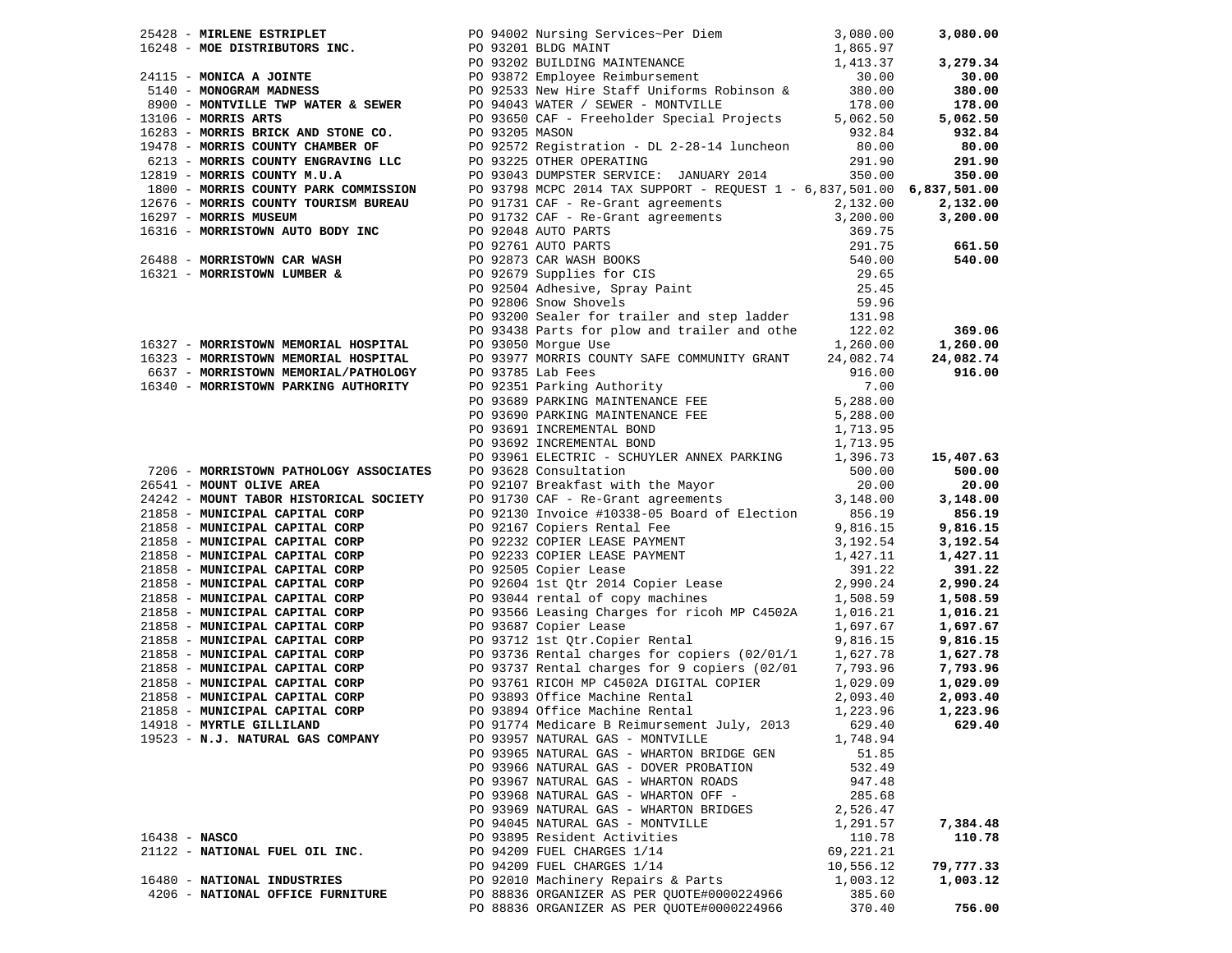|                 |                                                                              | 25418 - MOREMS ESTRIBUTORS INC.<br>26248 - MOREMS ENTERT DESTRIBUTORS INC.<br>274115 - MONICA A JOINTE<br>274115 - MONICA A JOINTE<br>274115 - MONICA A JOINTE<br>274115 - MONICA A JOINTE<br>27610 - MONICAN MARNEMS 2023 BUDLOVE REÍND                                                                |           |           |
|-----------------|------------------------------------------------------------------------------|---------------------------------------------------------------------------------------------------------------------------------------------------------------------------------------------------------------------------------------------------------------------------------------------------------|-----------|-----------|
|                 |                                                                              |                                                                                                                                                                                                                                                                                                         |           |           |
|                 |                                                                              |                                                                                                                                                                                                                                                                                                         |           |           |
|                 |                                                                              |                                                                                                                                                                                                                                                                                                         |           |           |
|                 |                                                                              |                                                                                                                                                                                                                                                                                                         |           |           |
|                 |                                                                              |                                                                                                                                                                                                                                                                                                         |           |           |
|                 |                                                                              |                                                                                                                                                                                                                                                                                                         |           |           |
|                 |                                                                              |                                                                                                                                                                                                                                                                                                         |           |           |
|                 |                                                                              |                                                                                                                                                                                                                                                                                                         |           |           |
|                 |                                                                              |                                                                                                                                                                                                                                                                                                         |           |           |
|                 |                                                                              |                                                                                                                                                                                                                                                                                                         |           |           |
|                 |                                                                              |                                                                                                                                                                                                                                                                                                         |           |           |
|                 |                                                                              |                                                                                                                                                                                                                                                                                                         |           |           |
|                 |                                                                              |                                                                                                                                                                                                                                                                                                         |           |           |
|                 |                                                                              |                                                                                                                                                                                                                                                                                                         |           |           |
|                 |                                                                              |                                                                                                                                                                                                                                                                                                         |           |           |
|                 |                                                                              |                                                                                                                                                                                                                                                                                                         |           |           |
|                 |                                                                              |                                                                                                                                                                                                                                                                                                         |           |           |
|                 |                                                                              |                                                                                                                                                                                                                                                                                                         |           |           |
|                 |                                                                              |                                                                                                                                                                                                                                                                                                         |           |           |
|                 |                                                                              |                                                                                                                                                                                                                                                                                                         |           |           |
|                 |                                                                              |                                                                                                                                                                                                                                                                                                         |           |           |
|                 |                                                                              |                                                                                                                                                                                                                                                                                                         |           |           |
|                 |                                                                              |                                                                                                                                                                                                                                                                                                         |           |           |
|                 |                                                                              |                                                                                                                                                                                                                                                                                                         |           |           |
|                 | 16323 - MORRISTOWN MEMORIAL HOSPITAL<br>6637 - MORRISTOWN MEMORIAL/PATHOLOGY | PO 93977 MORRIS COUNTY SAFE COMMUNITY GRANT 24,082.74                                                                                                                                                                                                                                                   |           | 24,082.74 |
|                 |                                                                              |                                                                                                                                                                                                                                                                                                         |           |           |
|                 |                                                                              |                                                                                                                                                                                                                                                                                                         |           |           |
|                 |                                                                              |                                                                                                                                                                                                                                                                                                         |           |           |
|                 |                                                                              |                                                                                                                                                                                                                                                                                                         |           |           |
|                 |                                                                              |                                                                                                                                                                                                                                                                                                         |           |           |
|                 |                                                                              |                                                                                                                                                                                                                                                                                                         |           |           |
|                 |                                                                              |                                                                                                                                                                                                                                                                                                         |           |           |
|                 |                                                                              |                                                                                                                                                                                                                                                                                                         |           |           |
|                 |                                                                              |                                                                                                                                                                                                                                                                                                         |           |           |
|                 |                                                                              |                                                                                                                                                                                                                                                                                                         |           |           |
|                 |                                                                              |                                                                                                                                                                                                                                                                                                         |           |           |
|                 |                                                                              |                                                                                                                                                                                                                                                                                                         |           |           |
|                 |                                                                              |                                                                                                                                                                                                                                                                                                         |           |           |
|                 |                                                                              |                                                                                                                                                                                                                                                                                                         |           |           |
|                 |                                                                              |                                                                                                                                                                                                                                                                                                         |           |           |
|                 |                                                                              |                                                                                                                                                                                                                                                                                                         |           |           |
|                 |                                                                              |                                                                                                                                                                                                                                                                                                         |           |           |
|                 |                                                                              |                                                                                                                                                                                                                                                                                                         |           |           |
|                 |                                                                              | 21858 - MUNICIPAL CAPITAL CORP PO 93566 Leasing Charges for ricoh MP C4502A                                                                                                                                                                                                                             |           | 1,016.21  |
|                 |                                                                              |                                                                                                                                                                                                                                                                                                         |           | 1,697.67  |
|                 |                                                                              |                                                                                                                                                                                                                                                                                                         |           | 9,816.15  |
|                 |                                                                              |                                                                                                                                                                                                                                                                                                         |           | 1,627.78  |
|                 |                                                                              |                                                                                                                                                                                                                                                                                                         |           | 7,793.96  |
|                 |                                                                              |                                                                                                                                                                                                                                                                                                         |           | 1,029.09  |
|                 |                                                                              |                                                                                                                                                                                                                                                                                                         |           | 2,093.40  |
|                 |                                                                              |                                                                                                                                                                                                                                                                                                         |           | 1,223.96  |
|                 |                                                                              | 21858 - MUNICIPAL CAPITAL CORP<br>21858 - MUNICIPAL CAPITAL CORP<br>21858 - MUNICIPAL CAPITAL CORP<br>21858 - MUNICIPAL CAPITAL CORP<br>21858 - MUNICIPAL CAPITAL CORP<br>21858 - MUNICIPAL CAPITAL CORP<br>21858 - MUNICIPAL CAPITAL CORP<br>PO 91774 Medicare B Reimursement July, 2013 629.40 629.40 |           |           |
|                 | 19523 - N.J. NATURAL GAS COMPANY                                             | PO 93957 NATURAL GAS - MONTVILLE                                                                                                                                                                                                                                                                        | 1,748.94  |           |
|                 |                                                                              | PO 93965 NATURAL GAS - WHARTON BRIDGE GEN                                                                                                                                                                                                                                                               | 51.85     |           |
|                 |                                                                              | PO 93966 NATURAL GAS - DOVER PROBATION                                                                                                                                                                                                                                                                  | 532.49    |           |
|                 |                                                                              | PO 93967 NATURAL GAS - WHARTON ROADS                                                                                                                                                                                                                                                                    | 947.48    |           |
|                 |                                                                              | PO 93968 NATURAL GAS - WHARTON OFF -                                                                                                                                                                                                                                                                    | 285.68    |           |
|                 |                                                                              | PO 93969 NATURAL GAS - WHARTON BRIDGES                                                                                                                                                                                                                                                                  | 2,526.47  |           |
|                 |                                                                              | PO 94045 NATURAL GAS - MONTVILLE                                                                                                                                                                                                                                                                        | 1,291.57  | 7,384.48  |
| $16438 - NASCO$ |                                                                              | PO 93895 Resident Activities                                                                                                                                                                                                                                                                            | 110.78    | 110.78    |
|                 |                                                                              |                                                                                                                                                                                                                                                                                                         |           |           |
|                 | 21122 - NATIONAL FUEL OIL INC.                                               | PO 94209 FUEL CHARGES 1/14                                                                                                                                                                                                                                                                              | 69,221.21 |           |
|                 |                                                                              | PO 94209 FUEL CHARGES 1/14                                                                                                                                                                                                                                                                              | 10,556.12 | 79,777.33 |
|                 | 16480 - NATIONAL INDUSTRIES                                                  | PO 92010 Machinery Repairs & Parts                                                                                                                                                                                                                                                                      | 1,003.12  | 1,003.12  |
|                 | 4206 - NATIONAL OFFICE FURNITURE                                             | PO 88836 ORGANIZER AS PER QUOTE#0000224966                                                                                                                                                                                                                                                              | 385.60    |           |
|                 |                                                                              | PO 88836 ORGANIZER AS PER QUOTE#0000224966                                                                                                                                                                                                                                                              | 370.40    | 756.00    |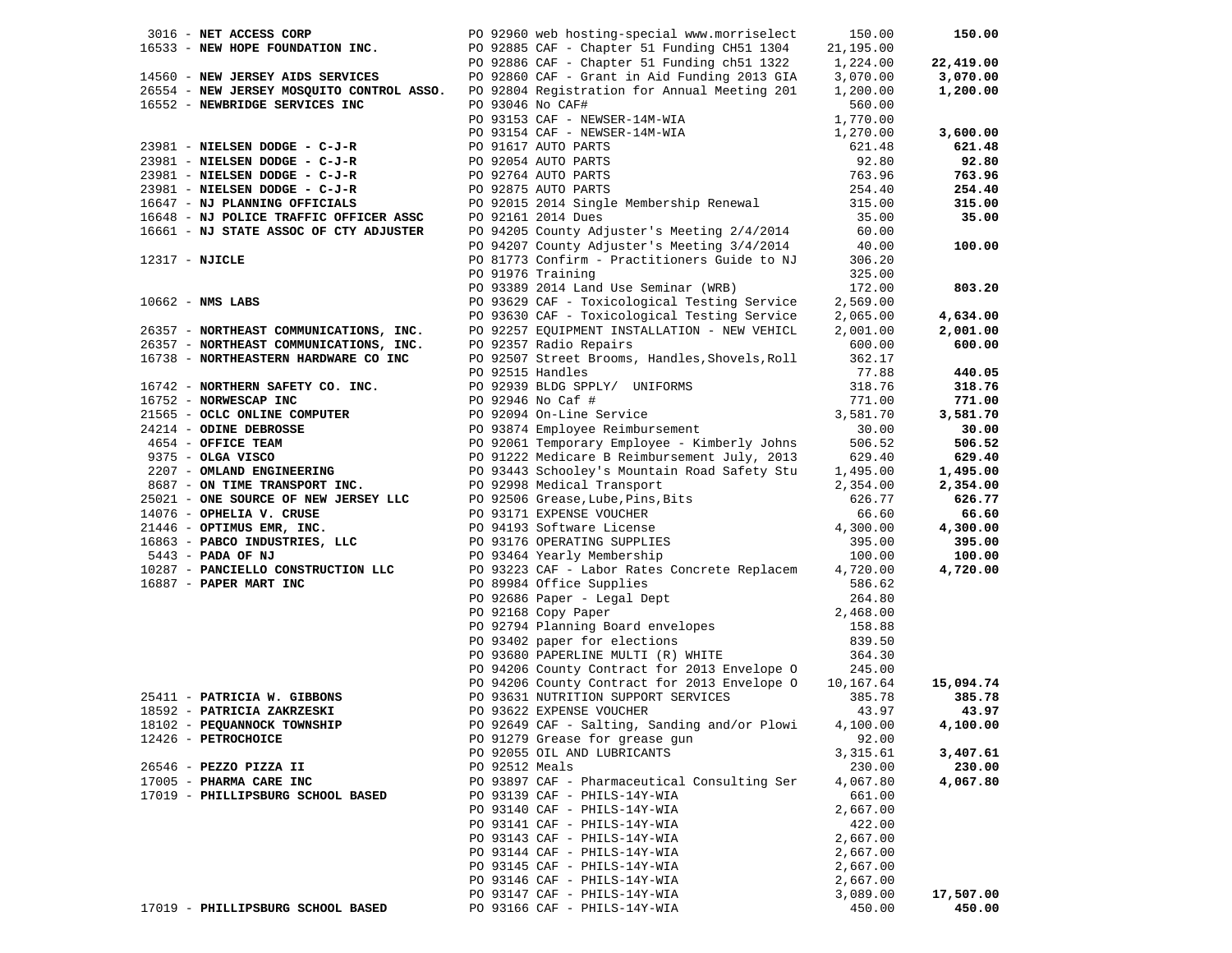| 3016 - NET ACCESS CORP 6092960 web hosting-special www.morriselect                                                                                                                                                               |                  |                                                                                                                                                                                                                                                                             | 150.00           | 150.00    |
|----------------------------------------------------------------------------------------------------------------------------------------------------------------------------------------------------------------------------------|------------------|-----------------------------------------------------------------------------------------------------------------------------------------------------------------------------------------------------------------------------------------------------------------------------|------------------|-----------|
|                                                                                                                                                                                                                                  |                  | 16533 - NEW HOPE FOUNDATION INC.<br>PO 92885 CAF - Chapter 51 Funding CH51 1304 21,195.00<br>PO 92886 CAF - Chapter 51 Funding ch51 1322 1,224.00                                                                                                                           |                  |           |
|                                                                                                                                                                                                                                  |                  |                                                                                                                                                                                                                                                                             |                  | 22,419.00 |
| 14560 - NEW JERSEY AIDS SERVICES                                                                                                                                                                                                 |                  | PO 92860 CAF - Grant in Aid Funding 2013 GIA                                                                                                                                                                                                                                | 3,070.00         | 3,070.00  |
|                                                                                                                                                                                                                                  |                  | 26554 - NEW JERSEY MOSQUITO CONTROL ASSO. PO 92804 Registration for Annual Meeting 201                                                                                                                                                                                      | 1,200.00         | 1,200.00  |
| 16552 - NEWBRIDGE SERVICES INC                                                                                                                                                                                                   | PO 93046 No CAF# |                                                                                                                                                                                                                                                                             | 560.00           |           |
|                                                                                                                                                                                                                                  |                  | PO 93153 CAF - NEWSER-14M-WIA                                                                                                                                                                                                                                               | 1,770.00         |           |
|                                                                                                                                                                                                                                  |                  |                                                                                                                                                                                                                                                                             | 1,270.00         | 3,600.00  |
|                                                                                                                                                                                                                                  |                  | 23981 - NIELSEN DODGE - C-J-R<br>23981 - NIELSEN DODGE - C-J-R<br>23981 - NIELSEN DODGE - C-J-R<br>23981 - NIELSEN DODGE - C-J-R<br>23981 - NIELSEN DODGE - C-J-R<br>23981 - NIELSEN DODGE - C-J-R<br>23981 - NIELSEN DODGE - C-J-R<br>23981                                | 621.48           | 621.48    |
|                                                                                                                                                                                                                                  |                  |                                                                                                                                                                                                                                                                             | 92.80            | 92.80     |
|                                                                                                                                                                                                                                  |                  |                                                                                                                                                                                                                                                                             | 763.96           | 763.96    |
|                                                                                                                                                                                                                                  |                  |                                                                                                                                                                                                                                                                             |                  |           |
|                                                                                                                                                                                                                                  |                  |                                                                                                                                                                                                                                                                             | 254.40           | 254.40    |
|                                                                                                                                                                                                                                  |                  |                                                                                                                                                                                                                                                                             | 315.00           | 315.00    |
|                                                                                                                                                                                                                                  |                  |                                                                                                                                                                                                                                                                             | 35.00            | 35.00     |
|                                                                                                                                                                                                                                  |                  |                                                                                                                                                                                                                                                                             | 60.00            |           |
|                                                                                                                                                                                                                                  |                  | PO 94207 County Adjuster's Meeting 3/4/2014<br>PO 81773 Confirm - Practitioners Guide to NJ                                                                                                                                                                                 | 40.00            | 100.00    |
| $12317 - NJICLE$                                                                                                                                                                                                                 |                  |                                                                                                                                                                                                                                                                             | 306.20           |           |
|                                                                                                                                                                                                                                  |                  | PO 91976 Training                                                                                                                                                                                                                                                           | 325.00           |           |
|                                                                                                                                                                                                                                  |                  | PO 93389 2014 Land Use Seminar (WRB)                                                                                                                                                                                                                                        | 172.00           | 803.20    |
| $10662$ - NMS LABS                                                                                                                                                                                                               |                  | PO 93629 CAF - Toxicological Testing Service                                                                                                                                                                                                                                | 2,569.00         |           |
|                                                                                                                                                                                                                                  |                  | PO 93630 CAF - Toxicological Testing Service                                                                                                                                                                                                                                | 2,065.00         | 4,634.00  |
| 26357 - NORTHEAST COMMUNICATIONS, INC.<br>26357 - NORTHEAST COMMUNICATIONS, INC.                                                                                                                                                 |                  | PO 92257 EQUIPMENT INSTALLATION - NEW VEHICL                                                                                                                                                                                                                                | 2,001.00         | 2,001.00  |
|                                                                                                                                                                                                                                  |                  | PO 92357 Radio Repairs                                                                                                                                                                                                                                                      | 600.00           | 600.00    |
| 16738 - NORTHEASTERN HARDWARE CO INC                                                                                                                                                                                             |                  | PO 92507 Street Brooms, Handles, Shovels, Roll                                                                                                                                                                                                                              | 362.17           |           |
|                                                                                                                                                                                                                                  |                  | PO 92515 Handles                                                                                                                                                                                                                                                            | 77.88            | 440.05    |
| 16742 - NORTHERN SAFETY CO. INC.                                                                                                                                                                                                 |                  | PO 92939 BLDG SPPLY/ UNIFORMS                                                                                                                                                                                                                                               | 318.76           | 318.76    |
|                                                                                                                                                                                                                                  |                  |                                                                                                                                                                                                                                                                             | 771.00           | 771.00    |
|                                                                                                                                                                                                                                  |                  |                                                                                                                                                                                                                                                                             | 3,581.70         | 3,581.70  |
|                                                                                                                                                                                                                                  |                  | PO 92946 No Caf #<br>PO 92094 On-Line Service<br>PO 93874 Employee Reimbursement                                                                                                                                                                                            | 30.00            | 30.00     |
|                                                                                                                                                                                                                                  |                  | PO 92061 Temporary Employee - Kimberly Johns                                                                                                                                                                                                                                | 506.52           | 506.52    |
|                                                                                                                                                                                                                                  |                  | PO 91222 Medicare B Reimbursement July, 2013                                                                                                                                                                                                                                | 629.40           | 629.40    |
|                                                                                                                                                                                                                                  |                  | PO 93443 Schooley's Mountain Road Safety Stu 1,495.00                                                                                                                                                                                                                       |                  |           |
| 16742 - NORTHERN SAFETY CO. INC.<br>16752 - NORWESCAP INC<br>21565 - OCLC ONLINE COMPUTER<br>24214 - ODINE DEBROSSE F<br>4654 - OFFICE TEAM F<br>9375 - OLGA VISCO<br>2207 - OMLAND ENGINEERING<br>2207 - OM TIME TRANSPORT INC. |                  |                                                                                                                                                                                                                                                                             |                  | 1,495.00  |
|                                                                                                                                                                                                                                  |                  | 8687 - <b>ON TIME TRANSPORT INC.</b><br>2,354.00<br>25021 - <b>ONE SOURCE OF NEW JERSEY LLC</b><br>2,354.00<br>2,354.00<br>2,354.00<br>2,354.00<br>2,354.00<br>2,354.00<br>2,354.00<br>2,354.00<br>2,354.00<br>2,354.00<br>2,354.00<br>2,354.00<br>2,354.00<br>2,354.00<br> |                  | 2,354.00  |
|                                                                                                                                                                                                                                  |                  |                                                                                                                                                                                                                                                                             |                  | 626.77    |
|                                                                                                                                                                                                                                  |                  |                                                                                                                                                                                                                                                                             |                  | 66.60     |
|                                                                                                                                                                                                                                  |                  |                                                                                                                                                                                                                                                                             |                  | 4,300.00  |
|                                                                                                                                                                                                                                  |                  |                                                                                                                                                                                                                                                                             |                  | 395.00    |
|                                                                                                                                                                                                                                  |                  |                                                                                                                                                                                                                                                                             |                  | 100.00    |
| 10287 - PANCIELLO CONSTRUCTION LLC                                                                                                                                                                                               |                  | PO 93223 CAF - Labor Rates Concrete Replacem 4,720.00                                                                                                                                                                                                                       |                  | 4,720.00  |
| 16887 - PAPER MART INC                                                                                                                                                                                                           |                  |                                                                                                                                                                                                                                                                             | 586.62           |           |
|                                                                                                                                                                                                                                  |                  |                                                                                                                                                                                                                                                                             | 264.80           |           |
|                                                                                                                                                                                                                                  |                  |                                                                                                                                                                                                                                                                             | 2,468.00         |           |
|                                                                                                                                                                                                                                  |                  |                                                                                                                                                                                                                                                                             | 158.88<br>839.50 |           |
|                                                                                                                                                                                                                                  |                  |                                                                                                                                                                                                                                                                             |                  |           |
|                                                                                                                                                                                                                                  |                  | PO 89984 Office Supplies<br>PO 92686 Paper - Legal Dept<br>PO 92168 Copy Paper<br>PO 92794 Planning Board envelopes<br>PO 93402 paper for elections<br>PO 93680 PAPERLINE MULTI (R) WHITE<br>PO 94206 County Corturate Contracts                                            | 364.30           |           |
|                                                                                                                                                                                                                                  |                  | PO 94206 County Contract for 2013 Envelope 0 245.00                                                                                                                                                                                                                         |                  |           |
|                                                                                                                                                                                                                                  |                  | PO 94206 County Contract for 2013 Envelope 0 10,167.64                                                                                                                                                                                                                      |                  | 15,094.74 |
| 25411 - PATRICIA W. GIBBONS<br>PO 93631 NUTRITION SUPPORT SERVICES<br>PO 93631 NUTRITION SUPPORT SERVICES                                                                                                                        |                  |                                                                                                                                                                                                                                                                             | 385.78           | 385.78    |
| 18592 - PATRICIA ZAKRZESKI                                                                                                                                                                                                       |                  | PO 93622 EXPENSE VOUCHER                                                                                                                                                                                                                                                    | 43.97            | 43.97     |
| 18102 - PEQUANNOCK TOWNSHIP                                                                                                                                                                                                      |                  | PO 92649 CAF - Salting, Sanding and/or Plowi 4,100.00 4,100.00                                                                                                                                                                                                              |                  |           |
| 12426 - PETROCHOICE                                                                                                                                                                                                              |                  | PO 91279 Grease for grease gun                                                                                                                                                                                                                                              | 92.00            |           |
|                                                                                                                                                                                                                                  |                  | PO 92055 OIL AND LUBRICANTS                                                                                                                                                                                                                                                 | 3,315.61         | 3,407.61  |
| 26546 - PEZZO PIZZA II                                                                                                                                                                                                           | PO 92512 Meals   |                                                                                                                                                                                                                                                                             | 230.00           | 230.00    |
| 17005 - PHARMA CARE INC                                                                                                                                                                                                          |                  | PO 93897 CAF - Pharmaceutical Consulting Ser                                                                                                                                                                                                                                | 4,067.80         | 4,067.80  |
| 17019 - PHILLIPSBURG SCHOOL BASED                                                                                                                                                                                                |                  | PO 93139 CAF - PHILS-14Y-WIA                                                                                                                                                                                                                                                | 661.00           |           |
|                                                                                                                                                                                                                                  |                  | PO 93140 CAF - PHILS-14Y-WIA                                                                                                                                                                                                                                                | 2,667.00         |           |
|                                                                                                                                                                                                                                  |                  | PO 93141 CAF - PHILS-14Y-WIA                                                                                                                                                                                                                                                | 422.00           |           |
|                                                                                                                                                                                                                                  |                  | PO 93143 CAF - PHILS-14Y-WIA                                                                                                                                                                                                                                                | 2,667.00         |           |
|                                                                                                                                                                                                                                  |                  | PO 93144 CAF - PHILS-14Y-WIA                                                                                                                                                                                                                                                | 2,667.00         |           |
|                                                                                                                                                                                                                                  |                  | PO 93145 CAF - PHILS-14Y-WIA                                                                                                                                                                                                                                                | 2,667.00         |           |
|                                                                                                                                                                                                                                  |                  | PO 93146 CAF - PHILS-14Y-WIA                                                                                                                                                                                                                                                | 2,667.00         |           |
|                                                                                                                                                                                                                                  |                  |                                                                                                                                                                                                                                                                             |                  | 17,507.00 |
| 17019 - PHILLIPSBURG SCHOOL BASED                                                                                                                                                                                                |                  | PO 93147 CAF - PHILS-14Y-WIA<br>PO 93166 CAF - PHILS-14Y-WIA                                                                                                                                                                                                                | 3,089.00         | 450.00    |
|                                                                                                                                                                                                                                  |                  |                                                                                                                                                                                                                                                                             | 450.00           |           |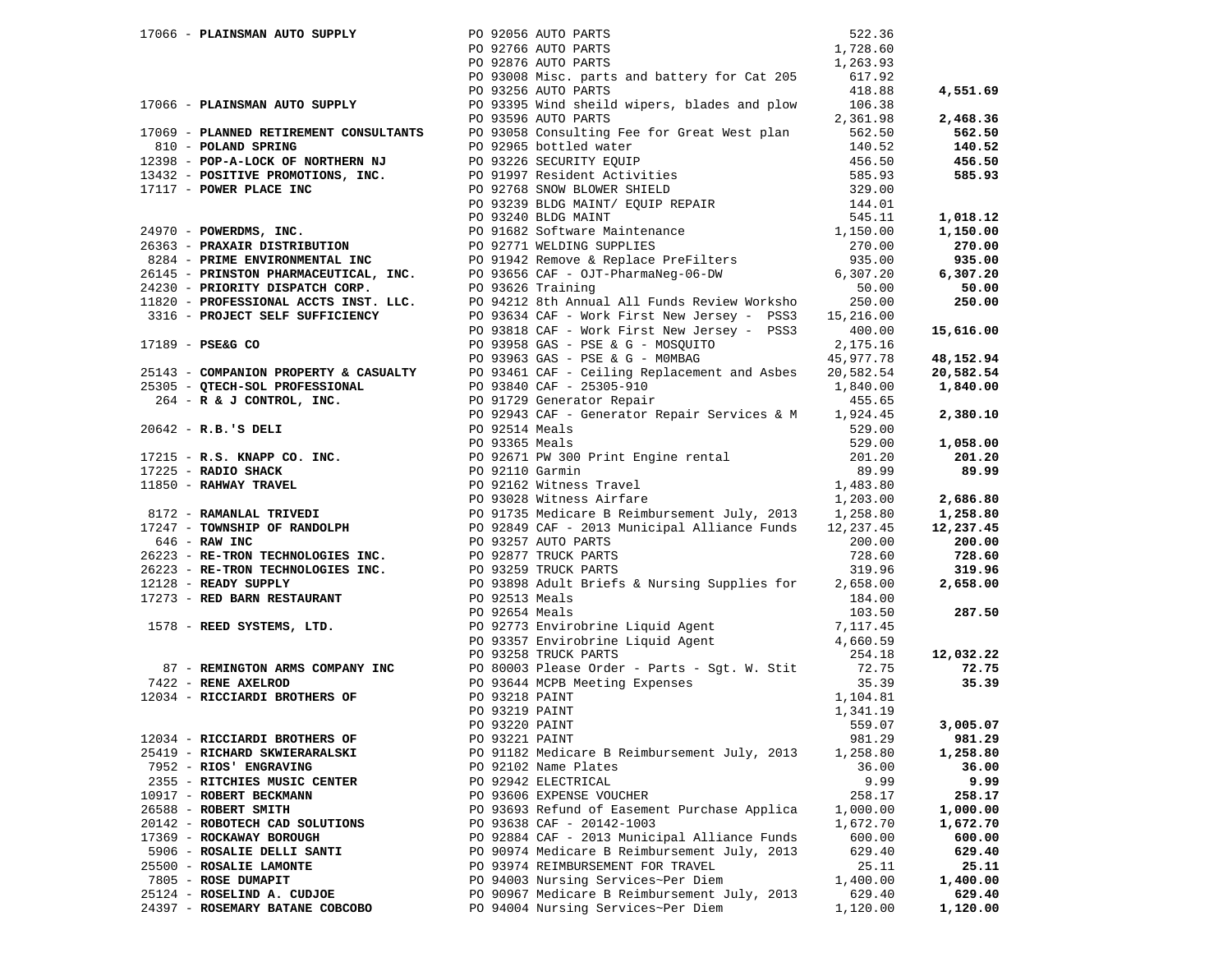| 17066 - PLAINSMAN AUTO SUPPLY 60 PO 92056 AUTO PARTS |                |                                                                                                                                                                                                                                   | 522.36   |          |
|------------------------------------------------------|----------------|-----------------------------------------------------------------------------------------------------------------------------------------------------------------------------------------------------------------------------------|----------|----------|
|                                                      |                |                                                                                                                                                                                                                                   |          |          |
|                                                      |                |                                                                                                                                                                                                                                   |          |          |
|                                                      |                |                                                                                                                                                                                                                                   |          |          |
|                                                      |                |                                                                                                                                                                                                                                   |          |          |
|                                                      |                |                                                                                                                                                                                                                                   |          |          |
|                                                      |                |                                                                                                                                                                                                                                   |          |          |
|                                                      |                |                                                                                                                                                                                                                                   |          |          |
|                                                      |                |                                                                                                                                                                                                                                   |          |          |
|                                                      |                |                                                                                                                                                                                                                                   |          |          |
|                                                      |                |                                                                                                                                                                                                                                   |          |          |
|                                                      |                |                                                                                                                                                                                                                                   |          |          |
|                                                      |                |                                                                                                                                                                                                                                   |          |          |
|                                                      |                |                                                                                                                                                                                                                                   |          |          |
|                                                      |                |                                                                                                                                                                                                                                   |          |          |
|                                                      |                |                                                                                                                                                                                                                                   |          |          |
|                                                      |                |                                                                                                                                                                                                                                   |          |          |
|                                                      |                |                                                                                                                                                                                                                                   |          |          |
|                                                      |                |                                                                                                                                                                                                                                   |          |          |
|                                                      |                |                                                                                                                                                                                                                                   |          |          |
|                                                      |                |                                                                                                                                                                                                                                   |          |          |
|                                                      |                |                                                                                                                                                                                                                                   |          |          |
|                                                      |                |                                                                                                                                                                                                                                   |          |          |
|                                                      |                |                                                                                                                                                                                                                                   |          |          |
|                                                      |                |                                                                                                                                                                                                                                   |          |          |
|                                                      |                |                                                                                                                                                                                                                                   |          |          |
|                                                      |                |                                                                                                                                                                                                                                   |          |          |
|                                                      |                |                                                                                                                                                                                                                                   |          |          |
|                                                      |                |                                                                                                                                                                                                                                   |          |          |
|                                                      |                |                                                                                                                                                                                                                                   |          |          |
|                                                      |                |                                                                                                                                                                                                                                   |          |          |
|                                                      |                |                                                                                                                                                                                                                                   |          |          |
|                                                      |                |                                                                                                                                                                                                                                   |          |          |
|                                                      |                |                                                                                                                                                                                                                                   |          |          |
|                                                      |                |                                                                                                                                                                                                                                   |          |          |
|                                                      |                |                                                                                                                                                                                                                                   |          |          |
|                                                      |                |                                                                                                                                                                                                                                   |          |          |
|                                                      |                |                                                                                                                                                                                                                                   |          |          |
|                                                      |                |                                                                                                                                                                                                                                   |          |          |
|                                                      |                |                                                                                                                                                                                                                                   |          |          |
|                                                      |                |                                                                                                                                                                                                                                   |          |          |
|                                                      |                |                                                                                                                                                                                                                                   |          |          |
|                                                      |                |                                                                                                                                                                                                                                   |          |          |
|                                                      |                |                                                                                                                                                                                                                                   |          |          |
|                                                      |                |                                                                                                                                                                                                                                   |          |          |
|                                                      |                |                                                                                                                                                                                                                                   |          |          |
|                                                      |                |                                                                                                                                                                                                                                   |          |          |
|                                                      |                | 17936 - PLACHEMON AUTO RUPA (2019) 20136 - 2014-1031 - 2014-104<br>17936 - PLACHEMON AUTO RUPA (2019) 2015 - 2014-2013 - 2014-2014 - 2014-2014 - 2014-2014 - 2014-2014 - 2014-2014<br>17936 - PLACHEMON AUTO RUPA (2019) 2015 - 2 |          |          |
|                                                      |                |                                                                                                                                                                                                                                   |          |          |
|                                                      |                |                                                                                                                                                                                                                                   |          |          |
|                                                      |                |                                                                                                                                                                                                                                   |          |          |
| 12034 - RICCIARDI BROTHERS OF                        | PO 93221 PAINT |                                                                                                                                                                                                                                   | 981.29   | 981.29   |
| 25419 - RICHARD SKWIERARALSKI                        |                | PO 91182 Medicare B Reimbursement July, 2013                                                                                                                                                                                      | 1,258.80 | 1,258.80 |
| 7952 - RIOS' ENGRAVING                               |                | PO 92102 Name Plates                                                                                                                                                                                                              | 36.00    | 36.00    |
| 2355 - RITCHIES MUSIC CENTER                         |                | PO 92942 ELECTRICAL                                                                                                                                                                                                               | 9.99     | 9.99     |
|                                                      |                |                                                                                                                                                                                                                                   |          |          |
| 10917 - ROBERT BECKMANN                              |                | PO 93606 EXPENSE VOUCHER                                                                                                                                                                                                          | 258.17   | 258.17   |
| 26588 - ROBERT SMITH                                 |                | PO 93693 Refund of Easement Purchase Applica                                                                                                                                                                                      | 1,000.00 | 1,000.00 |
| 20142 - ROBOTECH CAD SOLUTIONS                       |                | PO 93638 CAF - 20142-1003                                                                                                                                                                                                         | 1,672.70 | 1,672.70 |
| 17369 - ROCKAWAY BOROUGH                             |                | PO 92884 CAF - 2013 Municipal Alliance Funds                                                                                                                                                                                      | 600.00   | 600.00   |
| 5906 - ROSALIE DELLI SANTI                           |                | PO 90974 Medicare B Reimbursement July, 2013                                                                                                                                                                                      | 629.40   | 629.40   |
| 25500 - ROSALIE LAMONTE                              |                | PO 93974 REIMBURSEMENT FOR TRAVEL                                                                                                                                                                                                 | 25.11    | 25.11    |
| 7805 - ROSE DUMAPIT                                  |                | PO 94003 Nursing Services~Per Diem                                                                                                                                                                                                | 1,400.00 | 1,400.00 |
| 25124 - ROSELIND A. CUDJOE                           |                | PO 90967 Medicare B Reimbursement July, 2013                                                                                                                                                                                      | 629.40   | 629.40   |
| 24397 - ROSEMARY BATANE COBCOBO                      |                | PO 94004 Nursing Services~Per Diem                                                                                                                                                                                                | 1,120.00 | 1,120.00 |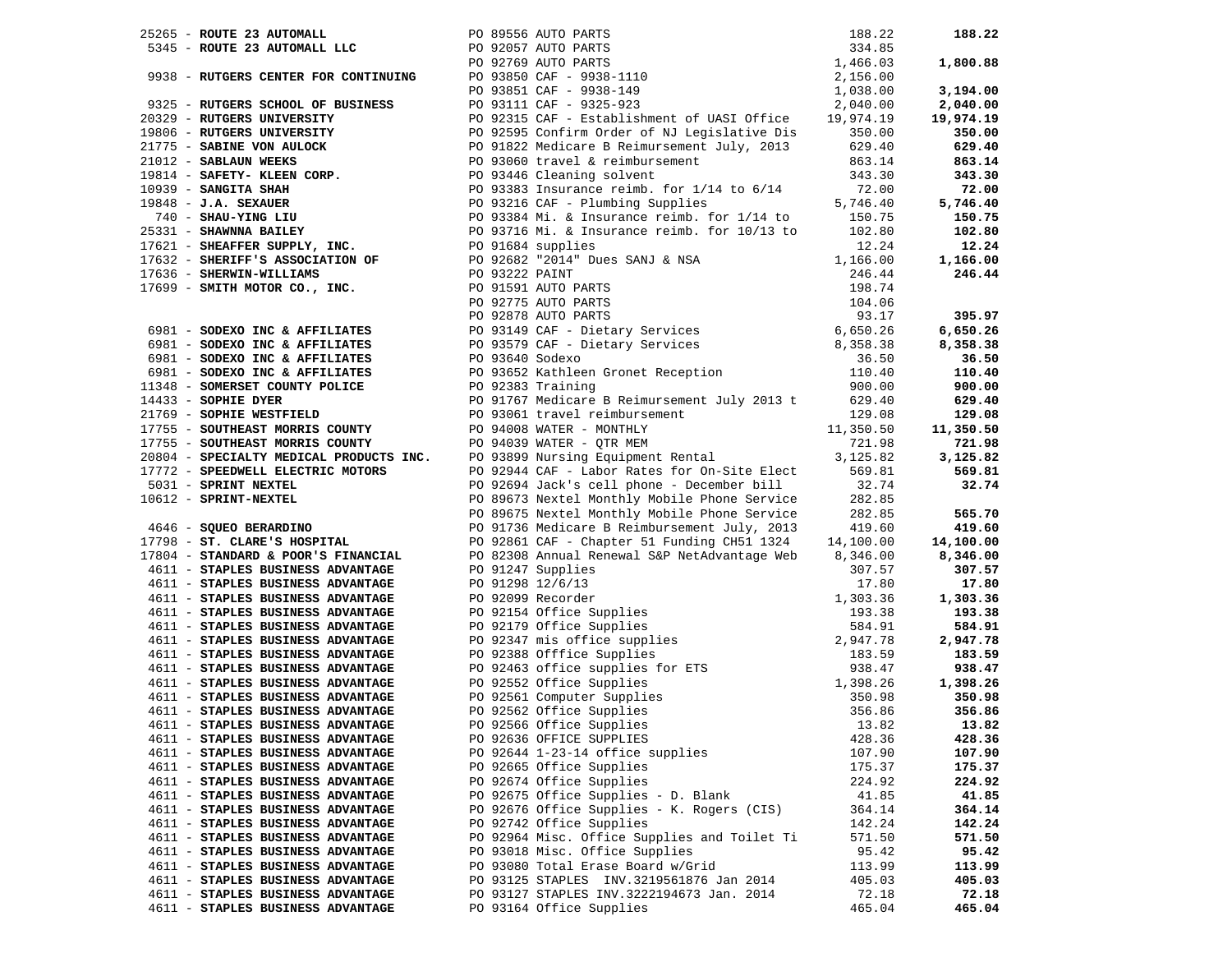|                                   |                                                                                                                                                                                                                                        |        | 188.22    |
|-----------------------------------|----------------------------------------------------------------------------------------------------------------------------------------------------------------------------------------------------------------------------------------|--------|-----------|
|                                   |                                                                                                                                                                                                                                        |        |           |
|                                   |                                                                                                                                                                                                                                        |        | 1,800.88  |
|                                   |                                                                                                                                                                                                                                        |        |           |
|                                   |                                                                                                                                                                                                                                        |        | 3,194.00  |
|                                   |                                                                                                                                                                                                                                        |        | 2,040.00  |
|                                   |                                                                                                                                                                                                                                        |        | 19,974.19 |
|                                   |                                                                                                                                                                                                                                        |        | 350.00    |
|                                   |                                                                                                                                                                                                                                        |        | 629.40    |
|                                   |                                                                                                                                                                                                                                        |        |           |
|                                   |                                                                                                                                                                                                                                        |        | 863.14    |
|                                   |                                                                                                                                                                                                                                        |        | 343.30    |
|                                   |                                                                                                                                                                                                                                        |        | 72.00     |
|                                   |                                                                                                                                                                                                                                        |        | 5,746.40  |
|                                   |                                                                                                                                                                                                                                        |        | 150.75    |
|                                   |                                                                                                                                                                                                                                        |        | 102.80    |
|                                   |                                                                                                                                                                                                                                        |        | 12.24     |
|                                   |                                                                                                                                                                                                                                        |        | 1,166.00  |
|                                   |                                                                                                                                                                                                                                        |        | 246.44    |
|                                   |                                                                                                                                                                                                                                        |        |           |
|                                   |                                                                                                                                                                                                                                        |        |           |
|                                   |                                                                                                                                                                                                                                        |        | 395.97    |
|                                   |                                                                                                                                                                                                                                        |        | 6,650.26  |
|                                   |                                                                                                                                                                                                                                        |        | 8,358.38  |
|                                   |                                                                                                                                                                                                                                        |        | 36.50     |
|                                   |                                                                                                                                                                                                                                        |        | 110.40    |
|                                   |                                                                                                                                                                                                                                        |        |           |
|                                   |                                                                                                                                                                                                                                        |        | 900.00    |
|                                   |                                                                                                                                                                                                                                        |        | 629.40    |
|                                   |                                                                                                                                                                                                                                        |        | 129.08    |
|                                   |                                                                                                                                                                                                                                        |        | 11,350.50 |
|                                   |                                                                                                                                                                                                                                        |        | 721.98    |
|                                   |                                                                                                                                                                                                                                        |        | 3,125.82  |
|                                   |                                                                                                                                                                                                                                        |        | 569.81    |
|                                   |                                                                                                                                                                                                                                        |        | 32.74     |
|                                   |                                                                                                                                                                                                                                        |        |           |
|                                   | 37651 - ROUTE 23 AUTORALL LLC<br>37845 - ROUTE 23 AUTORALL LLCC<br>37845 - ROUTE 23 AUTORALL LLCC<br>37845 - ROUTE 23 AUTORALL LLCC<br>37845 - RUTERS GENTER FOR CONTINUING PO 37857 AUTO PARTS<br>37845 - RUTERS CHEN CONTINUES PRODU |        | 565.70    |
|                                   |                                                                                                                                                                                                                                        |        | 419.60    |
|                                   |                                                                                                                                                                                                                                        |        | 14,100.00 |
|                                   | 17804 - STANDARD & POOR'S FINANCIAL PO 82308 Annual Renewal S&P NetAdvantage Web 8,346.00<br>4611 - STAPLES BUSINESS ADVANTAGE PO 91247 Supplies 307.57                                                                                |        | 8,346.00  |
|                                   |                                                                                                                                                                                                                                        |        |           |
|                                   |                                                                                                                                                                                                                                        |        |           |
|                                   |                                                                                                                                                                                                                                        |        |           |
|                                   |                                                                                                                                                                                                                                        |        |           |
|                                   |                                                                                                                                                                                                                                        |        |           |
|                                   |                                                                                                                                                                                                                                        |        |           |
|                                   |                                                                                                                                                                                                                                        |        |           |
|                                   |                                                                                                                                                                                                                                        |        |           |
|                                   |                                                                                                                                                                                                                                        |        |           |
|                                   |                                                                                                                                                                                                                                        |        |           |
|                                   |                                                                                                                                                                                                                                        |        |           |
|                                   |                                                                                                                                                                                                                                        |        |           |
|                                   |                                                                                                                                                                                                                                        |        |           |
| 4611 - STAPLES BUSINESS ADVANTAGE | PO 92636 OFFICE SUPPLIES                                                                                                                                                                                                               | 428.36 | 428.36    |
| 4611 - STAPLES BUSINESS ADVANTAGE | PO 92644 1-23-14 office supplies                                                                                                                                                                                                       | 107.90 | 107.90    |
| 4611 - STAPLES BUSINESS ADVANTAGE | PO 92665 Office Supplies                                                                                                                                                                                                               | 175.37 | 175.37    |
| 4611 - STAPLES BUSINESS ADVANTAGE | PO 92674 Office Supplies                                                                                                                                                                                                               | 224.92 | 224.92    |
| 4611 - STAPLES BUSINESS ADVANTAGE | PO 92675 Office Supplies - D. Blank                                                                                                                                                                                                    | 41.85  | 41.85     |
| 4611 - STAPLES BUSINESS ADVANTAGE | PO 92676 Office Supplies - K. Rogers (CIS)                                                                                                                                                                                             | 364.14 | 364.14    |
| 4611 - STAPLES BUSINESS ADVANTAGE | PO 92742 Office Supplies                                                                                                                                                                                                               | 142.24 | 142.24    |
| 4611 - STAPLES BUSINESS ADVANTAGE | PO 92964 Misc. Office Supplies and Toilet Ti                                                                                                                                                                                           | 571.50 | 571.50    |
| 4611 - STAPLES BUSINESS ADVANTAGE | PO 93018 Misc. Office Supplies                                                                                                                                                                                                         | 95.42  | 95.42     |
| 4611 - STAPLES BUSINESS ADVANTAGE | PO 93080 Total Erase Board w/Grid                                                                                                                                                                                                      | 113.99 | 113.99    |
| 4611 - STAPLES BUSINESS ADVANTAGE | PO 93125 STAPLES INV.3219561876 Jan 2014                                                                                                                                                                                               | 405.03 | 405.03    |
| 4611 - STAPLES BUSINESS ADVANTAGE | PO 93127 STAPLES INV.3222194673 Jan. 2014                                                                                                                                                                                              | 72.18  | 72.18     |
| 4611 - STAPLES BUSINESS ADVANTAGE | PO 93164 Office Supplies                                                                                                                                                                                                               | 465.04 | 465.04    |
|                                   |                                                                                                                                                                                                                                        |        |           |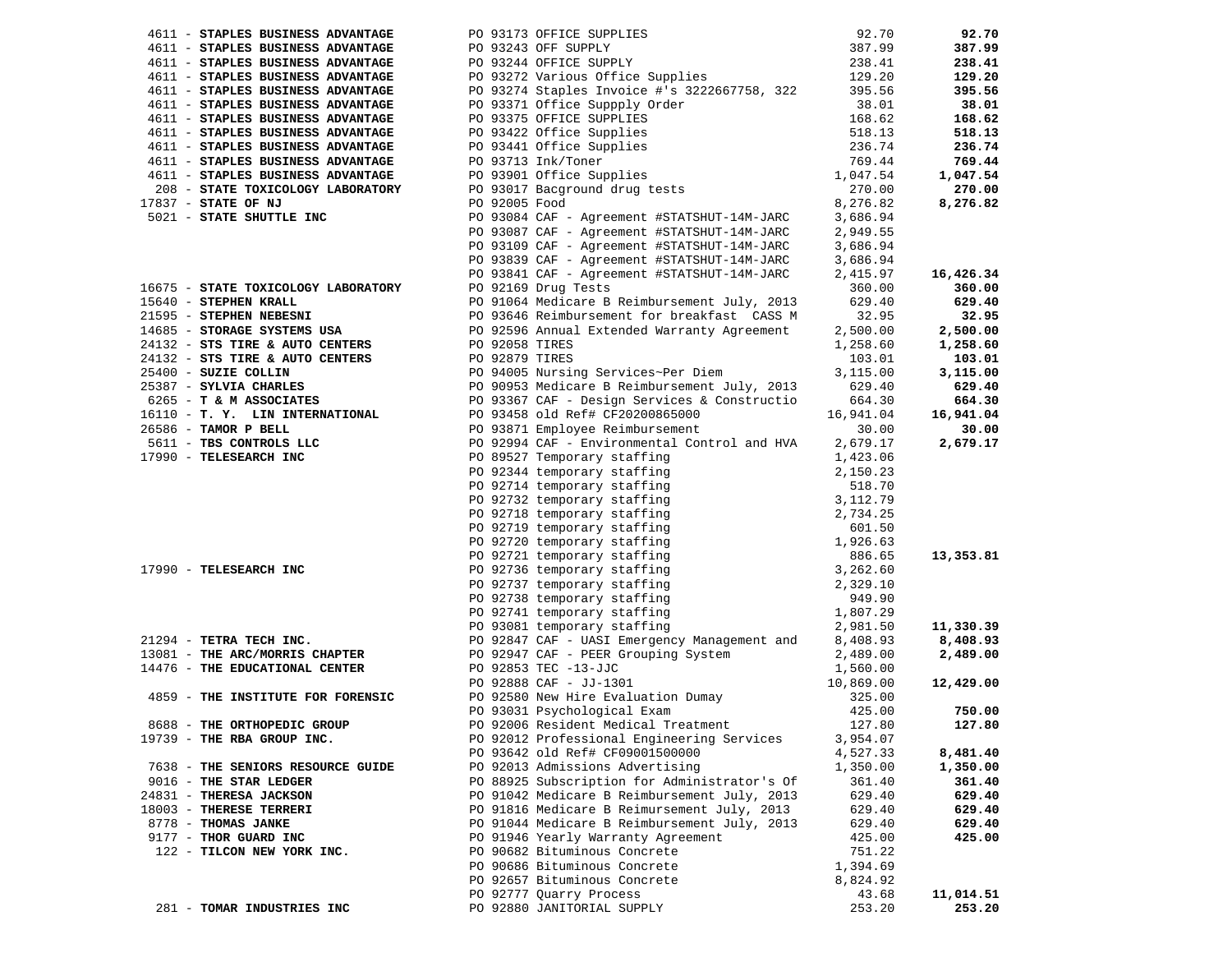|                                                                    |               |                                                                                                                                                                                                                                                                                                                                                                  |                            | 92.70     |
|--------------------------------------------------------------------|---------------|------------------------------------------------------------------------------------------------------------------------------------------------------------------------------------------------------------------------------------------------------------------------------------------------------------------------------------------------------------------|----------------------------|-----------|
|                                                                    |               |                                                                                                                                                                                                                                                                                                                                                                  |                            | 387.99    |
|                                                                    |               |                                                                                                                                                                                                                                                                                                                                                                  |                            | 238.41    |
|                                                                    |               |                                                                                                                                                                                                                                                                                                                                                                  |                            | 129.20    |
|                                                                    |               |                                                                                                                                                                                                                                                                                                                                                                  |                            | 395.56    |
|                                                                    |               | 4611 - STAPLES BUSINESS ADVANTAGE<br>4611 - STAPLES BUSINESS ADVANTAGE<br>4611 - STAPLES BUSINESS ADVANTAGE<br>4611 - STAPLES BUSINESS ADVANTAGE<br>4611 - STAPLES BUSINESS ADVANTAGE<br>4611 - STAPLES BUSINESS ADVANTAGE<br>4611 - STAPL                                                                                                                       | 38.01                      | 38.01     |
|                                                                    |               |                                                                                                                                                                                                                                                                                                                                                                  |                            | 168.62    |
|                                                                    |               |                                                                                                                                                                                                                                                                                                                                                                  |                            | 518.13    |
|                                                                    |               |                                                                                                                                                                                                                                                                                                                                                                  | 168.62<br>518.13<br>236.74 | 236.74    |
|                                                                    |               |                                                                                                                                                                                                                                                                                                                                                                  | 769.44                     | 769.44    |
|                                                                    |               |                                                                                                                                                                                                                                                                                                                                                                  | 1,047.54                   | 1,047.54  |
|                                                                    |               |                                                                                                                                                                                                                                                                                                                                                                  | 270.00                     | 270.00    |
|                                                                    |               |                                                                                                                                                                                                                                                                                                                                                                  |                            |           |
| 17837 - STATE OF NJ                                                | PO 92005 Food | PO 93084 CAF - Agreement #STATSHUT-14M-JARC                                                                                                                                                                                                                                                                                                                      | 8,276.82                   | 8,276.82  |
| 5021 - STATE SHUTTLE INC                                           |               |                                                                                                                                                                                                                                                                                                                                                                  | 3,686.94                   |           |
|                                                                    |               | PO 93087 CAF - Agreement #STATSHUT-14M-JARC<br>PO 93109 CAF - Agreement #STATSHUT-14M-JARC                                                                                                                                                                                                                                                                       | 2,949.55                   |           |
|                                                                    |               |                                                                                                                                                                                                                                                                                                                                                                  | 3,686.94                   |           |
|                                                                    |               | PO 93839 CAF - Agreement #STATSHUT-14M-JARC<br>PO 93841 CAF - Agreement #STATSHUT-14M-JARC                                                                                                                                                                                                                                                                       | 3,686.94                   |           |
|                                                                    |               |                                                                                                                                                                                                                                                                                                                                                                  | 2,415.97                   | 16,426.34 |
| 16675 - STATE TOXICOLOGY LABORATORY                                |               | PO 92169 Drug Tests                                                                                                                                                                                                                                                                                                                                              | 360.00                     | 360.00    |
| 15640 - STEPHEN KRALL                                              |               |                                                                                                                                                                                                                                                                                                                                                                  |                            | 629.40    |
| 21595 - STEPHEN NEBESNI                                            |               |                                                                                                                                                                                                                                                                                                                                                                  |                            | 32.95     |
| 14685 - STORAGE SYSTEMS USA                                        |               |                                                                                                                                                                                                                                                                                                                                                                  |                            | 2,500.00  |
| 24132 - STS TIRE & AUTO CENTERS<br>24132 - STS TIRE & AUTO CENTERS |               |                                                                                                                                                                                                                                                                                                                                                                  |                            | 1,258.60  |
|                                                                    |               |                                                                                                                                                                                                                                                                                                                                                                  |                            | 103.01    |
| 25400 - SUZIE COLLIN                                               |               |                                                                                                                                                                                                                                                                                                                                                                  |                            | 3,115.00  |
| 25387 - SYLVIA CHARLES                                             |               |                                                                                                                                                                                                                                                                                                                                                                  |                            | 629.40    |
| 6265 - T & M ASSOCIATES                                            |               | 260.00<br>PO 91064 Medicare B Reimbursement July, 2013<br>PO 93646 Reimbursement for breakfast CASS M<br>PO 92596 Annual Extended Warranty Agreement<br>2,500.00<br>PO 94005 NEES<br>PO 92879 TIRES<br>PO 92879 TIRES<br>PO 90953 Medicare B R                                                                                                                   |                            | 664.30    |
| 16110 - T. Y. LIN INTERNATIONAL                                    |               |                                                                                                                                                                                                                                                                                                                                                                  |                            | 16,941.04 |
| 26586 - TAMOR P BELL                                               |               | PO 93871 Employee Reimbursement<br>PO 93871 Employee Reimbursement<br>PO 92994 CAF - Environmental Control and HVA 2,679.17<br>1 423 06                                                                                                                                                                                                                          |                            | 30.00     |
| 5611 - TBS CONTROLS LLC                                            |               |                                                                                                                                                                                                                                                                                                                                                                  |                            | 2,679.17  |
| 17990 - TELESEARCH INC                                             |               |                                                                                                                                                                                                                                                                                                                                                                  |                            |           |
|                                                                    |               |                                                                                                                                                                                                                                                                                                                                                                  |                            |           |
|                                                                    |               |                                                                                                                                                                                                                                                                                                                                                                  |                            |           |
|                                                                    |               |                                                                                                                                                                                                                                                                                                                                                                  |                            |           |
|                                                                    |               |                                                                                                                                                                                                                                                                                                                                                                  |                            |           |
|                                                                    |               |                                                                                                                                                                                                                                                                                                                                                                  |                            |           |
|                                                                    |               |                                                                                                                                                                                                                                                                                                                                                                  |                            |           |
|                                                                    |               |                                                                                                                                                                                                                                                                                                                                                                  |                            | 13,353.81 |
|                                                                    |               | 17990 - TELESEARCH INC<br>17990 - TELESEARCH INC<br>2,6300<br>2,150.23<br>2,150.23<br>2,150.23<br>2,150.23<br>2,150.23<br>2,150.23<br>2,150.23<br>2,150.23<br>2,150.23<br>2,150.23<br>2,150.23<br>2,150.23<br>2,150.23<br>2,150.23<br>2,150.23<br>2,150.23<br>2,150                                                                                              |                            |           |
|                                                                    |               |                                                                                                                                                                                                                                                                                                                                                                  |                            |           |
|                                                                    |               |                                                                                                                                                                                                                                                                                                                                                                  |                            |           |
|                                                                    |               |                                                                                                                                                                                                                                                                                                                                                                  |                            |           |
|                                                                    |               |                                                                                                                                                                                                                                                                                                                                                                  |                            | 11,330.39 |
| 21294 - TETRA TECH INC.                                            |               | PO 93081 temporary staffing 1,981.50<br>PO 92847 CAF - UASI Emergency Management and 8,408.93                                                                                                                                                                                                                                                                    |                            | 8,408.93  |
|                                                                    |               |                                                                                                                                                                                                                                                                                                                                                                  |                            | 2,489.00  |
|                                                                    |               | 13081 - THE ARC/MORRIS CHAPTER<br>14476 - THE EDUCATIONAL CENTER<br>14476 - THE EDUCATIONAL CENTER<br>1,560.00<br>PO 92947 CAF - PEER GLOG -- 1<br>PO 92853 TEC -13-JJC<br>PO 92888 CAF - JJ-1301<br>PO 92580 New Hire Evaluation Dumay<br>PO 92580 New Hire Evaluation Dumay<br>PO 92580 New Hire Evaluation Dumay<br>925.00<br>PO 93031 Psychological Exam<br> |                            |           |
|                                                                    |               |                                                                                                                                                                                                                                                                                                                                                                  |                            | 12,429.00 |
| 4859 - THE INSTITUTE FOR FORENSIC                                  |               |                                                                                                                                                                                                                                                                                                                                                                  |                            |           |
|                                                                    |               |                                                                                                                                                                                                                                                                                                                                                                  |                            | 750.00    |
| 8688 - THE ORTHOPEDIC GROUP                                        |               | PO 92006 Resident Medical Treatment                                                                                                                                                                                                                                                                                                                              | 127.80                     | 127.80    |
| 19739 - THE RBA GROUP INC.                                         |               | PO 92012 Professional Engineering Services                                                                                                                                                                                                                                                                                                                       | 3,954.07                   |           |
|                                                                    |               | PO 93642 old Ref# CF09001500000                                                                                                                                                                                                                                                                                                                                  | 4,527.33                   | 8,481.40  |
| 7638 - THE SENIORS RESOURCE GUIDE                                  |               | PO 92013 Admissions Advertising                                                                                                                                                                                                                                                                                                                                  | 1,350.00                   | 1,350.00  |
| 9016 - THE STAR LEDGER                                             |               | PO 88925 Subscription for Administrator's Of                                                                                                                                                                                                                                                                                                                     | 361.40                     | 361.40    |
| 24831 - THERESA JACKSON                                            |               | PO 91042 Medicare B Reimbursement July, 2013                                                                                                                                                                                                                                                                                                                     | 629.40                     | 629.40    |
| 18003 - THERESE TERRERI                                            |               | PO 91816 Medicare B Reimursement July, 2013                                                                                                                                                                                                                                                                                                                      | 629.40                     | 629.40    |
| 8778 - THOMAS JANKE                                                |               | PO 91044 Medicare B Reimbursement July, 2013                                                                                                                                                                                                                                                                                                                     |                            | 629.40    |
|                                                                    |               |                                                                                                                                                                                                                                                                                                                                                                  | 629.40                     |           |
| 9177 - THOR GUARD INC                                              |               | PO 91946 Yearly Warranty Agreement                                                                                                                                                                                                                                                                                                                               | 425.00                     | 425.00    |
| 122 - TILCON NEW YORK INC.                                         |               | PO 90682 Bituminous Concrete                                                                                                                                                                                                                                                                                                                                     | 751.22                     |           |
|                                                                    |               | PO 90686 Bituminous Concrete                                                                                                                                                                                                                                                                                                                                     | 1,394.69                   |           |
|                                                                    |               | PO 92657 Bituminous Concrete                                                                                                                                                                                                                                                                                                                                     | 8,824.92                   |           |
|                                                                    |               | PO 92777 Quarry Process                                                                                                                                                                                                                                                                                                                                          | 43.68                      | 11,014.51 |
| 281 - TOMAR INDUSTRIES INC                                         |               | PO 92880 JANITORIAL SUPPLY                                                                                                                                                                                                                                                                                                                                       | 253.20                     | 253.20    |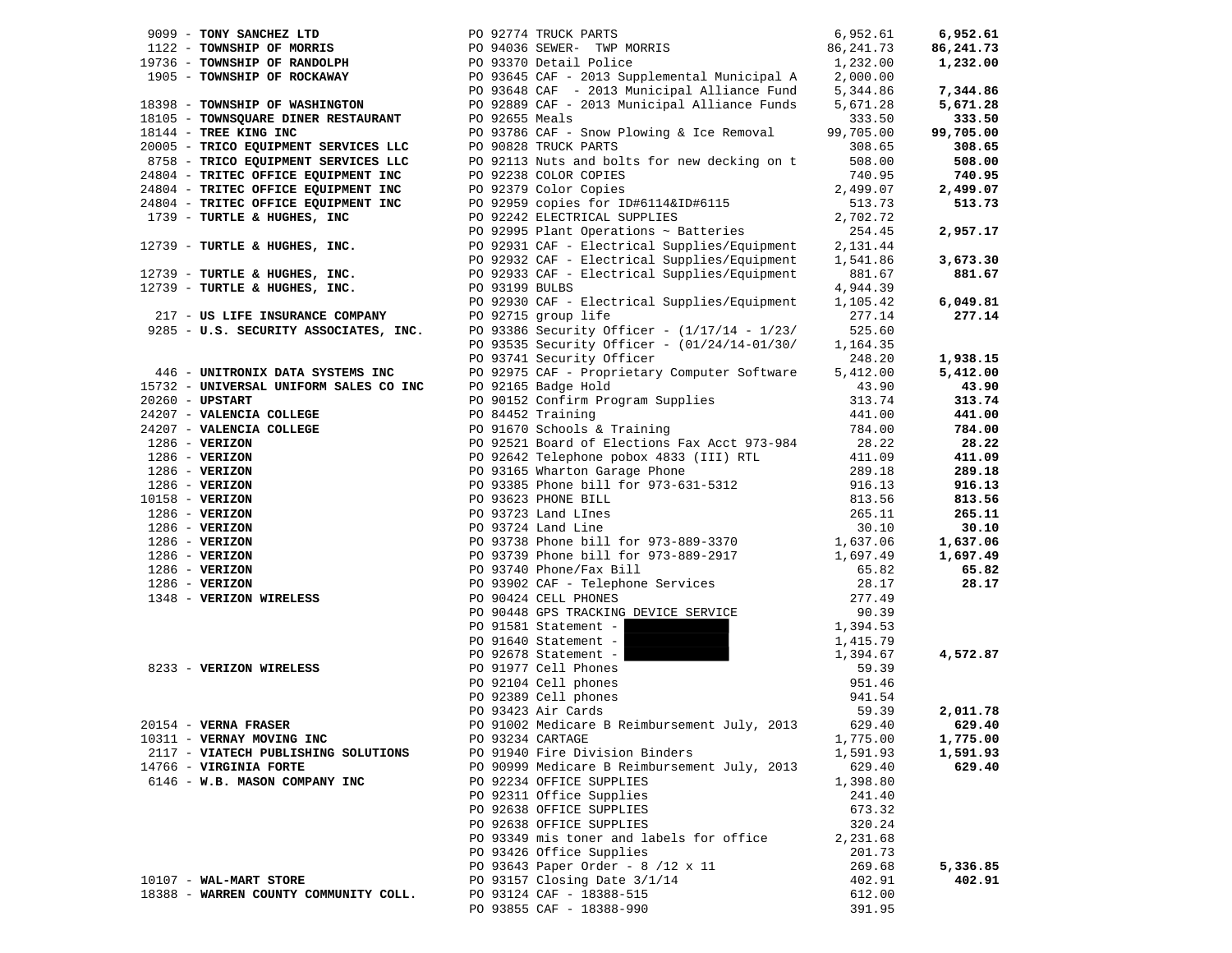|                                                                                                             | 19736 - IOWNSHIP OF MORRIS<br>19736 - TOWNSHIP OF RANDOLPH<br>1905 - TOWNSHIP OF ROCKAWAY<br>18398 - TOWNSHIP OF WASHINGTON<br>18398 - TOWNSHIP OF WASHINGTON<br>18105 - TOWNSQUARE DINER RESTAURANT<br>18144 - TREE KING INC<br>18144 - TRE                                                                                                                     | 6,952.61         | 6,952.61  |
|-------------------------------------------------------------------------------------------------------------|------------------------------------------------------------------------------------------------------------------------------------------------------------------------------------------------------------------------------------------------------------------------------------------------------------------------------------------------------------------|------------------|-----------|
|                                                                                                             |                                                                                                                                                                                                                                                                                                                                                                  | 86,241.73        | 86,241.73 |
|                                                                                                             |                                                                                                                                                                                                                                                                                                                                                                  | 1,232.00         | 1,232.00  |
|                                                                                                             |                                                                                                                                                                                                                                                                                                                                                                  | 2,000.00         |           |
|                                                                                                             |                                                                                                                                                                                                                                                                                                                                                                  | 5,344.86         | 7,344.86  |
|                                                                                                             |                                                                                                                                                                                                                                                                                                                                                                  | 5,671.28         | 5,671.28  |
|                                                                                                             |                                                                                                                                                                                                                                                                                                                                                                  | 333.50           | 333.50    |
|                                                                                                             |                                                                                                                                                                                                                                                                                                                                                                  | 99,705.00        | 99,705.00 |
| 20005 - TRICO EQUIPMENT SERVICES LLC                                                                        | PO 90828 TRUCK PARTS                                                                                                                                                                                                                                                                                                                                             | 308.65           | 308.65    |
| 20005 - TRICO EQUIPMENT SERVICES LLC<br>8758 - TRICO EQUIPMENT SERVICES LLC<br>------- ^----- EOUIPMENT INC | PO 92113 Nuts and bolts for new decking on t                                                                                                                                                                                                                                                                                                                     | 508.00           | 508.00    |
| 24804 - TRITEC OFFICE EQUIPMENT INC                                                                         | PO 92238 COLOR COPIES                                                                                                                                                                                                                                                                                                                                            | 740.95           | 740.95    |
| 24804 - TRITEC OFFICE EQUIPMENT INC<br>24804 - TRITEC OFFICE EQUIPMENT INC                                  | PO 92379 Color Copies                                                                                                                                                                                                                                                                                                                                            | 2,499.07         | 2,499.07  |
|                                                                                                             | PO 92959 copies for ID#6114&ID#6115                                                                                                                                                                                                                                                                                                                              | 513.73           | 513.73    |
| 1739 - TURTLE & HUGHES, INC                                                                                 | PO 92242 ELECTRICAL SUPPLIES                                                                                                                                                                                                                                                                                                                                     | 2,702.72         |           |
|                                                                                                             | PO 92995 Plant Operations ~ Batteries                                                                                                                                                                                                                                                                                                                            | 254.45           | 2,957.17  |
| 12739 - TURTLE & HUGHES, INC.                                                                               | PO 92931 CAF - Electrical Supplies/Equipment                                                                                                                                                                                                                                                                                                                     | 2,131.44         |           |
|                                                                                                             | PO 92932 CAF - Electrical Supplies/Equipment                                                                                                                                                                                                                                                                                                                     | 1,541.86         | 3,673.30  |
| 12739 - TURTLE & HUGHES, INC.                                                                               | PO 92933 CAF - Electrical Supplies/Equipment<br>PO 93199 BULBS                                                                                                                                                                                                                                                                                                   | 881.67           | 881.67    |
| 12739 - TURTLE & HUGHES, INC.                                                                               |                                                                                                                                                                                                                                                                                                                                                                  | 4,944.39         |           |
|                                                                                                             | PO 92930 CAF - Electrical Supplies/Equipment                                                                                                                                                                                                                                                                                                                     | 1,105.42         | 6,049.81  |
| PO 92930 CAF - Elect<br>217 - US LIFE INSURANCE COMPANY<br>2005 - V.A. ATALLETIC LIGHT - 2008               |                                                                                                                                                                                                                                                                                                                                                                  | 277.14           | 277.14    |
|                                                                                                             | 9285 - U.S. SECURITY ASSOCIATES, INC. PO 93386 Security Officer - $(1/17/14 - 1/23/$                                                                                                                                                                                                                                                                             | 525.60           |           |
|                                                                                                             | PO 93535 Security Officer - (01/24/14-01/30/                                                                                                                                                                                                                                                                                                                     | 1,164.35         |           |
|                                                                                                             | PO 93741 Security Officer                                                                                                                                                                                                                                                                                                                                        | 248.20           | 1,938.15  |
| 446 - UNITRONIX DATA SYSTEMS INC                                                                            | PO 92975 CAF - Proprietary Computer Software                                                                                                                                                                                                                                                                                                                     | 5,412.00         | 5,412.00  |
| 15732 - UNIVERSAL UNIFORM SALES CO INC                                                                      | PO 92165 Badge Hold                                                                                                                                                                                                                                                                                                                                              | 43.90            | 43.90     |
| $20260$ - UPSTART                                                                                           | 10 90152 Confirm Program Supplies<br>PO 90152 Confirm Program Supplies                                                                                                                                                                                                                                                                                           | 313.74           | 313.74    |
| 24207 - VALENCIA COLLEGE                                                                                    | PO 84452 Training                                                                                                                                                                                                                                                                                                                                                | 441.00           | 441.00    |
|                                                                                                             | PO 91670 Schools & Training                                                                                                                                                                                                                                                                                                                                      | 784.00           | 784.00    |
|                                                                                                             | 24207 - <b>VALENCIA COLLEGE</b><br>24207 - <b>VALENCIA COLLEGE</b><br>24207 - <b>VALENCIA COLLEGE</b><br>286 - <b>VERIZON</b><br>286 - <b>VERIZON</b><br>286 - <b>VERIZON</b><br>286 - <b>VERIZON</b><br>286 - <b>VERIZON</b><br>286 - <b>VERIZON</b><br>286 - <b>VERIZON</b><br>286 - <b>VERIZON</b><br>2<br>PO 92521 Board of Elections Fax Acct 973-984 28.22 |                  | 28.22     |
|                                                                                                             |                                                                                                                                                                                                                                                                                                                                                                  | 411.09           | 411.09    |
|                                                                                                             |                                                                                                                                                                                                                                                                                                                                                                  | 289.18           | 289.18    |
|                                                                                                             |                                                                                                                                                                                                                                                                                                                                                                  | 916.13           | 916.13    |
|                                                                                                             |                                                                                                                                                                                                                                                                                                                                                                  | 813.56           | 813.56    |
|                                                                                                             |                                                                                                                                                                                                                                                                                                                                                                  | 265.11           | 265.11    |
|                                                                                                             |                                                                                                                                                                                                                                                                                                                                                                  | 30.10            | 30.10     |
|                                                                                                             |                                                                                                                                                                                                                                                                                                                                                                  | 1,637.06         | 1,637.06  |
|                                                                                                             |                                                                                                                                                                                                                                                                                                                                                                  | 1,697.49         | 1,697.49  |
|                                                                                                             |                                                                                                                                                                                                                                                                                                                                                                  | 65.82            | 65.82     |
|                                                                                                             |                                                                                                                                                                                                                                                                                                                                                                  | 28.17            | 28.17     |
|                                                                                                             |                                                                                                                                                                                                                                                                                                                                                                  | 277.49           |           |
|                                                                                                             |                                                                                                                                                                                                                                                                                                                                                                  | 90.39            |           |
|                                                                                                             | PO 91581 Statement -                                                                                                                                                                                                                                                                                                                                             | 1,394.53         |           |
|                                                                                                             | PO 91640 Statement -                                                                                                                                                                                                                                                                                                                                             | 1,415.79         |           |
|                                                                                                             | PO 92678 Statement -                                                                                                                                                                                                                                                                                                                                             | 1,394.67         | 4,572.87  |
| 8233 - VERIZON WIRELESS                                                                                     | PO 91977 Cell Phones<br>PO 92104 Cell phones<br>PO 92389 Cell phones<br>PO 93423 Air Cards                                                                                                                                                                                                                                                                       | 59.39            |           |
|                                                                                                             |                                                                                                                                                                                                                                                                                                                                                                  | 951.46           |           |
|                                                                                                             |                                                                                                                                                                                                                                                                                                                                                                  | 941.54           |           |
|                                                                                                             | PO 93423 Air Cards                                                                                                                                                                                                                                                                                                                                               | 59.39            | 2,011.78  |
| 20154 - VERNA FRASER                                                                                        | PO 91002 Medicare B Reimbursement July, 2013 629.40                                                                                                                                                                                                                                                                                                              |                  | 629.40    |
| 10311 - VERNAY MOVING INC                                                                                   | PO 93234 CARTAGE                                                                                                                                                                                                                                                                                                                                                 | 1,775.00         | 1,775.00  |
| 2117 - VIATECH PUBLISHING SOLUTIONS                                                                         | PO 91940 Fire Division Binders                                                                                                                                                                                                                                                                                                                                   | 1,591.93         | 1,591.93  |
| 14766 - VIRGINIA FORTE                                                                                      | PO 90999 Medicare B Reimbursement July, 2013                                                                                                                                                                                                                                                                                                                     | 629.40           | 629.40    |
| 6146 - W.B. MASON COMPANY INC                                                                               | PO 92234 OFFICE SUPPLIES                                                                                                                                                                                                                                                                                                                                         | 1,398.80         |           |
|                                                                                                             | PO 92311 Office Supplies                                                                                                                                                                                                                                                                                                                                         | 241.40           |           |
|                                                                                                             | PO 92638 OFFICE SUPPLIES<br>PO 92638 OFFICE SUPPLIES                                                                                                                                                                                                                                                                                                             | 673.32           |           |
|                                                                                                             |                                                                                                                                                                                                                                                                                                                                                                  | 320.24           |           |
|                                                                                                             | PO 93349 mis toner and labels for office                                                                                                                                                                                                                                                                                                                         | 2,231.68         |           |
|                                                                                                             | PO 93426 Office Supplies<br>PO 93643 Paper Order - 8 /12 x 11                                                                                                                                                                                                                                                                                                    | 201.73<br>269.68 | 5,336.85  |
| 10107 - WAL-MART STORE                                                                                      | PO 93157 Closing Date 3/1/14                                                                                                                                                                                                                                                                                                                                     | 402.91           | 402.91    |
| 18388 - WARREN COUNTY COMMUNITY COLL.                                                                       | PO 93124 CAF - 18388-515                                                                                                                                                                                                                                                                                                                                         | 612.00           |           |
|                                                                                                             | PO 93855 CAF - 18388-990                                                                                                                                                                                                                                                                                                                                         | 391.95           |           |
|                                                                                                             |                                                                                                                                                                                                                                                                                                                                                                  |                  |           |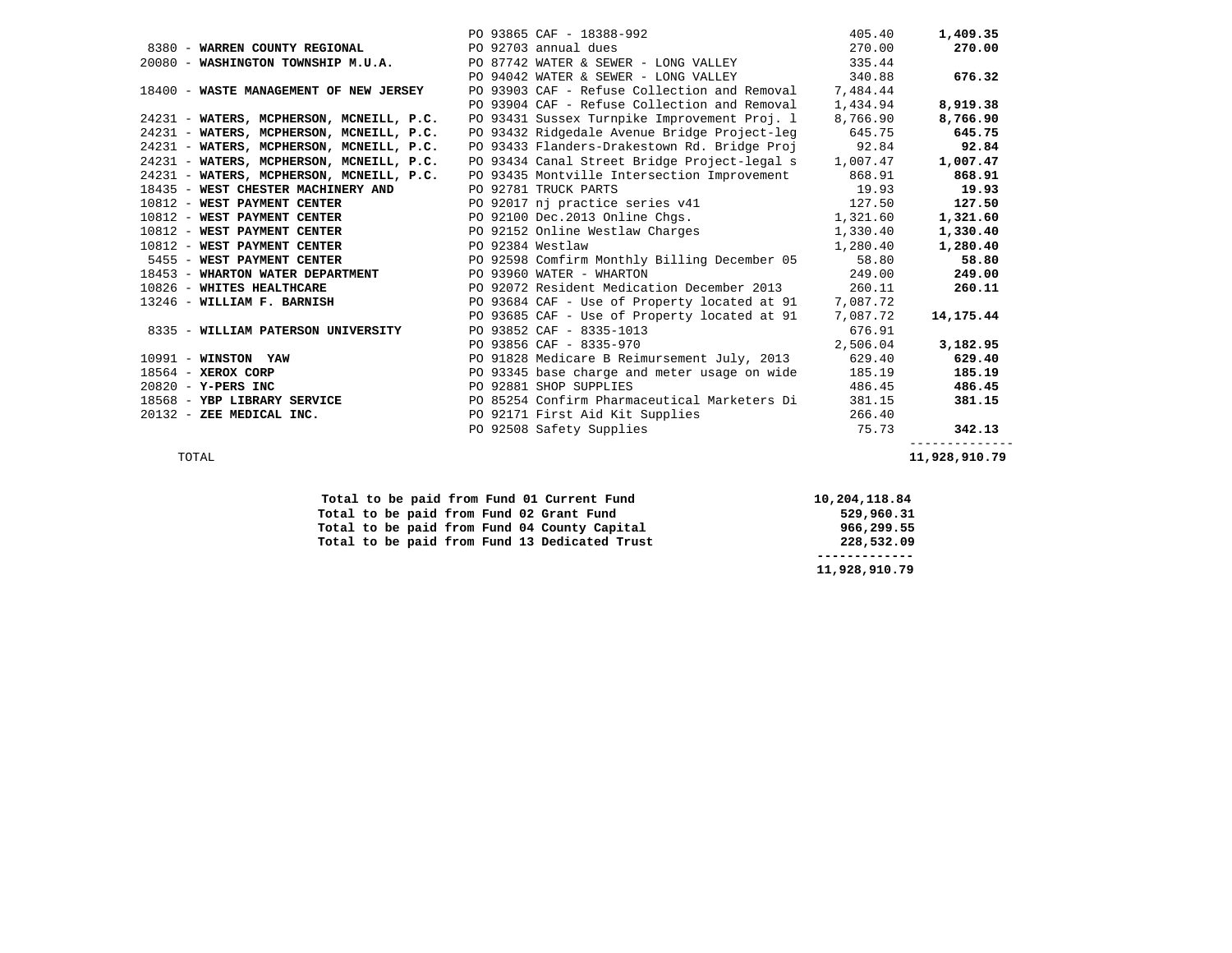|                                                           | PO 93865 CAF - 18388-992                                                                       | 405.40   | 1,409.35     |
|-----------------------------------------------------------|------------------------------------------------------------------------------------------------|----------|--------------|
| 8380 - WARREN COUNTY REGIONAL                             | PO 92703 annual dues                                                                           | 270.00   | 270.00       |
| 20080 - WASHINGTON TOWNSHIP M.U.A.                        | PO 87742 WATER & SEWER - LONG VALLEY                                                           | 335.44   |              |
|                                                           | PO 94042 WATER & SEWER - LONG VALLEY 340.88                                                    |          | 676.32       |
| 18400 - WASTE MANAGEMENT OF NEW JERSEY                    | PO 93903 CAF - Refuse Collection and Removal 7,484.44                                          |          |              |
|                                                           | PO 93904 CAF - Refuse Collection and Removal                                                   | 1,434.94 | 8,919.38     |
| 24231 - WATERS, MCPHERSON, MCNEILL, P.C.                  | PO 93431 Sussex Turnpike Improvement Proj. 1                                                   | 8,766.90 | 8,766.90     |
| 24231 - WATERS, MCPHERSON, MCNEILL, P.C.                  | PO 93432 Ridgedale Avenue Bridge Project-leg                                                   | 645.75   | 645.75       |
| 24231 - WATERS, MCPHERSON, MCNEILL, P.C.                  | PO 93433 Flanders-Drakestown Rd. Bridge Proj 92.84                                             |          | 92.84        |
|                                                           | 24231 - WATERS, MCPHERSON, MCNEILL, P.C. PO 93434 Canal Street Bridge Project-legal s 1,007.47 |          | 1,007.47     |
| 24231 - WATERS, MCPHERSON, MCNEILL, P.C.                  | PO 93435 Montville Intersection Improvement 868.91                                             |          | 868.91       |
| 18435 - WEST CHESTER MACHINERY AND                        | PO 92781 TRUCK PARTS                                                                           | 19.93    | 19.93        |
| 10812 - WEST PAYMENT CENTER                               | PO 92017 nj practice series v41 127.50                                                         |          | 127.50       |
|                                                           | 1,321.60 1,321.60 DO 92100 Dec.2013 Online Chgs. 1,321.60                                      |          | 1,321.60     |
|                                                           | 10812 - WEST PAYMENT CENTER PO 92152 Online Westlaw Charges 1,330.40                           |          | 1,330.40     |
| 10812 - WEST PAYMENT CENTER PO 92384 Westlaw              |                                                                                                | 1,280.40 | 1,280.40     |
|                                                           | 5455 - WEST PAYMENT CENTER THE RESOLUTION OF PO 92598 Comfirm Monthly Billing December 05      | 58.80    | 58.80        |
| 18453 - WHARTON WATER DEPARTMENT PO 93960 WATER - WHARTON |                                                                                                | 249.00   | 249.00       |
|                                                           | 10826 - WHITES HEALTHCARE THE RESERVE PO 92072 Resident Medication December 2013               | 260.11   | 260.11       |
|                                                           | 13246 - WILLIAM F. BARNISH PO 93684 CAF - Use of Property located at 91 7,087.72               |          |              |
|                                                           | PO 93685 CAF - Use of Property located at 91 7,087.72                                          |          | 14,175.44    |
| 8335 - WILLIAM PATERSON UNIVERSITY                        | PO 93852 CAF - 8335-1013                                                                       | 676.91   |              |
|                                                           | PO 93856 CAF - 8335-970                                                                        | 2,506.04 | 3,182.95     |
| 10991 - WINSTON YAW                                       | PO 91828 Medicare B Reimursement July, 2013                                                    | 629.40   | 629.40       |
| $18564 - XEROX CORP$                                      | PO 93345 base charge and meter usage on wide                                                   | 185.19   | 185.19       |
| $20820 - Y - PERS INC$                                    | PO 92881 SHOP SUPPLIES                                                                         | 486.45   | 486.45       |
| 18568 - YBP LIBRARY SERVICE                               | PO 85254 Confirm Pharmaceutical Marketers Di                                                   | 381.15   | 381.15       |
| 20132 - ZEE MEDICAL INC.                                  | PO 92171 First Aid Kit Supplies                                                                | 266.40   |              |
|                                                           | PO 92508 Safety Supplies                                                                       | 75.73    | 342.13       |
|                                                           |                                                                                                |          | ------------ |

TOTAL **11,928,910.79** 

|  |  |  | Total to be paid from Fund 01 Current Fund    | 10,204,118.84 |
|--|--|--|-----------------------------------------------|---------------|
|  |  |  | Total to be paid from Fund 02 Grant Fund      | 529,960.31    |
|  |  |  | Total to be paid from Fund 04 County Capital  | 966,299.55    |
|  |  |  | Total to be paid from Fund 13 Dedicated Trust | 228,532.09    |
|  |  |  |                                               |               |
|  |  |  |                                               | 11,928,910.79 |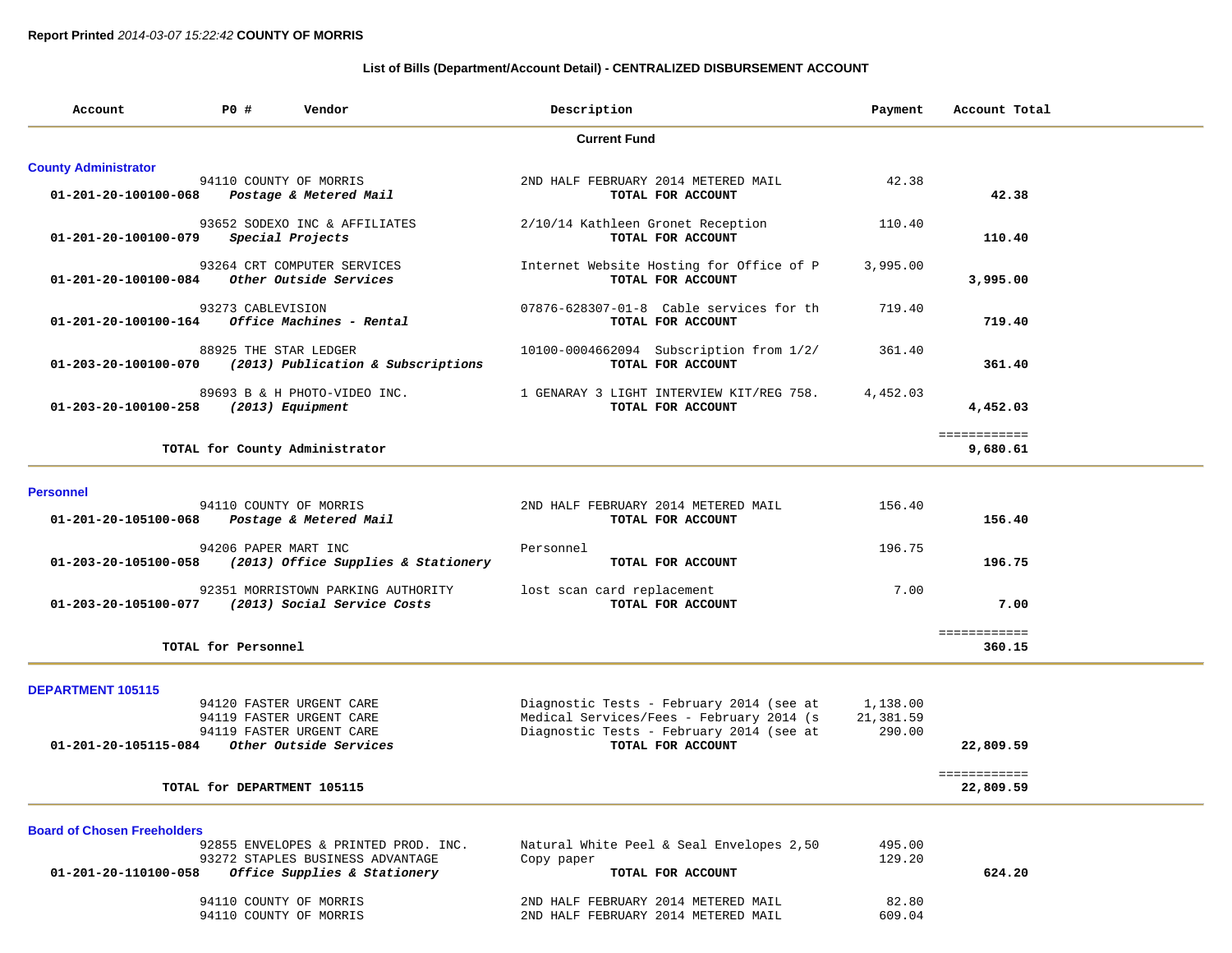### **List of Bills (Department/Account Detail) - CENTRALIZED DISBURSEMENT ACCOUNT**

| Account                                                    | P0 #                                             | Vendor                                                                                                   | Description |                                                                                                                                  | Payment               | Account Total             |  |
|------------------------------------------------------------|--------------------------------------------------|----------------------------------------------------------------------------------------------------------|-------------|----------------------------------------------------------------------------------------------------------------------------------|-----------------------|---------------------------|--|
|                                                            |                                                  |                                                                                                          |             | <b>Current Fund</b>                                                                                                              |                       |                           |  |
| <b>County Administrator</b><br>01-201-20-100100-068        | 94110 COUNTY OF MORRIS                           | Postage & Metered Mail                                                                                   |             | 2ND HALF FEBRUARY 2014 METERED MAIL<br>TOTAL FOR ACCOUNT                                                                         | 42.38                 | 42.38                     |  |
| 01-201-20-100100-079                                       |                                                  | 93652 SODEXO INC & AFFILIATES<br>Special Projects                                                        |             | 2/10/14 Kathleen Gronet Reception<br>TOTAL FOR ACCOUNT                                                                           | 110.40                | 110.40                    |  |
| 01-201-20-100100-084 Other Outside Services                |                                                  | 93264 CRT COMPUTER SERVICES                                                                              |             | Internet Website Hosting for Office of P<br>TOTAL FOR ACCOUNT                                                                    | 3,995.00              | 3,995.00                  |  |
| 01-201-20-100100-164                                       | 93273 CABLEVISION                                | Office Machines - Rental                                                                                 |             | 07876-628307-01-8 Cable services for th<br>TOTAL FOR ACCOUNT                                                                     | 719.40                | 719.40                    |  |
|                                                            | 88925 THE STAR LEDGER                            | $01-203-20-100100-070$ (2013) Publication & Subscriptions                                                |             | 10100-0004662094 Subscription from 1/2/<br>TOTAL FOR ACCOUNT                                                                     | 361.40                | 361.40                    |  |
| 01-203-20-100100-258                                       | (2013) Equipment                                 | 89693 B & H PHOTO-VIDEO INC.                                                                             |             | 1 GENARAY 3 LIGHT INTERVIEW KIT/REG 758.<br>TOTAL FOR ACCOUNT                                                                    | 4,452.03              | 4,452.03                  |  |
|                                                            |                                                  | TOTAL for County Administrator                                                                           |             |                                                                                                                                  |                       | ============<br>9,680.61  |  |
| <b>Personnel</b>                                           |                                                  |                                                                                                          |             |                                                                                                                                  |                       |                           |  |
| 01-201-20-105100-068                                       | 94110 COUNTY OF MORRIS                           | Postage & Metered Mail                                                                                   |             | 2ND HALF FEBRUARY 2014 METERED MAIL<br>TOTAL FOR ACCOUNT                                                                         | 156.40                | 156.40                    |  |
| 01-203-20-105100-058                                       | 94206 PAPER MART INC                             | (2013) Office Supplies & Stationery                                                                      | Personnel   | TOTAL FOR ACCOUNT                                                                                                                | 196.75                | 196.75                    |  |
|                                                            |                                                  | 92351 MORRISTOWN PARKING AUTHORITY<br>01-203-20-105100-077 (2013) Social Service Costs                   |             | lost scan card replacement<br>TOTAL FOR ACCOUNT                                                                                  | 7.00                  | 7.00                      |  |
|                                                            | TOTAL for Personnel                              |                                                                                                          |             |                                                                                                                                  |                       | ============<br>360.15    |  |
| DEPARTMENT 105115                                          |                                                  | 94120 FASTER URGENT CARE<br>94119 FASTER URGENT CARE<br>94119 FASTER URGENT CARE                         |             | Diagnostic Tests - February 2014 (see at<br>Medical Services/Fees - February 2014 (s<br>Diagnostic Tests - February 2014 (see at | 1,138.00<br>21,381.59 |                           |  |
| 01-201-20-105115-084                                       |                                                  | Other Outside Services                                                                                   |             | TOTAL FOR ACCOUNT                                                                                                                | 290.00                | 22,809.59                 |  |
|                                                            | TOTAL for DEPARTMENT 105115                      |                                                                                                          |             |                                                                                                                                  |                       | ============<br>22,809.59 |  |
| <b>Board of Chosen Freeholders</b><br>01-201-20-110100-058 |                                                  | 92855 ENVELOPES & PRINTED PROD. INC.<br>93272 STAPLES BUSINESS ADVANTAGE<br>Office Supplies & Stationery | Copy paper  | Natural White Peel & Seal Envelopes 2,50<br>TOTAL FOR ACCOUNT                                                                    | 495.00<br>129.20      | 624.20                    |  |
|                                                            | 94110 COUNTY OF MORRIS<br>94110 COUNTY OF MORRIS |                                                                                                          |             | 2ND HALF FEBRUARY 2014 METERED MAIL<br>2ND HALF FEBRUARY 2014 METERED MAIL                                                       | 82.80<br>609.04       |                           |  |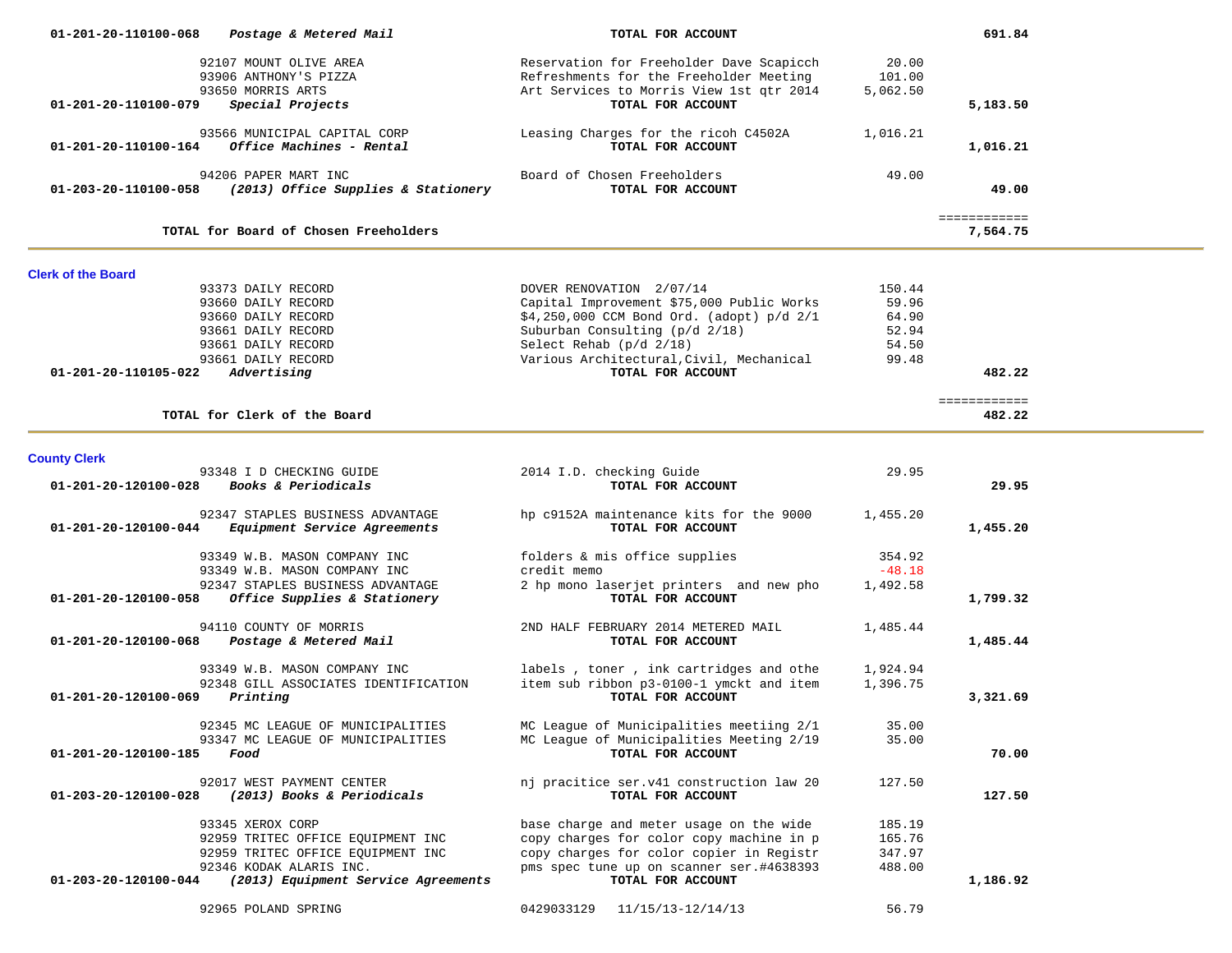| 01-201-20-110100-068      | Postage & Metered Mail                                                                                                                                       | TOTAL FOR ACCOUNT                                                                                                                                                                                                               |                                                     | 691.84                         |  |
|---------------------------|--------------------------------------------------------------------------------------------------------------------------------------------------------------|---------------------------------------------------------------------------------------------------------------------------------------------------------------------------------------------------------------------------------|-----------------------------------------------------|--------------------------------|--|
|                           | 92107 MOUNT OLIVE AREA<br>93906 ANTHONY'S PIZZA<br>93650 MORRIS ARTS                                                                                         | Reservation for Freeholder Dave Scapicch<br>Refreshments for the Freeholder Meeting<br>Art Services to Morris View 1st qtr 2014                                                                                                 | 20.00<br>101.00<br>5,062.50                         |                                |  |
| 01-201-20-110100-079      | Special Projects                                                                                                                                             | TOTAL FOR ACCOUNT                                                                                                                                                                                                               |                                                     | 5,183.50                       |  |
|                           | 93566 MUNICIPAL CAPITAL CORP<br>$01 - 201 - 20 - 110100 - 164$ Office Machines - Rental                                                                      | Leasing Charges for the ricoh C4502A<br>TOTAL FOR ACCOUNT                                                                                                                                                                       | 1,016.21                                            | 1,016.21                       |  |
|                           | 94206 PAPER MART INC<br>01-203-20-110100-058 (2013) Office Supplies & Stationery                                                                             | Board of Chosen Freeholders<br>TOTAL FOR ACCOUNT                                                                                                                                                                                | 49.00                                               | 49.00                          |  |
|                           | TOTAL for Board of Chosen Freeholders                                                                                                                        |                                                                                                                                                                                                                                 |                                                     | <b>EEEEEEEEEEE</b><br>7,564.75 |  |
| <b>Clerk of the Board</b> |                                                                                                                                                              |                                                                                                                                                                                                                                 |                                                     |                                |  |
|                           | 93373 DAILY RECORD<br>93660 DAILY RECORD<br>93660 DAILY RECORD<br>93661 DAILY RECORD<br>93661 DAILY RECORD<br>93661 DAILY RECORD                             | DOVER RENOVATION 2/07/14<br>Capital Improvement \$75,000 Public Works<br>\$4,250,000 CCM Bond Ord. (adopt) p/d 2/1<br>Suburban Consulting (p/d 2/18)<br>Select Rehab $(p/d \ 2/18)$<br>Various Architectural, Civil, Mechanical | 150.44<br>59.96<br>64.90<br>52.94<br>54.50<br>99.48 |                                |  |
| 01-201-20-110105-022      | Advertising                                                                                                                                                  | TOTAL FOR ACCOUNT                                                                                                                                                                                                               |                                                     | 482.22                         |  |
|                           | TOTAL for Clerk of the Board                                                                                                                                 |                                                                                                                                                                                                                                 |                                                     | ============<br>482.22         |  |
| <b>County Clerk</b>       |                                                                                                                                                              |                                                                                                                                                                                                                                 |                                                     |                                |  |
| 01-201-20-120100-028      | 93348 I D CHECKING GUIDE<br><i>Books &amp; Periodicals</i>                                                                                                   | 2014 I.D. checking Guide<br>TOTAL FOR ACCOUNT                                                                                                                                                                                   | 29.95                                               | 29.95                          |  |
| 01-201-20-120100-044      | 92347 STAPLES BUSINESS ADVANTAGE<br>Equipment Service Agreements                                                                                             | hp c9152A maintenance kits for the 9000<br>TOTAL FOR ACCOUNT                                                                                                                                                                    | 1,455.20                                            | 1,455.20                       |  |
| 01-201-20-120100-058      | 93349 W.B. MASON COMPANY INC<br>93349 W.B. MASON COMPANY INC<br>92347 STAPLES BUSINESS ADVANTAGE<br>Office Supplies & Stationery                             | folders & mis office supplies<br>credit memo<br>2 hp mono laserjet printers and new pho<br>TOTAL FOR ACCOUNT                                                                                                                    | 354.92<br>$-48.18$<br>1,492.58                      | 1,799.32                       |  |
| 01-201-20-120100-068      | 94110 COUNTY OF MORRIS<br>Postage & Metered Mail                                                                                                             | 2ND HALF FEBRUARY 2014 METERED MAIL<br>TOTAL FOR ACCOUNT                                                                                                                                                                        | 1,485.44                                            | 1,485.44                       |  |
| 01-201-20-120100-069      | 93349 W.B. MASON COMPANY INC<br>92348 GILL ASSOCIATES IDENTIFICATION<br>Printing                                                                             | labels, toner, ink cartridges and othe<br>item sub ribbon p3-0100-1 ymckt and item<br>TOTAL FOR ACCOUNT                                                                                                                         | 1,924.94<br>1,396.75                                | 3,321.69                       |  |
| 01-201-20-120100-185      | 92345 MC LEAGUE OF MUNICIPALITIES<br>93347 MC LEAGUE OF MUNICIPALITIES<br>Food                                                                               | MC League of Municipalities meetiing 2/1<br>MC League of Municipalities Meeting 2/19<br>TOTAL FOR ACCOUNT                                                                                                                       | 35.00<br>35.00                                      | 70.00                          |  |
| 01-203-20-120100-028      | 92017 WEST PAYMENT CENTER<br>(2013) Books & Periodicals                                                                                                      | nj pracitice ser.v41 construction law 20<br>TOTAL FOR ACCOUNT                                                                                                                                                                   | 127.50                                              | 127.50                         |  |
| 01-203-20-120100-044      | 93345 XEROX CORP<br>92959 TRITEC OFFICE EQUIPMENT INC<br>92959 TRITEC OFFICE EQUIPMENT INC<br>92346 KODAK ALARIS INC.<br>(2013) Equipment Service Agreements | base charge and meter usage on the wide<br>copy charges for color copy machine in p<br>copy charges for color copier in Registr<br>pms spec tune up on scanner ser.#4638393<br>TOTAL FOR ACCOUNT                                | 185.19<br>165.76<br>347.97<br>488.00                | 1,186.92                       |  |
|                           | 92965 POLAND SPRING                                                                                                                                          | 0429033129<br>11/15/13-12/14/13                                                                                                                                                                                                 | 56.79                                               |                                |  |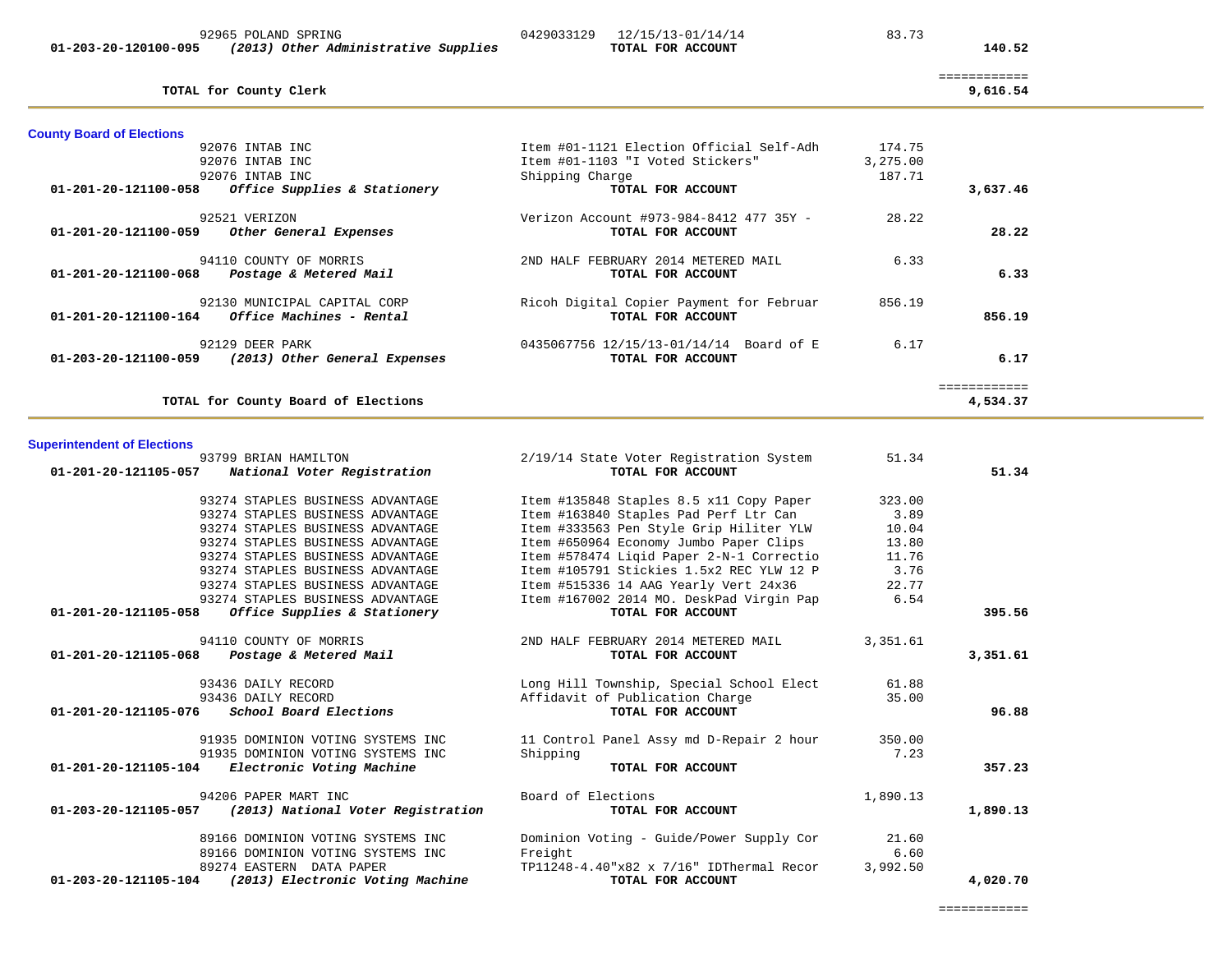|                               | TOTAL FOR ACCOUNT                                                                                                                                                                                                                                                                                                                                                                                                     |          | 140.52   |                              |
|-------------------------------|-----------------------------------------------------------------------------------------------------------------------------------------------------------------------------------------------------------------------------------------------------------------------------------------------------------------------------------------------------------------------------------------------------------------------|----------|----------|------------------------------|
|                               |                                                                                                                                                                                                                                                                                                                                                                                                                       |          | 9,616.54 |                              |
|                               |                                                                                                                                                                                                                                                                                                                                                                                                                       |          |          |                              |
|                               | Item #01-1121 Election Official Self-Adh                                                                                                                                                                                                                                                                                                                                                                              | 174.75   |          |                              |
|                               | Item #01-1103 "I Voted Stickers"                                                                                                                                                                                                                                                                                                                                                                                      | 3,275.00 |          |                              |
|                               | Shipping Charge                                                                                                                                                                                                                                                                                                                                                                                                       | 187.71   |          |                              |
|                               | TOTAL FOR ACCOUNT                                                                                                                                                                                                                                                                                                                                                                                                     |          | 3,637.46 |                              |
|                               | Verizon Account #973-984-8412 477 35Y -<br>TOTAL FOR ACCOUNT                                                                                                                                                                                                                                                                                                                                                          | 28.22    | 28.22    |                              |
| Postage & Metered Mail        | 2ND HALF FEBRUARY 2014 METERED MAIL<br>TOTAL FOR ACCOUNT                                                                                                                                                                                                                                                                                                                                                              | 6.33     | 6.33     |                              |
|                               | Ricoh Digital Copier Payment for Februar<br>TOTAL FOR ACCOUNT                                                                                                                                                                                                                                                                                                                                                         | 856.19   | 856.19   |                              |
| (2013) Other General Expenses | 0435067756 12/15/13-01/14/14 Board of E<br>TOTAL FOR ACCOUNT                                                                                                                                                                                                                                                                                                                                                          | 6.17     | 6.17     |                              |
|                               |                                                                                                                                                                                                                                                                                                                                                                                                                       |          | 4,534.37 |                              |
|                               | (2013) Other Administrative Supplies<br>TOTAL for County Clerk<br>92076 INTAB INC<br>92076 INTAB INC<br>92076 INTAB INC<br>01-201-20-121100-058 Office Supplies & Stationery<br>92521 VERIZON<br>$01-201-20-121100-059$ Other General Expenses<br>94110 COUNTY OF MORRIS<br>92130 MUNICIPAL CAPITAL CORP<br>$01-201-20-121100-164$ Office Machines - Rental<br>92129 DEER PARK<br>TOTAL for County Board of Elections |          |          | ============<br>============ |

92965 POLAND SPRING 0429033129 12/15/13-01/14/14 83.73

# **Superintendent of Elections**<br>93799 BRIAN HAMILTON

| 93799 BRIAN HAMILTON<br>01-201-20-121105-057 National Voter Registration                 | 2/19/14 State Voter Registration System<br>TOTAL FOR ACCOUNT  | 51.34    | 51.34    |
|------------------------------------------------------------------------------------------|---------------------------------------------------------------|----------|----------|
| 93274 STAPLES BUSINESS ADVANTAGE                                                         | Item #135848 Staples 8.5 x11 Copy Paper                       | 323.00   |          |
| 93274 STAPLES BUSINESS ADVANTAGE                                                         | Item #163840 Staples Pad Perf Ltr Can                         | 3.89     |          |
| 93274 STAPLES BUSINESS ADVANTAGE                                                         | Item #333563 Pen Style Grip Hiliter YLW 10.04                 |          |          |
| 93274 STAPLES BUSINESS ADVANTAGE                                                         | Item #650964 Economy Jumbo Paper Clips                        | 13.80    |          |
| 93274 STAPLES BUSINESS ADVANTAGE                                                         | Item #578474 Liqid Paper 2-N-1 Correctio                      | 11.76    |          |
| 93274 STAPLES BUSINESS ADVANTAGE                                                         | Item #105791 Stickies 1.5x2 REC YLW 12 P                      | 3.76     |          |
| 93274 STAPLES BUSINESS ADVANTAGE                                                         | Item #515336 14 AAG Yearly Vert 24x36                         | 22.77    |          |
| 93274 STAPLES BUSINESS ADVANTAGE<br>Office Supplies & Stationery<br>01-201-20-121105-058 | Item #167002 2014 MO. DeskPad Virgin Pap<br>TOTAL FOR ACCOUNT | 6.54     | 395.56   |
| 94110 COUNTY OF MORRIS                                                                   | 2ND HALF FEBRUARY 2014 METERED MAIL                           | 3,351.61 |          |
| $01 - 201 - 20 - 121105 - 068$ Postage & Metered Mail                                    | TOTAL FOR ACCOUNT                                             |          | 3,351.61 |
| 93436 DAILY RECORD                                                                       | Long Hill Township, Special School Elect 61.88                |          |          |
| 93436 DAILY RECORD                                                                       | Affidavit of Publication Charge                               | 35.00    |          |
| $01-201-20-121105-076$ School Board Elections                                            | TOTAL FOR ACCOUNT                                             |          | 96.88    |
| 91935 DOMINION VOTING SYSTEMS INC                                                        | 11 Control Panel Assy md D-Repair 2 hour                      | 350.00   |          |
| 91935 DOMINION VOTING SYSTEMS INC                                                        | Shipping                                                      | 7.23     |          |
| 01-201-20-121105-104 Electronic Voting Machine                                           | TOTAL FOR ACCOUNT                                             |          | 357.23   |
| 94206 PAPER MART INC                                                                     | Board of Elections                                            | 1,890.13 |          |
| 01-203-20-121105-057 (2013) National Voter Registration                                  | TOTAL FOR ACCOUNT                                             |          | 1,890.13 |
| 89166 DOMINION VOTING SYSTEMS INC                                                        | Dominion Voting - Guide/Power Supply Cor                      | 21.60    |          |
| 89166 DOMINION VOTING SYSTEMS INC                                                        | Freight                                                       | 6.60     |          |
| 89274 EASTERN DATA PAPER                                                                 | $TPI1248-4.40$ "x82 x 7/16" IDThermal Recor                   | 3,992.50 |          |
| 01-203-20-121105-104 (2013) Electronic Voting Machine                                    | TOTAL FOR ACCOUNT                                             |          | 4,020.70 |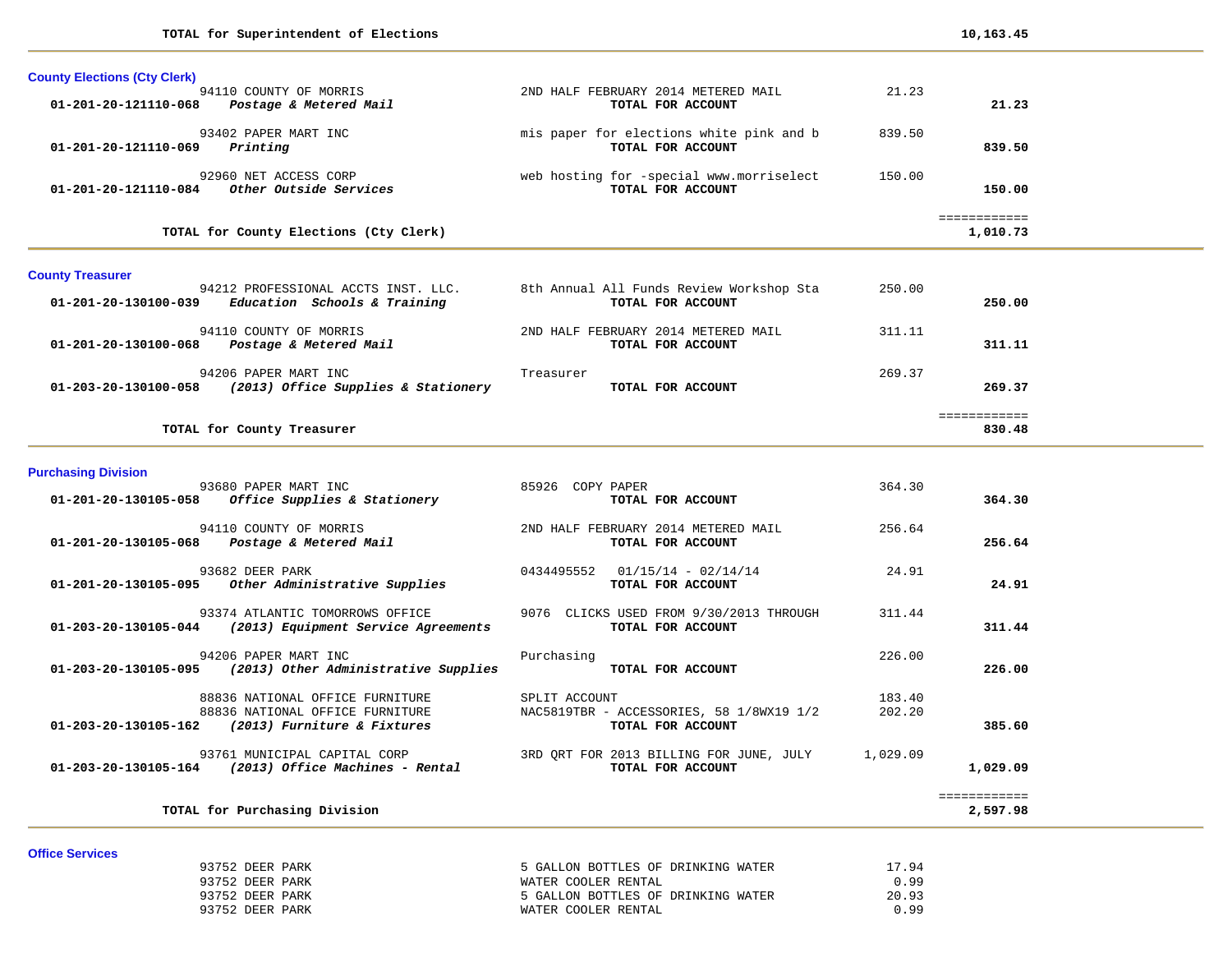| <b>County Elections (Cty Clerk)</b>                                                         |                                                               |                  |                          |  |
|---------------------------------------------------------------------------------------------|---------------------------------------------------------------|------------------|--------------------------|--|
| 94110 COUNTY OF MORRIS<br>Postage & Metered Mail<br>01-201-20-121110-068                    | 2ND HALF FEBRUARY 2014 METERED MAIL<br>TOTAL FOR ACCOUNT      | 21.23            | 21.23                    |  |
| 93402 PAPER MART INC<br>01-201-20-121110-069<br>Printing                                    | mis paper for elections white pink and b<br>TOTAL FOR ACCOUNT | 839.50           | 839.50                   |  |
| 92960 NET ACCESS CORP<br>01-201-20-121110-084 Other Outside Services                        | web hosting for -special www.morriselect<br>TOTAL FOR ACCOUNT | 150.00           | 150.00                   |  |
| TOTAL for County Elections (Cty Clerk)                                                      |                                                               |                  | ============<br>1,010.73 |  |
| <b>County Treasurer</b>                                                                     |                                                               |                  |                          |  |
| 94212 PROFESSIONAL ACCTS INST. LLC.<br>$01-201-20-130100-039$ Education Schools & Training  | 8th Annual All Funds Review Workshop Sta<br>TOTAL FOR ACCOUNT | 250.00           | 250.00                   |  |
| 94110 COUNTY OF MORRIS<br>01-201-20-130100-068  Postage & Metered Mail                      | 2ND HALF FEBRUARY 2014 METERED MAIL<br>TOTAL FOR ACCOUNT      | 311.11           | 311.11                   |  |
| 94206 PAPER MART INC<br>01-203-20-130100-058 (2013) Office Supplies & Stationery            | Treasurer<br>TOTAL FOR ACCOUNT                                | 269.37           | 269.37                   |  |
| TOTAL for County Treasurer                                                                  |                                                               |                  | eessessesses<br>830.48   |  |
| <b>Purchasing Division</b>                                                                  |                                                               |                  |                          |  |
| 93680 PAPER MART INC<br>$01-201-20-130105-058$ Office Supplies & Stationery                 | 85926 COPY PAPER<br>TOTAL FOR ACCOUNT                         | 364.30           | 364.30                   |  |
| 94110 COUNTY OF MORRIS<br>01-201-20-130105-068 Postage & Metered Mail                       | 2ND HALF FEBRUARY 2014 METERED MAIL<br>TOTAL FOR ACCOUNT      | 256.64           | 256.64                   |  |
| 93682 DEER PARK<br>01-201-20-130105-095 Other Administrative Supplies                       | $0434495552$ $01/15/14 - 02/14/14$<br>TOTAL FOR ACCOUNT       | 24.91            | 24.91                    |  |
| 93374 ATLANTIC TOMORROWS OFFICE<br>01-203-20-130105-044 (2013) Equipment Service Agreements | 9076 CLICKS USED FROM 9/30/2013 THROUGH<br>TOTAL FOR ACCOUNT  | 311.44           | 311.44                   |  |
| 94206 PAPER MART INC<br>01-203-20-130105-095 (2013) Other Administrative Supplies           | Purchasing<br>TOTAL FOR ACCOUNT                               | 226.00           | 226.00                   |  |
| 88836 NATIONAL OFFICE FURNITURE                                                             | SPLIT ACCOUNT                                                 | 183.40<br>202.20 |                          |  |
| 88836 NATIONAL OFFICE FURNITURE<br>01-203-20-130105-162 (2013) Furniture & Fixtures         | NAC5819TBR - ACCESSORIES, 58 1/8WX19 1/2<br>TOTAL FOR ACCOUNT |                  | 385.60                   |  |

#### **TOTAL for Purchasing Division 2,597.98**

============<br>2,597.98

#### **Office Services**

| ------------------ |                 |                                    |       |
|--------------------|-----------------|------------------------------------|-------|
|                    | 93752 DEER PARK | 5 GALLON BOTTLES OF DRINKING WATER | 17.94 |
|                    | 93752 DEER PARK | WATER COOLER RENTAL                | 0.99  |
|                    | 93752 DEER PARK | 5 GALLON BOTTLES OF DRINKING WATER | 20.93 |
|                    | 93752 DEER PARK | WATER COOLER RENTAL                | 0.99  |
|                    |                 |                                    |       |

============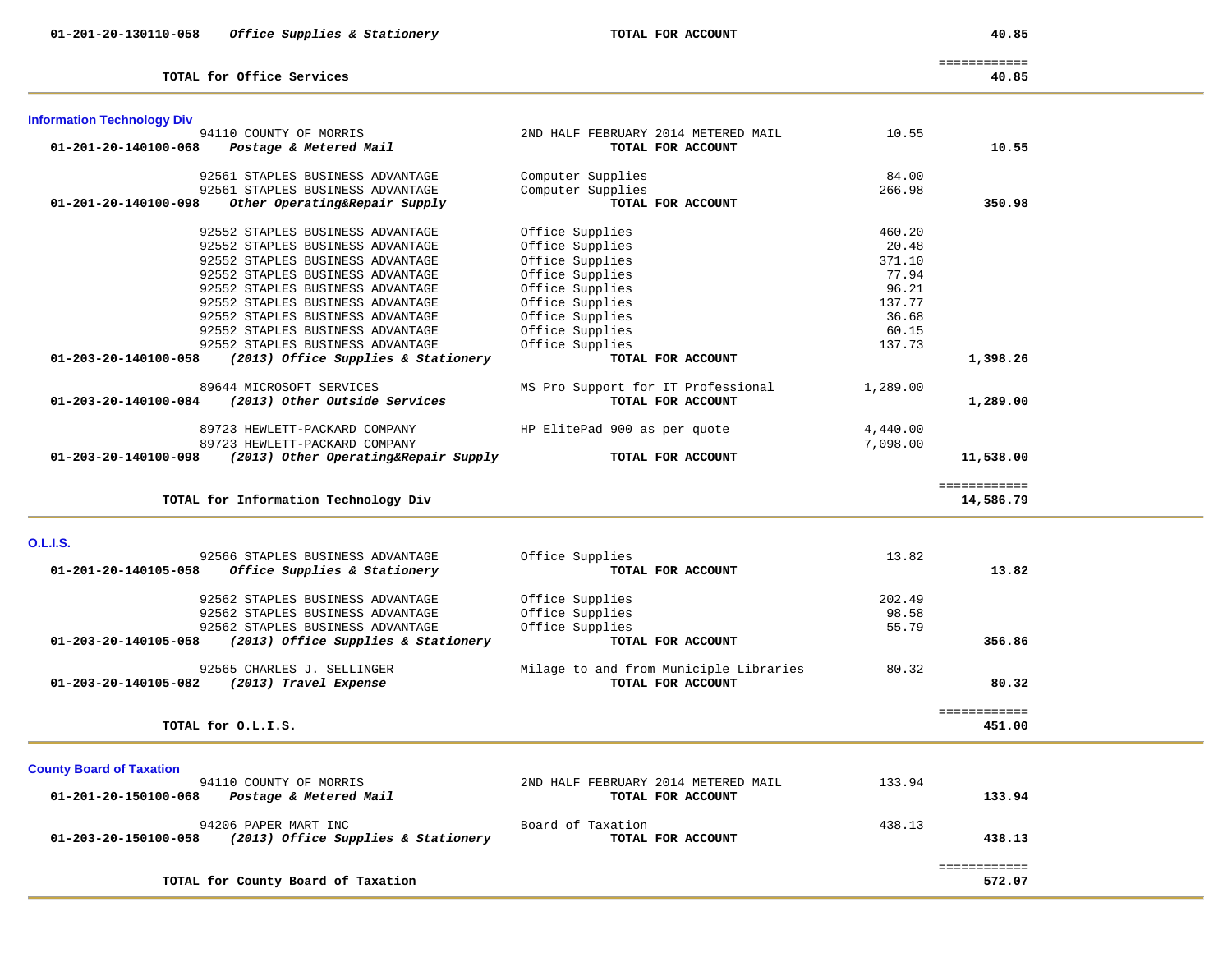| <b>Information Technology Div</b> |                                      |                                        |          |                        |  |
|-----------------------------------|--------------------------------------|----------------------------------------|----------|------------------------|--|
|                                   | 94110 COUNTY OF MORRIS               | 2ND HALF FEBRUARY 2014 METERED MAIL    | 10.55    |                        |  |
| 01-201-20-140100-068              | Postage & Metered Mail               | TOTAL FOR ACCOUNT                      |          | 10.55                  |  |
|                                   |                                      |                                        |          |                        |  |
|                                   | 92561 STAPLES BUSINESS ADVANTAGE     | Computer Supplies                      | 84.00    |                        |  |
|                                   | 92561 STAPLES BUSINESS ADVANTAGE     | Computer Supplies                      | 266.98   |                        |  |
| 01-201-20-140100-098              | Other Operating&Repair Supply        | TOTAL FOR ACCOUNT                      |          | 350.98                 |  |
|                                   | 92552 STAPLES BUSINESS ADVANTAGE     | Office Supplies                        | 460.20   |                        |  |
|                                   | 92552 STAPLES BUSINESS ADVANTAGE     | Office Supplies                        | 20.48    |                        |  |
|                                   | 92552 STAPLES BUSINESS ADVANTAGE     | Office Supplies                        | 371.10   |                        |  |
|                                   | 92552 STAPLES BUSINESS ADVANTAGE     | Office Supplies                        | 77.94    |                        |  |
|                                   | 92552 STAPLES BUSINESS ADVANTAGE     | Office Supplies                        | 96.21    |                        |  |
|                                   | 92552 STAPLES BUSINESS ADVANTAGE     | Office Supplies                        | 137.77   |                        |  |
|                                   | 92552 STAPLES BUSINESS ADVANTAGE     | Office Supplies                        | 36.68    |                        |  |
|                                   | 92552 STAPLES BUSINESS ADVANTAGE     | Office Supplies                        | 60.15    |                        |  |
|                                   | 92552 STAPLES BUSINESS ADVANTAGE     | Office Supplies                        | 137.73   |                        |  |
| 01-203-20-140100-058              | (2013) Office Supplies & Stationery  | TOTAL FOR ACCOUNT                      |          | 1,398.26               |  |
|                                   |                                      |                                        |          |                        |  |
|                                   | 89644 MICROSOFT SERVICES             | MS Pro Support for IT Professional     | 1,289.00 |                        |  |
| 01-203-20-140100-084              | (2013) Other Outside Services        | TOTAL FOR ACCOUNT                      |          | 1,289.00               |  |
|                                   |                                      |                                        |          |                        |  |
|                                   | 89723 HEWLETT-PACKARD COMPANY        | HP ElitePad 900 as per quote           | 4,440.00 |                        |  |
|                                   | 89723 HEWLETT-PACKARD COMPANY        |                                        | 7,098.00 |                        |  |
| 01-203-20-140100-098              | (2013) Other Operating&Repair Supply | TOTAL FOR ACCOUNT                      |          | 11,538.00              |  |
|                                   |                                      |                                        |          |                        |  |
|                                   |                                      |                                        |          | ============           |  |
|                                   | TOTAL for Information Technology Div |                                        |          | 14,586.79              |  |
|                                   |                                      |                                        |          |                        |  |
| <b>O.L.I.S.</b>                   |                                      |                                        |          |                        |  |
|                                   | 92566 STAPLES BUSINESS ADVANTAGE     | Office Supplies                        | 13.82    |                        |  |
| 01-201-20-140105-058              | Office Supplies & Stationery         | TOTAL FOR ACCOUNT                      |          | 13.82                  |  |
|                                   |                                      |                                        |          |                        |  |
|                                   | 92562 STAPLES BUSINESS ADVANTAGE     | Office Supplies                        | 202.49   |                        |  |
|                                   | 92562 STAPLES BUSINESS ADVANTAGE     | Office Supplies                        | 98.58    |                        |  |
|                                   | 92562 STAPLES BUSINESS ADVANTAGE     | Office Supplies                        | 55.79    |                        |  |
| 01-203-20-140105-058              | (2013) Office Supplies & Stationery  | TOTAL FOR ACCOUNT                      |          | 356.86                 |  |
|                                   |                                      |                                        |          |                        |  |
|                                   | 92565 CHARLES J. SELLINGER           | Milage to and from Municiple Libraries | 80.32    |                        |  |
| 01-203-20-140105-082              | (2013) Travel Expense                | TOTAL FOR ACCOUNT                      |          | 80.32                  |  |
|                                   |                                      |                                        |          |                        |  |
|                                   | TOTAL for O.L.I.S.                   |                                        |          | ============<br>451.00 |  |
|                                   |                                      |                                        |          |                        |  |
|                                   |                                      |                                        |          |                        |  |
| <b>County Board of Taxation</b>   |                                      |                                        |          |                        |  |
|                                   | 94110 COUNTY OF MORRIS               | 2ND HALF FEBRUARY 2014 METERED MAIL    | 133.94   |                        |  |
| 01-201-20-150100-068              | Postage & Metered Mail               | TOTAL FOR ACCOUNT                      |          | 133.94                 |  |
|                                   |                                      |                                        |          |                        |  |
|                                   | 94206 PAPER MART INC                 | Board of Taxation                      | 438.13   |                        |  |
| 01-203-20-150100-058              | (2013) Office Supplies & Stationery  | TOTAL FOR ACCOUNT                      |          | 438.13                 |  |
|                                   |                                      |                                        |          |                        |  |
|                                   |                                      |                                        |          | ============           |  |
|                                   | TOTAL for County Board of Taxation   |                                        |          | 572.07                 |  |

**TOTAL for Office Services 40.85**

============

40.85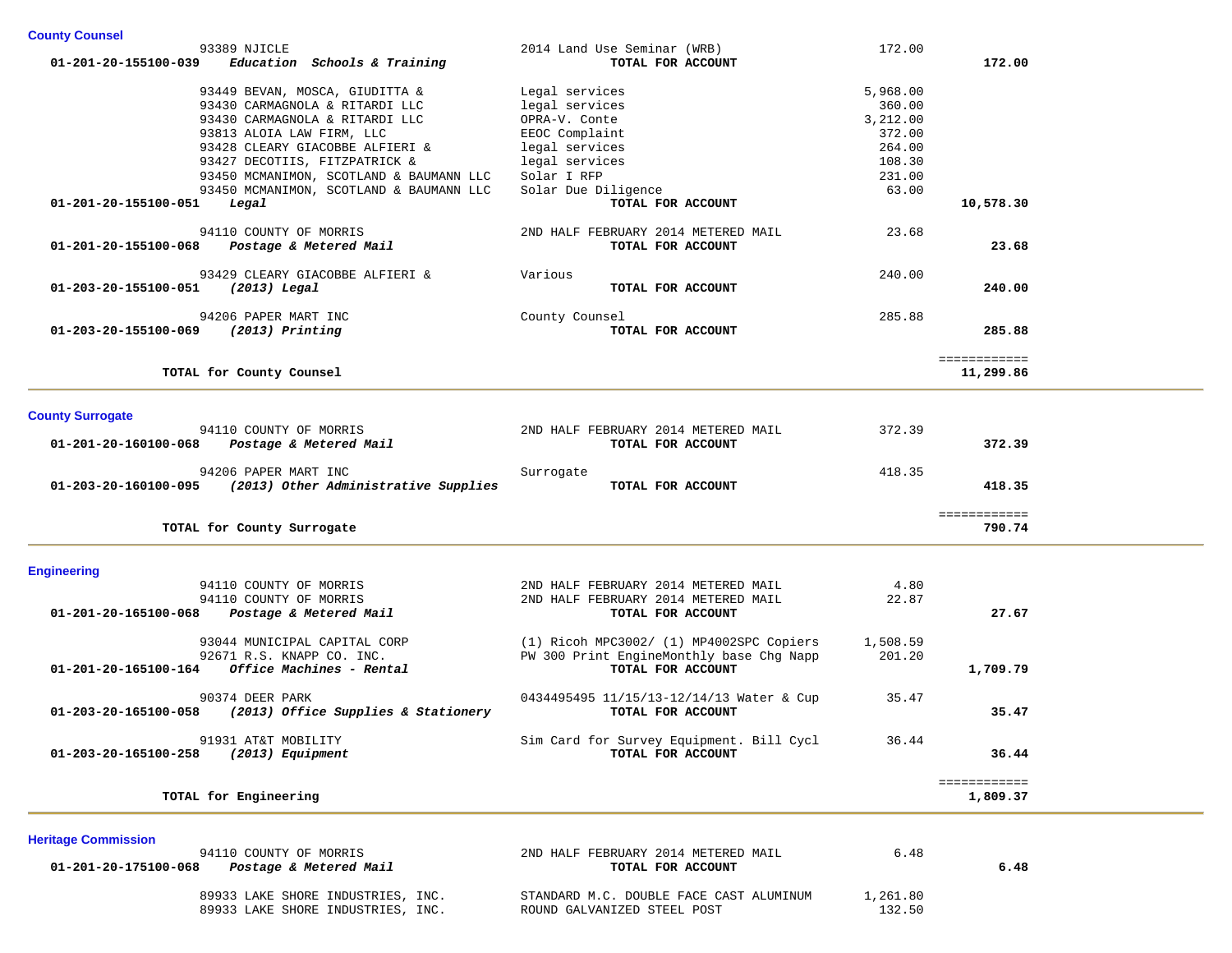| <b>County Counsel</b>                                                              |                                          |                  |              |  |
|------------------------------------------------------------------------------------|------------------------------------------|------------------|--------------|--|
| 93389 NJICLE                                                                       | 2014 Land Use Seminar (WRB)              | 172.00           |              |  |
| 01-201-20-155100-039<br>Education Schools & Training                               | TOTAL FOR ACCOUNT                        |                  | 172.00       |  |
|                                                                                    |                                          |                  |              |  |
| 93449 BEVAN, MOSCA, GIUDITTA &                                                     | Legal services                           | 5,968.00         |              |  |
| 93430 CARMAGNOLA & RITARDI LLC                                                     | legal services                           | 360.00           |              |  |
| 93430 CARMAGNOLA & RITARDI LLC                                                     | OPRA-V. Conte                            | 3,212.00         |              |  |
| 93813 ALOIA LAW FIRM, LLC                                                          | EEOC Complaint                           | 372.00           |              |  |
| 93428 CLEARY GIACOBBE ALFIERI &                                                    | legal services                           | 264.00<br>108.30 |              |  |
| 93427 DECOTIIS, FITZPATRICK &                                                      | legal services                           |                  |              |  |
| 93450 MCMANIMON, SCOTLAND & BAUMANN LLC<br>93450 MCMANIMON, SCOTLAND & BAUMANN LLC | Solar I RFP                              | 231.00<br>63.00  |              |  |
| 01-201-20-155100-051<br>Legal                                                      | Solar Due Diligence<br>TOTAL FOR ACCOUNT |                  | 10,578.30    |  |
|                                                                                    |                                          |                  |              |  |
| 94110 COUNTY OF MORRIS                                                             | 2ND HALF FEBRUARY 2014 METERED MAIL      | 23.68            |              |  |
| Postage & Metered Mail<br>01-201-20-155100-068                                     | TOTAL FOR ACCOUNT                        |                  | 23.68        |  |
|                                                                                    |                                          |                  |              |  |
| 93429 CLEARY GIACOBBE ALFIERI &                                                    | Various                                  | 240.00           |              |  |
| 01-203-20-155100-051<br>(2013) Legal                                               | TOTAL FOR ACCOUNT                        |                  | 240.00       |  |
|                                                                                    |                                          |                  |              |  |
| 94206 PAPER MART INC                                                               | County Counsel                           | 285.88           |              |  |
| 01-203-20-155100-069<br>(2013) Printing                                            | TOTAL FOR ACCOUNT                        |                  | 285.88       |  |
|                                                                                    |                                          |                  | ============ |  |
| TOTAL for County Counsel                                                           |                                          |                  | 11,299.86    |  |
|                                                                                    |                                          |                  |              |  |
|                                                                                    |                                          |                  |              |  |
| <b>County Surrogate</b>                                                            |                                          |                  |              |  |
| 94110 COUNTY OF MORRIS                                                             | 2ND HALF FEBRUARY 2014 METERED MAIL      | 372.39           |              |  |
| Postage & Metered Mail<br>01-201-20-160100-068                                     | TOTAL FOR ACCOUNT                        |                  | 372.39       |  |
| 94206 PAPER MART INC                                                               | Surrogate                                | 418.35           |              |  |
| 01-203-20-160100-095<br>(2013) Other Administrative Supplies                       | TOTAL FOR ACCOUNT                        |                  | 418.35       |  |
|                                                                                    |                                          |                  |              |  |
|                                                                                    |                                          |                  | ============ |  |
| TOTAL for County Surrogate                                                         |                                          |                  | 790.74       |  |
|                                                                                    |                                          |                  |              |  |
| <b>Engineering</b>                                                                 |                                          |                  |              |  |
| 94110 COUNTY OF MORRIS                                                             | 2ND HALF FEBRUARY 2014 METERED MAIL      | 4.80             |              |  |
| 94110 COUNTY OF MORRIS                                                             | 2ND HALF FEBRUARY 2014 METERED MAIL      | 22.87            |              |  |
| 01-201-20-165100-068<br>Postage & Metered Mail                                     | TOTAL FOR ACCOUNT                        |                  | 27.67        |  |
|                                                                                    |                                          |                  |              |  |
| 93044 MUNICIPAL CAPITAL CORP                                                       | (1) Ricoh MPC3002/ (1) MP4002SPC Copiers | 1,508.59         |              |  |
| 92671 R.S. KNAPP CO. INC.                                                          | PW 300 Print EngineMonthly base Chg Napp | 201.20           |              |  |
| Office Machines - Rental<br>01-201-20-165100-164                                   | TOTAL FOR ACCOUNT                        |                  | 1,709.79     |  |
|                                                                                    |                                          |                  |              |  |
| 90374 DEER PARK                                                                    | 0434495495 11/15/13-12/14/13 Water & Cup | 35.47            |              |  |
| (2013) Office Supplies & Stationery<br>01-203-20-165100-058                        | TOTAL FOR ACCOUNT                        |                  | 35.47        |  |
| 91931 AT&T MOBILITY                                                                | Sim Card for Survey Equipment. Bill Cycl | 36.44            |              |  |
| 01-203-20-165100-258<br>(2013) Equipment                                           | TOTAL FOR ACCOUNT                        |                  | 36.44        |  |
|                                                                                    |                                          |                  |              |  |
|                                                                                    |                                          |                  | ============ |  |
| TOTAL for Engineering                                                              |                                          |                  | 1,809.37     |  |
|                                                                                    |                                          |                  |              |  |
|                                                                                    |                                          |                  |              |  |
| <b>Heritage Commission</b><br>94110 COUNTY OF MORRIS                               | 2ND HALF FEBRUARY 2014 METERED MAIL      | 6.48             |              |  |

 89933 LAKE SHORE INDUSTRIES, INC. STANDARD M.C. DOUBLE FACE CAST ALUMINUM 1,261.80 89933 LAKE SHORE INDUSTRIES, INC. ROUND GALVANIZED STEEL POST 132.50

 **01-201-20-175100-068** *Postage & Metered Mail* **TOTAL FOR ACCOUNT 6.48**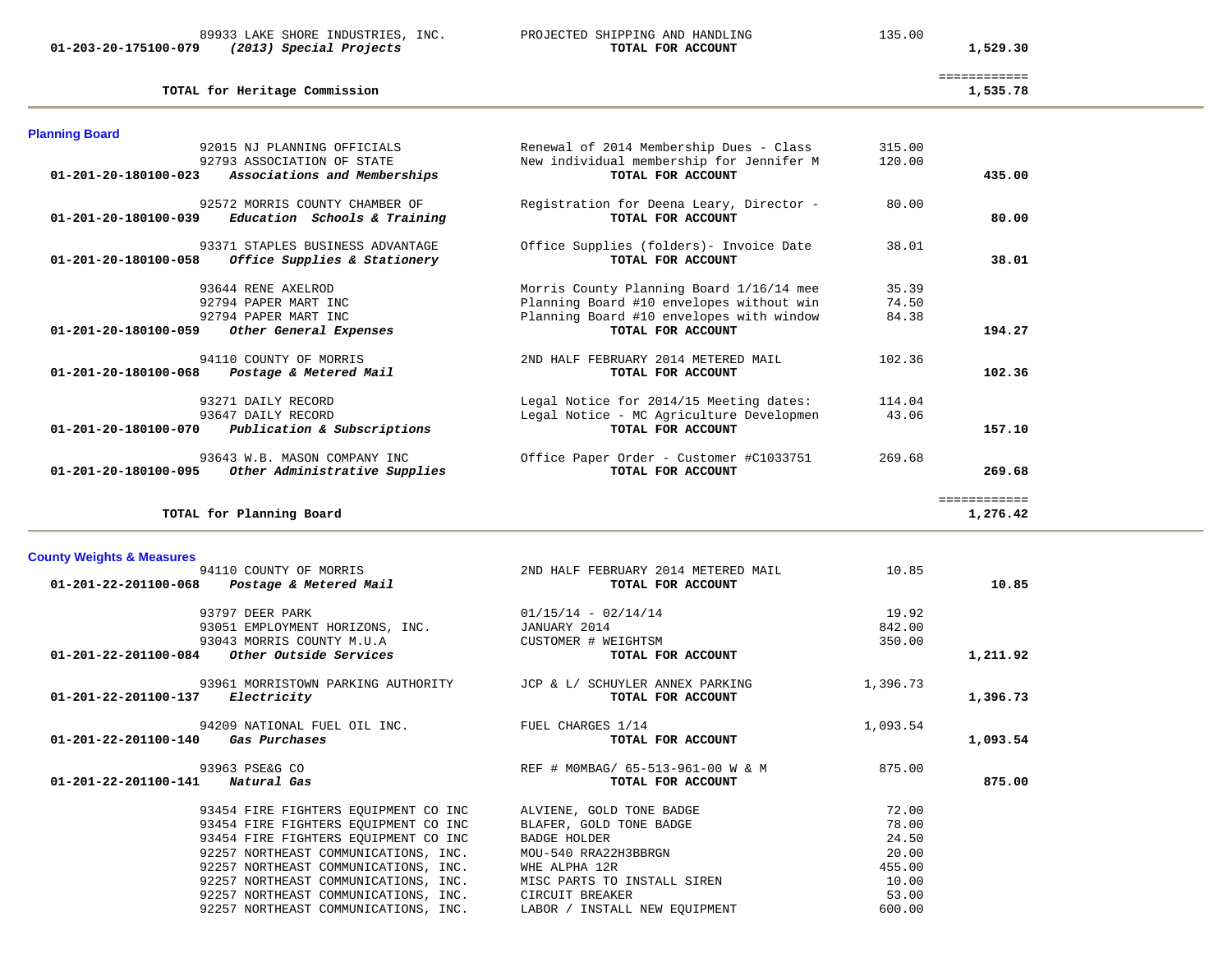**01-203-20-175100-079** *(2013) Special Projects* **TOTAL FOR ACCOUNT 1,529.30**

89933 LAKE SHORE INDUSTRIES, INC. PROJECTED SHIPPING AND HANDLING 135.00

**TOTAL for Heritage Commission 1,535.78**

#### **Planning Board**

| <b>Planning Board</b>                                                                        |                                                               |        |              |
|----------------------------------------------------------------------------------------------|---------------------------------------------------------------|--------|--------------|
| 92015 NJ PLANNING OFFICIALS                                                                  | Renewal of 2014 Membership Dues - Class                       | 315.00 |              |
| 92793 ASSOCIATION OF STATE<br>$01 - 201 - 20 - 180100 - 023$<br>Associations and Memberships | New individual membership for Jennifer M<br>TOTAL FOR ACCOUNT | 120.00 | 435.00       |
|                                                                                              |                                                               |        |              |
| 92572 MORRIS COUNTY CHAMBER OF                                                               | Registration for Deena Leary, Director -                      | 80.00  |              |
| 01-201-20-180100-039<br>Education Schools & Training                                         | TOTAL FOR ACCOUNT                                             |        | 80.00        |
| 93371 STAPLES BUSINESS ADVANTAGE                                                             | Office Supplies (folders) - Invoice Date                      | 38.01  |              |
| 01-201-20-180100-058<br>Office Supplies & Stationery                                         | TOTAL FOR ACCOUNT                                             |        | 38.01        |
| 93644 RENE AXELROD                                                                           | Morris County Planning Board 1/16/14 mee                      | 35.39  |              |
| 92794 PAPER MART INC                                                                         | Planning Board #10 envelopes without win                      | 74.50  |              |
| 92794 PAPER MART INC                                                                         | Planning Board #10 envelopes with window                      | 84.38  |              |
| 01-201-20-180100-059<br>Other General Expenses                                               | TOTAL FOR ACCOUNT                                             |        | 194.27       |
| 94110 COUNTY OF MORRIS                                                                       | 2ND HALF FEBRUARY 2014 METERED MAIL                           | 102.36 |              |
| 01-201-20-180100-068<br>Postage & Metered Mail                                               | TOTAL FOR ACCOUNT                                             |        | 102.36       |
| 93271 DAILY RECORD                                                                           | Legal Notice for 2014/15 Meeting dates:                       | 114.04 |              |
| 93647 DAILY RECORD                                                                           | Legal Notice - MC Agriculture Developmen                      | 43.06  |              |
| 01-201-20-180100-070<br>Publication & Subscriptions                                          | TOTAL FOR ACCOUNT                                             |        | 157.10       |
| 93643 W.B. MASON COMPANY INC                                                                 | Office Paper Order - Customer #C1033751                       | 269.68 |              |
| Other Administrative Supplies<br>01-201-20-180100-095                                        | TOTAL FOR ACCOUNT                                             |        | 269.68       |
|                                                                                              |                                                               |        | ============ |
| TOTAL for Planning Board                                                                     |                                                               |        | 1,276.42     |

# **County Weights & Measures**

| 94110 COUNTY OF MORRIS                                                                                        | 2ND HALF FEBRUARY 2014 METERED MAIL                    | 10.85    |          |
|---------------------------------------------------------------------------------------------------------------|--------------------------------------------------------|----------|----------|
| Postage & Metered Mail<br>01-201-22-201100-068                                                                | TOTAL FOR ACCOUNT                                      |          | 10.85    |
| 93797 DEER PARK                                                                                               | $01/15/14 - 02/14/14$                                  | 19.92    |          |
| 93051 EMPLOYMENT HORIZONS, INC.                                                                               | JANUARY 2014                                           | 842.00   |          |
| 93043 MORRIS COUNTY M.U.A                                                                                     | CUSTOMER # WEIGHTSM                                    | 350.00   |          |
| $01-201-22-201100-084$ Other Outside Services                                                                 | TOTAL FOR ACCOUNT                                      |          | 1,211.92 |
| 93961 MORRISTOWN PARKING AUTHORITY THE JCP & L/ SCHUYLER ANNEX PARKING<br>01-201-22-201100-137<br>Electricity | TOTAL FOR ACCOUNT                                      | 1,396.73 | 1,396.73 |
| 94209 NATIONAL FUEL OIL INC.<br>01-201-22-201100-140<br>Gas Purchases                                         | FUEL CHARGES 1/14<br>TOTAL FOR ACCOUNT                 | 1,093.54 | 1,093.54 |
| 93963 PSE&G CO<br>$01 - 201 - 22 - 201100 - 141$<br>Natural Gas                                               | REF # MOMBAG/ 65-513-961-00 W & M<br>TOTAL FOR ACCOUNT | 875.00   | 875.00   |
| 93454 FIRE FIGHTERS EQUIPMENT CO INC                                                                          | ALVIENE, GOLD TONE BADGE                               | 72.00    |          |
| 93454 FIRE FIGHTERS EQUIPMENT CO INC                                                                          | BLAFER, GOLD TONE BADGE                                | 78.00    |          |
| 93454 FIRE FIGHTERS EOUIPMENT CO INC                                                                          | BADGE HOLDER                                           | 24.50    |          |
| 92257 NORTHEAST COMMUNICATIONS, INC.                                                                          | MOU-540 RRA22H3BBRGN                                   | 20.00    |          |
| 92257 NORTHEAST COMMUNICATIONS, INC.                                                                          | WHE ALPHA 12R                                          | 455.00   |          |
| 92257 NORTHEAST COMMUNICATIONS, INC. MISC PARTS TO INSTALL SIREN                                              |                                                        | 10.00    |          |
| 92257 NORTHEAST COMMUNICATIONS, INC.                                                                          | CIRCUIT BREAKER                                        | 53.00    |          |
| 92257 NORTHEAST COMMUNICATIONS, INC.                                                                          | LABOR / INSTALL NEW EQUIPMENT                          | 600.00   |          |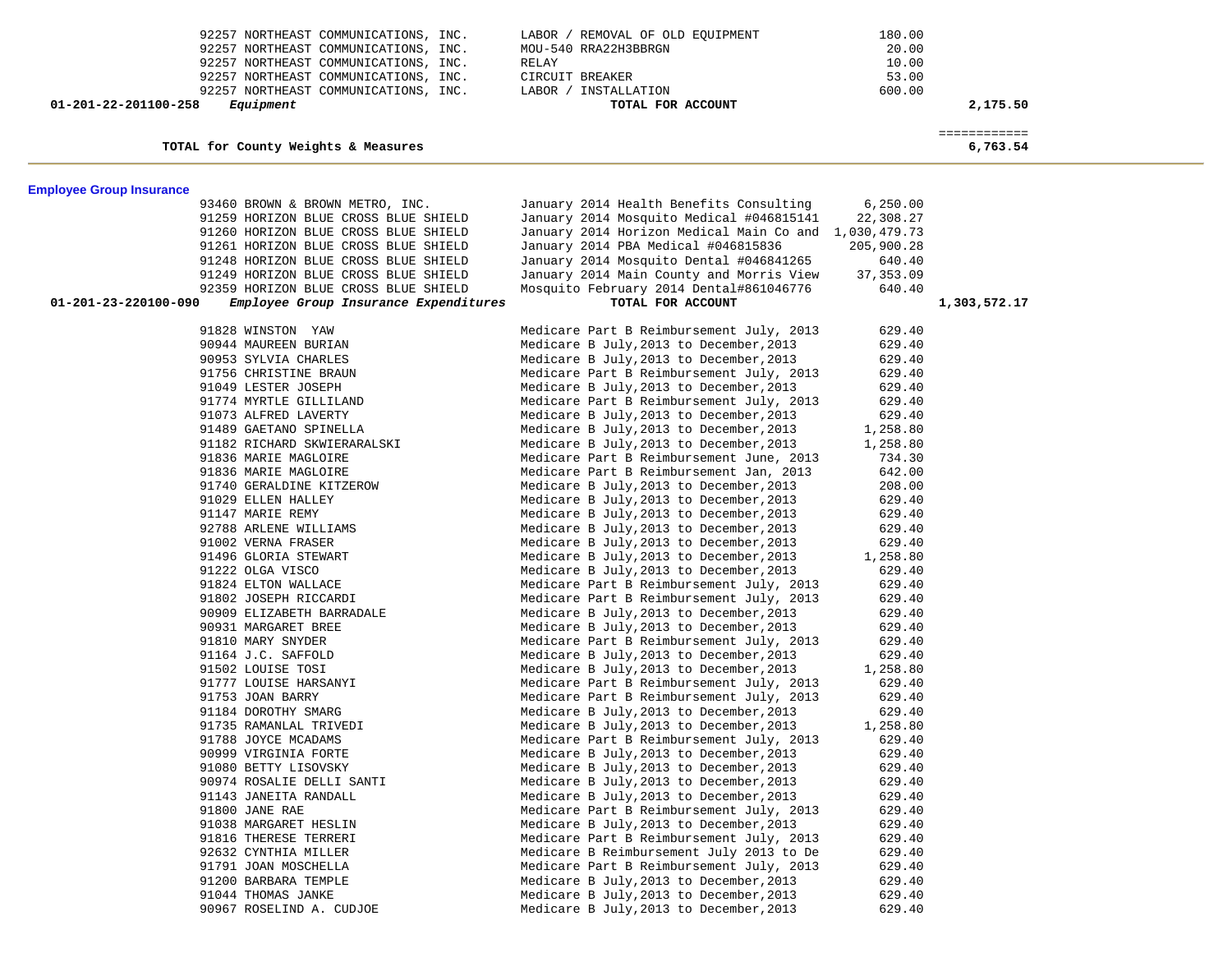| 92257 NORTHEAST COMMUNICATIONS, INC.                               | LABOR / REMOVAL OF OLD EQUIPMENT                                                   | 180.00             |                          |  |
|--------------------------------------------------------------------|------------------------------------------------------------------------------------|--------------------|--------------------------|--|
| 92257 NORTHEAST COMMUNICATIONS, INC.                               | MOU-540 RRA22H3BBRGN                                                               | 20.00              |                          |  |
| 92257 NORTHEAST COMMUNICATIONS, INC.                               | RELAY                                                                              | 10.00              |                          |  |
| 92257 NORTHEAST COMMUNICATIONS, INC.                               | CIRCUIT BREAKER                                                                    | 53.00              |                          |  |
| 92257 NORTHEAST COMMUNICATIONS, INC.                               | LABOR / INSTALLATION                                                               | 600.00             |                          |  |
| 01-201-22-201100-258<br>Equipment                                  | TOTAL FOR ACCOUNT                                                                  |                    | 2,175.50                 |  |
|                                                                    |                                                                                    |                    |                          |  |
| TOTAL for County Weights & Measures                                |                                                                                    |                    | ============<br>6,763.54 |  |
|                                                                    |                                                                                    |                    |                          |  |
|                                                                    |                                                                                    |                    |                          |  |
| <b>Employee Group Insurance</b><br>93460 BROWN & BROWN METRO, INC. | January 2014 Health Benefits Consulting                                            | 6, 250.00          |                          |  |
| 91259 HORIZON BLUE CROSS BLUE SHIELD                               | January 2014 Mosquito Medical #046815141                                           | 22,308.27          |                          |  |
| 91260 HORIZON BLUE CROSS BLUE SHIELD                               | January 2014 Horizon Medical Main Co and 1,030,479.73                              |                    |                          |  |
| 91261 HORIZON BLUE CROSS BLUE SHIELD                               | January 2014 PBA Medical #046815836                                                | 205,900.28         |                          |  |
| 91248 HORIZON BLUE CROSS BLUE SHIELD                               | January 2014 Mosquito Dental #046841265                                            | 640.40             |                          |  |
| 91249 HORIZON BLUE CROSS BLUE SHIELD                               | January 2014 Main County and Morris View                                           | 37,353.09          |                          |  |
| 92359 HORIZON BLUE CROSS BLUE SHIELD                               | Mosquito February 2014 Dental#861046776                                            | 640.40             |                          |  |
| 01-201-23-220100-090<br>Employee Group Insurance Expenditures      | TOTAL FOR ACCOUNT                                                                  |                    | 1,303,572.17             |  |
|                                                                    |                                                                                    |                    |                          |  |
| 91828 WINSTON YAW                                                  | Medicare Part B Reimbursement July, 2013                                           | 629.40             |                          |  |
| 90944 MAUREEN BURIAN                                               | Medicare B July, 2013 to December, 2013                                            | 629.40             |                          |  |
| 90953 SYLVIA CHARLES                                               | Medicare B July, 2013 to December, 2013                                            | 629.40             |                          |  |
| 91756 CHRISTINE BRAUN                                              | Medicare Part B Reimbursement July, 2013                                           | 629.40             |                          |  |
| 91049 LESTER JOSEPH                                                | Medicare B July, 2013 to December, 2013                                            | 629.40             |                          |  |
| 91774 MYRTLE GILLILAND                                             | Medicare Part B Reimbursement July, 2013                                           | 629.40             |                          |  |
| 91073 ALFRED LAVERTY                                               | Medicare B July, 2013 to December, 2013                                            | 629.40             |                          |  |
| 91489 GAETANO SPINELLA                                             | Medicare B July, 2013 to December, 2013                                            | 1,258.80           |                          |  |
| 91182 RICHARD SKWIERARALSKI                                        | Medicare B July, 2013 to December, 2013                                            | 1,258.80           |                          |  |
| 91836 MARIE MAGLOIRE                                               | Medicare Part B Reimbursement June, 2013                                           | 734.30             |                          |  |
| 91836 MARIE MAGLOIRE                                               | Medicare Part B Reimbursement Jan, 2013                                            | 642.00             |                          |  |
| 91740 GERALDINE KITZEROW                                           | Medicare B July, 2013 to December, 2013                                            | 208.00             |                          |  |
| 91029 ELLEN HALLEY                                                 | Medicare B July, 2013 to December, 2013                                            | 629.40             |                          |  |
| 91147 MARIE REMY                                                   | Medicare B July, 2013 to December, 2013                                            | 629.40             |                          |  |
| 92788 ARLENE WILLIAMS                                              | Medicare B July, 2013 to December, 2013                                            | 629.40             |                          |  |
| 91002 VERNA FRASER                                                 | Medicare B July, 2013 to December, 2013                                            | 629.40             |                          |  |
| 91496 GLORIA STEWART                                               | Medicare B July, 2013 to December, 2013                                            | 1,258.80           |                          |  |
| 91222 OLGA VISCO                                                   | Medicare B July, 2013 to December, 2013                                            | 629.40             |                          |  |
| 91824 ELTON WALLACE                                                | Medicare Part B Reimbursement July, 2013                                           | 629.40             |                          |  |
| 91802 JOSEPH RICCARDI                                              | Medicare Part B Reimbursement July, 2013                                           | 629.40             |                          |  |
| 90909 ELIZABETH BARRADALE                                          | Medicare B July, 2013 to December, 2013                                            | 629.40             |                          |  |
| 90931 MARGARET BREE                                                | Medicare B July, 2013 to December, 2013                                            | 629.40             |                          |  |
| 91810 MARY SNYDER                                                  | Medicare Part B Reimbursement July, 2013                                           | 629.40             |                          |  |
| 91164 J.C. SAFFOLD                                                 | Medicare B July, 2013 to December, 2013<br>Medicare B July, 2013 to December, 2013 | 629.40             |                          |  |
| 91502 LOUISE TOSI                                                  | Medicare Part B Reimbursement July, 2013                                           | 1,258.80<br>629.40 |                          |  |
| 91777 LOUISE HARSANYI<br>91753 JOAN BARRY                          | Medicare Part B Reimbursement July, 2013                                           | 629.40             |                          |  |
| 91184 DOROTHY SMARG                                                | Medicare B July, 2013 to December, 2013                                            | 629.40             |                          |  |
| 91735 RAMANLAL TRIVEDI                                             | Medicare B July, 2013 to December, 2013                                            | 1,258.80           |                          |  |
| 91788 JOYCE MCADAMS                                                | Medicare Part B Reimbursement July, 2013                                           | 629.40             |                          |  |
| 90999 VIRGINIA FORTE                                               | Medicare B July, 2013 to December, 2013                                            | 629.40             |                          |  |
| 91080 BETTY LISOVSKY                                               | Medicare B July, 2013 to December, 2013                                            | 629.40             |                          |  |
| 90974 ROSALIE DELLI SANTI                                          | Medicare B July, 2013 to December, 2013                                            | 629.40             |                          |  |
| 91143 JANEITA RANDALL                                              | Medicare B July, 2013 to December, 2013                                            | 629.40             |                          |  |
| 91800 JANE RAE                                                     | Medicare Part B Reimbursement July, 2013                                           | 629.40             |                          |  |
| 91038 MARGARET HESLIN                                              | Medicare B July, 2013 to December, 2013                                            | 629.40             |                          |  |
| 91816 THERESE TERRERI                                              | Medicare Part B Reimbursement July, 2013                                           | 629.40             |                          |  |
| 92632 CYNTHIA MILLER                                               | Medicare B Reimbursement July 2013 to De                                           | 629.40             |                          |  |
| 91791 JOAN MOSCHELLA                                               | Medicare Part B Reimbursement July, 2013                                           | 629.40             |                          |  |
| 91200 BARBARA TEMPLE                                               | Medicare B July, 2013 to December, 2013                                            | 629.40             |                          |  |
| 91044 THOMAS JANKE                                                 | Medicare B July, 2013 to December, 2013                                            | 629.40             |                          |  |
| 90967 ROSELIND A. CUDJOE                                           | Medicare B July, 2013 to December, 2013                                            | 629.40             |                          |  |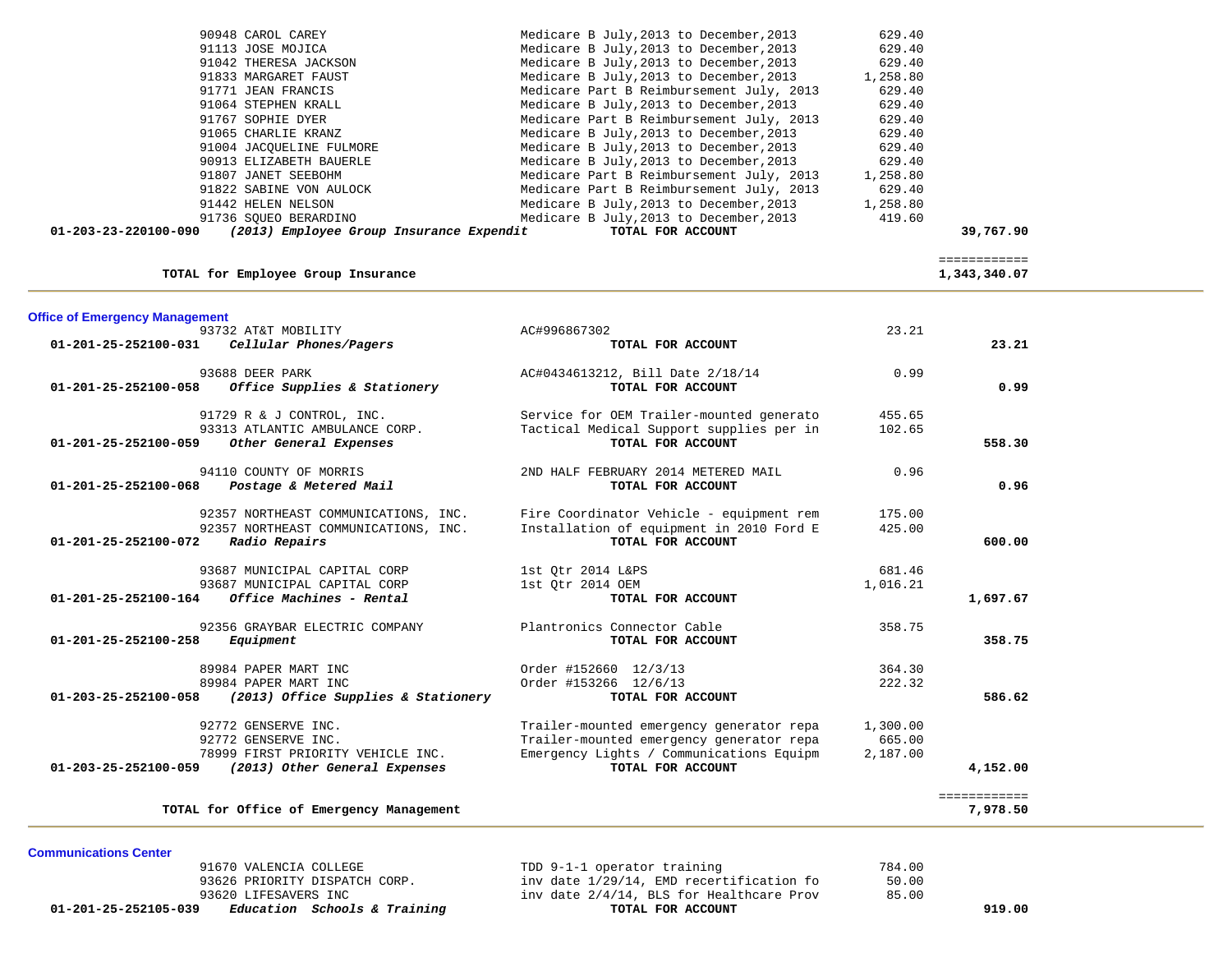| 90948 CAROL CAREY<br>91113 JOSE MOJICA<br>91042 THERESA JACKSON<br>91833 MARGARET FAUST<br>91771 JEAN FRANCIS<br>91064 STEPHEN KRALL<br>91767 SOPHIE DYER<br>91065 CHARLIE KRANZ<br>91004 JACQUELINE FULMORE<br>90913 ELIZABETH BAUERLE<br>91807 JANET SEEBOHM<br>91822 SABINE VON AULOCK<br>91442 HELEN NELSON<br>91736 SQUEO BERARDINO<br>01-203-23-220100-090<br>(2013) Employee Group Insurance Expendit | Medicare B July, 2013 to December, 2013<br>Medicare B July, 2013 to December, 2013<br>Medicare B July, 2013 to December, 2013<br>Medicare B July, 2013 to December, 2013<br>Medicare Part B Reimbursement July, 2013<br>Medicare B July, 2013 to December, 2013<br>Medicare Part B Reimbursement July, 2013<br>Medicare B July, 2013 to December, 2013<br>Medicare B July, 2013 to December, 2013<br>Medicare B July, 2013 to December, 2013<br>Medicare Part B Reimbursement July, 2013<br>Medicare Part B Reimbursement July, 2013<br>Medicare B July, 2013 to December, 2013<br>Medicare B July, 2013 to December, 2013<br>TOTAL FOR ACCOUNT | 629.40<br>629.40<br>629.40<br>1,258.80<br>629.40<br>629.40<br>629.40<br>629.40<br>629.40<br>629.40<br>1,258.80<br>629.40<br>1,258.80<br>419.60 | 39,767.90                    |  |
|--------------------------------------------------------------------------------------------------------------------------------------------------------------------------------------------------------------------------------------------------------------------------------------------------------------------------------------------------------------------------------------------------------------|-------------------------------------------------------------------------------------------------------------------------------------------------------------------------------------------------------------------------------------------------------------------------------------------------------------------------------------------------------------------------------------------------------------------------------------------------------------------------------------------------------------------------------------------------------------------------------------------------------------------------------------------------|------------------------------------------------------------------------------------------------------------------------------------------------|------------------------------|--|
| TOTAL for Employee Group Insurance                                                                                                                                                                                                                                                                                                                                                                           |                                                                                                                                                                                                                                                                                                                                                                                                                                                                                                                                                                                                                                                 |                                                                                                                                                | ============<br>1,343,340.07 |  |
| <b>Office of Emergency Management</b><br>93732 AT&T MOBILITY                                                                                                                                                                                                                                                                                                                                                 | AC#996867302                                                                                                                                                                                                                                                                                                                                                                                                                                                                                                                                                                                                                                    | 23.21                                                                                                                                          |                              |  |
| 01-201-25-252100-031<br>Cellular Phones/Pagers                                                                                                                                                                                                                                                                                                                                                               | TOTAL FOR ACCOUNT                                                                                                                                                                                                                                                                                                                                                                                                                                                                                                                                                                                                                               |                                                                                                                                                | 23.21                        |  |
| 93688 DEER PARK<br>Office Supplies & Stationery<br>01-201-25-252100-058                                                                                                                                                                                                                                                                                                                                      | AC#0434613212, Bill Date 2/18/14<br>TOTAL FOR ACCOUNT                                                                                                                                                                                                                                                                                                                                                                                                                                                                                                                                                                                           | 0.99                                                                                                                                           | 0.99                         |  |
| 91729 R & J CONTROL, INC.<br>93313 ATLANTIC AMBULANCE CORP.<br>01-201-25-252100-059<br>Other General Expenses                                                                                                                                                                                                                                                                                                | Service for OEM Trailer-mounted generato<br>Tactical Medical Support supplies per in<br>TOTAL FOR ACCOUNT                                                                                                                                                                                                                                                                                                                                                                                                                                                                                                                                       | 455.65<br>102.65                                                                                                                               | 558.30                       |  |
| 94110 COUNTY OF MORRIS<br>01-201-25-252100-068<br>Postage & Metered Mail                                                                                                                                                                                                                                                                                                                                     | 2ND HALF FEBRUARY 2014 METERED MAIL<br>TOTAL FOR ACCOUNT                                                                                                                                                                                                                                                                                                                                                                                                                                                                                                                                                                                        | 0.96                                                                                                                                           | 0.96                         |  |
| 92357 NORTHEAST COMMUNICATIONS, INC.<br>92357 NORTHEAST COMMUNICATIONS, INC.<br>01-201-25-252100-072<br>Radio Repairs                                                                                                                                                                                                                                                                                        | Fire Coordinator Vehicle - equipment rem<br>Installation of equipment in 2010 Ford E<br>TOTAL FOR ACCOUNT                                                                                                                                                                                                                                                                                                                                                                                                                                                                                                                                       | 175.00<br>425.00                                                                                                                               | 600.00                       |  |
| 93687 MUNICIPAL CAPITAL CORP<br>93687 MUNICIPAL CAPITAL CORP<br>Office Machines - Rental<br>01-201-25-252100-164                                                                                                                                                                                                                                                                                             | 1st Qtr 2014 L&PS<br>1st Qtr 2014 OEM<br>TOTAL FOR ACCOUNT                                                                                                                                                                                                                                                                                                                                                                                                                                                                                                                                                                                      | 681.46<br>1,016.21                                                                                                                             | 1,697.67                     |  |
| 92356 GRAYBAR ELECTRIC COMPANY<br>01-201-25-252100-258<br>Equipment                                                                                                                                                                                                                                                                                                                                          | Plantronics Connector Cable<br>TOTAL FOR ACCOUNT                                                                                                                                                                                                                                                                                                                                                                                                                                                                                                                                                                                                | 358.75                                                                                                                                         | 358.75                       |  |
| 89984 PAPER MART INC<br>89984 PAPER MART INC<br>(2013) Office Supplies & Stationery<br>01-203-25-252100-058                                                                                                                                                                                                                                                                                                  | Order #152660 12/3/13<br>Order #153266 12/6/13<br>TOTAL FOR ACCOUNT                                                                                                                                                                                                                                                                                                                                                                                                                                                                                                                                                                             | 364.30<br>222.32                                                                                                                               | 586.62                       |  |
| 92772 GENSERVE INC.<br>92772 GENSERVE INC.<br>78999 FIRST PRIORITY VEHICLE INC.<br>01-203-25-252100-059<br>(2013) Other General Expenses                                                                                                                                                                                                                                                                     | Trailer-mounted emergency generator repa<br>Trailer-mounted emergency generator repa<br>Emergency Lights / Communications Equipm<br>TOTAL FOR ACCOUNT                                                                                                                                                                                                                                                                                                                                                                                                                                                                                           | 1,300.00<br>665.00<br>2,187.00                                                                                                                 | 4,152.00                     |  |
| TOTAL for Office of Emergency Management                                                                                                                                                                                                                                                                                                                                                                     |                                                                                                                                                                                                                                                                                                                                                                                                                                                                                                                                                                                                                                                 |                                                                                                                                                | ============<br>7,978.50     |  |

**Communications Center** 

91670 VALENCIA COLLEGE 100 TDD 9-1-1 operator training 784.00<br>93626 PRIORITY DISPATCH CORP. 1nv date 1/29/14, EMD recertification fo 50.00 93626 PRIORITY DISPATCH CORP.  $inv$  date  $1/29/14$ , EMD recertification fo 93620 LIFESAVERS INC<br> **93620 LIFESAVERS INC** inv date  $2/4/14$ , BLS for Healthcare Prov 85.00<br> **Education Schools & Training TOTAL FOR ACCOUNT 01-201-25-252105-039** *Education Schools & Training* **TOTAL FOR ACCOUNT 919.00**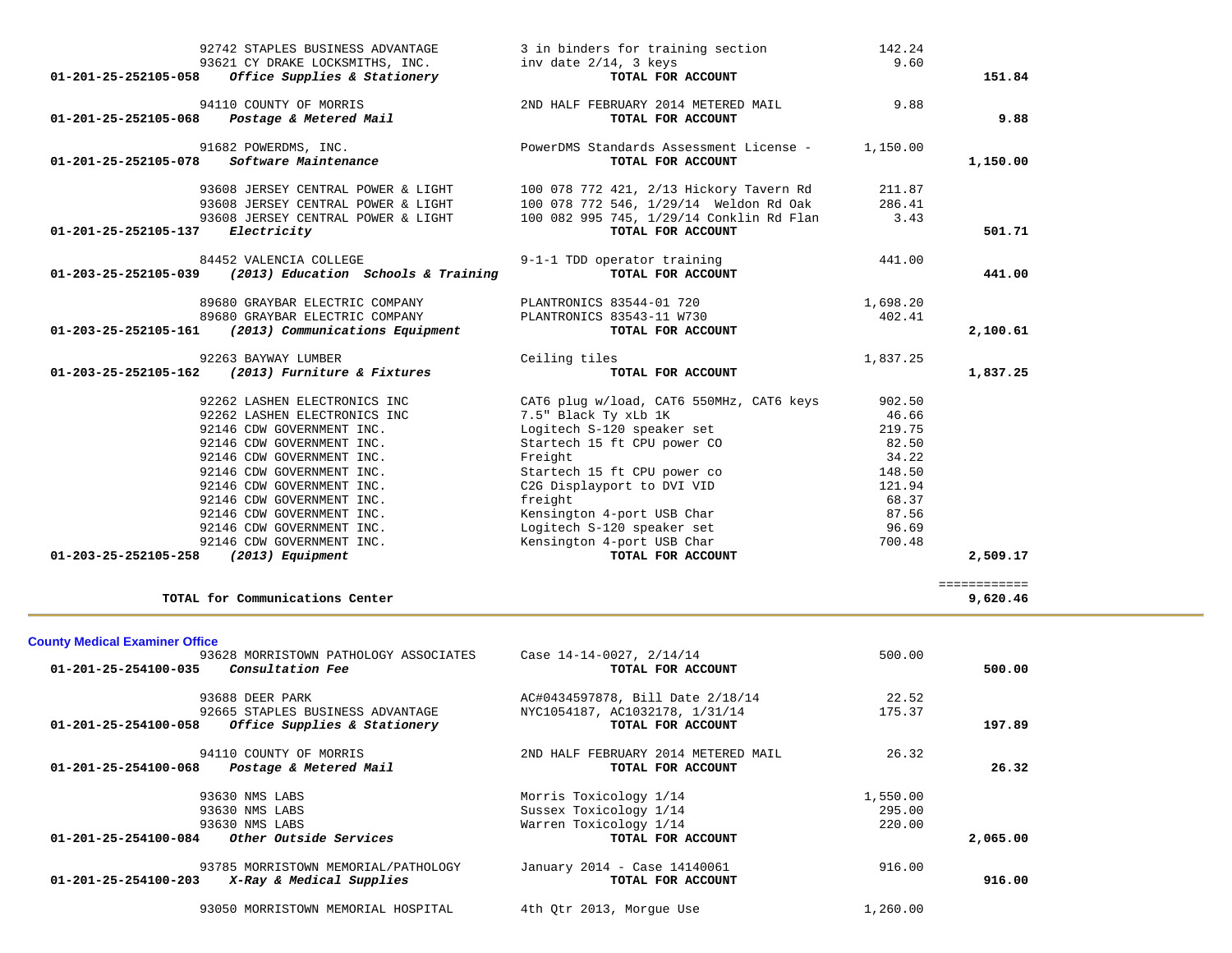| 01-201-25-252105-058                  | 92742 STAPLES BUSINESS ADVANTAGE<br>93621 CY DRAKE LOCKSMITHS, INC.<br>Office Supplies & Stationery | 3 in binders for training section<br>inv date 2/14, 3 keys<br>TOTAL FOR ACCOUNT | 142.24<br>9.60     | 151.84       |
|---------------------------------------|-----------------------------------------------------------------------------------------------------|---------------------------------------------------------------------------------|--------------------|--------------|
|                                       |                                                                                                     |                                                                                 | 9.88               |              |
| 01-201-25-252105-068                  | 94110 COUNTY OF MORRIS<br>Postage & Metered Mail                                                    | 2ND HALF FEBRUARY 2014 METERED MAIL<br>TOTAL FOR ACCOUNT                        |                    | 9.88         |
| 01-201-25-252105-078                  | 91682 POWERDMS, INC.<br>Software Maintenance                                                        | PowerDMS Standards Assessment License -<br>TOTAL FOR ACCOUNT                    | 1,150.00           | 1,150.00     |
|                                       | 93608 JERSEY CENTRAL POWER & LIGHT                                                                  | 100 078 772 421, 2/13 Hickory Tavern Rd                                         | 211.87             |              |
|                                       | 93608 JERSEY CENTRAL POWER & LIGHT                                                                  | 100 078 772 546, 1/29/14 Weldon Rd Oak                                          | 286.41             |              |
|                                       | 93608 JERSEY CENTRAL POWER & LIGHT                                                                  | 100 082 995 745, 1/29/14 Conklin Rd Flan                                        | 3.43               |              |
| 01-201-25-252105-137                  | Electricity                                                                                         | TOTAL FOR ACCOUNT                                                               |                    | 501.71       |
|                                       | 84452 VALENCIA COLLEGE                                                                              | 9-1-1 TDD operator training                                                     | 441.00             |              |
| 01-203-25-252105-039                  | (2013) Education Schools & Training                                                                 | TOTAL FOR ACCOUNT                                                               |                    | 441.00       |
|                                       | 89680 GRAYBAR ELECTRIC COMPANY                                                                      | PLANTRONICS 83544-01 720                                                        | 1,698.20           |              |
|                                       | 89680 GRAYBAR ELECTRIC COMPANY                                                                      | PLANTRONICS 83543-11 W730                                                       | 402.41             |              |
| 01-203-25-252105-161                  | (2013) Communications Equipment                                                                     | TOTAL FOR ACCOUNT                                                               |                    | 2,100.61     |
|                                       | 92263 BAYWAY LUMBER                                                                                 | Ceiling tiles                                                                   | 1,837.25           |              |
| 01-203-25-252105-162                  | (2013) Furniture & Fixtures                                                                         | TOTAL FOR ACCOUNT                                                               |                    | 1,837.25     |
|                                       |                                                                                                     |                                                                                 |                    |              |
|                                       | 92262 LASHEN ELECTRONICS INC                                                                        | CAT6 plug w/load, CAT6 550MHz, CAT6 keys                                        | 902.50             |              |
|                                       | 92262 LASHEN ELECTRONICS INC                                                                        | 7.5" Black Ty xLb 1K                                                            | 46.66              |              |
|                                       | 92146 CDW GOVERNMENT INC.                                                                           | Logitech S-120 speaker set                                                      | 219.75             |              |
|                                       | 92146 CDW GOVERNMENT INC.                                                                           | Startech 15 ft CPU power CO                                                     | 82.50              |              |
|                                       | 92146 CDW GOVERNMENT INC.                                                                           | Freight                                                                         | 34.22              |              |
|                                       | 92146 CDW GOVERNMENT INC.                                                                           | Startech 15 ft CPU power co                                                     | 148.50             |              |
|                                       | 92146 CDW GOVERNMENT INC.                                                                           | C2G Displayport to DVI VID                                                      | 121.94             |              |
|                                       | 92146 CDW GOVERNMENT INC.                                                                           | freight                                                                         | 68.37              |              |
|                                       | 92146 CDW GOVERNMENT INC.                                                                           | Kensington 4-port USB Char                                                      | 87.56              |              |
|                                       | 92146 CDW GOVERNMENT INC.                                                                           | Logitech S-120 speaker set                                                      | 96.69              |              |
| 01-203-25-252105-258                  | 92146 CDW GOVERNMENT INC.                                                                           | Kensington 4-port USB Char<br>TOTAL FOR ACCOUNT                                 | 700.48             | 2,509.17     |
|                                       | (2013) Equipment                                                                                    |                                                                                 |                    |              |
|                                       |                                                                                                     |                                                                                 |                    | ============ |
|                                       | TOTAL for Communications Center                                                                     |                                                                                 |                    | 9,620.46     |
|                                       |                                                                                                     |                                                                                 |                    |              |
| <b>County Medical Examiner Office</b> |                                                                                                     |                                                                                 |                    |              |
|                                       | 93628 MORRISTOWN PATHOLOGY ASSOCIATES                                                               | Case 14-14-0027, 2/14/14                                                        | 500.00             |              |
|                                       | 01-201-25-254100-035 Consultation Fee                                                               | TOTAL FOR ACCOUNT                                                               |                    | 500.00       |
|                                       | 93688 DEER PARK                                                                                     | AC#0434597878, Bill Date 2/18/14                                                | 22.52              |              |
|                                       | 92665 STAPLES BUSINESS ADVANTAGE                                                                    | NYC1054187, AC1032178, 1/31/14                                                  | 175.37             |              |
| 01-201-25-254100-058                  | Office Supplies & Stationery                                                                        | TOTAL FOR ACCOUNT                                                               |                    | 197.89       |
|                                       | 94110 COUNTY OF MORRIS                                                                              | 2ND HALF FEBRUARY 2014 METERED MAIL                                             | 26.32              |              |
| 01-201-25-254100-068                  | Postage & Metered Mail                                                                              | TOTAL FOR ACCOUNT                                                               |                    | 26.32        |
|                                       | 93630 NMS LABS                                                                                      |                                                                                 |                    |              |
|                                       | 93630 NMS LABS                                                                                      | Morris Toxicology 1/14<br>Sussex Toxicology 1/14                                | 1,550.00<br>295.00 |              |
|                                       | 93630 NMS LABS                                                                                      | Warren Toxicology 1/14                                                          | 220.00             |              |
|                                       |                                                                                                     |                                                                                 |                    |              |

|                                                                                                                                                        | 01-201-25-254100-084 | Other Outside Services | TOTAL FOR ACCOUNT | 2,065,00 |
|--------------------------------------------------------------------------------------------------------------------------------------------------------|----------------------|------------------------|-------------------|----------|
| 916.00<br>January 2014 - Case 14140061<br>93785 MORRISTOWN MEMORIAL/PATHOLOGY<br>X-Ray & Medical Supplies<br>01-201-25-254100-203<br>TOTAL FOR ACCOUNT |                      |                        |                   | 916.00   |

93050 MORRISTOWN MEMORIAL HOSPITAL 4th Qtr 2013, Morgue Use 1,260.00

 $\sim$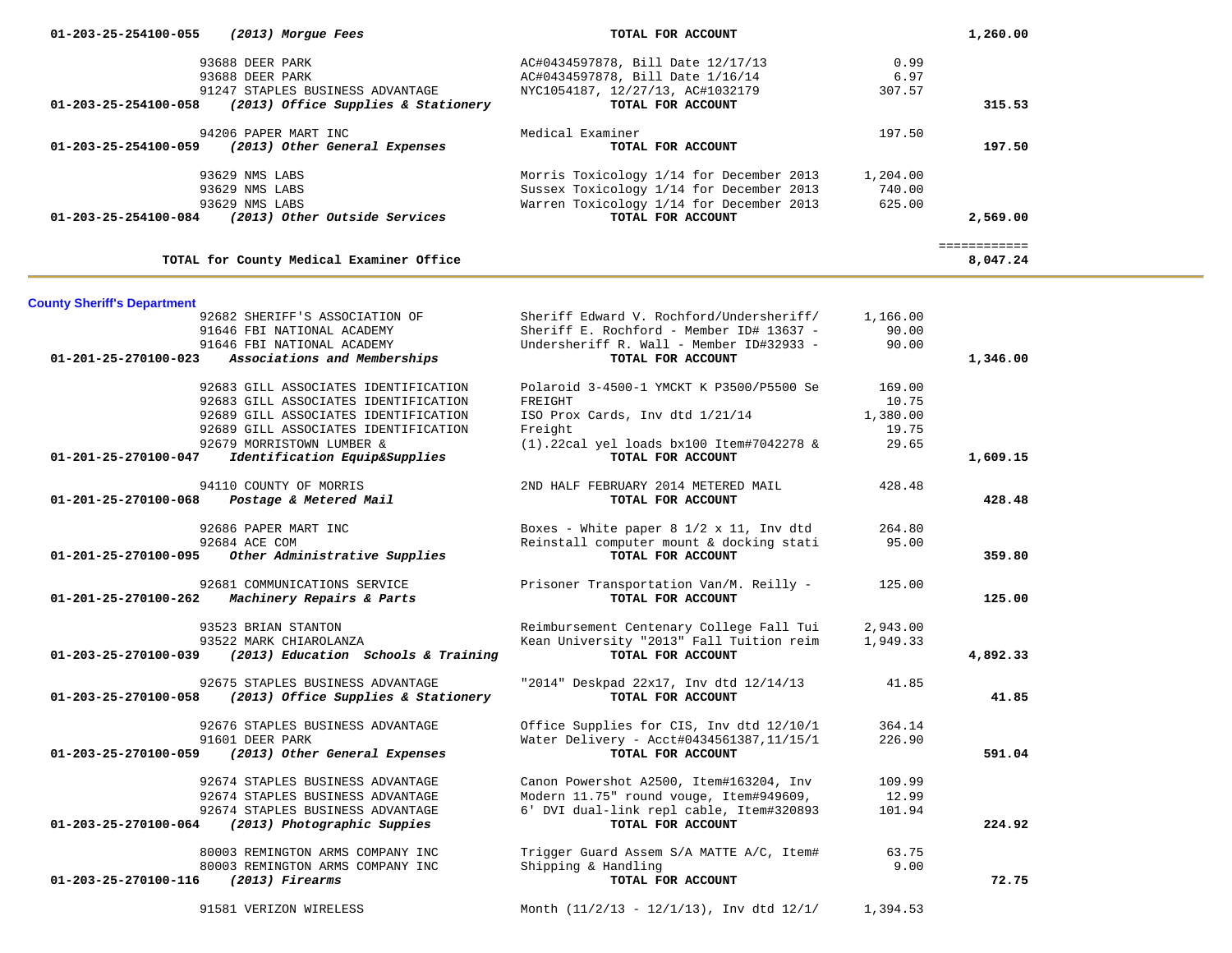| 01-203-25-254100-055                                       | (2013) Morgue Fees                                                                                                                                                                        | TOTAL FOR ACCOUNT                                                                                                                                     |                                               | 1,260.00                 |
|------------------------------------------------------------|-------------------------------------------------------------------------------------------------------------------------------------------------------------------------------------------|-------------------------------------------------------------------------------------------------------------------------------------------------------|-----------------------------------------------|--------------------------|
| 01-203-25-254100-058                                       | 93688 DEER PARK<br>93688 DEER PARK<br>91247 STAPLES BUSINESS ADVANTAGE<br>(2013) Office Supplies & Stationery                                                                             | AC#0434597878, Bill Date 12/17/13<br>AC#0434597878, Bill Date 1/16/14<br>NYC1054187, 12/27/13, AC#1032179<br>TOTAL FOR ACCOUNT                        | 0.99<br>6.97<br>307.57                        | 315.53                   |
|                                                            | 94206 PAPER MART INC                                                                                                                                                                      | Medical Examiner                                                                                                                                      | 197.50                                        |                          |
|                                                            | 01-203-25-254100-059 (2013) Other General Expenses                                                                                                                                        | TOTAL FOR ACCOUNT                                                                                                                                     |                                               | 197.50                   |
|                                                            | 93629 NMS LABS<br>93629 NMS LABS<br>93629 NMS LABS<br>01-203-25-254100-084 (2013) Other Outside Services                                                                                  | Morris Toxicology 1/14 for December 2013<br>Sussex Toxicology 1/14 for December 2013<br>Warren Toxicology 1/14 for December 2013<br>TOTAL FOR ACCOUNT | 1,204.00<br>740.00<br>625.00                  | 2,569.00                 |
|                                                            | TOTAL for County Medical Examiner Office                                                                                                                                                  |                                                                                                                                                       |                                               | ============<br>8,047.24 |
|                                                            |                                                                                                                                                                                           |                                                                                                                                                       |                                               |                          |
| <b>County Sheriff's Department</b><br>01-201-25-270100-023 | 92682 SHERIFF'S ASSOCIATION OF<br>91646 FBI NATIONAL ACADEMY<br>91646 FBI NATIONAL ACADEMY<br>Associations and Memberships                                                                | Sheriff Edward V. Rochford/Undersheriff/<br>Sheriff E. Rochford - Member ID# 13637 -<br>Undersheriff R. Wall - Member ID#32933 -<br>TOTAL FOR ACCOUNT | 1,166.00<br>90.00<br>90.00                    | 1,346.00                 |
|                                                            | 92683 GILL ASSOCIATES IDENTIFICATION<br>92683 GILL ASSOCIATES IDENTIFICATION<br>92689 GILL ASSOCIATES IDENTIFICATION<br>92689 GILL ASSOCIATES IDENTIFICATION<br>92679 MORRISTOWN LUMBER & | Polaroid 3-4500-1 YMCKT K P3500/P5500 Se<br>FREIGHT<br>ISO Prox Cards, Inv dtd 1/21/14<br>Freight<br>$(1)$ .22cal yel loads bx100 Item#7042278 &      | 169.00<br>10.75<br>1,380.00<br>19.75<br>29.65 |                          |
| 01-201-25-270100-047                                       | Identification Equip&Supplies                                                                                                                                                             | TOTAL FOR ACCOUNT                                                                                                                                     |                                               | 1,609.15                 |
| 01-201-25-270100-068                                       | 94110 COUNTY OF MORRIS<br>Postage & Metered Mail                                                                                                                                          | 2ND HALF FEBRUARY 2014 METERED MAIL<br>TOTAL FOR ACCOUNT                                                                                              | 428.48                                        | 428.48                   |
| 01-201-25-270100-095                                       | 92686 PAPER MART INC<br>92684 ACE COM<br>Other Administrative Supplies                                                                                                                    | Boxes - White paper 8 1/2 x 11, Inv dtd<br>Reinstall computer mount & docking stati<br>TOTAL FOR ACCOUNT                                              | 264.80<br>95.00                               | 359.80                   |
| 01-201-25-270100-262                                       | 92681 COMMUNICATIONS SERVICE<br>Machinery Repairs & Parts                                                                                                                                 | Prisoner Transportation Van/M. Reilly -<br>TOTAL FOR ACCOUNT                                                                                          | 125.00                                        | 125.00                   |
| 01-203-25-270100-039                                       | 93523 BRIAN STANTON<br>93522 MARK CHIAROLANZA<br>(2013) Education Schools & Training                                                                                                      | Reimbursement Centenary College Fall Tui<br>Kean University "2013" Fall Tuition reim<br>TOTAL FOR ACCOUNT                                             | 2,943.00<br>1,949.33                          | 4,892.33                 |
| 01-203-25-270100-058                                       | 92675 STAPLES BUSINESS ADVANTAGE<br>(2013) Office Supplies & Stationery                                                                                                                   | "2014" Deskpad 22x17, Inv dtd 12/14/13<br>TOTAL FOR ACCOUNT                                                                                           | 41.85                                         | 41.85                    |
| 01-203-25-270100-059                                       | 92676 STAPLES BUSINESS ADVANTAGE<br>91601 DEER PARK<br>(2013) Other General Expenses                                                                                                      | Office Supplies for CIS, Inv dtd 12/10/1 364.14<br>Water Delivery - Acct#0434561387,11/15/1<br>TOTAL FOR ACCOUNT                                      | 226.90                                        | 591.04                   |
| 01-203-25-270100-064                                       | 92674 STAPLES BUSINESS ADVANTAGE<br>92674 STAPLES BUSINESS ADVANTAGE<br>92674 STAPLES BUSINESS ADVANTAGE<br>(2013) Photographic Suppies                                                   | Canon Powershot A2500, Item#163204, Inv<br>Modern 11.75" round vouge, Item#949609,<br>6' DVI dual-link repl cable, Item#320893<br>TOTAL FOR ACCOUNT   | 109.99<br>12.99<br>101.94                     | 224.92                   |
| 01-203-25-270100-116                                       | 80003 REMINGTON ARMS COMPANY INC<br>80003 REMINGTON ARMS COMPANY INC<br>$(2013)$ Firearms                                                                                                 | Trigger Guard Assem S/A MATTE A/C, Item#<br>Shipping & Handling<br>TOTAL FOR ACCOUNT                                                                  | 63.75<br>9.00                                 | 72.75                    |
|                                                            | 91581 VERIZON WIRELESS                                                                                                                                                                    | Month $(11/2/13 - 12/1/13)$ , Inv dtd $12/1/$                                                                                                         | 1,394.53                                      |                          |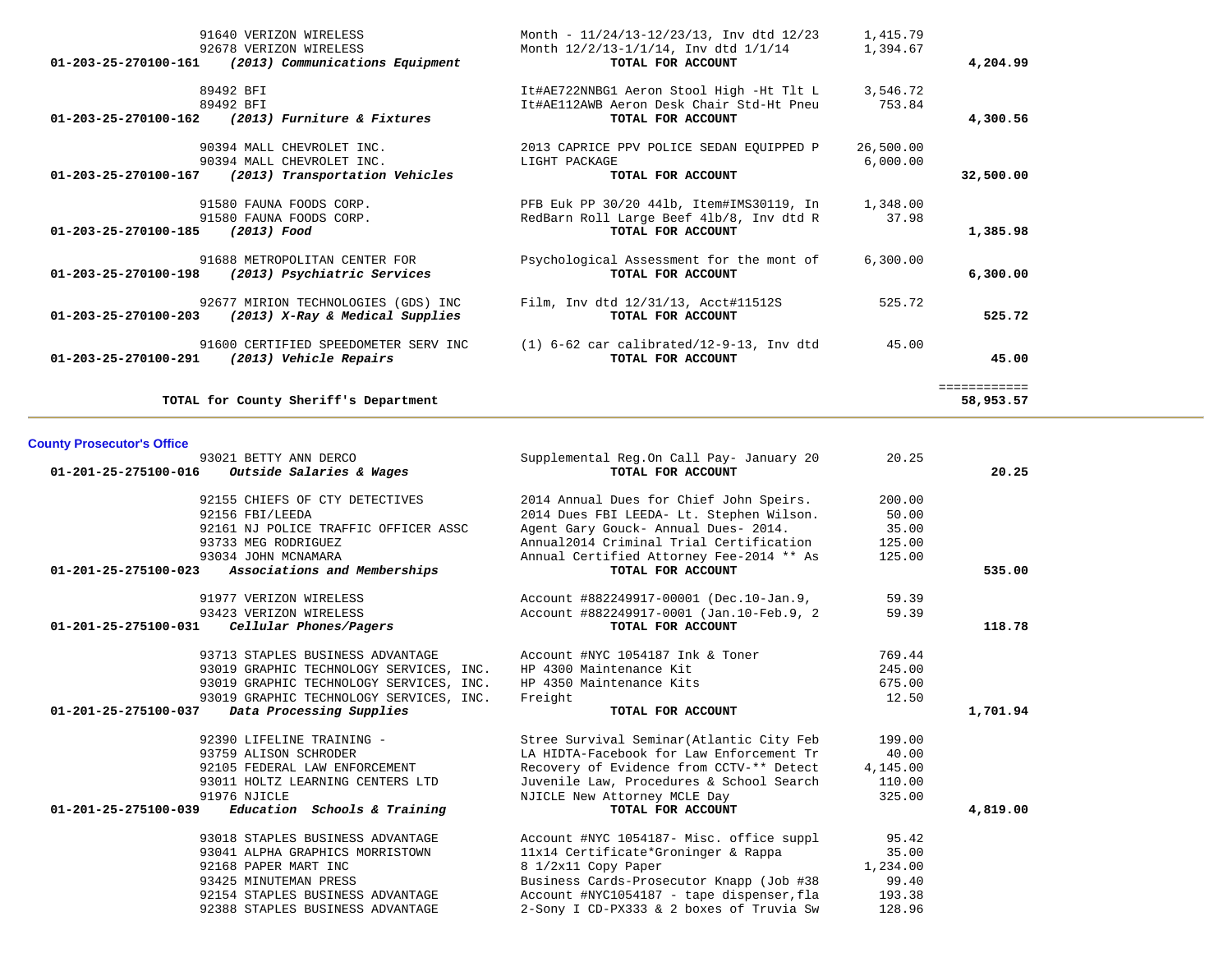| 91640 VERIZON WIRELESS                                  | Month - 11/24/13-12/23/13, Inv dtd 12/23   | 1,415.79  |              |
|---------------------------------------------------------|--------------------------------------------|-----------|--------------|
| 92678 VERIZON WIRELESS                                  | Month 12/2/13-1/1/14, Inv dtd 1/1/14       | 1,394.67  |              |
| (2013) Communications Equipment<br>01-203-25-270100-161 | TOTAL FOR ACCOUNT                          |           | 4,204.99     |
| 89492 BFI                                               | It#AE722NNBG1 Aeron Stool High -Ht Tlt L   | 3,546.72  |              |
| 89492 BFI                                               | It#AE112AWB Aeron Desk Chair Std-Ht Pneu   | 753.84    |              |
| 01-203-25-270100-162 (2013) Furniture & Fixtures        | TOTAL FOR ACCOUNT                          |           | 4,300.56     |
| 90394 MALL CHEVROLET INC.                               | 2013 CAPRICE PPV POLICE SEDAN EOUIPPED P   | 26,500.00 |              |
| 90394 MALL CHEVROLET INC.                               | LIGHT PACKAGE                              | 6.000.00  |              |
| 01-203-25-270100-167<br>(2013) Transportation Vehicles  | TOTAL FOR ACCOUNT                          |           | 32,500.00    |
| 91580 FAUNA FOODS CORP.                                 | PFB Euk PP 30/20 441b, Item#IMS30119, In   | 1,348.00  |              |
| 91580 FAUNA FOODS CORP.                                 | RedBarn Roll Large Beef 41b/8, Inv dtd R   | 37.98     |              |
| (2013) Food<br>01-203-25-270100-185                     | TOTAL FOR ACCOUNT                          |           | 1,385.98     |
| 91688 METROPOLITAN CENTER FOR                           | Psychological Assessment for the mont of   | 6,300.00  |              |
| (2013) Psychiatric Services<br>01-203-25-270100-198     | TOTAL FOR ACCOUNT                          |           | 6,300.00     |
| 92677 MIRION TECHNOLOGIES (GDS) INC                     | Film, Inv dtd 12/31/13, Acct#11512S        | 525.72    |              |
| 01-203-25-270100-203<br>(2013) X-Ray & Medical Supplies | TOTAL FOR ACCOUNT                          |           | 525.72       |
| 91600 CERTIFIED SPEEDOMETER SERV INC                    | $(1)$ 6-62 car calibrated/12-9-13, Inv dtd | 45.00     |              |
| 01-203-25-270100-291<br>(2013) Vehicle Repairs          | TOTAL FOR ACCOUNT                          |           | 45.00        |
|                                                         |                                            |           | ============ |
| TOTAL for County Sheriff's Department                   |                                            |           | 58,953.57    |
|                                                         |                                            |           |              |

## **County Prosecutor's Office**

| 93021 BETTY ANN DERCO<br><i>Outside Salaries &amp; Wages</i><br>$01 - 201 - 25 - 275100 - 016$ | Supplemental Reg.On Call Pay- January 20<br>TOTAL FOR ACCOUNT | 20.25    | 20.25    |
|------------------------------------------------------------------------------------------------|---------------------------------------------------------------|----------|----------|
|                                                                                                |                                                               |          |          |
| 92155 CHIEFS OF CTY DETECTIVES                                                                 | 2014 Annual Dues for Chief John Speirs.                       | 200.00   |          |
| 92156 FBI/LEEDA                                                                                | 2014 Dues FBI LEEDA- Lt. Stephen Wilson.                      | 50.00    |          |
| 92161 NJ POLICE TRAFFIC OFFICER ASSC                                                           | Agent Gary Gouck- Annual Dues- 2014.                          | 35.00    |          |
| 93733 MEG RODRIGUEZ                                                                            | Annual2014 Criminal Trial Certification                       | 125.00   |          |
| 93034 JOHN MCNAMARA                                                                            | Annual Certified Attorney Fee-2014 ** As                      | 125.00   |          |
| 01-201-25-275100-023<br>Associations and Memberships                                           | TOTAL FOR ACCOUNT                                             |          | 535.00   |
| 91977 VERIZON WIRELESS                                                                         | Account #882249917-00001 (Dec.10-Jan.9,                       | 59.39    |          |
| 93423 VERIZON WIRELESS                                                                         | Account #882249917-0001 (Jan.10-Feb.9, 2                      | 59.39    |          |
| 01-201-25-275100-031<br>Cellular Phones/Pagers                                                 | TOTAL FOR ACCOUNT                                             |          | 118.78   |
| 93713 STAPLES BUSINESS ADVANTAGE                                                               | Account #NYC 1054187 Ink & Toner                              | 769.44   |          |
| 93019 GRAPHIC TECHNOLOGY SERVICES, INC.                                                        | HP 4300 Maintenance Kit                                       | 245.00   |          |
| 93019 GRAPHIC TECHNOLOGY SERVICES, INC.                                                        | HP 4350 Maintenance Kits                                      | 675.00   |          |
| 93019 GRAPHIC TECHNOLOGY SERVICES, INC.                                                        | Freight                                                       | 12.50    |          |
| Data Processing Supplies<br>01-201-25-275100-037                                               | TOTAL FOR ACCOUNT                                             |          | 1,701.94 |
| 92390 LIFELINE TRAINING -                                                                      | Stree Survival Seminar (Atlantic City Feb                     | 199.00   |          |
| 93759 ALISON SCHRODER                                                                          | LA HIDTA-Facebook for Law Enforcement Tr                      | 40.00    |          |
| 92105 FEDERAL LAW ENFORCEMENT                                                                  | Recovery of Evidence from CCTV-** Detect                      | 4,145.00 |          |
| 93011 HOLTZ LEARNING CENTERS LTD                                                               | Juvenile Law, Procedures & School Search                      | 110.00   |          |
| 91976 NJICLE                                                                                   | NJICLE New Attorney MCLE Day                                  | 325.00   |          |
| Education Schools & Training<br>01-201-25-275100-039                                           | TOTAL FOR ACCOUNT                                             |          | 4,819.00 |
| 93018 STAPLES BUSINESS ADVANTAGE                                                               | Account #NYC 1054187- Misc. office suppl                      | 95.42    |          |
| 93041 ALPHA GRAPHICS MORRISTOWN                                                                | 11x14 Certificate*Groninger & Rappa                           | 35.00    |          |
| 92168 PAPER MART INC                                                                           | 8 1/2x11 Copy Paper                                           | 1,234.00 |          |
| 93425 MINUTEMAN PRESS                                                                          | Business Cards-Prosecutor Knapp (Job #38                      | 99.40    |          |
| 92154 STAPLES BUSINESS ADVANTAGE                                                               | Account #NYC1054187 - tape dispenser, fla                     | 193.38   |          |
| 92388 STAPLES BUSINESS ADVANTAGE                                                               | 2-Sony I CD-PX333 & 2 boxes of Truvia Sw                      | 128.96   |          |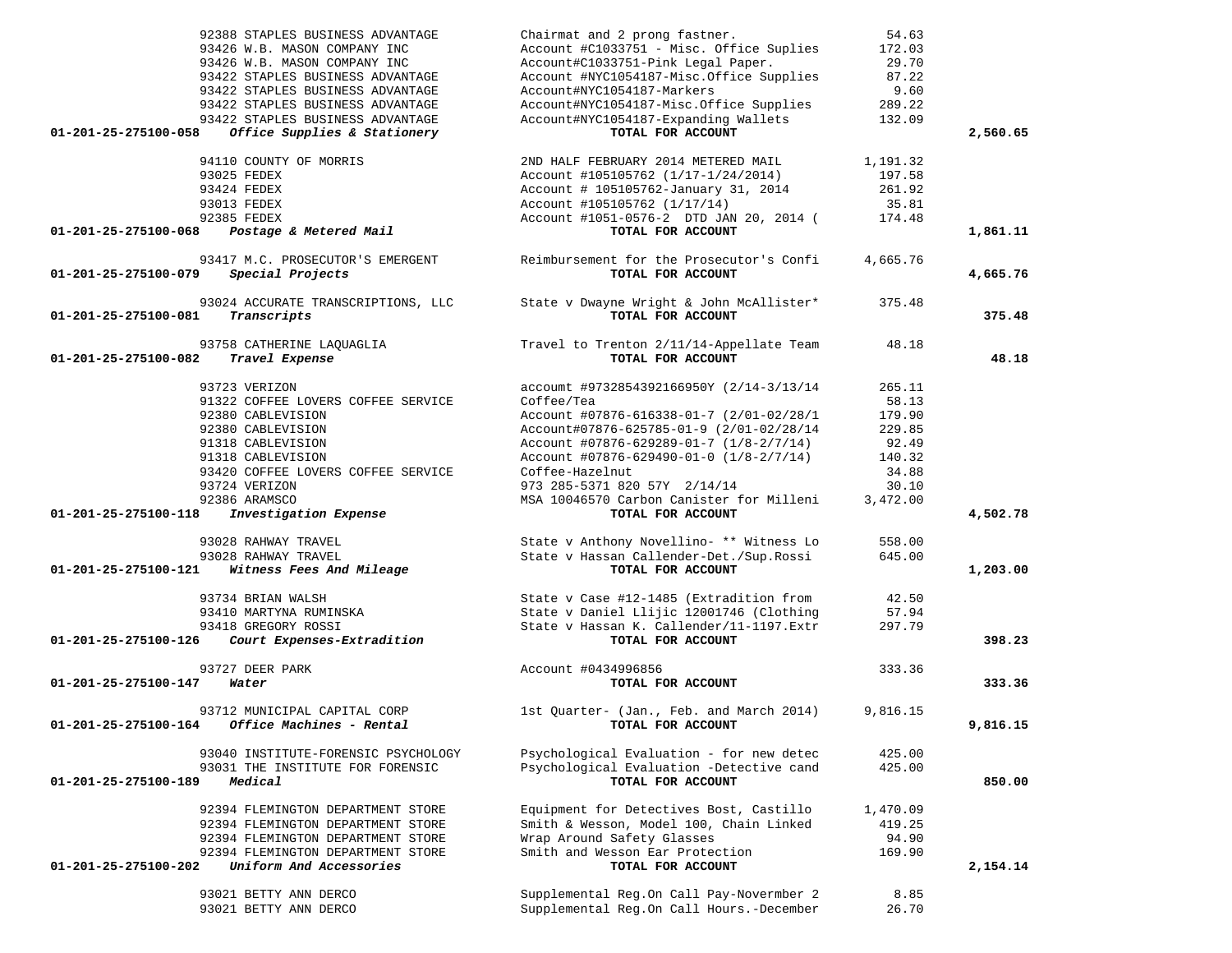|                      | 92388 STAPLES BUSINESS ADVANTAGE<br>93426 W.B. MASON COMPANY INC<br>93426 W.B. MASON COMPANY INC         | Chairmat and 2 prong fastner.<br>Account #C1033751 - Misc. Office Suplies<br>Account#C1033751-Pink Legal Paper.   | 54.63<br>172.03<br>29.70 |          |
|----------------------|----------------------------------------------------------------------------------------------------------|-------------------------------------------------------------------------------------------------------------------|--------------------------|----------|
|                      | 93422 STAPLES BUSINESS ADVANTAGE<br>93422 STAPLES BUSINESS ADVANTAGE<br>93422 STAPLES BUSINESS ADVANTAGE | Account #NYC1054187-Misc.Office Supplies<br>Account#NYC1054187-Markers<br>Account#NYC1054187-Misc.Office Supplies | 87.22<br>9.60<br>289.22  |          |
| 01-201-25-275100-058 | 93422 STAPLES BUSINESS ADVANTAGE<br>Office Supplies & Stationery                                         | Account#NYC1054187-Expanding Wallets<br>TOTAL FOR ACCOUNT                                                         | 132.09                   | 2,560.65 |
|                      | 94110 COUNTY OF MORRIS                                                                                   | 2ND HALF FEBRUARY 2014 METERED MAIL                                                                               | 1,191.32                 |          |
|                      | 93025 FEDEX                                                                                              | Account #105105762 (1/17-1/24/2014)                                                                               | 197.58                   |          |
|                      | 93424 FEDEX                                                                                              | Account # 105105762-January 31, 2014                                                                              | 261.92                   |          |
|                      | 93013 FEDEX                                                                                              | Account #105105762 (1/17/14)                                                                                      | 35.81                    |          |
| 01-201-25-275100-068 | 92385 FEDEX<br>Postage & Metered Mail                                                                    | Account #1051-0576-2 DTD JAN 20, 2014 (<br>TOTAL FOR ACCOUNT                                                      | 174.48                   | 1,861.11 |
|                      |                                                                                                          |                                                                                                                   |                          |          |
| 01-201-25-275100-079 | 93417 M.C. PROSECUTOR'S EMERGENT<br>Special Projects                                                     | Reimbursement for the Prosecutor's Confi<br>TOTAL FOR ACCOUNT                                                     | 4,665.76                 | 4,665.76 |
| 01-201-25-275100-081 | 93024 ACCURATE TRANSCRIPTIONS, LLC<br>Transcripts                                                        | State v Dwayne Wright & John McAllister*<br>TOTAL FOR ACCOUNT                                                     | 375.48                   | 375.48   |
|                      |                                                                                                          |                                                                                                                   |                          |          |
| 01-201-25-275100-082 | 93758 CATHERINE LAQUAGLIA<br>Travel Expense                                                              | Travel to Trenton 2/11/14-Appellate Team<br>TOTAL FOR ACCOUNT                                                     | 48.18                    | 48.18    |
|                      | 93723 VERIZON                                                                                            | accoumt #9732854392166950Y (2/14-3/13/14                                                                          | 265.11                   |          |
|                      | 91322 COFFEE LOVERS COFFEE SERVICE                                                                       | Coffee/Tea                                                                                                        | 58.13                    |          |
|                      | 92380 CABLEVISION                                                                                        | Account #07876-616338-01-7 (2/01-02/28/1                                                                          | 179.90                   |          |
|                      | 92380 CABLEVISION                                                                                        | Account#07876-625785-01-9 (2/01-02/28/14                                                                          | 229.85                   |          |
|                      | 91318 CABLEVISION                                                                                        | Account $\#07876 - 629289 - 01 - 7 (1/8 - 2/7/14)$                                                                | 92.49                    |          |
|                      | 91318 CABLEVISION<br>93420 COFFEE LOVERS COFFEE SERVICE                                                  | Account #07876-629490-01-0 (1/8-2/7/14)<br>Coffee-Hazelnut                                                        | 140.32<br>34.88          |          |
|                      | 93724 VERIZON                                                                                            | 973 285-5371 820 57Y 2/14/14                                                                                      | 30.10                    |          |
|                      | 92386 ARAMSCO                                                                                            | MSA 10046570 Carbon Canister for Milleni                                                                          | 3,472.00                 |          |
| 01-201-25-275100-118 | Investigation Expense                                                                                    | TOTAL FOR ACCOUNT                                                                                                 |                          | 4,502.78 |
|                      | 93028 RAHWAY TRAVEL                                                                                      | State v Anthony Novellino- ** Witness Lo                                                                          | 558.00                   |          |
|                      | 93028 RAHWAY TRAVEL                                                                                      | State v Hassan Callender-Det./Sup.Rossi                                                                           | 645.00                   |          |
| 01-201-25-275100-121 | Witness Fees And Mileage                                                                                 | TOTAL FOR ACCOUNT                                                                                                 |                          | 1,203.00 |
|                      | 93734 BRIAN WALSH                                                                                        | State v Case #12-1485 (Extradition from                                                                           | 42.50                    |          |
|                      | 93410 MARTYNA RUMINSKA                                                                                   | State v Daniel Llijic 12001746 (Clothing                                                                          | 57.94                    |          |
|                      | 93418 GREGORY ROSSI                                                                                      | State v Hassan K. Callender/11-1197.Extr                                                                          | 297.79                   |          |
| 01-201-25-275100-126 | Court Expenses-Extradition                                                                               | TOTAL FOR ACCOUNT                                                                                                 |                          | 398.23   |
|                      | 93727 DEER PARK                                                                                          | Account #0434996856                                                                                               | 333.36                   |          |
| 01-201-25-275100-147 | Water                                                                                                    | TOTAL FOR ACCOUNT                                                                                                 |                          | 333.36   |
|                      | 93712 MUNICIPAL CAPITAL CORP                                                                             | 1st Quarter- (Jan., Feb. and March 2014)                                                                          | 9,816.15                 |          |
| 01-201-25-275100-164 | Office Machines - Rental                                                                                 | TOTAL FOR ACCOUNT                                                                                                 |                          | 9,816.15 |
|                      | 93040 INSTITUTE-FORENSIC PSYCHOLOGY                                                                      | Psychological Evaluation - for new detec                                                                          | 425.00                   |          |
|                      | 93031 THE INSTITUTE FOR FORENSIC                                                                         | Psychological Evaluation -Detective cand                                                                          | 425.00                   |          |
| 01-201-25-275100-189 | Medical                                                                                                  | TOTAL FOR ACCOUNT                                                                                                 |                          | 850.00   |
|                      | 92394 FLEMINGTON DEPARTMENT STORE                                                                        | Equipment for Detectives Bost, Castillo                                                                           | 1,470.09                 |          |
|                      | 92394 FLEMINGTON DEPARTMENT STORE                                                                        | Smith & Wesson, Model 100, Chain Linked                                                                           | 419.25                   |          |
|                      | 92394 FLEMINGTON DEPARTMENT STORE                                                                        | Wrap Around Safety Glasses                                                                                        | 94.90                    |          |
| 01-201-25-275100-202 | 92394 FLEMINGTON DEPARTMENT STORE<br>Uniform And Accessories                                             | Smith and Wesson Ear Protection<br>TOTAL FOR ACCOUNT                                                              | 169.90                   | 2,154.14 |
|                      |                                                                                                          |                                                                                                                   |                          |          |
|                      | 93021 BETTY ANN DERCO<br>93021 BETTY ANN DERCO                                                           | Supplemental Reg.On Call Pay-Novermber 2<br>Supplemental Reg.On Call Hours.-December                              | 8.85<br>26.70            |          |
|                      |                                                                                                          |                                                                                                                   |                          |          |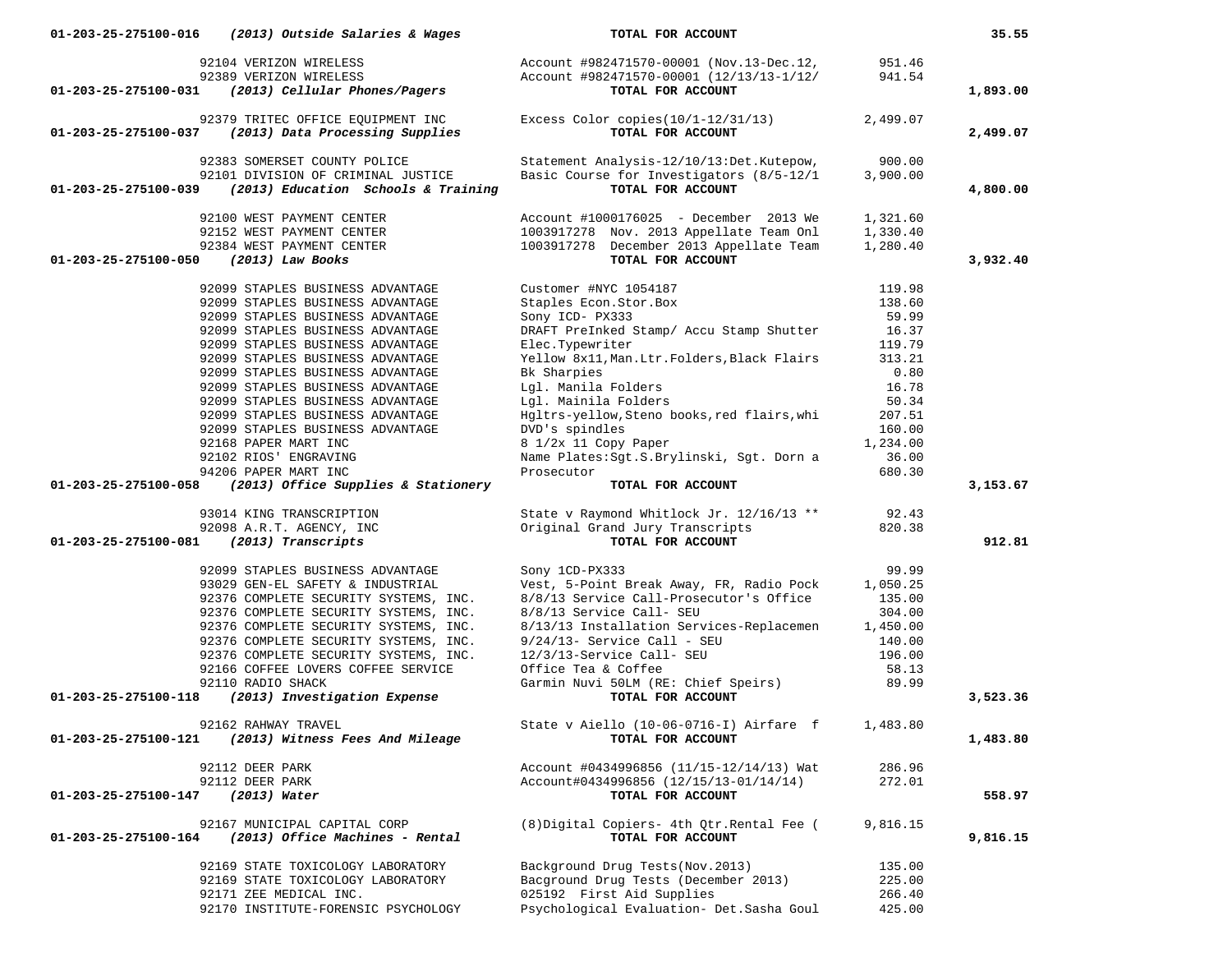| 01-203-25-275100-016<br>(2013) Outside Salaries & Wages                             | TOTAL FOR ACCOUNT                                                                    |                  | 35.55    |
|-------------------------------------------------------------------------------------|--------------------------------------------------------------------------------------|------------------|----------|
| 92104 VERIZON WIRELESS<br>92389 VERIZON WIRELESS                                    | Account #982471570-00001 (Nov.13-Dec.12,<br>Account #982471570-00001 (12/13/13-1/12/ | 951.46<br>941.54 |          |
| 01-203-25-275100-031<br>(2013) Cellular Phones/Pagers                               | TOTAL FOR ACCOUNT                                                                    |                  | 1,893.00 |
| 92379 TRITEC OFFICE EQUIPMENT INC                                                   | Excess Color copies $(10/1-12/31/13)$                                                | 2,499.07         |          |
| (2013) Data Processing Supplies<br>01-203-25-275100-037                             | TOTAL FOR ACCOUNT                                                                    |                  | 2,499.07 |
| 92383 SOMERSET COUNTY POLICE                                                        | Statement Analysis-12/10/13:Det.Kutepow,                                             | 900.00           |          |
| 92101 DIVISION OF CRIMINAL JUSTICE                                                  | Basic Course for Investigators (8/5-12/1                                             | 3,900.00         |          |
| (2013) Education Schools & Training<br>01-203-25-275100-039                         | TOTAL FOR ACCOUNT                                                                    |                  | 4,800.00 |
| 92100 WEST PAYMENT CENTER                                                           | Account #1000176025 - December 2013 We                                               | 1,321.60         |          |
| 92152 WEST PAYMENT CENTER                                                           | 1003917278 Nov. 2013 Appellate Team Onl                                              | 1,330.40         |          |
| 92384 WEST PAYMENT CENTER                                                           | 1003917278 December 2013 Appellate Team                                              | 1,280.40         |          |
| 01-203-25-275100-050<br>$(2013)$ Law Books                                          | TOTAL FOR ACCOUNT                                                                    |                  | 3,932.40 |
| 92099 STAPLES BUSINESS ADVANTAGE                                                    | Customer #NYC 1054187                                                                | 119.98           |          |
| 92099 STAPLES BUSINESS ADVANTAGE                                                    | Staples Econ.Stor.Box                                                                | 138.60           |          |
| 92099 STAPLES BUSINESS ADVANTAGE                                                    | Sony ICD- PX333                                                                      | 59.99            |          |
| 92099 STAPLES BUSINESS ADVANTAGE                                                    | DRAFT PreInked Stamp/ Accu Stamp Shutter                                             | 16.37            |          |
| 92099 STAPLES BUSINESS ADVANTAGE                                                    | Elec.Typewriter                                                                      | 119.79           |          |
| 92099 STAPLES BUSINESS ADVANTAGE                                                    | Yellow 8x11, Man. Ltr. Folders, Black Flairs                                         | 313.21           |          |
| 92099 STAPLES BUSINESS ADVANTAGE                                                    | Bk Sharpies                                                                          | 0.80             |          |
| 92099 STAPLES BUSINESS ADVANTAGE                                                    | Lql. Manila Folders                                                                  | 16.78            |          |
| 92099 STAPLES BUSINESS ADVANTAGE                                                    | Lgl. Mainila Folders                                                                 | 50.34            |          |
| 92099 STAPLES BUSINESS ADVANTAGE                                                    | Hgltrs-yellow, Steno books, red flairs, whi                                          | 207.51           |          |
| 92099 STAPLES BUSINESS ADVANTAGE                                                    | DVD's spindles                                                                       | 160.00           |          |
| 92168 PAPER MART INC                                                                | 8 1/2x 11 Copy Paper                                                                 | 1,234.00         |          |
| 92102 RIOS' ENGRAVING                                                               | Name Plates: Sgt. S. Brylinski, Sgt. Dorn a                                          | 36.00            |          |
| 94206 PAPER MART INC<br>(2013) Office Supplies & Stationery<br>01-203-25-275100-058 | Prosecutor<br>TOTAL FOR ACCOUNT                                                      | 680.30           | 3,153.67 |
|                                                                                     |                                                                                      |                  |          |
| 93014 KING TRANSCRIPTION                                                            | State v Raymond Whitlock Jr. 12/16/13 **                                             | 92.43            |          |
| 92098 A.R.T. AGENCY, INC                                                            | Original Grand Jury Transcripts                                                      | 820.38           |          |
| (2013) Transcripts<br>01-203-25-275100-081                                          | TOTAL FOR ACCOUNT                                                                    |                  | 912.81   |
| 92099 STAPLES BUSINESS ADVANTAGE                                                    | Sony 1CD-PX333                                                                       | 99.99            |          |
| 93029 GEN-EL SAFETY & INDUSTRIAL                                                    | Vest, 5-Point Break Away, FR, Radio Pock                                             | 1,050.25         |          |
| 92376 COMPLETE SECURITY SYSTEMS, INC.                                               | 8/8/13 Service Call-Prosecutor's Office                                              | 135.00           |          |
| 92376 COMPLETE SECURITY SYSTEMS, INC.                                               | 8/8/13 Service Call- SEU                                                             | 304.00           |          |
| 92376 COMPLETE SECURITY SYSTEMS, INC.                                               | 8/13/13 Installation Services-Replacemen 1,450.00                                    |                  |          |
| 92376 COMPLETE SECURITY SYSTEMS, INC.                                               | $9/24/13$ - Service Call - SEU                                                       | 140.00           |          |
| 92376 COMPLETE SECURITY SYSTEMS, INC.                                               | 12/3/13-Service Call- SEU                                                            | 196.00           |          |
| 92166 COFFEE LOVERS COFFEE SERVICE                                                  | Office Tea & Coffee                                                                  | 58.13            |          |
| 92110 RADIO SHACK<br>(2013) Investigation Expense<br>01-203-25-275100-118           | Garmin Nuvi 50LM (RE: Chief Speirs)<br>TOTAL FOR ACCOUNT                             | 89.99            | 3,523.36 |
|                                                                                     |                                                                                      |                  |          |
| 92162 RAHWAY TRAVEL                                                                 | State v Aiello (10-06-0716-I) Airfare f                                              | 1,483.80         |          |
| (2013) Witness Fees And Mileage<br>01-203-25-275100-121                             | TOTAL FOR ACCOUNT                                                                    |                  | 1,483.80 |
| 92112 DEER PARK                                                                     | Account #0434996856 (11/15-12/14/13) Wat                                             | 286.96           |          |
| 92112 DEER PARK                                                                     | Account#0434996856 (12/15/13-01/14/14)                                               | 272.01           |          |
| $(2013)$ Water<br>01-203-25-275100-147                                              | TOTAL FOR ACCOUNT                                                                    |                  | 558.97   |
| 92167 MUNICIPAL CAPITAL CORP                                                        | (8) Digital Copiers- 4th Qtr. Rental Fee (                                           | 9,816.15         |          |
| (2013) Office Machines - Rental<br>01-203-25-275100-164                             | TOTAL FOR ACCOUNT                                                                    |                  | 9,816.15 |
|                                                                                     |                                                                                      |                  |          |
| 92169 STATE TOXICOLOGY LABORATORY                                                   | Background Drug Tests (Nov. 2013)                                                    | 135.00           |          |
| 92169 STATE TOXICOLOGY LABORATORY                                                   | Bacground Drug Tests (December 2013)                                                 | 225.00           |          |
| 92171 ZEE MEDICAL INC.                                                              | 025192 First Aid Supplies                                                            | 266.40           |          |
| 92170 INSTITUTE-FORENSIC PSYCHOLOGY                                                 | Psychological Evaluation- Det. Sasha Goul                                            | 425.00           |          |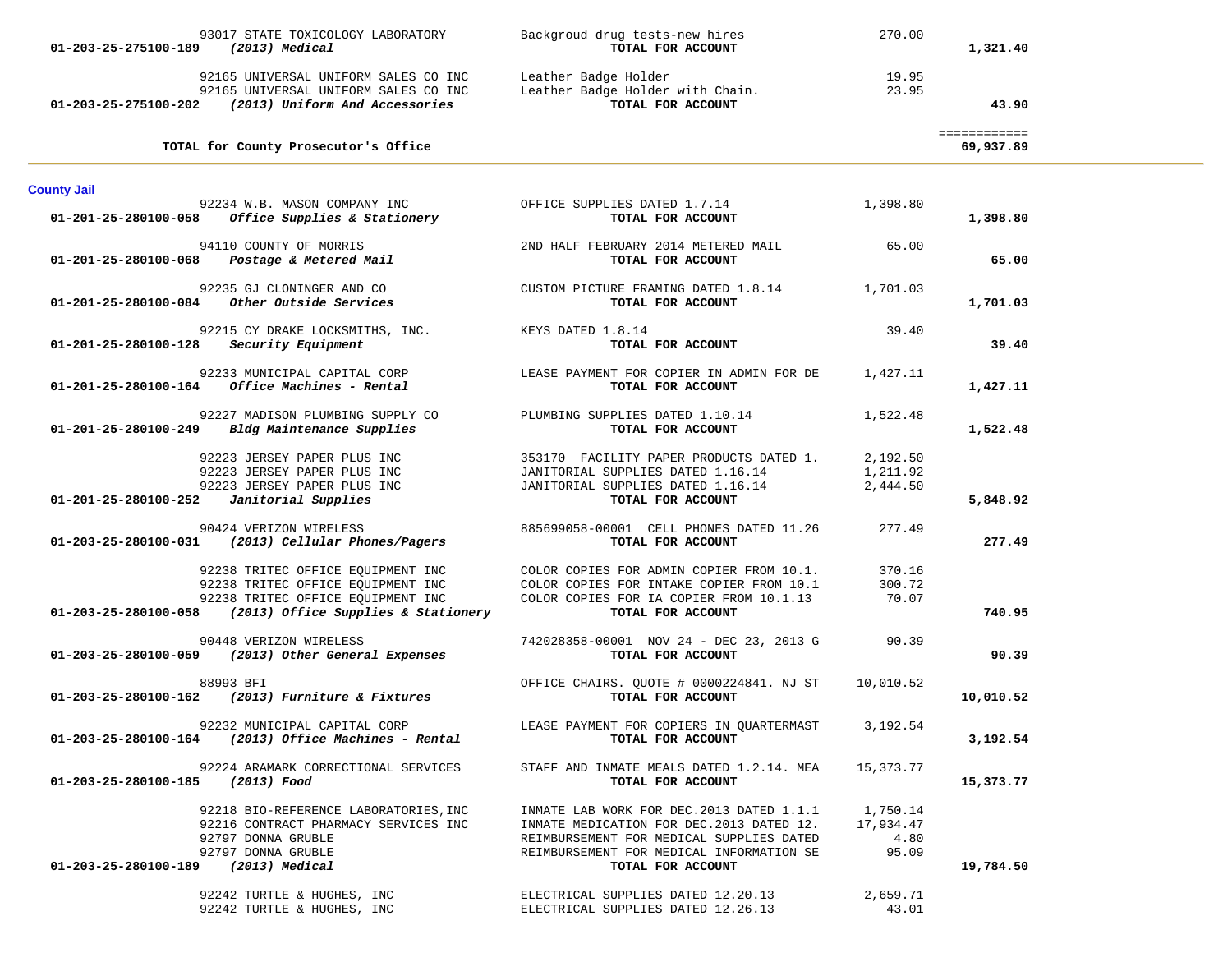| 93017 STATE TOXICOLOGY LABORATORY<br>(2013) Medical<br>01-203-25-275100-189                                                                                               | Backgroud drug tests-new hires<br>TOTAL FOR ACCOUNT                                                                                                                                               | 270.00                                 | 1,321.40                  |  |
|---------------------------------------------------------------------------------------------------------------------------------------------------------------------------|---------------------------------------------------------------------------------------------------------------------------------------------------------------------------------------------------|----------------------------------------|---------------------------|--|
| $01-203-25-275100-202$ (2013) Uniform And Accessories                                                                                                                     | 92165 UNIVERSAL UNIFORM SALES CO INC Leather Badge Holder<br>92165 UNIVERSAL UNIFORM SALES CO INC Leather Badge Holder with Chain.<br>TOTAL FOR ACCOUNT                                           | 19.95<br>23.95                         | 43.90                     |  |
| TOTAL for County Prosecutor's Office                                                                                                                                      |                                                                                                                                                                                                   |                                        | ============<br>69,937.89 |  |
| <b>County Jail</b>                                                                                                                                                        |                                                                                                                                                                                                   |                                        |                           |  |
| 92234 W.B. MASON COMPANY INC<br>01-201-25-280100-058<br>Office Supplies & Stationery                                                                                      | OFFICE SUPPLIES DATED 1.7.14<br>TOTAL FOR ACCOUNT                                                                                                                                                 | 1,398.80                               | 1,398.80                  |  |
| 94110 COUNTY OF MORRIS<br>01-201-25-280100-068  Postage & Metered Mail                                                                                                    | 2ND HALF FEBRUARY 2014 METERED MAIL<br>TOTAL FOR ACCOUNT                                                                                                                                          | 65.00                                  | 65.00                     |  |
| 92235 GJ CLONINGER AND CO                                                                                                                                                 | CUSTOM PICTURE FRAMING DATED 1.8.14 1,701.03<br>TOTAL FOR ACCOUNT                                                                                                                                 |                                        | 1,701.03                  |  |
| 92215 CY DRAKE LOCKSMITHS, INC.<br>$01-201-25-280100-128$ Security Equipment                                                                                              | KEYS DATED 1.8.14<br>TOTAL FOR ACCOUNT                                                                                                                                                            | 39.40                                  | 39.40                     |  |
| 92233 MUNICIPAL CAPITAL CORP<br><i>Office Machines - Rental</i><br>01-201-25-280100-164                                                                                   | LEASE PAYMENT FOR COPIER IN ADMIN FOR DE<br>TOTAL FOR ACCOUNT                                                                                                                                     | 1,427.11                               | 1,427.11                  |  |
| 92227 MADISON PLUMBING SUPPLY CO<br>01-201-25-280100-249 Bldg Maintenance Supplies                                                                                        | PLUMBING SUPPLIES DATED 1.10.14<br>TOTAL FOR ACCOUNT                                                                                                                                              | 1,522.48                               | 1,522.48                  |  |
| 92223 JERSEY PAPER PLUS INC<br>92223 JERSEY PAPER PLUS INC<br>92223 JERSEY PAPER PLUS INC<br>Janitorial Supplies<br>01-201-25-280100-252                                  | 353170 FACILITY PAPER PRODUCTS DATED 1.<br>JANITORIAL SUPPLIES DATED 1.16.14<br>JANITORIAL SUPPLIES DATED 1.16.14<br>TOTAL FOR ACCOUNT                                                            | 2,192.50<br>1,211.92<br>2,444.50       | 5,848.92                  |  |
| 90424 VERIZON WIRELESS<br>01-203-25-280100-031 (2013) Cellular Phones/Pagers                                                                                              | 885699058-00001 CELL PHONES DATED 11.26<br>TOTAL FOR ACCOUNT                                                                                                                                      | 277.49                                 | 277.49                    |  |
| 92238 TRITEC OFFICE EQUIPMENT INC<br>92238 TRITEC OFFICE EQUIPMENT INC<br>92238 TRITEC OFFICE EQUIPMENT INC<br>$01-203-25-280100-058$ (2013) Office Supplies & Stationery | COLOR COPIES FOR ADMIN COPIER FROM 10.1.<br>COLOR COPIES FOR INTAKE COPIER FROM 10.1<br>COLOR COPIES FOR IA COPIER FROM 10.1.13<br>TOTAL FOR ACCOUNT                                              | 370.16<br>300.72<br>70.07              | 740.95                    |  |
| 90448 VERIZON WIRELESS<br>01-203-25-280100-059 (2013) Other General Expenses                                                                                              | 742028358-00001 NOV 24 - DEC 23, 2013 G<br>TOTAL FOR ACCOUNT                                                                                                                                      | 90.39                                  | 90.39                     |  |
| 88993 BFI<br>01-203-25-280100-162 (2013) Furniture & Fixtures                                                                                                             | OFFICE CHAIRS. QUOTE # 0000224841. NJ ST<br>TOTAL FOR ACCOUNT                                                                                                                                     | 10,010.52                              | 10,010.52                 |  |
| 92232 MUNICIPAL CAPITAL CORP<br>$01-203-25-280100-164$ (2013) Office Machines - Rental                                                                                    | LEASE PAYMENT FOR COPIERS IN QUARTERMAST 3,192.54<br>TOTAL FOR ACCOUNT                                                                                                                            |                                        | 3,192.54                  |  |
| 92224 ARAMARK CORRECTIONAL SERVICES<br>01-203-25-280100-185 (2013) Food                                                                                                   | STAFF AND INMATE MEALS DATED 1.2.14. MEA<br>TOTAL FOR ACCOUNT                                                                                                                                     | 15,373.77                              | 15,373.77                 |  |
| 92218 BIO-REFERENCE LABORATORIES, INC<br>92216 CONTRACT PHARMACY SERVICES INC<br>92797 DONNA GRUBLE<br>92797 DONNA GRUBLE<br>01-203-25-280100-189 (2013) Medical          | INMATE LAB WORK FOR DEC.2013 DATED 1.1.1<br>INMATE MEDICATION FOR DEC.2013 DATED 12.<br>REIMBURSEMENT FOR MEDICAL SUPPLIES DATED<br>REIMBURSEMENT FOR MEDICAL INFORMATION SE<br>TOTAL FOR ACCOUNT | 1,750.14<br>17,934.47<br>4.80<br>95.09 | 19,784.50                 |  |
| 92242 TURTLE & HUGHES, INC<br>92242 TURTLE & HUGHES, INC                                                                                                                  | ELECTRICAL SUPPLIES DATED 12.20.13<br>ELECTRICAL SUPPLIES DATED 12.26.13                                                                                                                          | 2,659.71<br>43.01                      |                           |  |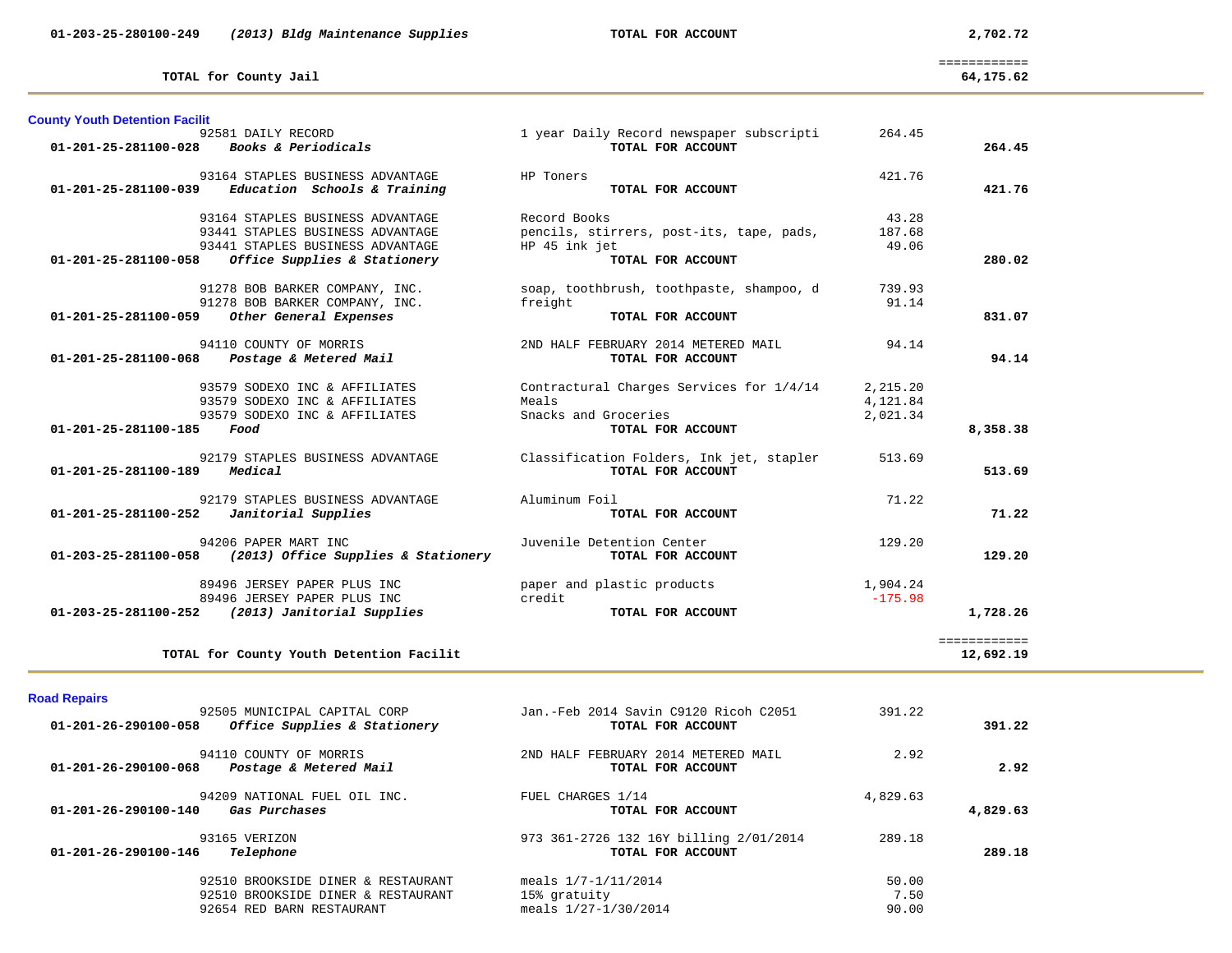============

| TOTAL for County Jail | 64,175.62 |
|-----------------------|-----------|
|                       | .         |

| <b>County Youth Detention Facilit</b> | 92581 DAILY RECORD                                        | 1 year Daily Record newspaper subscripti | 264.45    |                           |
|---------------------------------------|-----------------------------------------------------------|------------------------------------------|-----------|---------------------------|
| 01-201-25-281100-028                  | <i>Books &amp; Periodicals</i>                            | TOTAL FOR ACCOUNT                        |           | 264.45                    |
|                                       | 93164 STAPLES BUSINESS ADVANTAGE                          | HP Toners                                | 421.76    |                           |
| 01-201-25-281100-039                  | Education Schools & Training                              | TOTAL FOR ACCOUNT                        |           | 421.76                    |
|                                       | 93164 STAPLES BUSINESS ADVANTAGE                          | Record Books                             | 43.28     |                           |
|                                       | 93441 STAPLES BUSINESS ADVANTAGE                          | pencils, stirrers, post-its, tape, pads, | 187.68    |                           |
|                                       | 93441 STAPLES BUSINESS ADVANTAGE                          | HP 45 ink jet                            | 49.06     |                           |
| 01-201-25-281100-058                  | Office Supplies & Stationery                              | TOTAL FOR ACCOUNT                        |           | 280.02                    |
|                                       | 91278 BOB BARKER COMPANY, INC.                            | soap, toothbrush, toothpaste, shampoo, d | 739.93    |                           |
|                                       | 91278 BOB BARKER COMPANY, INC.                            | freight                                  | 91.14     |                           |
| 01-201-25-281100-059                  | Other General Expenses                                    | TOTAL FOR ACCOUNT                        |           | 831.07                    |
|                                       | 94110 COUNTY OF MORRIS                                    | 2ND HALF FEBRUARY 2014 METERED MAIL      | 94.14     |                           |
| 01-201-25-281100-068                  | Postage & Metered Mail                                    | TOTAL FOR ACCOUNT                        |           | 94.14                     |
|                                       | 93579 SODEXO INC & AFFILIATES                             | Contractural Charges Services for 1/4/14 | 2,215.20  |                           |
|                                       | 93579 SODEXO INC & AFFILIATES                             | Meals                                    | 4,121.84  |                           |
|                                       | 93579 SODEXO INC & AFFILIATES                             | Snacks and Groceries                     | 2,021.34  |                           |
| 01-201-25-281100-185                  | Food                                                      | TOTAL FOR ACCOUNT                        |           | 8,358.38                  |
|                                       | 92179 STAPLES BUSINESS ADVANTAGE                          | Classification Folders, Ink jet, stapler | 513.69    |                           |
| 01-201-25-281100-189                  | Medical                                                   | TOTAL FOR ACCOUNT                        |           | 513.69                    |
|                                       | 92179 STAPLES BUSINESS ADVANTAGE                          | Aluminum Foil                            | 71.22     |                           |
| 01-201-25-281100-252                  | Janitorial Supplies                                       | TOTAL FOR ACCOUNT                        |           | 71.22                     |
|                                       | 94206 PAPER MART INC                                      | Juvenile Detention Center                | 129.20    |                           |
| 01-203-25-281100-058                  | (2013) Office Supplies & Stationery                       | TOTAL FOR ACCOUNT                        |           | 129.20                    |
|                                       | 89496 JERSEY PAPER PLUS INC                               | paper and plastic products               | 1,904.24  |                           |
|                                       | 89496 JERSEY PAPER PLUS INC                               | credit                                   | $-175.98$ |                           |
|                                       | $01 - 203 - 25 - 281100 - 252$ (2013) Janitorial Supplies | TOTAL FOR ACCOUNT                        |           | 1,728.26                  |
|                                       | TOTAL for County Youth Detention Facilit                  |                                          |           | ============<br>12,692.19 |

| 92505 MUNICIPAL CAPITAL CORP<br>01-201-26-290100-058<br>Office Supplies & Stationery | Jan.-Feb 2014 Savin C9120 Ricoh C2051<br>TOTAL FOR ACCOUNT  | 391.22        | 391.22   |
|--------------------------------------------------------------------------------------|-------------------------------------------------------------|---------------|----------|
| 94110 COUNTY OF MORRIS<br>01-201-26-290100-068<br>Postage & Metered Mail             | 2ND HALF FEBRUARY 2014 METERED MAIL<br>TOTAL FOR ACCOUNT    | 2.92          | 2.92     |
| 94209 NATIONAL FUEL OIL INC.<br>$01 - 201 - 26 - 290100 - 140$<br>Gas Purchases      | FUEL CHARGES 1/14<br>TOTAL FOR ACCOUNT                      | 4,829.63      | 4,829.63 |
| 93165 VERIZON<br>01-201-26-290100-146<br>Telephone                                   | 973 361-2726 132 16Y billing 2/01/2014<br>TOTAL FOR ACCOUNT | 289.18        | 289.18   |
| 92510 BROOKSIDE DINER & RESTAURANT<br>92510 BROOKSIDE DINER & RESTAURANT             | meals $1/7 - 1/11/2014$<br>15% gratuity                     | 50.00<br>7.50 |          |

| 92510 BROOKSIDE DINER & RESTAURANT | meals 1/7-1/11/2014  | 50.00 |
|------------------------------------|----------------------|-------|
| 92510 BROOKSIDE DINER & RESTAURANT | 15% gratuity         | 7.50  |
| 92654 RED BARN RESTAURANT          | meals 1/27-1/30/2014 | 90.00 |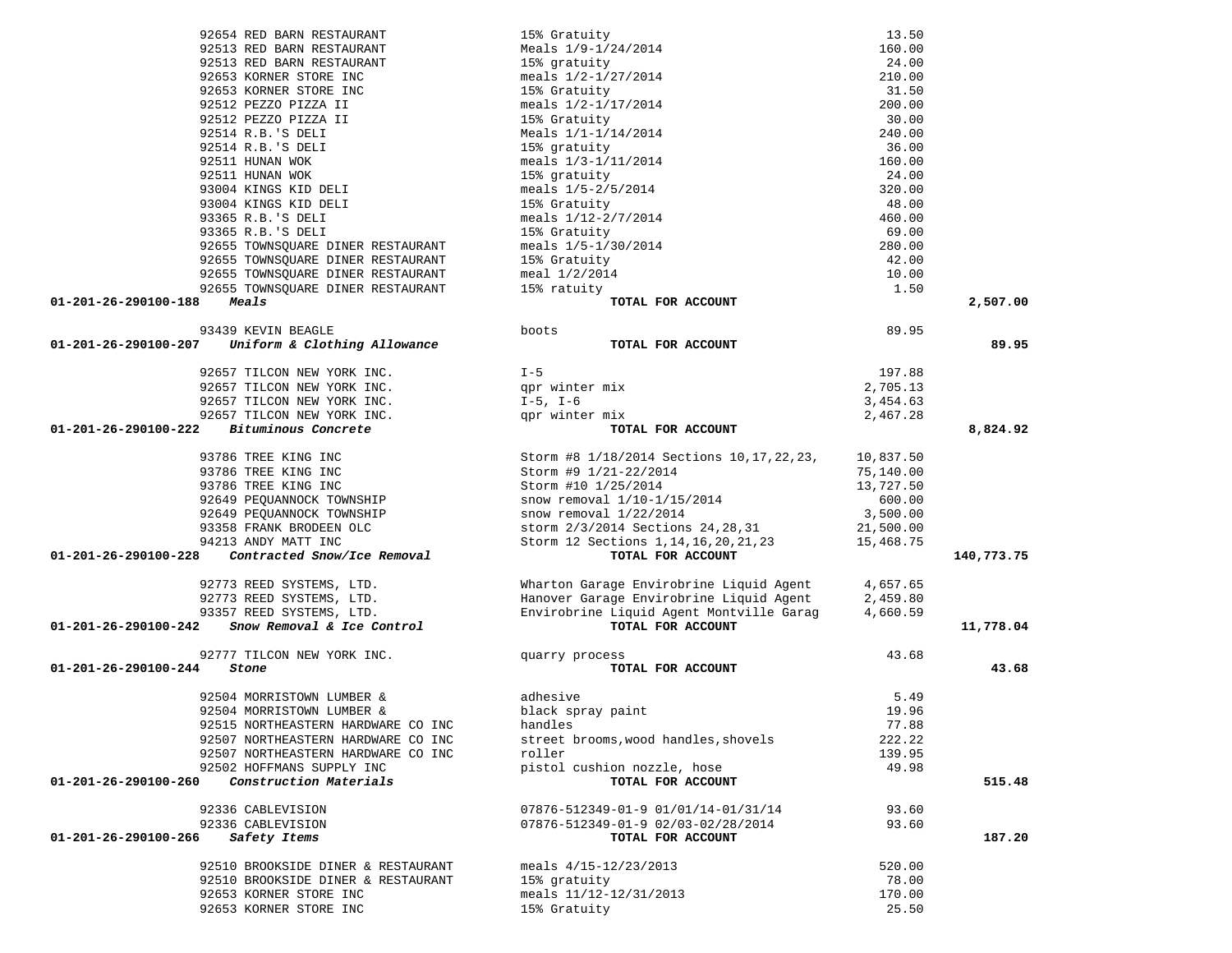| 92654 RED BARN RESTAURANT                          | 15% Gratuity                                        | 13.50     |            |
|----------------------------------------------------|-----------------------------------------------------|-----------|------------|
| 92513 RED BARN RESTAURANT                          | Meals 1/9-1/24/2014                                 | 160.00    |            |
| 92513 RED BARN RESTAURANT                          | 15% gratuity                                        | 24.00     |            |
| 92653 KORNER STORE INC                             | meals 1/2-1/27/2014                                 | 210.00    |            |
| 92653 KORNER STORE INC                             | 15% Gratuity                                        | 31.50     |            |
| 92512 PEZZO PIZZA II                               | meals 1/2-1/17/2014                                 | 200.00    |            |
| 92512 PEZZO PIZZA II                               | 15% Gratuity                                        | 30.00     |            |
| 92514 R.B.'S DELI                                  | Meals 1/1-1/14/2014                                 | 240.00    |            |
| 92514 R.B.'S DELI                                  | 15% gratuity                                        | 36.00     |            |
| 92511 HUNAN WOK                                    | meals 1/3-1/11/2014                                 | 160.00    |            |
| 92511 HUNAN WOK                                    | 15% gratuity                                        | 24.00     |            |
| 93004 KINGS KID DELI                               | meals 1/5-2/5/2014                                  | 320.00    |            |
| 93004 KINGS KID DELI                               |                                                     | 48.00     |            |
| 93365 R.B.'S DELI                                  | 15% Gratuity<br>meals 1/12-2/7/2014<br>15% Gratuity | 460.00    |            |
| 93365 R.B.'S DELI                                  |                                                     | 69.00     |            |
| 92655 TOWNSQUARE DINER RESTAURANT                  | meals 1/5-1/30/2014                                 | 280.00    |            |
| 92655 TOWNSQUARE DINER RESTAURANT                  | 15% Gratuity                                        | 42.00     |            |
|                                                    | meal 1/2/2014                                       | 10.00     |            |
| 92655 TOWNSQUARE DINER RESTAURANT                  |                                                     |           |            |
| 92655 TOWNSQUARE DINER RESTAURANT                  | 15% ratuity                                         | 1.50      |            |
| 01-201-26-290100-188<br>Meals                      | TOTAL FOR ACCOUNT                                   |           | 2,507.00   |
| 93439 KEVIN BEAGLE                                 | boots                                               | 89.95     |            |
| 01-201-26-290100-207 Uniform & Clothing Allowance  | TOTAL FOR ACCOUNT                                   |           | 89.95      |
|                                                    |                                                     |           |            |
| 92657 TILCON NEW YORK INC.                         | $I - 5$                                             | 197.88    |            |
| 92657 TILCON NEW YORK INC.                         | qpr winter mix                                      | 2,705.13  |            |
| 92657 TILCON NEW YORK INC.                         | $I-5$ , $I-6$                                       | 3,454.63  |            |
| 92657 TILCON NEW YORK INC.                         | qpr winter mix                                      | 2,467.28  |            |
| Bituminous Concrete<br>01-201-26-290100-222        | TOTAL FOR ACCOUNT                                   |           | 8,824.92   |
| 93786 TREE KING INC                                | Storm #8 1/18/2014 Sections 10, 17, 22, 23,         | 10,837.50 |            |
| 93786 TREE KING INC                                | Storm #9 1/21-22/2014                               | 75,140.00 |            |
| 93786 TREE KING INC                                | Storm #10 1/25/2014                                 | 13,727.50 |            |
| 92649 PEQUANNOCK TOWNSHIP                          | snow removal 1/10-1/15/2014                         | 600.00    |            |
| 92649 PEQUANNOCK TOWNSHIP                          | snow removal $1/22/2014$                            | 3,500.00  |            |
| 93358 FRANK BRODEEN OLC                            | storm 2/3/2014 Sections 24, 28, 31                  | 21,500.00 |            |
| 94213 ANDY MATT INC                                | Storm 12 Sections 1, 14, 16, 20, 21, 23             | 15,468.75 |            |
| Contracted Snow/Ice Removal                        |                                                     |           |            |
| 01-201-26-290100-228                               | TOTAL FOR ACCOUNT                                   |           | 140,773.75 |
| 92773 REED SYSTEMS, LTD.                           | Wharton Garage Envirobrine Liquid Agent             | 4,657.65  |            |
| 92773 REED SYSTEMS, LTD.                           | Hanover Garage Envirobrine Liquid Agent             | 2,459.80  |            |
| 93357 REED SYSTEMS, LTD.                           | Envirobrine Liquid Agent Montville Garag            | 4,660.59  |            |
| Snow Removal & Ice Control<br>01-201-26-290100-242 | TOTAL FOR ACCOUNT                                   |           | 11,778.04  |
|                                                    |                                                     |           |            |
| 92777 TILCON NEW YORK INC.                         | quarry process                                      | 43.68     |            |
| 01-201-26-290100-244<br>Stone                      | TOTAL FOR ACCOUNT                                   |           | 43.68      |
| 92504 MORRISTOWN LUMBER &                          | adhesive                                            | 5.49      |            |
| 92504 MORRISTOWN LUMBER &                          | black spray paint                                   | 19.96     |            |
| 92515 NORTHEASTERN HARDWARE CO INC                 | handles                                             | 77.88     |            |
| 92507 NORTHEASTERN HARDWARE CO INC                 | street brooms, wood handles, shovels                | 222.22    |            |
| 92507 NORTHEASTERN HARDWARE CO INC                 | roller                                              | 139.95    |            |
| 92502 HOFFMANS SUPPLY INC                          | pistol cushion nozzle, hose                         | 49.98     |            |
| Construction Materials<br>01-201-26-290100-260     | TOTAL FOR ACCOUNT                                   |           | 515.48     |
|                                                    |                                                     |           |            |
| 92336 CABLEVISION                                  | 07876-512349-01-9 01/01/14-01/31/14                 | 93.60     |            |
| 92336 CABLEVISION                                  | 07876-512349-01-9 02/03-02/28/2014                  | 93.60     |            |
| Safety Items<br>01-201-26-290100-266               | TOTAL FOR ACCOUNT                                   |           | 187.20     |
| 92510 BROOKSIDE DINER & RESTAURANT                 | meals $4/15 - 12/23/2013$                           | 520.00    |            |
| 92510 BROOKSIDE DINER & RESTAURANT                 | 15% gratuity                                        | 78.00     |            |
| 92653 KORNER STORE INC                             | meals $11/12 - 12/31/2013$                          | 170.00    |            |
|                                                    |                                                     |           |            |

92653 KORNER STORE INC 15% Gratuity 25.50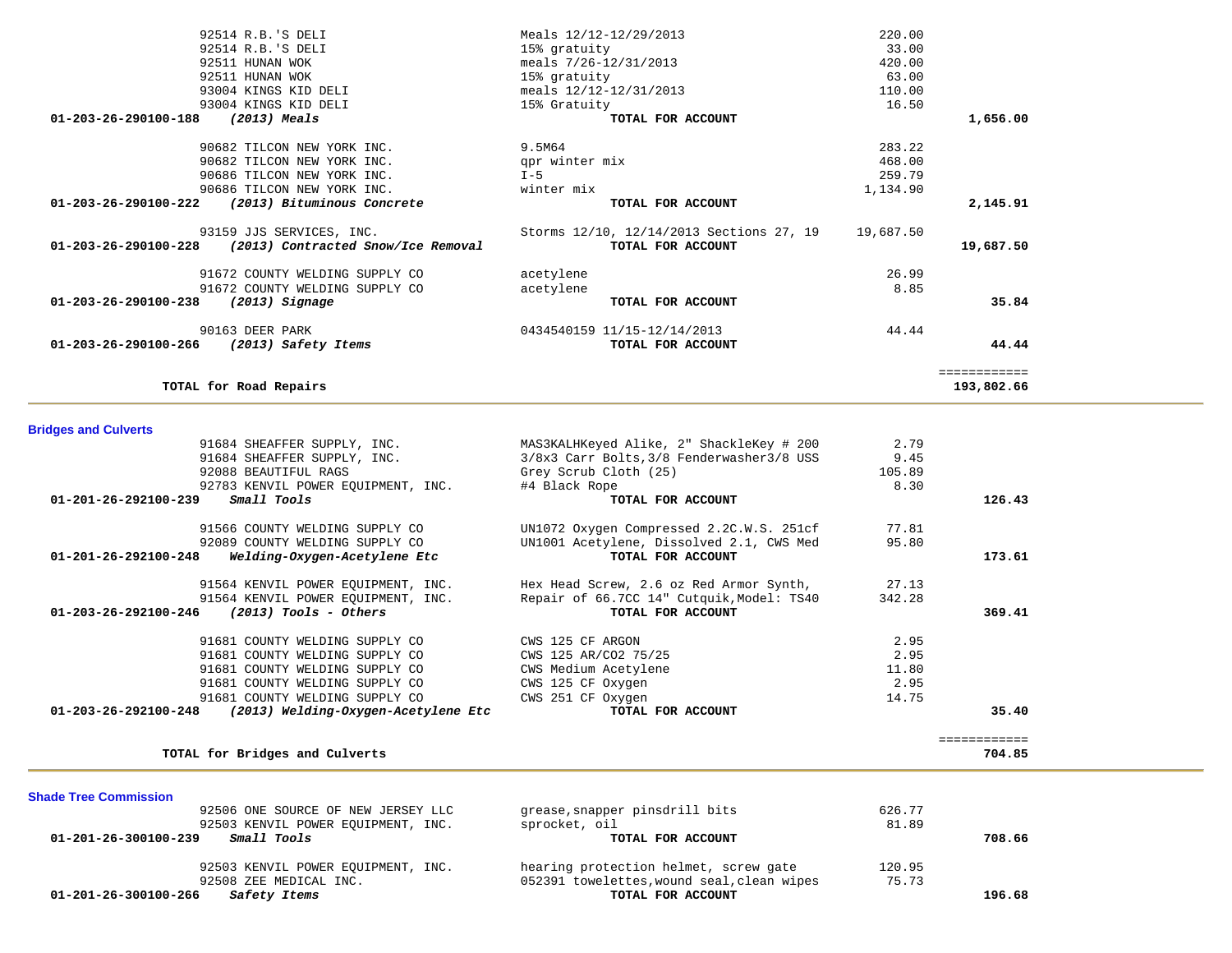| 33.00<br>420.00 | 15% gratuity                             | 92514 R.B.'S DELI                  |
|-----------------|------------------------------------------|------------------------------------|
|                 |                                          |                                    |
|                 | meals 7/26-12/31/2013                    | 92511 HUNAN WOK                    |
| 63.00           | 15% gratuity                             | 92511 HUNAN WOK                    |
| 110.00          | meals $12/12 - 12/31/2013$               | 93004 KINGS KID DELI               |
| 16.50           | 15% Gratuity                             | 93004 KINGS KID DELI               |
|                 | TOTAL FOR ACCOUNT                        | (2013) Meals                       |
| 283.22          | 9.5M64                                   | 90682 TILCON NEW YORK INC.         |
| 468.00          | qpr winter mix                           | 90682 TILCON NEW YORK INC.         |
| 259.79          | $I - 5$                                  | 90686 TILCON NEW YORK INC.         |
| 1,134.90        | winter mix                               | 90686 TILCON NEW YORK INC.         |
|                 | TOTAL FOR ACCOUNT                        | (2013) Bituminous Concrete         |
| 19,687.50       | Storms 12/10, 12/14/2013 Sections 27, 19 | 93159 JJS SERVICES, INC.           |
|                 | TOTAL FOR ACCOUNT                        | (2013) Contracted Snow/Ice Removal |
| 26.99           | acetylene                                | 91672 COUNTY WELDING SUPPLY CO     |
| 8.85            | acetylene                                | 91672 COUNTY WELDING SUPPLY CO     |
|                 | TOTAL FOR ACCOUNT                        | $(2013)$ Signage                   |
| 44.44           | 0434540159 11/15-12/14/2013              | 90163 DEER PARK                    |
|                 | TOTAL FOR ACCOUNT                        | (2013) Safety Items                |
| ============    |                                          |                                    |

### **Bridges and Culverts**

| 91684 SHEAFFER SUPPLY, INC.                                 | MAS3KALHKeyed Alike, 2" ShackleKey # 200   | 2.79   |              |
|-------------------------------------------------------------|--------------------------------------------|--------|--------------|
| 91684 SHEAFFER SUPPLY, INC.                                 | 3/8x3 Carr Bolts, 3/8 Fenderwasher 3/8 USS | 9.45   |              |
| 92088 BEAUTIFUL RAGS                                        | Grey Scrub Cloth (25)                      | 105.89 |              |
| 92783 KENVIL POWER EQUIPMENT, INC.                          | #4 Black Rope                              | 8.30   |              |
| Small Tools<br>01-201-26-292100-239                         | TOTAL FOR ACCOUNT                          |        | 126.43       |
| 91566 COUNTY WELDING SUPPLY CO                              | UN1072 Oxygen Compressed 2.2C.W.S. 251cf   | 77.81  |              |
| 92089 COUNTY WELDING SUPPLY CO                              | UN1001 Acetylene, Dissolved 2.1, CWS Med   | 95.80  |              |
| Welding-Oxygen-Acetylene Etc<br>01-201-26-292100-248        | TOTAL FOR ACCOUNT                          |        | 173.61       |
| 91564 KENVIL POWER EOUIPMENT, INC.                          | Hex Head Screw, 2.6 oz Red Armor Synth,    | 27.13  |              |
| 91564 KENVIL POWER EQUIPMENT, INC.                          | Repair of 66.7CC 14" Cutquik, Model: TS40  | 342.28 |              |
| $(2013)$ Tools - Others<br>01-203-26-292100-246             | TOTAL FOR ACCOUNT                          |        | 369.41       |
| 91681 COUNTY WELDING SUPPLY CO                              | CWS 125 CF ARGON                           | 2.95   |              |
| 91681 COUNTY WELDING SUPPLY CO                              | CWS 125 AR/CO2 75/25                       | 2.95   |              |
| 91681 COUNTY WELDING SUPPLY CO                              | CWS Medium Acetylene                       | 11.80  |              |
| 91681 COUNTY WELDING SUPPLY CO                              | CWS 125 CF Oxygen                          | 2.95   |              |
| 91681 COUNTY WELDING SUPPLY CO                              | CWS 251 CF Oxygen                          | 14.75  |              |
| 01-203-26-292100-248<br>(2013) Welding-Oxygen-Acetylene Etc | TOTAL FOR ACCOUNT                          |        | 35.40        |
|                                                             |                                            |        | ============ |
| TOTAL for Bridges and Culverts                              |                                            |        | 704.85       |

**Shade Tree Commission**  92506 ONE SOURCE OF NEW JERSEY LLC grease,snapper pinsdrill bits 626.77 92503 KENVIL POWER EQUIPMENT, INC.<br> **92503 KENVIL POWER EQUIPMENT, INC.** sprocket, oil **TOTAL FOR ACCOUNT** 81.89  **01-201-26-300100-239** *Small Tools* **TOTAL FOR ACCOUNT 708.66** 92503 KENVIL POWER EQUIPMENT, INC. hearing protection helmet, screw gate 120.95 92508 ZEE MEDICAL INC.<br>
5 **Safety Items** (1994) 1952391 towelettes, wound seal, clean wipes (1958) 92508 2565  **01-201-26-300100-266** *Safety Items* **TOTAL FOR ACCOUNT 196.68**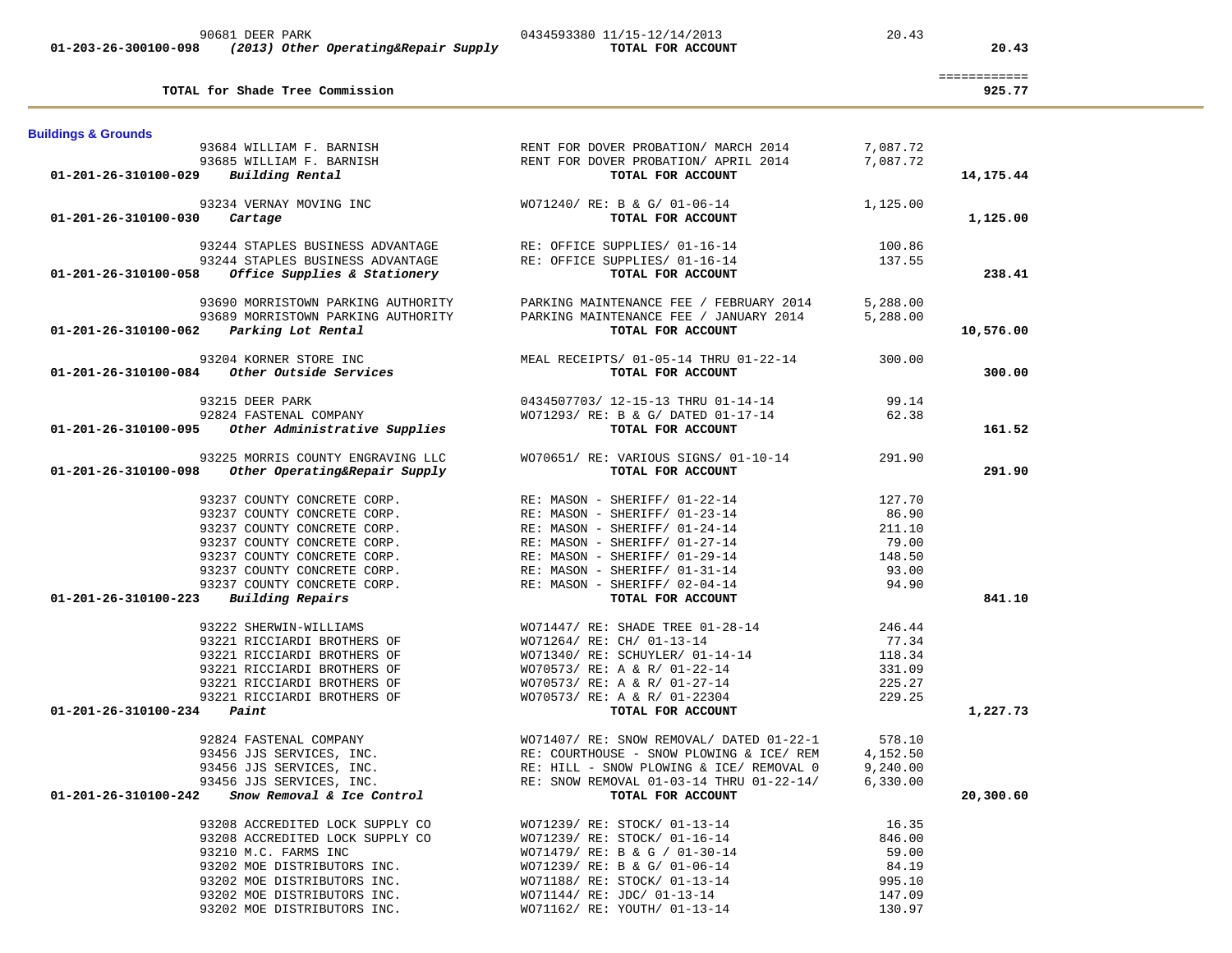| TOTAL for Shade Tree Commission                              |                                                                                              | ============<br>925.77 |
|--------------------------------------------------------------|----------------------------------------------------------------------------------------------|------------------------|
| <b>Buildings &amp; Grounds</b>                               |                                                                                              |                        |
| 93684 WILLIAM F. BARNISH                                     | RENT FOR DOVER PROBATION/ MARCH 2014<br>7,087.72                                             |                        |
| 93685 WILLIAM F. BARNISH                                     | RENT FOR DOVER PROBATION/ APRIL 2014<br>7,087.72                                             |                        |
| Building Rental<br>01-201-26-310100-029                      | TOTAL FOR ACCOUNT                                                                            | 14,175.44              |
| 93234 VERNAY MOVING INC                                      | WO71240/ RE: B & G/ 01-06-14<br>1,125.00                                                     |                        |
| 01-201-26-310100-030<br>Cartage                              | TOTAL FOR ACCOUNT                                                                            | 1,125.00               |
| 93244 STAPLES BUSINESS ADVANTAGE                             | RE: OFFICE SUPPLIES/ 01-16-14<br>100.86                                                      |                        |
| 93244 STAPLES BUSINESS ADVANTAGE                             | RE: OFFICE SUPPLIES/ 01-16-14<br>137.55                                                      |                        |
| 01-201-26-310100-058<br>Office Supplies & Stationery         | TOTAL FOR ACCOUNT                                                                            | 238.41                 |
| 93690 MORRISTOWN PARKING AUTHORITY                           | PARKING MAINTENANCE FEE / FEBRUARY 2014<br>5,288.00                                          |                        |
| 93689 MORRISTOWN PARKING AUTHORITY                           | PARKING MAINTENANCE FEE / JANUARY 2014<br>5,288.00                                           |                        |
| 01-201-26-310100-062<br>Parking Lot Rental                   | TOTAL FOR ACCOUNT                                                                            | 10,576.00              |
| 93204 KORNER STORE INC                                       | MEAL RECEIPTS/ 01-05-14 THRU 01-22-14<br>300.00                                              |                        |
| $01-201-26-310100-084$ Other Outside Services                | TOTAL FOR ACCOUNT                                                                            | 300.00                 |
| 93215 DEER PARK                                              | 0434507703/ 12-15-13 THRU 01-14-14<br>99.14                                                  |                        |
| 92824 FASTENAL COMPANY                                       | WO71293/ RE: B & G/ DATED 01-17-14<br>62.38                                                  |                        |
| 01-201-26-310100-095 Other Administrative Supplies           | TOTAL FOR ACCOUNT                                                                            | 161.52                 |
| 93225 MORRIS COUNTY ENGRAVING LLC                            | WO70651/ RE: VARIOUS SIGNS/ 01-10-14<br>291.90                                               |                        |
| Other Operating&Repair Supply<br>01-201-26-310100-098        | TOTAL FOR ACCOUNT                                                                            | 291.90                 |
| 93237 COUNTY CONCRETE CORP.                                  | RE: MASON - SHERIFF/ 01-22-14<br>127.70                                                      |                        |
| 93237 COUNTY CONCRETE CORP.                                  | RE: MASON - SHERIFF/ 01-23-14<br>86.90                                                       |                        |
| 93237 COUNTY CONCRETE CORP.                                  | RE: MASON - SHERIFF/ 01-24-14<br>211.10                                                      |                        |
| 93237 COUNTY CONCRETE CORP.                                  | RE: MASON - SHERIFF/ 01-27-14<br>79.00                                                       |                        |
| 93237 COUNTY CONCRETE CORP.                                  | RE: MASON - SHERIFF/ 01-29-14<br>148.50                                                      |                        |
| 93237 COUNTY CONCRETE CORP.                                  | RE: MASON - SHERIFF/ 01-31-14<br>93.00                                                       |                        |
| 93237 COUNTY CONCRETE CORP.                                  | RE: MASON - SHERIFF/ 02-04-14<br>94.90                                                       |                        |
| 01-201-26-310100-223<br>Building Repairs                     | TOTAL FOR ACCOUNT                                                                            | 841.10                 |
| 93222 SHERWIN-WILLIAMS                                       | WO71447/ RE: SHADE TREE 01-28-14<br>246.44                                                   |                        |
| 93221 RICCIARDI BROTHERS OF                                  | WO71264/ RE: CH/ 01-13-14<br>77.34                                                           |                        |
| 93221 RICCIARDI BROTHERS OF                                  | WO71340/ RE: SCHUYLER/ 01-14-14<br>118.34                                                    |                        |
| 93221 RICCIARDI BROTHERS OF                                  | WO70573/ RE: A & R/ 01-22-14<br>331.09                                                       |                        |
| 93221 RICCIARDI BROTHERS OF                                  | WO70573/ RE: A & R/ 01-27-14<br>225.27                                                       |                        |
| 93221 RICCIARDI BROTHERS OF<br>Paint<br>01-201-26-310100-234 | WO70573/ RE: A & R/ 01-22304<br>229.25<br>TOTAL FOR ACCOUNT                                  | 1,227.73               |
|                                                              |                                                                                              |                        |
| 92824 FASTENAL COMPANY                                       | WO71407/RE: SNOW REMOVAL/DATED 01-22-1<br>578.10<br>RE: COURTHOUSE - SNOW PLOWING & ICE/ REM |                        |
| 93456 JJS SERVICES, INC.<br>93456 JJS SERVICES, INC.         | 4,152.50<br>9,240.00<br>RE: HILL - SNOW PLOWING & ICE/ REMOVAL 0                             |                        |
| 93456 JJS SERVICES, INC.                                     | RE: SNOW REMOVAL 01-03-14 THRU 01-22-14/<br>6,330.00                                         |                        |
| Snow Removal & Ice Control<br>01-201-26-310100-242           | TOTAL FOR ACCOUNT                                                                            | 20,300.60              |
| 93208 ACCREDITED LOCK SUPPLY CO                              | WO71239/ RE: STOCK/ 01-13-14<br>16.35                                                        |                        |
| 93208 ACCREDITED LOCK SUPPLY CO                              | 846.00<br>WO71239/ RE: STOCK/ 01-16-14                                                       |                        |
| 93210 M.C. FARMS INC                                         | WO71479/ RE: B & G / 01-30-14<br>59.00                                                       |                        |
| 93202 MOE DISTRIBUTORS INC.                                  | WO71239/ RE: B & G/ 01-06-14<br>84.19                                                        |                        |
| 93202 MOE DISTRIBUTORS INC.                                  | WO71188/ RE: STOCK/ 01-13-14<br>995.10                                                       |                        |
| 93202 MOE DISTRIBUTORS INC.                                  | WO71144/ RE: JDC/ 01-13-14<br>147.09                                                         |                        |
| 93202 MOE DISTRIBUTORS INC.                                  | 130.97<br>WO71162/ RE: YOUTH/ 01-13-14                                                       |                        |

90681 DEER PARK 20.43 20.43 0434593380 11/15-12/14/2013 20.43  **01-203-26-300100-098** *(2013) Other Operating&Repair Supply* **TOTAL FOR ACCOUNT 20.43**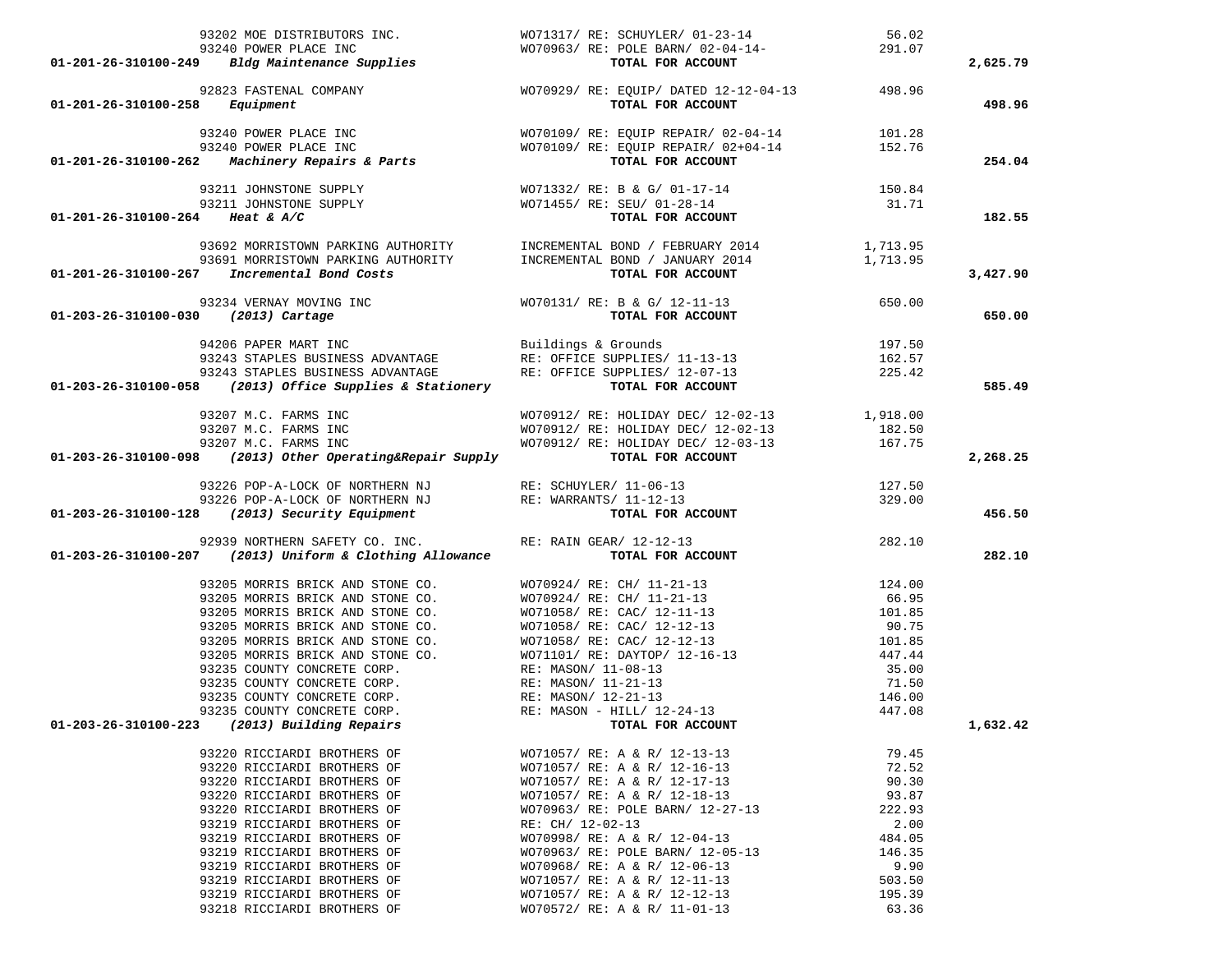|                                     |                                                             | 93202 MOE DISTRIBUTORS INC.<br>93202 MOE DISTRIBUTORS INC.<br>93240 POWER PLACE INC<br>93240 POWER PLACE INC<br>93240 POWER PLACE INC<br>93240 POWER PLACE INC<br>93240 POWER PLACE INC<br>93240 POWER PLACE INC<br>93240 POWER PLACE INC<br>93                                                                        |                  | 2,625.79 |
|-------------------------------------|-------------------------------------------------------------|------------------------------------------------------------------------------------------------------------------------------------------------------------------------------------------------------------------------------------------------------------------------------------------------------------------------|------------------|----------|
|                                     |                                                             |                                                                                                                                                                                                                                                                                                                        |                  |          |
|                                     |                                                             |                                                                                                                                                                                                                                                                                                                        |                  | 498.96   |
|                                     |                                                             | 93240 POWER PLACE INC<br>93240 POWER PLACE INC<br>93240 POWER PLACE INC<br>93240 POWER PLACE INC<br>93240 POWER PLACE INC<br>93240 POWER PLACE INC<br>93240 POWER PLACE INC<br>93240 POWER PLACE INC<br>952.76<br>TOTAL FOR ACCOUNT                                                                                    |                  |          |
|                                     |                                                             |                                                                                                                                                                                                                                                                                                                        |                  |          |
|                                     |                                                             |                                                                                                                                                                                                                                                                                                                        |                  | 254.04   |
|                                     |                                                             |                                                                                                                                                                                                                                                                                                                        |                  |          |
|                                     |                                                             |                                                                                                                                                                                                                                                                                                                        |                  |          |
| 01-201-26-310100-264 Heat & A/C     |                                                             | 93211 JOHNSTONE SUPPLY<br>93211 JOHNSTONE SUPPLY<br>93211 JOHNSTONE SUPPLY<br>93211 JOHNSTONE SUPPLY<br>93211 JOHNSTONE SUPPLY<br>93211 JOHNSTONE SUPPLY<br>93211 JOHNSTONE SUPPLY<br>93211 JOHNSTONE SUPPLY<br>93211 JOHNSTONE SUPPLY<br>93211                                                                        |                  | 182.55   |
|                                     |                                                             |                                                                                                                                                                                                                                                                                                                        |                  |          |
|                                     |                                                             | 93692 MORRISTOWN PARKING AUTHORITY<br>93692 MORRISTOWN PARKING AUTHORITY 1 INCREMENTAL BOND / JANUARY 2014 1,713.95<br>- 2010 1,713.95                                                                                                                                                                                 |                  |          |
|                                     | 01-201-26-310100-267 Incremental Bond Costs                 | TOTAL FOR ACCOUNT                                                                                                                                                                                                                                                                                                      |                  | 3,427.90 |
|                                     |                                                             |                                                                                                                                                                                                                                                                                                                        |                  |          |
| 01-203-26-310100-030 (2013) Cartage |                                                             | 93234 VERNAY MOVING INC<br>0 (2013) Cartage $(2013)$ Cartage $(2013)$ Cartage $(2013)$                                                                                                                                                                                                                                 |                  | 650.00   |
|                                     |                                                             |                                                                                                                                                                                                                                                                                                                        |                  |          |
|                                     |                                                             | 94206 PAPER MART INC<br>93243 STAPLES BUSINESS ADVANTAGE<br>93243 STAPLES BUSINESS ADVANTAGE<br>93243 STAPLES BUSINESS ADVANTAGE<br>93243 STAPLES BUSINESS ADVANTAGE<br>93243 STAPLES BUSINESS ADVANTAGE<br>93243 STAPLES BUSINESS ADVANT                                                                              | 197.50<br>162.57 |          |
|                                     |                                                             |                                                                                                                                                                                                                                                                                                                        |                  |          |
|                                     |                                                             |                                                                                                                                                                                                                                                                                                                        |                  |          |
|                                     |                                                             |                                                                                                                                                                                                                                                                                                                        |                  | 585.49   |
|                                     | 93207 M.C. FARMS INC                                        |                                                                                                                                                                                                                                                                                                                        |                  |          |
|                                     | 93207 M.C. FARMS INC                                        |                                                                                                                                                                                                                                                                                                                        |                  |          |
|                                     | 93207 M.C. FARMS INC                                        |                                                                                                                                                                                                                                                                                                                        |                  |          |
|                                     | $01-203-26-310100-098$ (2013) Other Operating&Repair Supply | WO70912/ RE: HOLIDAY DEC/ 12-02-13<br>WO70912/ RE: HOLIDAY DEC/ 12-02-13<br>WO70912/ RE: HOLIDAY DEC/ 12-02-13<br><b>TOTAL FOR ACCOUNT</b><br>TOTAL FOR ACCOUNT                                                                                                                                                        |                  | 2,268.25 |
|                                     |                                                             |                                                                                                                                                                                                                                                                                                                        |                  |          |
|                                     |                                                             |                                                                                                                                                                                                                                                                                                                        |                  |          |
|                                     |                                                             | 93226 POP-A-LOCK OF NORTHERN NJ<br>93226 POP-A-LOCK OF NORTHERN NJ<br><b>01-203-26-310100-128</b> (2013) Security Equipment<br><b>127.50</b><br><b>127.50</b><br><b>127.50</b><br><b>127.50</b><br><b>127.50</b><br><b>127.50</b><br><b>127.50</b><br><b>127.50</b><br><b>127.50</b><br><b>127.50</b><br><b>127.50</b> |                  | 456.50   |
|                                     |                                                             |                                                                                                                                                                                                                                                                                                                        |                  |          |
|                                     |                                                             | 92939 NORTHERN SAFETY CO. INC.<br><b>01-203-26-310100-207</b> (2013) Uniform & Clothing Allowance TOTAL FOR ACCOUNT                                                                                                                                                                                                    |                  | 282.10   |
|                                     |                                                             |                                                                                                                                                                                                                                                                                                                        |                  |          |
|                                     |                                                             |                                                                                                                                                                                                                                                                                                                        |                  |          |
|                                     |                                                             |                                                                                                                                                                                                                                                                                                                        |                  |          |
|                                     |                                                             |                                                                                                                                                                                                                                                                                                                        |                  |          |
|                                     |                                                             |                                                                                                                                                                                                                                                                                                                        |                  |          |
|                                     |                                                             |                                                                                                                                                                                                                                                                                                                        |                  |          |
|                                     |                                                             |                                                                                                                                                                                                                                                                                                                        |                  |          |
|                                     |                                                             |                                                                                                                                                                                                                                                                                                                        |                  |          |
|                                     |                                                             |                                                                                                                                                                                                                                                                                                                        |                  |          |
| 01-203-26-310100-223                | (2013) Building Repairs                                     | TOTAL FOR ACCOUNT                                                                                                                                                                                                                                                                                                      |                  | 1,632.42 |
|                                     |                                                             |                                                                                                                                                                                                                                                                                                                        |                  |          |
|                                     | 93220 RICCIARDI BROTHERS OF<br>93220 RICCIARDI BROTHERS OF  | WO71057/ RE: A & R/ 12-13-13<br>WO71057/ RE: A & R/ 12-16-13                                                                                                                                                                                                                                                           | 79.45<br>72.52   |          |
|                                     | 93220 RICCIARDI BROTHERS OF                                 | WO71057/ RE: A & R/ 12-17-13                                                                                                                                                                                                                                                                                           | 90.30            |          |
|                                     | 93220 RICCIARDI BROTHERS OF                                 | WO71057/ RE: A & R/ 12-18-13                                                                                                                                                                                                                                                                                           | 93.87            |          |
|                                     | 93220 RICCIARDI BROTHERS OF                                 | WO70963/ RE: POLE BARN/ 12-27-13                                                                                                                                                                                                                                                                                       | 222.93           |          |
|                                     | 93219 RICCIARDI BROTHERS OF                                 | RE: CH/ 12-02-13                                                                                                                                                                                                                                                                                                       | 2.00             |          |
|                                     | 93219 RICCIARDI BROTHERS OF                                 | $WO70998/ RE: A & R/ 12-04-13$                                                                                                                                                                                                                                                                                         | 484.05           |          |
|                                     | 93219 RICCIARDI BROTHERS OF                                 | WO70963/ RE: POLE BARN/ 12-05-13                                                                                                                                                                                                                                                                                       | 146.35           |          |
|                                     | 93219 RICCIARDI BROTHERS OF                                 | WO70968/ RE: A & R/ 12-06-13                                                                                                                                                                                                                                                                                           | 9.90             |          |
|                                     | 93219 RICCIARDI BROTHERS OF                                 | WO71057/ RE: A & R/ 12-11-13<br>WO71057/ RE: A & R/ 12-12-13                                                                                                                                                                                                                                                           | 503.50<br>195.39 |          |
|                                     | 93219 RICCIARDI BROTHERS OF<br>93218 RICCIARDI BROTHERS OF  | WO70572/ RE: A & R/ 11-01-13                                                                                                                                                                                                                                                                                           | 63.36            |          |
|                                     |                                                             |                                                                                                                                                                                                                                                                                                                        |                  |          |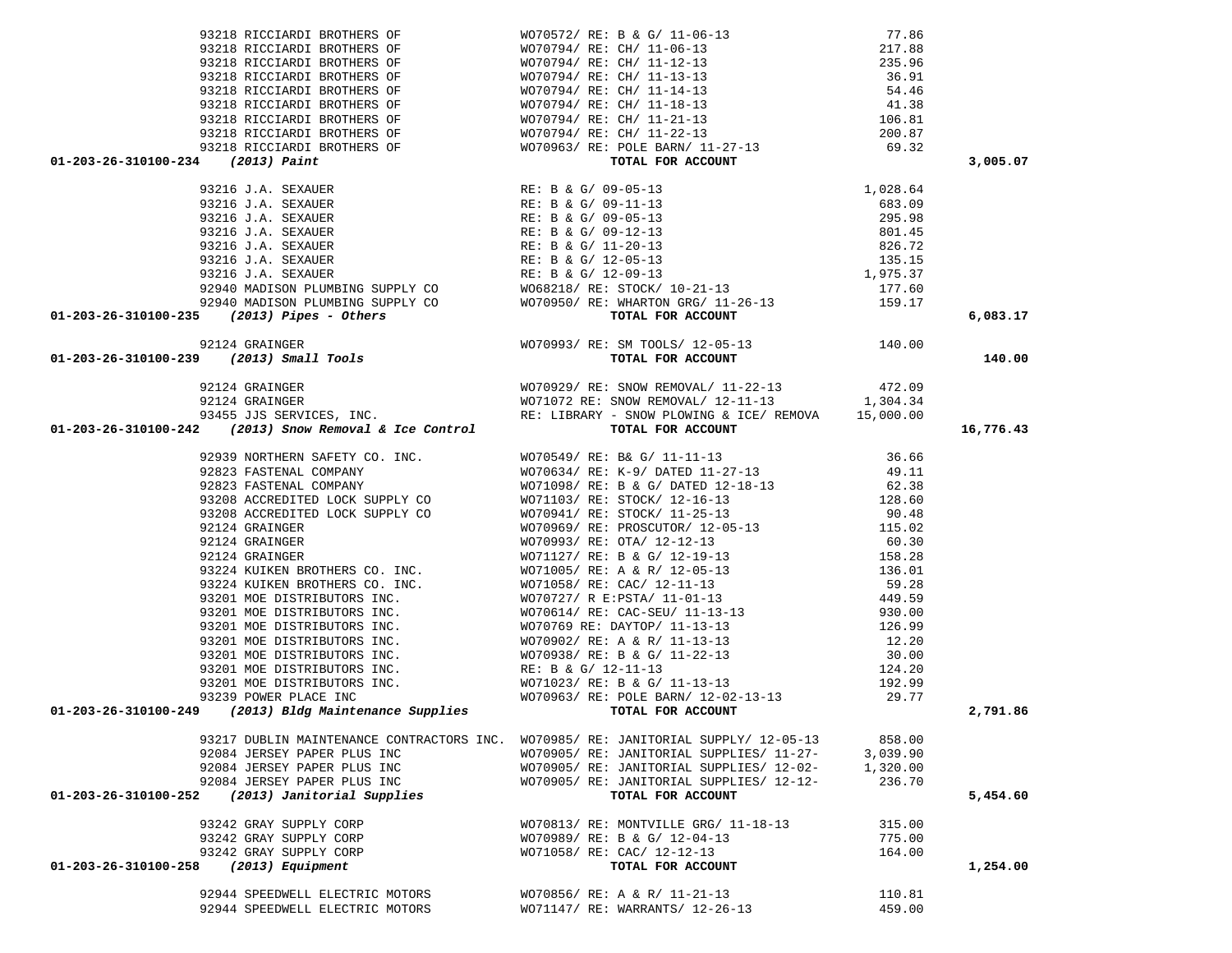| 01-203-26-310100-234 (2013) Paint                                                                                                                                                                                                                                                                                                                                                                                                                                                               | 93218 RICCIARDI BROTHERS OF WOTO572/ RE: B & G/ 11-06-13 77.86<br>93218 RICCIARDI BROTHERS OF WOTO794/ RE: CH/ 11-06-13 217.88<br>93218 RICCIARDI BROTHERS OF WOTO794/ RE: CH/ 11-12-13 235.96<br>93218 RICCIARDI BROTHERS OF WOTO7 |          | 3,005.07  |
|-------------------------------------------------------------------------------------------------------------------------------------------------------------------------------------------------------------------------------------------------------------------------------------------------------------------------------------------------------------------------------------------------------------------------------------------------------------------------------------------------|-------------------------------------------------------------------------------------------------------------------------------------------------------------------------------------------------------------------------------------|----------|-----------|
|                                                                                                                                                                                                                                                                                                                                                                                                                                                                                                 |                                                                                                                                                                                                                                     |          |           |
|                                                                                                                                                                                                                                                                                                                                                                                                                                                                                                 |                                                                                                                                                                                                                                     |          |           |
|                                                                                                                                                                                                                                                                                                                                                                                                                                                                                                 |                                                                                                                                                                                                                                     |          |           |
|                                                                                                                                                                                                                                                                                                                                                                                                                                                                                                 |                                                                                                                                                                                                                                     |          |           |
|                                                                                                                                                                                                                                                                                                                                                                                                                                                                                                 |                                                                                                                                                                                                                                     |          |           |
|                                                                                                                                                                                                                                                                                                                                                                                                                                                                                                 |                                                                                                                                                                                                                                     |          |           |
|                                                                                                                                                                                                                                                                                                                                                                                                                                                                                                 |                                                                                                                                                                                                                                     |          |           |
|                                                                                                                                                                                                                                                                                                                                                                                                                                                                                                 |                                                                                                                                                                                                                                     |          |           |
|                                                                                                                                                                                                                                                                                                                                                                                                                                                                                                 |                                                                                                                                                                                                                                     |          |           |
|                                                                                                                                                                                                                                                                                                                                                                                                                                                                                                 |                                                                                                                                                                                                                                     |          |           |
|                                                                                                                                                                                                                                                                                                                                                                                                                                                                                                 |                                                                                                                                                                                                                                     |          |           |
|                                                                                                                                                                                                                                                                                                                                                                                                                                                                                                 |                                                                                                                                                                                                                                     |          |           |
|                                                                                                                                                                                                                                                                                                                                                                                                                                                                                                 |                                                                                                                                                                                                                                     |          | 6,083.17  |
|                                                                                                                                                                                                                                                                                                                                                                                                                                                                                                 |                                                                                                                                                                                                                                     |          |           |
|                                                                                                                                                                                                                                                                                                                                                                                                                                                                                                 |                                                                                                                                                                                                                                     |          | 140.00    |
|                                                                                                                                                                                                                                                                                                                                                                                                                                                                                                 |                                                                                                                                                                                                                                     |          |           |
|                                                                                                                                                                                                                                                                                                                                                                                                                                                                                                 |                                                                                                                                                                                                                                     |          |           |
|                                                                                                                                                                                                                                                                                                                                                                                                                                                                                                 |                                                                                                                                                                                                                                     |          |           |
|                                                                                                                                                                                                                                                                                                                                                                                                                                                                                                 |                                                                                                                                                                                                                                     |          |           |
|                                                                                                                                                                                                                                                                                                                                                                                                                                                                                                 |                                                                                                                                                                                                                                     |          |           |
| 3216 J.A. SEXAUER<br>93216 J.A. SEXAUER<br>93216 J.A. SEXAUER<br>93216 J.A. SEXAUER<br>93216 J.A. SEXAUER<br>93216 J.A. SEXAUER<br>93216 J.A. SEXAUER<br>93216 J.A. SEXAUER<br>93216 J.A. SEXAUER<br>93216 J.A. SEXAUER<br>93216 J.A. SEXAUER<br>932<br>01-203-26-310100-242 GALINER (MCTANING HEART - SHOW FLOWING & ICE/ REMOVA 15,000.00<br>92455 JJS SERVICES, INC.<br>92239 MORTHERN SAPETY CO. INC.<br>92239 MORTHERN SAPETY CO. INC.<br>92239 MORTHERN SAPETY CO. INC.<br>92221 NATENLIL |                                                                                                                                                                                                                                     |          | 16,776.43 |
|                                                                                                                                                                                                                                                                                                                                                                                                                                                                                                 |                                                                                                                                                                                                                                     |          |           |
|                                                                                                                                                                                                                                                                                                                                                                                                                                                                                                 |                                                                                                                                                                                                                                     |          |           |
|                                                                                                                                                                                                                                                                                                                                                                                                                                                                                                 |                                                                                                                                                                                                                                     |          |           |
|                                                                                                                                                                                                                                                                                                                                                                                                                                                                                                 |                                                                                                                                                                                                                                     |          |           |
|                                                                                                                                                                                                                                                                                                                                                                                                                                                                                                 |                                                                                                                                                                                                                                     |          |           |
|                                                                                                                                                                                                                                                                                                                                                                                                                                                                                                 |                                                                                                                                                                                                                                     |          |           |
|                                                                                                                                                                                                                                                                                                                                                                                                                                                                                                 |                                                                                                                                                                                                                                     |          |           |
|                                                                                                                                                                                                                                                                                                                                                                                                                                                                                                 |                                                                                                                                                                                                                                     |          |           |
|                                                                                                                                                                                                                                                                                                                                                                                                                                                                                                 |                                                                                                                                                                                                                                     |          |           |
|                                                                                                                                                                                                                                                                                                                                                                                                                                                                                                 |                                                                                                                                                                                                                                     |          |           |
|                                                                                                                                                                                                                                                                                                                                                                                                                                                                                                 |                                                                                                                                                                                                                                     |          |           |
|                                                                                                                                                                                                                                                                                                                                                                                                                                                                                                 |                                                                                                                                                                                                                                     |          |           |
|                                                                                                                                                                                                                                                                                                                                                                                                                                                                                                 |                                                                                                                                                                                                                                     |          |           |
|                                                                                                                                                                                                                                                                                                                                                                                                                                                                                                 |                                                                                                                                                                                                                                     |          |           |
|                                                                                                                                                                                                                                                                                                                                                                                                                                                                                                 |                                                                                                                                                                                                                                     |          |           |
|                                                                                                                                                                                                                                                                                                                                                                                                                                                                                                 |                                                                                                                                                                                                                                     |          |           |
|                                                                                                                                                                                                                                                                                                                                                                                                                                                                                                 |                                                                                                                                                                                                                                     |          |           |
|                                                                                                                                                                                                                                                                                                                                                                                                                                                                                                 |                                                                                                                                                                                                                                     |          |           |
|                                                                                                                                                                                                                                                                                                                                                                                                                                                                                                 |                                                                                                                                                                                                                                     |          |           |
|                                                                                                                                                                                                                                                                                                                                                                                                                                                                                                 |                                                                                                                                                                                                                                     |          |           |
|                                                                                                                                                                                                                                                                                                                                                                                                                                                                                                 |                                                                                                                                                                                                                                     |          |           |
|                                                                                                                                                                                                                                                                                                                                                                                                                                                                                                 |                                                                                                                                                                                                                                     |          |           |
|                                                                                                                                                                                                                                                                                                                                                                                                                                                                                                 |                                                                                                                                                                                                                                     |          | 2,791.86  |
|                                                                                                                                                                                                                                                                                                                                                                                                                                                                                                 |                                                                                                                                                                                                                                     |          |           |
|                                                                                                                                                                                                                                                                                                                                                                                                                                                                                                 | 93217 DUBLIN MAINTENANCE CONTRACTORS INC. WO70985/RE: JANITORIAL SUPPLY/ 12-05-13                                                                                                                                                   | 858.00   |           |
| 92084 JERSEY PAPER PLUS INC                                                                                                                                                                                                                                                                                                                                                                                                                                                                     | WO70905/ RE: JANITORIAL SUPPLIES/ 11-27-                                                                                                                                                                                            | 3,039.90 |           |
| 92084 JERSEY PAPER PLUS INC                                                                                                                                                                                                                                                                                                                                                                                                                                                                     | WO70905/RE: JANITORIAL SUPPLIES/ 12-02-                                                                                                                                                                                             | 1,320.00 |           |
|                                                                                                                                                                                                                                                                                                                                                                                                                                                                                                 |                                                                                                                                                                                                                                     |          |           |
| 92084 JERSEY PAPER PLUS INC<br>(2013) Janitorial Supplies<br>01-203-26-310100-252                                                                                                                                                                                                                                                                                                                                                                                                               | WO70905/ RE: JANITORIAL SUPPLIES/ 12-12-<br>TOTAL FOR ACCOUNT                                                                                                                                                                       | 236.70   | 5,454.60  |
|                                                                                                                                                                                                                                                                                                                                                                                                                                                                                                 |                                                                                                                                                                                                                                     |          |           |
| 93242 GRAY SUPPLY CORP                                                                                                                                                                                                                                                                                                                                                                                                                                                                          | WO70813/ RE: MONTVILLE GRG/ 11-18-13                                                                                                                                                                                                | 315.00   |           |
| 93242 GRAY SUPPLY CORP                                                                                                                                                                                                                                                                                                                                                                                                                                                                          | WO70989/ RE: B & G/ 12-04-13                                                                                                                                                                                                        | 775.00   |           |
| 93242 GRAY SUPPLY CORP                                                                                                                                                                                                                                                                                                                                                                                                                                                                          | WO71058/ RE: CAC/ 12-12-13                                                                                                                                                                                                          | 164.00   |           |
| 01-203-26-310100-258 (2013) Equipment                                                                                                                                                                                                                                                                                                                                                                                                                                                           |                                                                                                                                                                                                                                     |          |           |
|                                                                                                                                                                                                                                                                                                                                                                                                                                                                                                 | TOTAL FOR ACCOUNT                                                                                                                                                                                                                   |          | 1,254.00  |
| 92944 SPEEDWELL ELECTRIC MOTORS                                                                                                                                                                                                                                                                                                                                                                                                                                                                 | WO70856/ RE: A & R/ 11-21-13                                                                                                                                                                                                        | 110.81   |           |
|                                                                                                                                                                                                                                                                                                                                                                                                                                                                                                 |                                                                                                                                                                                                                                     |          |           |
| 92944 SPEEDWELL ELECTRIC MOTORS                                                                                                                                                                                                                                                                                                                                                                                                                                                                 | WO71147/ RE: WARRANTS/ 12-26-13                                                                                                                                                                                                     | 459.00   |           |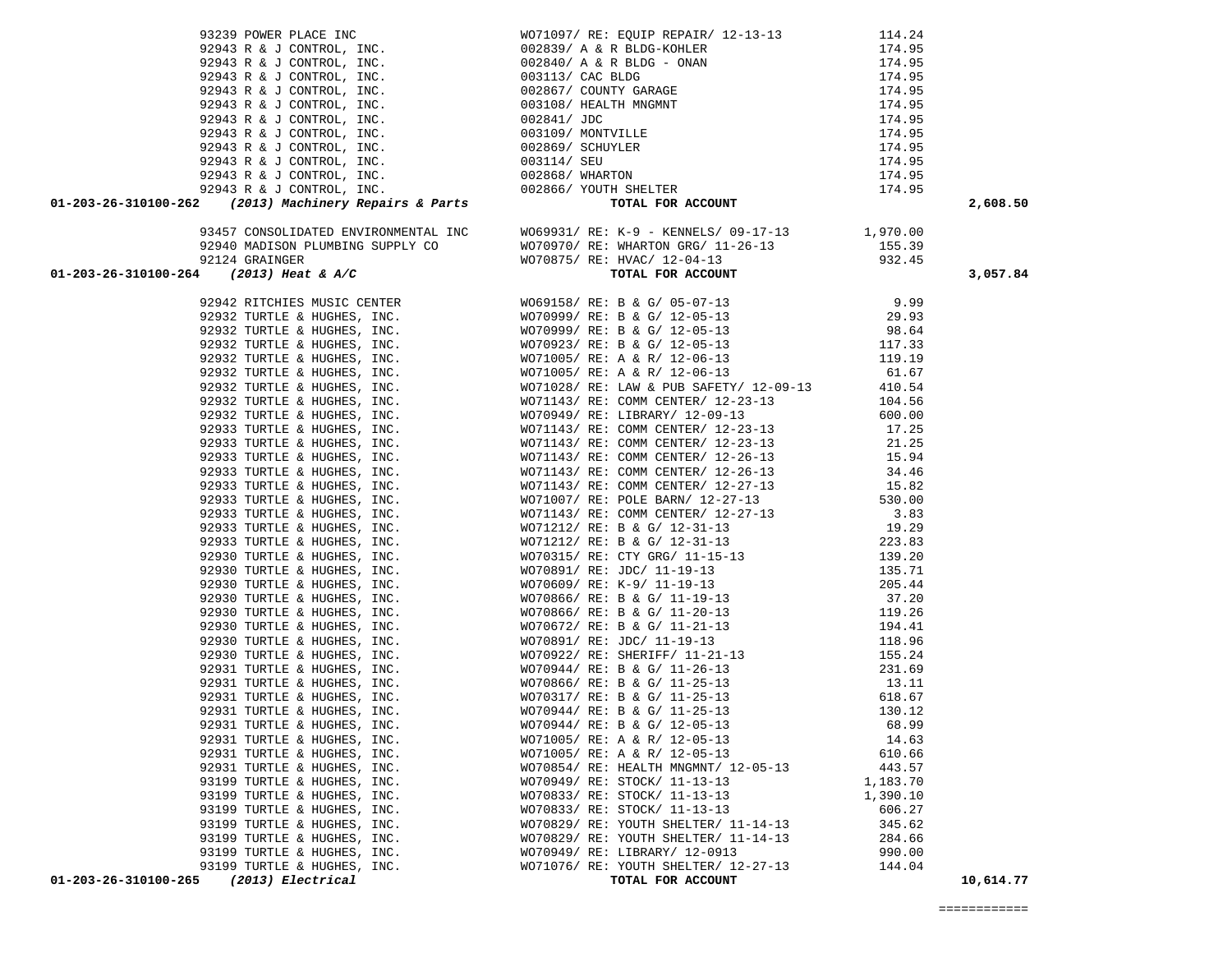| 92943 R & J CONTROL, INC.<br>92943 R & J CONTROL, INC.<br>92943 R & J CONTROL, INC.<br>92943 R & J CONTROL, INC.<br>92943 R & J CONTROL, INC.<br>92943 R & J CONTROL, INC.<br>92943 R & J CONTROL, INC.<br>92943 R & J CONTROL, INC.<br>92943 |  | 2,608.50  |
|-----------------------------------------------------------------------------------------------------------------------------------------------------------------------------------------------------------------------------------------------|--|-----------|
|                                                                                                                                                                                                                                               |  |           |
|                                                                                                                                                                                                                                               |  |           |
|                                                                                                                                                                                                                                               |  |           |
| 10.2013-26-10103-22 a control inc. First (17265) your sensor and the sensor inc. 172, 2013<br>10.2013-26-10103-26 and the sensor and the sensor and the sensor and the sensor of the sensor and the sensor and the sensor and t               |  | 3,057.84  |
|                                                                                                                                                                                                                                               |  |           |
|                                                                                                                                                                                                                                               |  |           |
|                                                                                                                                                                                                                                               |  |           |
|                                                                                                                                                                                                                                               |  |           |
|                                                                                                                                                                                                                                               |  |           |
|                                                                                                                                                                                                                                               |  |           |
|                                                                                                                                                                                                                                               |  |           |
|                                                                                                                                                                                                                                               |  |           |
|                                                                                                                                                                                                                                               |  |           |
|                                                                                                                                                                                                                                               |  |           |
|                                                                                                                                                                                                                                               |  |           |
|                                                                                                                                                                                                                                               |  |           |
|                                                                                                                                                                                                                                               |  |           |
|                                                                                                                                                                                                                                               |  |           |
|                                                                                                                                                                                                                                               |  |           |
|                                                                                                                                                                                                                                               |  |           |
|                                                                                                                                                                                                                                               |  |           |
|                                                                                                                                                                                                                                               |  |           |
|                                                                                                                                                                                                                                               |  |           |
|                                                                                                                                                                                                                                               |  |           |
|                                                                                                                                                                                                                                               |  |           |
|                                                                                                                                                                                                                                               |  |           |
|                                                                                                                                                                                                                                               |  |           |
|                                                                                                                                                                                                                                               |  |           |
|                                                                                                                                                                                                                                               |  |           |
|                                                                                                                                                                                                                                               |  |           |
|                                                                                                                                                                                                                                               |  |           |
|                                                                                                                                                                                                                                               |  |           |
|                                                                                                                                                                                                                                               |  |           |
|                                                                                                                                                                                                                                               |  |           |
|                                                                                                                                                                                                                                               |  |           |
|                                                                                                                                                                                                                                               |  |           |
|                                                                                                                                                                                                                                               |  |           |
|                                                                                                                                                                                                                                               |  |           |
|                                                                                                                                                                                                                                               |  |           |
|                                                                                                                                                                                                                                               |  |           |
|                                                                                                                                                                                                                                               |  |           |
|                                                                                                                                                                                                                                               |  |           |
|                                                                                                                                                                                                                                               |  |           |
|                                                                                                                                                                                                                                               |  |           |
|                                                                                                                                                                                                                                               |  | 10,614.77 |
|                                                                                                                                                                                                                                               |  |           |

 93239 POWER PLACE INC WO71097/ RE: EQUIP REPAIR/ 12-13-13 114.24 92943 R & J CONTROL, INC.<br>92943 R & J CONTROL, INC.  $002839/$  A & R BLDG – ONAN  $174.95$ 

92943 R & J CONTROL, INC.<br>92943 R & J CONTROL, INC.  $003113 /$  CAC BLDG 92943 R & J CONTROL, INC. 003113/ CAC BLDG 174.95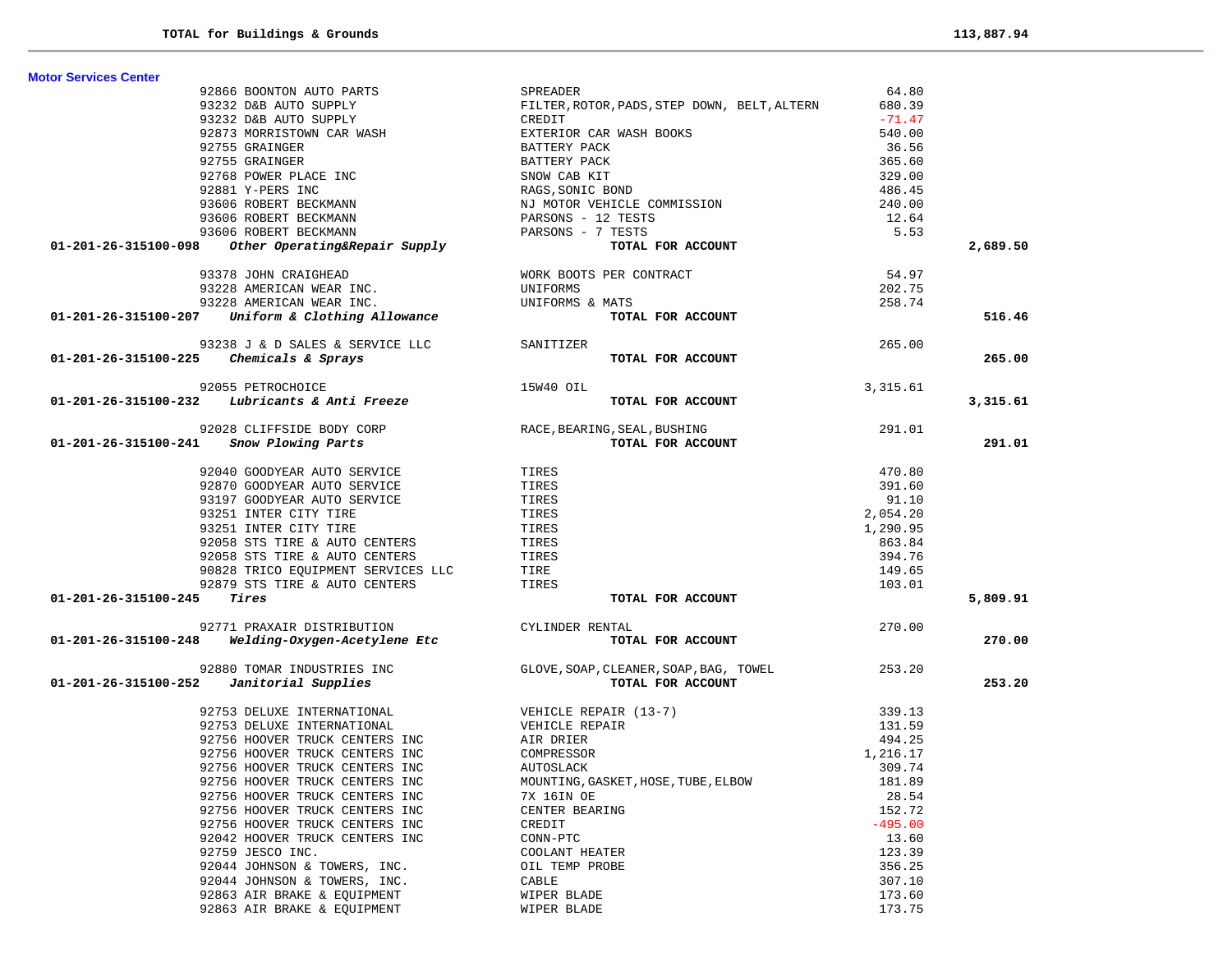**Motor Services Center** 

|                      | 92866 BOONTON AUTO PARTS                                                                                                                                                                   | SPREADER                                                                   | 64.80     |          |
|----------------------|--------------------------------------------------------------------------------------------------------------------------------------------------------------------------------------------|----------------------------------------------------------------------------|-----------|----------|
|                      | 93232 D&B AUTO SUPPLY                                                                                                                                                                      | FILTER, ROTOR, PADS, STEP DOWN, BELT, ALTERN                               | 680.39    |          |
|                      |                                                                                                                                                                                            |                                                                            | $-71.47$  |          |
|                      |                                                                                                                                                                                            |                                                                            | 540.00    |          |
|                      |                                                                                                                                                                                            |                                                                            | 36.56     |          |
|                      |                                                                                                                                                                                            |                                                                            | 365.60    |          |
|                      |                                                                                                                                                                                            |                                                                            | 329.00    |          |
|                      |                                                                                                                                                                                            |                                                                            | 486.45    |          |
|                      |                                                                                                                                                                                            |                                                                            | 240.00    |          |
|                      |                                                                                                                                                                                            |                                                                            | 12.64     |          |
|                      |                                                                                                                                                                                            |                                                                            | 5.53      |          |
|                      |                                                                                                                                                                                            |                                                                            |           | 2,689.50 |
|                      |                                                                                                                                                                                            |                                                                            | 54.97     |          |
|                      |                                                                                                                                                                                            |                                                                            | 202.75    |          |
|                      |                                                                                                                                                                                            |                                                                            | 258.74    |          |
|                      | 93378 JOHN CRAIGHEAD WORK BOOTS PER CONTRACT<br>93228 AMERICAN WEAR INC.<br>93228 AMERICAN WEAR INC. UNIFORMS & MATS<br>01-201-26-315100-207 Uniform & Clothing Allowance TOTAL FOR ACCOUN | TOTAL FOR ACCOUNT                                                          |           | 516.46   |
|                      | 93238 J & D SALES & SERVICE LLC SANITIZER                                                                                                                                                  |                                                                            | 265.00    |          |
|                      | $01-201-26-315100-225$ Chemicals & Sprays                                                                                                                                                  | TOTAL FOR ACCOUNT                                                          |           | 265.00   |
|                      |                                                                                                                                                                                            |                                                                            | 3,315.61  |          |
|                      | 92055 PETROCHOICE<br>01-201-26-315100-232 Lubricants & Anti Freeze<br>15W40 OIL                                                                                                            | TOTAL FOR ACCOUNT                                                          |           | 3,315.61 |
|                      |                                                                                                                                                                                            | 92028 CLIFFSIDE BODY CORP RACE, BEARING, SEAL, BUSHING ROOM PLOWING 291.01 |           |          |
|                      | 01-201-26-315100-241 Snow Plowing Parts                                                                                                                                                    |                                                                            |           | 291.01   |
|                      |                                                                                                                                                                                            |                                                                            | 470.80    |          |
|                      | 92040 GOODYEAR AUTO SERVICE<br>92870 GOODYEAR AUTO SERVICE                                                                                                                                 | TIRES<br>TIRES                                                             | 391.60    |          |
|                      | 93197 GOODYEAR AUTO SERVICE                                                                                                                                                                | TIRES                                                                      | 91.10     |          |
|                      | 93251 INTER CITY TIRE                                                                                                                                                                      | TIRES                                                                      | 2,054.20  |          |
|                      | 93251 INTER CITY TIRE                                                                                                                                                                      | TIRES                                                                      | 1,290.95  |          |
|                      | 92058 STS TIRE & AUTO CENTERS                                                                                                                                                              | TIRES<br>TIRES                                                             | 863.84    |          |
|                      |                                                                                                                                                                                            |                                                                            | 394.76    |          |
|                      |                                                                                                                                                                                            |                                                                            | 149.65    |          |
|                      | 92058 STS TIRE & AUTO CENTERS<br>90828 TRICO EQUIPMENT SERVICES LLC<br>92879 STS TIRE & AUTO CENTERS TIRES<br>72879 STS TIRE & AUTO CENTERS TIRES                                          |                                                                            | 103.01    |          |
| 01-201-26-315100-245 | Tires                                                                                                                                                                                      | TOTAL FOR ACCOUNT                                                          |           | 5,809.91 |
|                      |                                                                                                                                                                                            |                                                                            | 270.00    |          |
|                      | 92771 PRAXAIR DISTRIBUTION CYLINDER RENTAL 01-201-26-315100-248 <i>Welding-Oxygen-Acetylene Etc</i> $T$                                                                                    | TOTAL FOR ACCOUNT                                                          |           | 270.00   |
|                      | 92880 TOMAR INDUSTRIES INC                                                                                                                                                                 | GLOVE, SOAP, CLEANER, SOAP, BAG, TOWEL 253.20                              |           |          |
|                      | $01-201-26-315100-252$ Janitorial Supplies                                                                                                                                                 | TOTAL FOR ACCOUNT                                                          |           | 253.20   |
|                      | 92753 DELUXE INTERNATIONAL VEHICLE REPAIR (13-7)                                                                                                                                           |                                                                            | 339.13    |          |
|                      | 92753 DELUXE INTERNATIONAL                                                                                                                                                                 | VEHICLE REPAIR                                                             | 131.59    |          |
|                      | 92756 HOOVER TRUCK CENTERS INC                                                                                                                                                             | AIR DRIER                                                                  | 494.25    |          |
|                      | 92756 HOOVER TRUCK CENTERS INC                                                                                                                                                             | COMPRESSOR                                                                 | 1,216.17  |          |
|                      | 92756 HOOVER TRUCK CENTERS INC                                                                                                                                                             | AUTOSLACK                                                                  | 309.74    |          |
|                      | 92756 HOOVER TRUCK CENTERS INC                                                                                                                                                             | MOUNTING, GASKET, HOSE, TUBE, ELBOW                                        | 181.89    |          |
|                      | 92756 HOOVER TRUCK CENTERS INC                                                                                                                                                             | 7X 16IN OE                                                                 | 28.54     |          |
|                      | 92756 HOOVER TRUCK CENTERS INC                                                                                                                                                             | CENTER BEARING                                                             | 152.72    |          |
|                      | 92756 HOOVER TRUCK CENTERS INC                                                                                                                                                             | CREDIT                                                                     | $-495.00$ |          |
|                      | 92042 HOOVER TRUCK CENTERS INC                                                                                                                                                             | $CONN-PTC$                                                                 | 13.60     |          |
|                      | 92759 JESCO INC.                                                                                                                                                                           | COOLANT HEATER                                                             | 123.39    |          |
|                      | 92044 JOHNSON & TOWERS, INC.                                                                                                                                                               | OIL TEMP PROBE                                                             | 356.25    |          |
|                      | 92044 JOHNSON & TOWERS, INC.                                                                                                                                                               | CABLE                                                                      | 307.10    |          |
|                      | 92863 AIR BRAKE & EQUIPMENT                                                                                                                                                                | WIPER BLADE                                                                | 173.60    |          |
|                      | 92863 AIR BRAKE & EQUIPMENT                                                                                                                                                                | WIPER BLADE                                                                | 173.75    |          |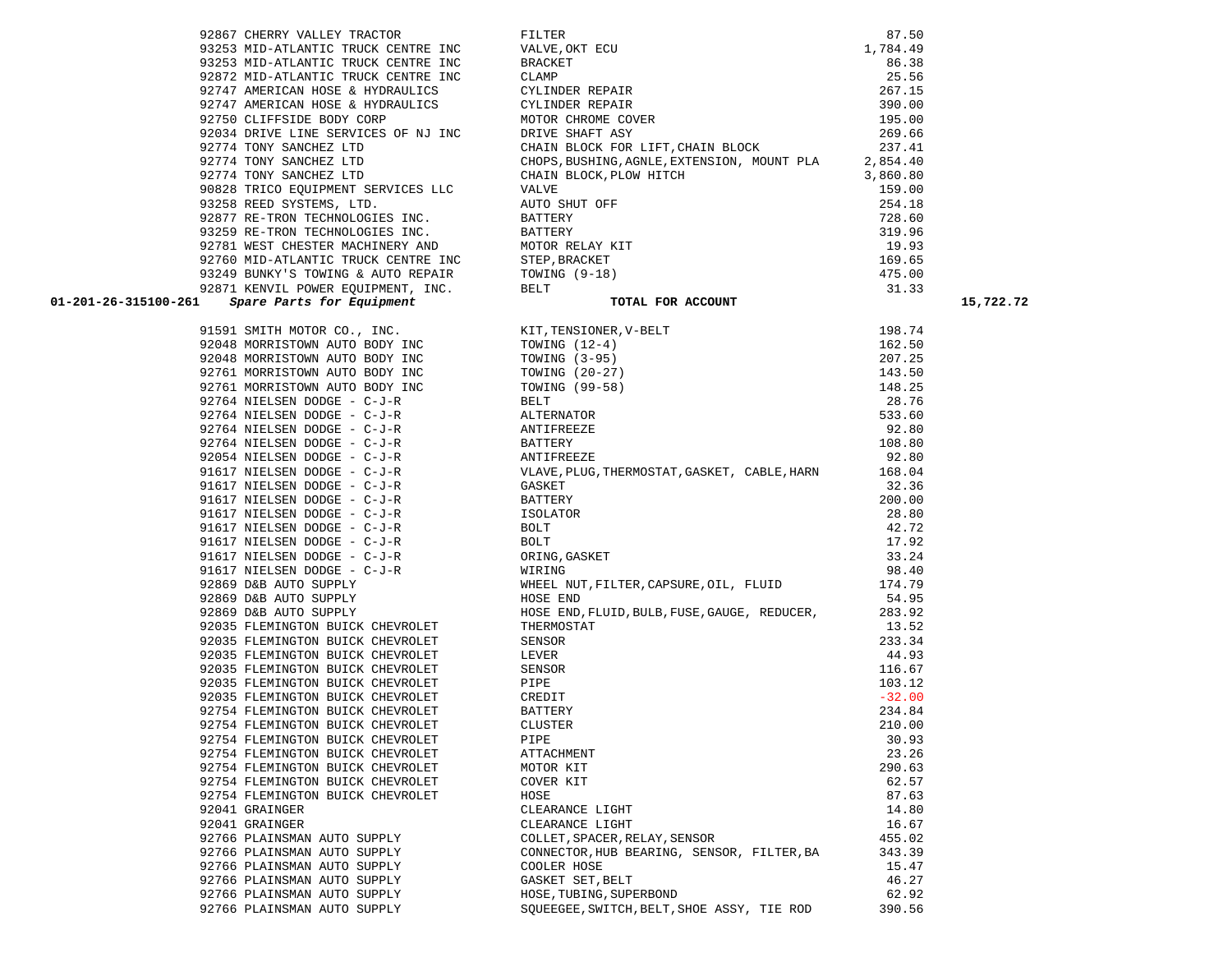|       | 22/00 MID-RIDANIIC IRUCR CENIRE I                              |
|-------|----------------------------------------------------------------|
|       | 93249 BUNKY'S TOWING & AUTO REPAI                              |
|       | 92871 KENVIL POWER EQUIPMENT, INC                              |
| L     | Spare Parts for Equipment                                      |
|       |                                                                |
| 91591 | SMITH MOTOR CO.,<br>INC.                                       |
| 92048 | BODY INC<br>MORRISTOWN AUTO                                    |
| 92048 | BODY<br>MORRISTOWN AUTO<br>INC                                 |
| 92761 | MORRISTOWN AUTO<br>BODY<br>INC                                 |
| 92761 | BODY INC<br>MORRISTOWN AUTO                                    |
| 92764 | NIELSEN<br>DODGE<br>$C-J-R$<br>$-$                             |
| 92764 | $\overline{\phantom{0}}$<br>NIELSEN<br><b>DODGE</b><br>$C-J-R$ |
| 92764 | NIELSEN<br>DODGE<br>C-J-R<br>-                                 |
| 92764 | DODGE<br>$C-J-R$<br>NIELSEN<br>-                               |
| 92054 | NIELSEN<br><b>DODGE</b><br>$C-J-R$<br>-                        |
| 91617 | NIELSEN<br>DODGE<br>$C-J-R$<br>-                               |
| 91617 | ÷<br>$C-J-R$<br>NIELSEN<br>DODGE                               |
| 91617 | $C-J-R$<br>NIELSEN<br>DODGE<br>-                               |
| 91617 | NIELSEN<br>$C-J-R$<br>DODGE                                    |
| 91617 | NIELSEN<br><b>DODGE</b><br>$C-J-R$<br>-                        |
| 91617 | NIELSEN<br>DODGE<br>$- C-J-R$                                  |
| 91617 | NIELSEN<br>DODGE<br>$C-J-R$<br>$\overline{\phantom{0}}$        |
| 91617 | NIELSEN<br>DODGE<br>$ \,$<br>$C-J-R$                           |
| 92869 | D&B AUTO<br>SUPPLY                                             |
| 92869 | D&B AUTO<br>SUPPLY                                             |
| 92869 | D&B AUTO SUPPLY                                                |
| 92035 | FLEMINGTON BUICK<br>CHEVROLET                                  |
| 92035 | FLEMINGTON<br>CHEVROLET<br>BUICK                               |
| 92035 | FLEMINGTON<br>BUICK<br>CHEVROLET                               |
| 92035 | FLEMINGTON<br>BUICK<br>CHEVROLET                               |
| 92035 | FLEMINGTON<br>BUICK<br>CHEVROLET                               |
| 92035 | FLEMINGTON<br>BUICK<br>CHEVROLET                               |
| 92754 | FLEMINGTON<br>BUICK<br>CHEVROLET                               |
| 92754 | FLEMINGTON<br>BUICK<br>CHEVROLET                               |
| 92754 | FLEMINGTON<br>BUICK<br>CHEVROLET                               |
| 92754 | FLEMINGTON<br>BUICK<br>CHEVROLET                               |
| 92754 | FLEMINGTON<br>BUICK<br><b>CHEVROLET</b>                        |
| 92754 | FLEMINGTON<br>BUICK<br>CHEVROLET                               |
| 92754 | FLEMINGTON<br><b>CHEVROLET</b><br>BUICK                        |
| 92041 | GRAINGER                                                       |
| 92041 | GRAINGER                                                       |
| 92766 | PLAINSMAN<br>AUTO<br>SUPPLY                                    |
| 92766 | PLAINSMAN<br>AUTO<br>SUPPLY                                    |
| 92766 | PLAINSMAN<br>AUTO<br>SUPPLY                                    |
| 92766 | PLAINSMAN<br>AUTO<br>SUPPLY                                    |
| 92766 | PLAINSMAN<br>AUTO<br>SUPPLY                                    |
| 92766 | PLAINSMAN<br>AUTO<br>SUPPLY                                    |

| 90828 TRICO EQUIPMENT SERVICES LLC<br>92828 TRICO EQUIPMENT SERVICES LLC<br>93258 REED SYSTEMS, LTD.<br>93258 REED SYSTEMS, LTD.<br>93278 RE-TRON TECHNOLOGIES INC.<br>93278 RE-TRON TECHNOLOGIES INC.<br>92781 WEST CHESTER MACHINERY AND | 31.471 Space Pacific Rominson, Rev. 2011, 2011, 2012, 2013<br>31.472 Space Pacific Of Syddems (2011, 2012, 2012, 2012, 2012, 2012, 2012, 2013, 2013, 2013, 2013, 2013, 2014, 2014, 2014, 2014, 2014, 2014, 2014, 2014, 2014, 20 | 15,722.72 |
|--------------------------------------------------------------------------------------------------------------------------------------------------------------------------------------------------------------------------------------------|---------------------------------------------------------------------------------------------------------------------------------------------------------------------------------------------------------------------------------|-----------|
|                                                                                                                                                                                                                                            |                                                                                                                                                                                                                                 |           |
|                                                                                                                                                                                                                                            |                                                                                                                                                                                                                                 |           |
|                                                                                                                                                                                                                                            |                                                                                                                                                                                                                                 |           |
|                                                                                                                                                                                                                                            |                                                                                                                                                                                                                                 |           |
|                                                                                                                                                                                                                                            |                                                                                                                                                                                                                                 |           |
|                                                                                                                                                                                                                                            |                                                                                                                                                                                                                                 |           |
|                                                                                                                                                                                                                                            |                                                                                                                                                                                                                                 |           |
|                                                                                                                                                                                                                                            |                                                                                                                                                                                                                                 |           |
|                                                                                                                                                                                                                                            |                                                                                                                                                                                                                                 |           |
|                                                                                                                                                                                                                                            |                                                                                                                                                                                                                                 |           |
|                                                                                                                                                                                                                                            |                                                                                                                                                                                                                                 |           |
|                                                                                                                                                                                                                                            |                                                                                                                                                                                                                                 |           |
|                                                                                                                                                                                                                                            |                                                                                                                                                                                                                                 |           |
|                                                                                                                                                                                                                                            |                                                                                                                                                                                                                                 |           |
|                                                                                                                                                                                                                                            |                                                                                                                                                                                                                                 |           |
|                                                                                                                                                                                                                                            |                                                                                                                                                                                                                                 |           |
|                                                                                                                                                                                                                                            |                                                                                                                                                                                                                                 |           |
|                                                                                                                                                                                                                                            |                                                                                                                                                                                                                                 |           |
|                                                                                                                                                                                                                                            |                                                                                                                                                                                                                                 |           |
|                                                                                                                                                                                                                                            |                                                                                                                                                                                                                                 |           |
|                                                                                                                                                                                                                                            |                                                                                                                                                                                                                                 |           |
|                                                                                                                                                                                                                                            |                                                                                                                                                                                                                                 |           |
|                                                                                                                                                                                                                                            |                                                                                                                                                                                                                                 |           |
|                                                                                                                                                                                                                                            |                                                                                                                                                                                                                                 |           |
|                                                                                                                                                                                                                                            |                                                                                                                                                                                                                                 |           |
|                                                                                                                                                                                                                                            |                                                                                                                                                                                                                                 |           |
|                                                                                                                                                                                                                                            |                                                                                                                                                                                                                                 |           |
|                                                                                                                                                                                                                                            |                                                                                                                                                                                                                                 |           |
|                                                                                                                                                                                                                                            |                                                                                                                                                                                                                                 |           |
|                                                                                                                                                                                                                                            |                                                                                                                                                                                                                                 |           |
|                                                                                                                                                                                                                                            |                                                                                                                                                                                                                                 |           |
|                                                                                                                                                                                                                                            |                                                                                                                                                                                                                                 |           |
|                                                                                                                                                                                                                                            |                                                                                                                                                                                                                                 |           |
|                                                                                                                                                                                                                                            |                                                                                                                                                                                                                                 |           |
|                                                                                                                                                                                                                                            |                                                                                                                                                                                                                                 |           |
|                                                                                                                                                                                                                                            |                                                                                                                                                                                                                                 |           |
|                                                                                                                                                                                                                                            |                                                                                                                                                                                                                                 |           |
|                                                                                                                                                                                                                                            |                                                                                                                                                                                                                                 |           |
|                                                                                                                                                                                                                                            |                                                                                                                                                                                                                                 |           |
|                                                                                                                                                                                                                                            |                                                                                                                                                                                                                                 |           |
|                                                                                                                                                                                                                                            |                                                                                                                                                                                                                                 |           |
|                                                                                                                                                                                                                                            |                                                                                                                                                                                                                                 |           |
|                                                                                                                                                                                                                                            |                                                                                                                                                                                                                                 |           |

 92867 CHERRY VALLEY TRACTOR FILTER 87.50 1.784.49 93253 MID-ATLANTIC TRUCK CENTRE INC VALVE, OKT ECU 93253 MID-ATLANTIC TRUCK CENTRE INC BRACKET 86.38 92872 MID-ATLANTIC TRUCK CENTRE INC CLAMP 25.56 92747 AMERICAN HOSE & HYDRAULICS CYLINDER REPAIR 267.15 92747 AMERICAN HOSE & HYDRAULICS CYLINDER REPAIR 390.00 92750 CLIFFSIDE BODY CORP MOTOR CHROME COVER 195.00 92034 DRIVE LINE SERVICES OF NJ INC DRIVE SHAFT ASY 269.66 92774 TONY SANCHEZ LTD CHAIN BLOCK FOR LIFT,CHAIN BLOCK 237.41 92774 TONY SANCHEZ LTD CHOPS, BUSHING, AGNLE, EXTENSION, MOUNT PLA 2,854.40 92774 TONY SANCHEZ LTD CHAIN BLOCK,PLOW HITCH 3,860.80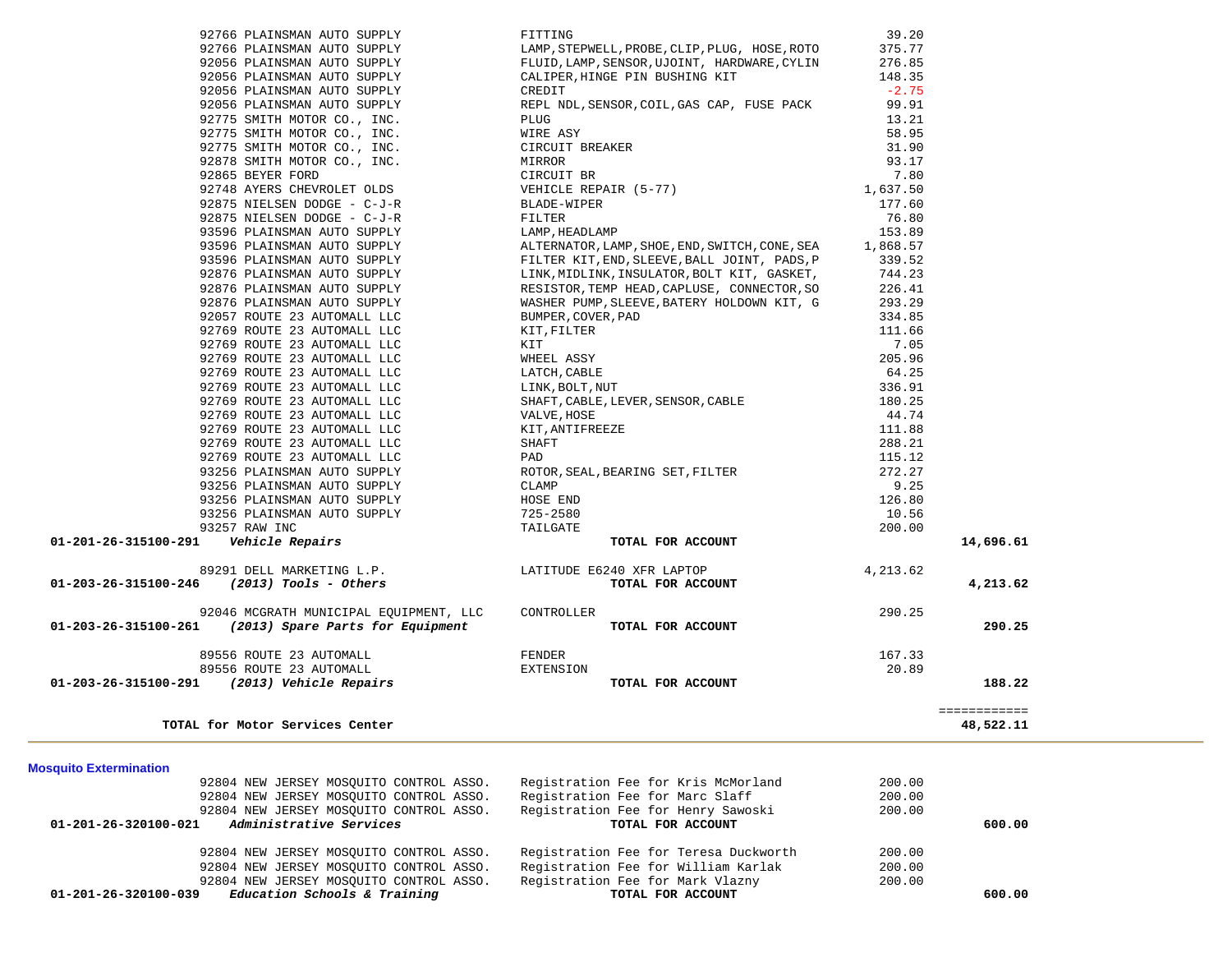| TOTAL for Motor Services Center                                                                 |                                                |            | 48,522.11              |
|-------------------------------------------------------------------------------------------------|------------------------------------------------|------------|------------------------|
| 01-203-26-315100-291 (2013) Vehicle Repairs                                                     | TOTAL FOR ACCOUNT                              |            | 188.22<br>============ |
| 89556 ROUTE 23 AUTOMALL                                                                         | EXTENSION                                      | 20.89      |                        |
| 89556 ROUTE 23 AUTOMALL                                                                         | FENDER                                         | 167.33     |                        |
|                                                                                                 |                                                |            |                        |
| 92046 MCGRATH MUNICIPAL EQUIPMENT, LLC<br>01-203-26-315100-261 (2013) Spare Parts for Equipment | CONTROLLER<br>TOTAL FOR ACCOUNT                | 290.25     | 290.25                 |
| $01-203-26-315100-246$ (2013) Tools - Others                                                    | TOTAL FOR ACCOUNT                              |            | 4,213.62               |
| 89291 DELL MARKETING L.P.                                                                       | LATITUDE E6240 XFR LAPTOP                      | 4, 213, 62 |                        |
| 01-201-26-315100-291    Vehicle Repairs                                                         | TOTAL FOR ACCOUNT                              |            | 14,696.61              |
| 93257 RAW INC                                                                                   | TAILGATE                                       | 200.00     |                        |
| 93256 PLAINSMAN AUTO SUPPLY                                                                     | 725-2580                                       | 10.56      |                        |
| 93256 PLAINSMAN AUTO SUPPLY                                                                     | HOSE END                                       | 126.80     |                        |
| 93256 PLAINSMAN AUTO SUPPLY                                                                     | CLAMP                                          | 9.25       |                        |
| 93256 PLAINSMAN AUTO SUPPLY                                                                     | ROTOR, SEAL, BEARING SET, FILTER               | 272.27     |                        |
| 92769 ROUTE 23 AUTOMALL LLC                                                                     | PAD                                            | 115.12     |                        |
| 92769 ROUTE 23 AUTOMALL LLC                                                                     | SHAFT                                          | 288.21     |                        |
| 92769 ROUTE 23 AUTOMALL LLC                                                                     | KIT, ANTIFREEZE                                | 111.88     |                        |
| 92769 ROUTE 23 AUTOMALL LLC                                                                     | VALVE, HOSE                                    | 44.74      |                        |
| 92769 ROUTE 23 AUTOMALL LLC                                                                     | SHAFT, CABLE, LEVER, SENSOR, CABLE             | 180.25     |                        |
| 92769 ROUTE 23 AUTOMALL LLC                                                                     | LINK, BOLT, NUT                                | 336.91     |                        |
|                                                                                                 | LATCH, CABLE                                   |            |                        |
| 92769 ROUTE 23 AUTOMALL LLC                                                                     |                                                | 64.25      |                        |
| 92769 ROUTE 23 AUTOMALL LLC                                                                     | WHEEL ASSY                                     | 205.96     |                        |
| 92769 ROUTE 23 AUTOMALL LLC                                                                     | KIT                                            | 7.05       |                        |
| 92769 ROUTE 23 AUTOMALL LLC                                                                     | KIT, FILTER                                    | 111.66     |                        |
| 92057 ROUTE 23 AUTOMALL LLC                                                                     | BUMPER, COVER, PAD                             | 334.85     |                        |
| 92876 PLAINSMAN AUTO SUPPLY                                                                     | WASHER PUMP, SLEEVE, BATERY HOLDOWN KIT, G     | 293.29     |                        |
| 92876 PLAINSMAN AUTO SUPPLY                                                                     | RESISTOR, TEMP HEAD, CAPLUSE, CONNECTOR, SO    | 226.41     |                        |
| 92876 PLAINSMAN AUTO SUPPLY                                                                     | LINK, MIDLINK, INSULATOR, BOLT KIT, GASKET,    | 744.23     |                        |
| 93596 PLAINSMAN AUTO SUPPLY                                                                     | FILTER KIT, END, SLEEVE, BALL JOINT, PADS, P   | 339.52     |                        |
| 93596 PLAINSMAN AUTO SUPPLY                                                                     | ALTERNATOR, LAMP, SHOE, END, SWITCH, CONE, SEA | 1,868.57   |                        |
| 93596 PLAINSMAN AUTO SUPPLY                                                                     | LAMP, HEADLAMP                                 | 153.89     |                        |
| 92875 NIELSEN DODGE - C-J-R                                                                     | FILTER                                         | 76.80      |                        |
| 92875 NIELSEN DODGE - C-J-R                                                                     | BLADE-WIPER                                    | 177.60     |                        |
| 92748 AYERS CHEVROLET OLDS                                                                      | VEHICLE REPAIR (5-77)                          | 1,637.50   |                        |
| 92865 BEYER FORD                                                                                | CIRCUIT BR                                     | 7.80       |                        |
| 92878 SMITH MOTOR CO., INC.                                                                     | MIRROR                                         | 93.17      |                        |
| 92775 SMITH MOTOR CO., INC.                                                                     | CIRCUIT BREAKER                                | 31.90      |                        |
| 92775 SMITH MOTOR CO., INC.                                                                     | WIRE ASY                                       | 58.95      |                        |
| 92775 SMITH MOTOR CO., INC.                                                                     | PLUG                                           | 13.21      |                        |
| 92056 PLAINSMAN AUTO SUPPLY                                                                     | REPL NDL, SENSOR, COIL, GAS CAP, FUSE PACK     | 99.91      |                        |
| 92056 PLAINSMAN AUTO SUPPLY                                                                     | CREDIT                                         | $-2.75$    |                        |
| 92056 PLAINSMAN AUTO SUPPLY                                                                     | CALIPER, HINGE PIN BUSHING KIT                 | 148.35     |                        |
| 92056 PLAINSMAN AUTO SUPPLY                                                                     | FLUID, LAMP, SENSOR, UJOINT, HARDWARE, CYLIN   | 276.85     |                        |
| 92766 PLAINSMAN AUTO SUPPLY                                                                     | LAMP, STEPWELL, PROBE, CLIP, PLUG, HOSE, ROTO  | 375.77     |                        |

|                      | 92804 NEW JERSEY MOSOUITO CONTROL ASSO. | Registration Fee for Kris McMorland   | 200.00 |        |
|----------------------|-----------------------------------------|---------------------------------------|--------|--------|
|                      | 92804 NEW JERSEY MOSOUITO CONTROL ASSO. | Registration Fee for Marc Slaff       | 200.00 |        |
|                      | 92804 NEW JERSEY MOSOUITO CONTROL ASSO. | Registration Fee for Henry Sawoski    | 200.00 |        |
| 01-201-26-320100-021 | Administrative Services                 | TOTAL FOR ACCOUNT                     |        | 600.00 |
|                      | 92804 NEW JERSEY MOSOUITO CONTROL ASSO. | Registration Fee for Teresa Duckworth | 200.00 |        |
|                      | 92804 NEW JERSEY MOSOUITO CONTROL ASSO. | Registration Fee for William Karlak   | 200.00 |        |
|                      | 92804 NEW JERSEY MOSOUITO CONTROL ASSO. | Registration Fee for Mark Vlazny      | 200.00 |        |
| 01-201-26-320100-039 | Education Schools & Training            | TOTAL FOR ACCOUNT                     |        | 600.00 |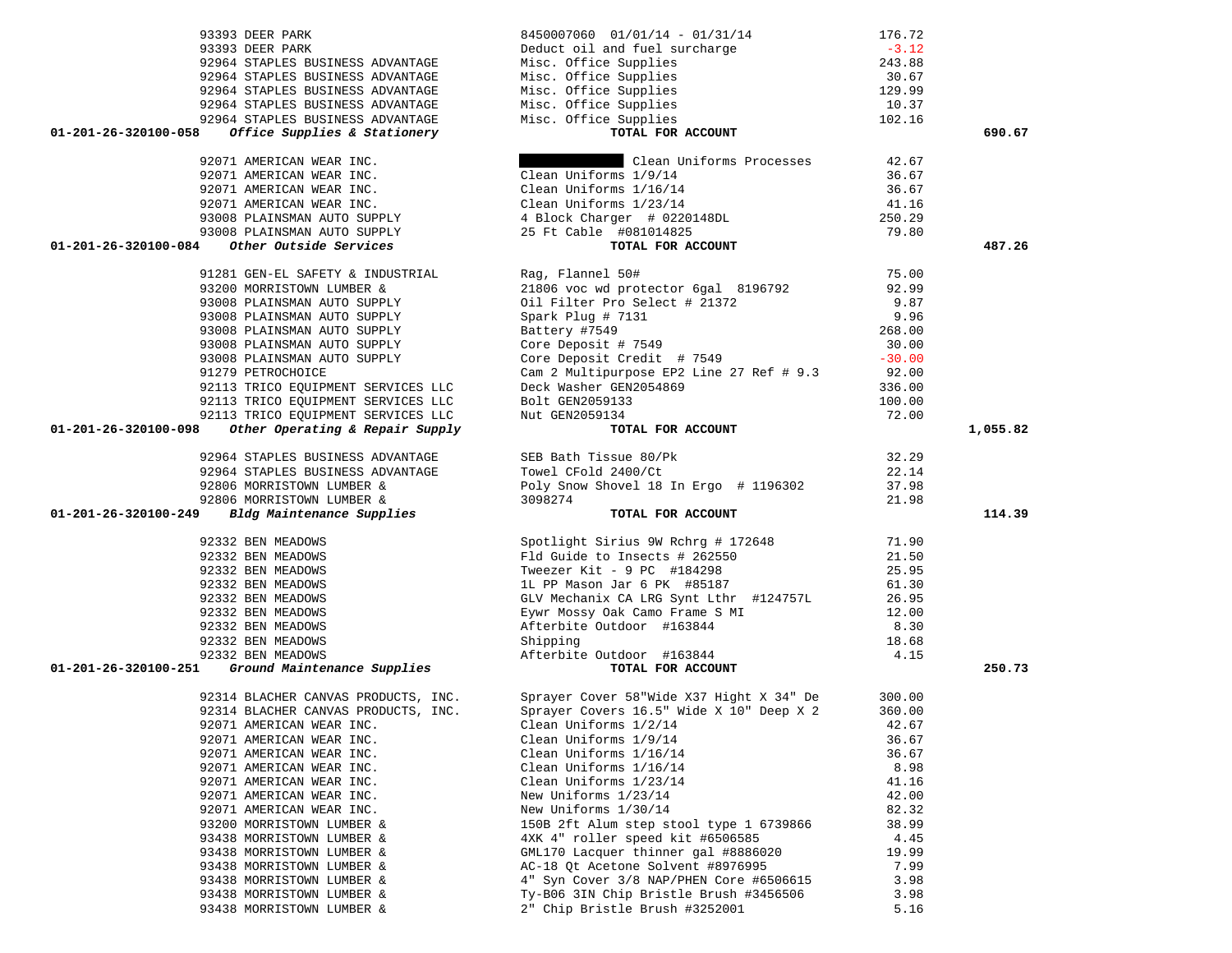| 93393 DEER PARK                                                                                                 | 8450007060  01/01/14 - 01/31/14                                                                                                                                                                                                                    | 176.72       |          |
|-----------------------------------------------------------------------------------------------------------------|----------------------------------------------------------------------------------------------------------------------------------------------------------------------------------------------------------------------------------------------------|--------------|----------|
| 93393 DEER PARK                                                                                                 |                                                                                                                                                                                                                                                    |              |          |
| 92964 STAPLES BUSINESS ADVANTAGE                                                                                |                                                                                                                                                                                                                                                    |              |          |
| 92964 STAPLES BUSINESS ADVANTAGE                                                                                |                                                                                                                                                                                                                                                    |              |          |
| 92964 STAPLES BUSINESS ADVANTAGE                                                                                |                                                                                                                                                                                                                                                    |              |          |
| 92964 STAPLES BUSINESS ADVANTAGE                                                                                |                                                                                                                                                                                                                                                    |              |          |
| 92964 STAPLES BUSINESS ADVANTAGE                                                                                | Peduct oil and fuel surcharge<br>Misc. Office Supplies<br>Misc. Office Supplies<br>Misc. Office Supplies<br>Misc. Office Supplies<br>Misc. Office Supplies<br>Misc. Office Supplies<br>Misc. Office Supplies<br>Misc. Office Supplies<br>10.37<br> |              |          |
| Office Supplies & Stationery<br>01-201-26-320100-058                                                            | TOTAL FOR ACCOUNT                                                                                                                                                                                                                                  |              | 690.67   |
|                                                                                                                 |                                                                                                                                                                                                                                                    |              |          |
|                                                                                                                 |                                                                                                                                                                                                                                                    |              |          |
| 92071 AMERICAN WEAR INC.                                                                                        | Clean Uniforms Processes                                                                                                                                                                                                                           | 42.67        |          |
|                                                                                                                 |                                                                                                                                                                                                                                                    |              |          |
|                                                                                                                 |                                                                                                                                                                                                                                                    |              |          |
|                                                                                                                 |                                                                                                                                                                                                                                                    |              |          |
|                                                                                                                 |                                                                                                                                                                                                                                                    |              |          |
|                                                                                                                 |                                                                                                                                                                                                                                                    |              |          |
| 01-201-26-320100-084                                                                                            |                                                                                                                                                                                                                                                    |              | 487.26   |
|                                                                                                                 | 92071 AMERICAN WEAR INC.<br>92071 AMERICAN WEAR INC.<br>92071 AMERICAN WEAR INC.<br>93008 PLAINSMAN AUTO SUPPLY<br>93008 PLAINSMAN AUTO SUPPLY<br>93008 PLAINSMAN AUTO SUPPLY<br>93008 PLAINSMAN AUTO SUPPLY<br>93008 PLAINSMAN AUTO SUPPLY<br>    |              |          |
| 91281 GEN-EL SAFETY & INDUSTRIAL                                                                                | Rag, Flannel 50#<br>21806 voc wd protector 6gal 8196792 92.99<br>Rag, Flannel 50#                                                                                                                                                                  |              |          |
| 93200 MORRISTOWN LUMBER &                                                                                       |                                                                                                                                                                                                                                                    |              |          |
| 93008 PLAINSMAN AUTO SUPPLY                                                                                     |                                                                                                                                                                                                                                                    | 9.87         |          |
| 93008 PLAINSMAN AUTO SUPPLY                                                                                     | Oil Filter Pro Select # 21372<br>Spark Plug # 7131<br>Battery #7549<br>Core Deposit # 7549<br>Core Deposit Credit # 7549                                                                                                                           | 9.96         |          |
| 93008 PLAINSMAN AUTO SUPPLY                                                                                     |                                                                                                                                                                                                                                                    | 268.00       |          |
| 93008 PLAINSMAN AUTO SUPPLY                                                                                     |                                                                                                                                                                                                                                                    | 30.00        |          |
| 93008 PLAINSMAN AUTO SUPPLY                                                                                     |                                                                                                                                                                                                                                                    | $-30.00$     |          |
| 91279 PETROCHOICE                                                                                               | Cam 2 Multipurpose EP2 Line 27 Ref # 9.3                                                                                                                                                                                                           | 92.00        |          |
|                                                                                                                 |                                                                                                                                                                                                                                                    | 336.00       |          |
| 92113 TRICO EQUIPMENT SERVICES LLC<br>92113 TRICO EQUIPMENT SERVICES LLC<br>92113 TRICO EOUIPMENT SERVICES LLC  | Deck Washer GEN2054869<br>Bolt GEN2059133                                                                                                                                                                                                          | 100.00       |          |
| 92113 TRICO EQUIPMENT SERVICES LLC                                                                              | Nut GEN2059134                                                                                                                                                                                                                                     | 72.00        |          |
| Other Operating & Repair Supply<br>01-201-26-320100-098                                                         | TOTAL FOR ACCOUNT                                                                                                                                                                                                                                  |              | 1,055.82 |
|                                                                                                                 |                                                                                                                                                                                                                                                    |              |          |
| 92964 STAPLES BUSINESS ADVANTAGE                                                                                | SEB Bath Tissue 80/Pk                                                                                                                                                                                                                              | 32.29        |          |
| 92964 STAPLES BUSINESS ADVANTAGE                                                                                | Towel CFold 2400/Ct                                                                                                                                                                                                                                | 22.14        |          |
|                                                                                                                 |                                                                                                                                                                                                                                                    |              |          |
|                                                                                                                 |                                                                                                                                                                                                                                                    |              |          |
| 92806 MORRISTOWN LUMBER &                                                                                       | Poly Snow Shovel 18 In Ergo # 1196302                                                                                                                                                                                                              | 37.98        |          |
| 92806 MORRISTOWN LUMBER &                                                                                       | 3098274                                                                                                                                                                                                                                            | 21.98        |          |
| 01-201-26-320100-249                                                                                            | TOTAL FOR ACCOUNT                                                                                                                                                                                                                                  |              | 114.39   |
|                                                                                                                 |                                                                                                                                                                                                                                                    |              |          |
| Bldg Maintenance Supplies<br>92332 BEN MEADOWS                                                                  | Spotlight Sirius 9W Rchrg # 172648                                                                                                                                                                                                                 | 71.90        |          |
| 92332 BEN MEADOWS                                                                                               | Fld Guide to Insects # 262550                                                                                                                                                                                                                      | 21.50        |          |
| 92332 BEN MEADOWS                                                                                               | Tweezer Kit - 9 PC #184298                                                                                                                                                                                                                         | 25.95        |          |
| 92332 BEN MEADOWS                                                                                               | 1L PP Mason Jar 6 PK #85187                                                                                                                                                                                                                        | 61.30        |          |
| 92332 BEN MEADOWS                                                                                               | GLV Mechanix CA LRG Synt Lthr #124757L                                                                                                                                                                                                             | 26.95        |          |
| 92332 BEN MEADOWS                                                                                               | Eywr Mossy Oak Camo Frame S MI                                                                                                                                                                                                                     | 12.00        |          |
| 92332 BEN MEADOWS                                                                                               | Afterbite Outdoor #163844                                                                                                                                                                                                                          | 8.30         |          |
|                                                                                                                 | Shipping                                                                                                                                                                                                                                           | 18.68        |          |
|                                                                                                                 |                                                                                                                                                                                                                                                    | 4.15         |          |
|                                                                                                                 |                                                                                                                                                                                                                                                    |              | 250.73   |
| 92332 BEN MEADOWS<br>92332 BEN MEADOWS<br>92332 BEN MEADOWS<br>01-201-26-320100-251 Ground Maintenance Supplies | Shipping<br>Afterbite Outdoor #163844<br><b>TOTAL FOR ACCOUNT</b>                                                                                                                                                                                  |              |          |
|                                                                                                                 |                                                                                                                                                                                                                                                    | 300.00       |          |
| 92314 BLACHER CANVAS PRODUCTS, INC.<br>92314 BLACHER CANVAS PRODUCTS, INC.                                      | Sprayer Cover 58"Wide X37 Hight X 34" De<br>Sprayer Covers 16.5" Wide X 10" Deep X 2                                                                                                                                                               | 360.00       |          |
|                                                                                                                 |                                                                                                                                                                                                                                                    | 42.67        |          |
| 92071 AMERICAN WEAR INC.                                                                                        | Clean Uniforms 1/2/14                                                                                                                                                                                                                              |              |          |
| 92071 AMERICAN WEAR INC.                                                                                        | Clean Uniforms 1/9/14                                                                                                                                                                                                                              | 36.67        |          |
| 92071 AMERICAN WEAR INC.                                                                                        | Clean Uniforms 1/16/14                                                                                                                                                                                                                             | 36.67        |          |
| 92071 AMERICAN WEAR INC.                                                                                        | Clean Uniforms 1/16/14                                                                                                                                                                                                                             | 8.98         |          |
| 92071 AMERICAN WEAR INC.                                                                                        | Clean Uniforms 1/23/14                                                                                                                                                                                                                             | 41.16        |          |
| 92071 AMERICAN WEAR INC.                                                                                        | New Uniforms 1/23/14                                                                                                                                                                                                                               | 42.00        |          |
| 92071 AMERICAN WEAR INC.                                                                                        | New Uniforms 1/30/14                                                                                                                                                                                                                               | 82.32        |          |
| 93200 MORRISTOWN LUMBER &                                                                                       | 150B 2ft Alum step stool type 1 6739866                                                                                                                                                                                                            | 38.99        |          |
| 93438 MORRISTOWN LUMBER &                                                                                       | 4XK 4" roller speed kit #6506585                                                                                                                                                                                                                   | 4.45         |          |
| 93438 MORRISTOWN LUMBER &                                                                                       | GML170 Lacquer thinner gal #8886020                                                                                                                                                                                                                | 19.99        |          |
| 93438 MORRISTOWN LUMBER &                                                                                       | AC-18 Qt Acetone Solvent #8976995                                                                                                                                                                                                                  | 7.99         |          |
| 93438 MORRISTOWN LUMBER &                                                                                       | 4" Syn Cover 3/8 NAP/PHEN Core #6506615                                                                                                                                                                                                            | 3.98         |          |
| 93438 MORRISTOWN LUMBER &<br>93438 MORRISTOWN LUMBER &                                                          | Ty-B06 3IN Chip Bristle Brush #3456506<br>2" Chip Bristle Brush #3252001                                                                                                                                                                           | 3.98<br>5.16 |          |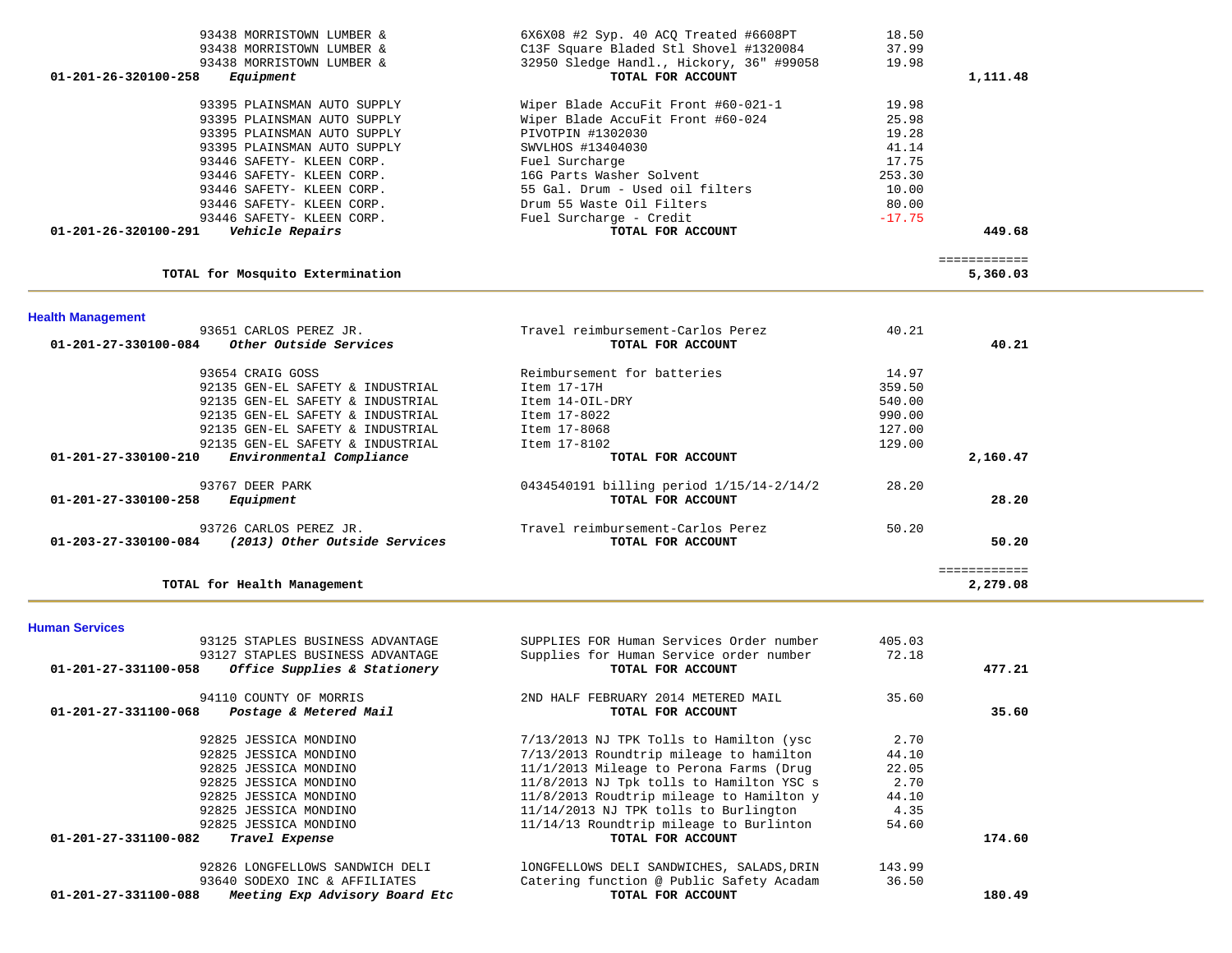| <b>Health Management</b><br>93651 CARLOS PEREZ JR.<br>01-201-27-330100-084<br>Other Outside Services | Travel reimbursement-Carlos Perez<br>TOTAL FOR ACCOUNT | 40.21    | 40.21                  |
|------------------------------------------------------------------------------------------------------|--------------------------------------------------------|----------|------------------------|
| TOTAL for Mosquito Extermination                                                                     |                                                        |          | 5,360.03               |
| 01-201-26-320100-291<br>Vehicle Repairs                                                              | TOTAL FOR ACCOUNT                                      |          | 449.68<br>============ |
| 93446 SAFETY- KLEEN CORP.                                                                            | Fuel Surcharge - Credit                                | $-17.75$ |                        |
| 93446 SAFETY- KLEEN CORP.                                                                            | Drum 55 Waste Oil Filters                              | 80.00    |                        |
| 93446 SAFETY- KLEEN CORP.                                                                            | 55 Gal. Drum - Used oil filters                        | 10.00    |                        |
| 93446 SAFETY- KLEEN CORP.                                                                            | 16G Parts Washer Solvent                               | 253.30   |                        |
| 93446 SAFETY- KLEEN CORP.                                                                            | Fuel Surcharge                                         | 17.75    |                        |
| 93395 PLAINSMAN AUTO SUPPLY                                                                          | SWVLHOS #13404030                                      | 41.14    |                        |
| 93395 PLAINSMAN AUTO SUPPLY                                                                          | PIVOTPIN #1302030                                      | 19.28    |                        |
| 93395 PLAINSMAN AUTO SUPPLY                                                                          | Wiper Blade AccuFit Front #60-024                      | 25.98    |                        |
| 93395 PLAINSMAN AUTO SUPPLY                                                                          | Wiper Blade AccuFit Front #60-021-1                    | 19.98    |                        |
| 01-201-26-320100-258<br>Equipment                                                                    | TOTAL FOR ACCOUNT                                      |          | 1,111.48               |
| 93438 MORRISTOWN LUMBER &                                                                            | 32950 Sledge Handl., Hickory, 36" #99058               | 19.98    |                        |
| 93438 MORRISTOWN LUMBER &                                                                            | C13F Square Bladed Stl Shovel #1320084                 | 37.99    |                        |
| 93438 MORRISTOWN LUMBER &                                                                            | $6X6X08$ #2 Syp. 40 ACQ Treated #6608PT                | 18.50    |                        |

| 93654 CRAIG GOSS                                                | Reimbursement for batteries              | 14.97  |          |
|-----------------------------------------------------------------|------------------------------------------|--------|----------|
| 92135 GEN-EL SAFETY & INDUSTRIAL                                | Item 17-17H                              | 359.50 |          |
| 92135 GEN-EL SAFETY & INDUSTRIAL                                | Item 14-OIL-DRY                          | 540.00 |          |
| 92135 GEN-EL SAFETY & INDUSTRIAL                                | Item 17-8022                             | 990.00 |          |
| 92135 GEN-EL SAFETY & INDUSTRIAL                                | Item 17-8068                             | 127.00 |          |
| 92135 GEN-EL SAFETY & INDUSTRIAL                                | Item 17-8102                             | 129.00 |          |
| Environmental Compliance<br>$01 - 201 - 27 - 330100 - 210$      | TOTAL FOR ACCOUNT                        |        | 2,160.47 |
| 93767 DEER PARK                                                 | 0434540191 billing period 1/15/14-2/14/2 | 28.20  |          |
| $01 - 201 - 27 - 330100 - 258$<br>Equipment                     | TOTAL FOR ACCOUNT                        |        | 28.20    |
| 93726 CARLOS PEREZ JR.                                          | Travel reimbursement-Carlos Perez        | 50.20  |          |
| $01 - 203 - 27 - 330100 - 084$<br>(2013) Other Outside Services | TOTAL FOR ACCOUNT                        |        | 50.20    |
|                                                                 |                                          |        |          |
| TOTAL for Health Management                                     |                                          |        | 2,279.08 |

**Human Services** 

| 93125 STAPLES BUSINESS ADVANTAGE                       | SUPPLIES FOR Human Services Order number  | 405.03 |        |
|--------------------------------------------------------|-------------------------------------------|--------|--------|
| 93127 STAPLES BUSINESS ADVANTAGE                       | Supplies for Human Service order number   | 72.18  |        |
| Office Supplies & Stationery<br>01-201-27-331100-058   | TOTAL FOR ACCOUNT                         |        | 477.21 |
| 94110 COUNTY OF MORRIS                                 | 2ND HALF FEBRUARY 2014 METERED MAIL       | 35.60  |        |
| 01-201-27-331100-068<br>Postage & Metered Mail         | TOTAL FOR ACCOUNT                         |        | 35.60  |
| 92825 JESSICA MONDINO                                  | 7/13/2013 NJ TPK Tolls to Hamilton (ysc   | 2.70   |        |
| 92825 JESSICA MONDINO                                  | 7/13/2013 Roundtrip mileage to hamilton   | 44.10  |        |
| 92825 JESSICA MONDINO                                  | 11/1/2013 Mileage to Perona Farms (Drug   | 22.05  |        |
| 92825 JESSICA MONDINO                                  | 11/8/2013 NJ Tpk tolls to Hamilton YSC s  | 2.70   |        |
| 92825 JESSICA MONDINO                                  | 11/8/2013 Roudtrip mileage to Hamilton y  | 44.10  |        |
| 92825 JESSICA MONDINO                                  | $11/14/2013$ NJ TPK tolls to Burlington   | 4.35   |        |
| 92825 JESSICA MONDINO                                  | 11/14/13 Roundtrip mileage to Burlinton   | 54.60  |        |
| $01 - 201 - 27 - 331100 - 082$<br>Travel Expense       | TOTAL FOR ACCOUNT                         |        | 174.60 |
| 92826 LONGFELLOWS SANDWICH DELI                        | 10NGFELLOWS DELI SANDWICHES, SALADS, DRIN | 143.99 |        |
| 93640 SODEXO INC & AFFILIATES                          | Catering function @ Public Safety Acadam  | 36.50  |        |
| Meeting Exp Advisory Board Etc<br>01-201-27-331100-088 | TOTAL FOR ACCOUNT                         |        | 180.49 |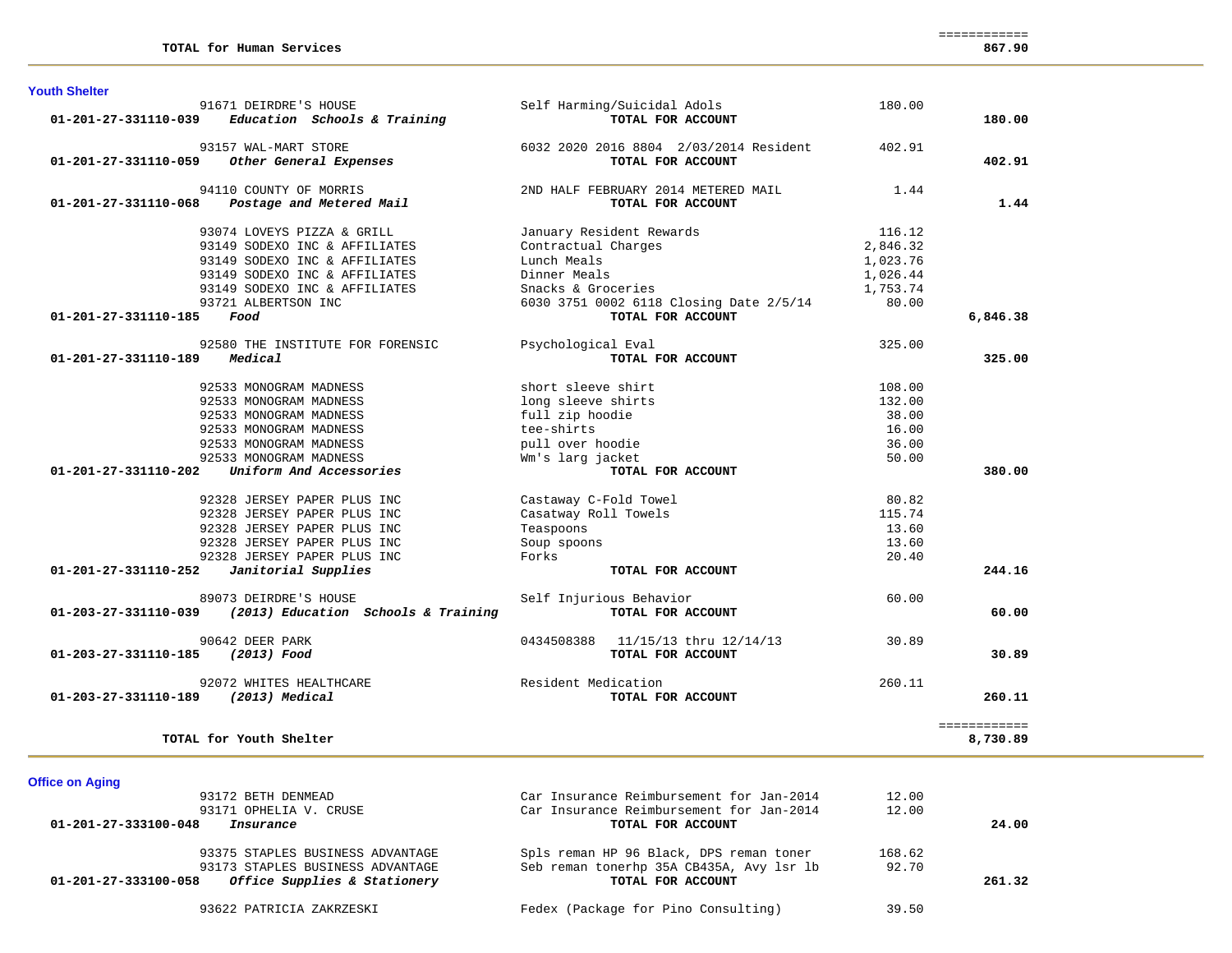| <b>Youth Shelter</b>                |                                                       |                                                  |          |              |
|-------------------------------------|-------------------------------------------------------|--------------------------------------------------|----------|--------------|
| 01-201-27-331110-039                | 91671 DEIRDRE'S HOUSE<br>Education Schools & Training | Self Harming/Suicidal Adols<br>TOTAL FOR ACCOUNT | 180.00   | 180.00       |
|                                     |                                                       |                                                  |          |              |
|                                     | 93157 WAL-MART STORE                                  | 6032 2020 2016 8804 2/03/2014 Resident           | 402.91   |              |
| 01-201-27-331110-059                | Other General Expenses                                | TOTAL FOR ACCOUNT                                |          | 402.91       |
|                                     | 94110 COUNTY OF MORRIS                                | 2ND HALF FEBRUARY 2014 METERED MAIL              | 1.44     |              |
| $01 - 201 - 27 - 331110 - 068$      | Postage and Metered Mail                              | TOTAL FOR ACCOUNT                                |          | 1.44         |
|                                     | 93074 LOVEYS PIZZA & GRILL                            | January Resident Rewards                         | 116.12   |              |
|                                     | 93149 SODEXO INC & AFFILIATES                         | Contractual Charges                              | 2,846.32 |              |
|                                     | 93149 SODEXO INC & AFFILIATES                         | Lunch Meals                                      | 1,023.76 |              |
|                                     | 93149 SODEXO INC & AFFILIATES                         | Dinner Meals                                     | 1,026.44 |              |
|                                     | 93149 SODEXO INC & AFFILIATES                         | Snacks & Groceries                               | 1,753.74 |              |
|                                     | 93721 ALBERTSON INC                                   | 6030 3751 0002 6118 Closing Date 2/5/14          | 80.00    |              |
| 01-201-27-331110-185                | Food                                                  | TOTAL FOR ACCOUNT                                |          | 6,846.38     |
|                                     | 92580 THE INSTITUTE FOR FORENSIC                      | Psychological Eval                               | 325.00   |              |
| 01-201-27-331110-189                | Medical                                               | TOTAL FOR ACCOUNT                                |          | 325.00       |
|                                     | 92533 MONOGRAM MADNESS                                | short sleeve shirt                               | 108.00   |              |
|                                     | 92533 MONOGRAM MADNESS                                | long sleeve shirts                               | 132.00   |              |
|                                     | 92533 MONOGRAM MADNESS                                | full zip hoodie                                  | 38.00    |              |
|                                     | 92533 MONOGRAM MADNESS                                | tee-shirts                                       | 16.00    |              |
|                                     | 92533 MONOGRAM MADNESS                                | pull over hoodie                                 | 36.00    |              |
|                                     | 92533 MONOGRAM MADNESS                                | Wm's larg jacket                                 | 50.00    |              |
| $01 - 201 - 27 - 331110 - 202$      | Uniform And Accessories                               | TOTAL FOR ACCOUNT                                |          | 380.00       |
|                                     | 92328 JERSEY PAPER PLUS INC                           | Castaway C-Fold Towel                            | 80.82    |              |
|                                     | 92328 JERSEY PAPER PLUS INC                           | Casatway Roll Towels                             | 115.74   |              |
|                                     | 92328 JERSEY PAPER PLUS INC                           | Teaspoons                                        | 13.60    |              |
|                                     | 92328 JERSEY PAPER PLUS INC                           | Soup spoons                                      | 13.60    |              |
|                                     | 92328 JERSEY PAPER PLUS INC                           | Forks                                            | 20.40    |              |
| 01-201-27-331110-252                | Janitorial Supplies                                   | TOTAL FOR ACCOUNT                                |          | 244.16       |
|                                     | 89073 DEIRDRE'S HOUSE                                 | Self Injurious Behavior                          | 60.00    |              |
| 01-203-27-331110-039                | (2013) Education Schools & Training                   | TOTAL FOR ACCOUNT                                |          | 60.00        |
|                                     | 90642 DEER PARK                                       | 0434508388<br>11/15/13 thru 12/14/13             | 30.89    |              |
| 01-203-27-331110-185                | (2013) Food                                           | TOTAL FOR ACCOUNT                                |          | 30.89        |
|                                     | 92072 WHITES HEALTHCARE                               | Resident Medication                              | 260.11   |              |
| 01-203-27-331110-189 (2013) Medical |                                                       | TOTAL FOR ACCOUNT                                |          | 260.11       |
|                                     |                                                       |                                                  |          | ============ |
|                                     | TOTAL for Youth Shelter                               |                                                  |          | 8,730.89     |

**Office on Aging** 

| 93172 BETH DENMEAD                                   | Car Insurance Reimbursement for Jan-2014 | 12.00  |        |
|------------------------------------------------------|------------------------------------------|--------|--------|
| 93171 OPHELIA V. CRUSE                               | Car Insurance Reimbursement for Jan-2014 | 12.00  |        |
| 01-201-27-333100-048<br>Insurance                    | TOTAL FOR ACCOUNT                        |        | 24.00  |
| 93375 STAPLES BUSINESS ADVANTAGE                     | Spls reman HP 96 Black, DPS reman toner  | 168.62 |        |
| 93173 STAPLES BUSINESS ADVANTAGE                     | Seb reman tonerhp 35A CB435A, Avy 1sr 1b | 92.70  |        |
| Office Supplies & Stationery<br>01-201-27-333100-058 | TOTAL FOR ACCOUNT                        |        | 261.32 |
| 93622 PATRICIA ZAKRZESKI                             | Fedex (Package for Pino Consulting)      | 39.50  |        |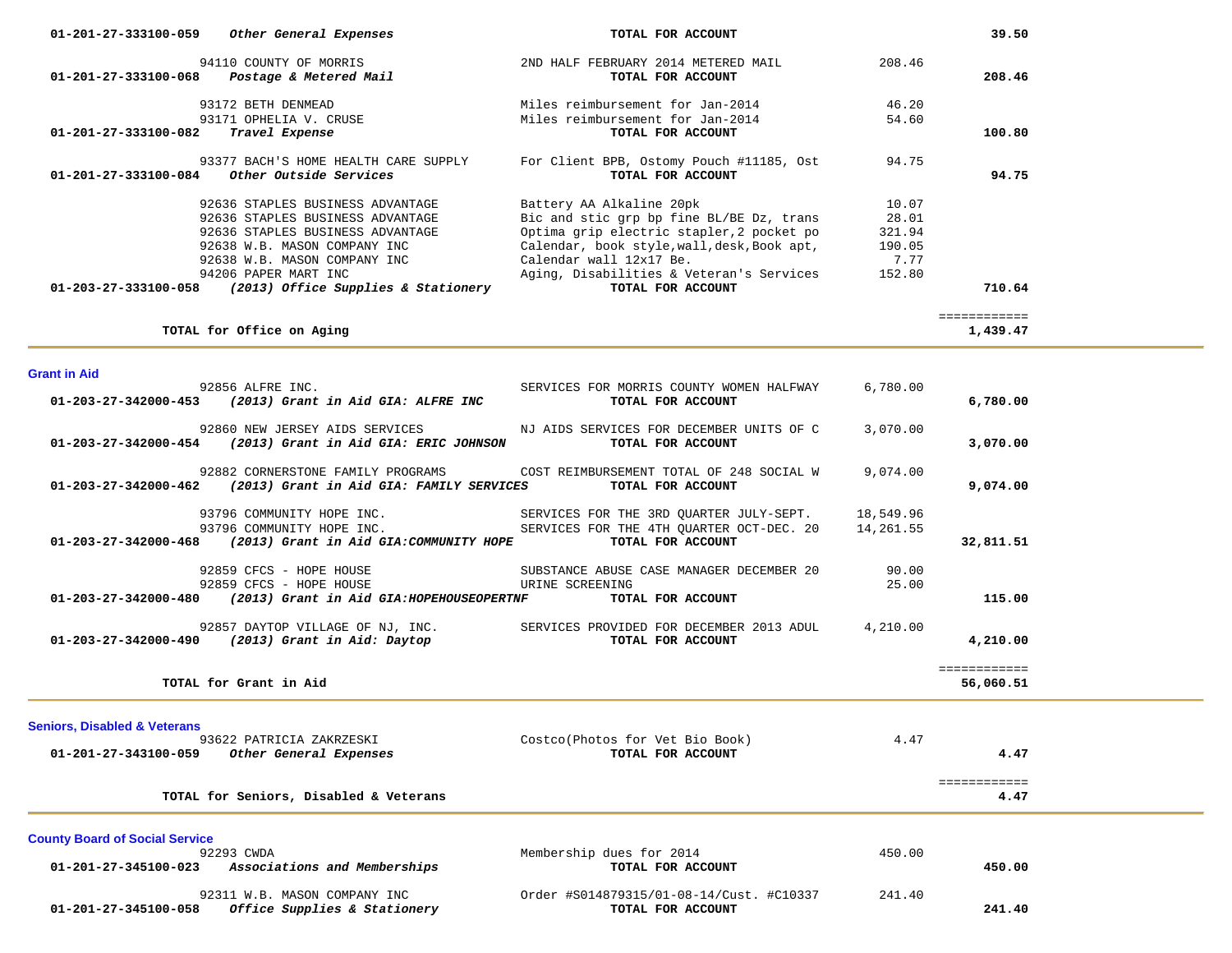| Other General Expenses<br>01-201-27-333100-059                                                                                                                                                                                                               | TOTAL FOR ACCOUNT                                                                                                                                                                                                                                            |                                                      | 39.50                     |  |
|--------------------------------------------------------------------------------------------------------------------------------------------------------------------------------------------------------------------------------------------------------------|--------------------------------------------------------------------------------------------------------------------------------------------------------------------------------------------------------------------------------------------------------------|------------------------------------------------------|---------------------------|--|
| 94110 COUNTY OF MORRIS<br>01-201-27-333100-068    Postage & Metered Mail                                                                                                                                                                                     | 2ND HALF FEBRUARY 2014 METERED MAIL<br>TOTAL FOR ACCOUNT                                                                                                                                                                                                     | 208.46                                               | 208.46                    |  |
| 93172 BETH DENMEAD<br>93171 OPHELIA V. CRUSE<br>01-201-27-333100-082<br>Travel Expense                                                                                                                                                                       | Miles reimbursement for Jan-2014<br>Miles reimbursement for Jan-2014<br>TOTAL FOR ACCOUNT                                                                                                                                                                    | 46.20<br>54.60                                       | 100.80                    |  |
| 93377 BACH'S HOME HEALTH CARE SUPPLY<br>01-201-27-333100-084<br>Other Outside Services                                                                                                                                                                       | For Client BPB, Ostomy Pouch #11185, Ost<br>TOTAL FOR ACCOUNT                                                                                                                                                                                                | 94.75                                                | 94.75                     |  |
| 92636 STAPLES BUSINESS ADVANTAGE<br>92636 STAPLES BUSINESS ADVANTAGE<br>92636 STAPLES BUSINESS ADVANTAGE<br>92638 W.B. MASON COMPANY INC<br>92638 W.B. MASON COMPANY INC<br>94206 PAPER MART INC<br>01-203-27-333100-058 (2013) Office Supplies & Stationery | Battery AA Alkaline 20pk<br>Bic and stic grp bp fine BL/BE Dz, trans<br>Optima grip electric stapler, 2 pocket po<br>Calendar, book style, wall, desk, Book apt,<br>Calendar wall 12x17 Be.<br>Aging, Disabilities & Veteran's Services<br>TOTAL FOR ACCOUNT | 10.07<br>28.01<br>321.94<br>190.05<br>7.77<br>152.80 | 710.64                    |  |
| TOTAL for Office on Aging                                                                                                                                                                                                                                    |                                                                                                                                                                                                                                                              |                                                      | ============<br>1,439.47  |  |
| Grant in Aid                                                                                                                                                                                                                                                 |                                                                                                                                                                                                                                                              |                                                      |                           |  |
| 92856 ALFRE INC.<br>01-203-27-342000-453 (2013) Grant in Aid GIA: ALFRE INC                                                                                                                                                                                  | SERVICES FOR MORRIS COUNTY WOMEN HALFWAY<br>TOTAL FOR ACCOUNT                                                                                                                                                                                                | 6,780.00                                             | 6,780.00                  |  |
| 92860 NEW JERSEY AIDS SERVICES<br>01-203-27-342000-454 (2013) Grant in Aid GIA: ERIC JOHNSON                                                                                                                                                                 | NJ AIDS SERVICES FOR DECEMBER UNITS OF C<br>TOTAL FOR ACCOUNT                                                                                                                                                                                                | 3,070.00                                             | 3,070.00                  |  |
| 92882 CORNERSTONE FAMILY PROGRAMS<br>$01-203-27-342000-462$ (2013) Grant in Aid GIA: FAMILY SERVICES                                                                                                                                                         | COST REIMBURSEMENT TOTAL OF 248 SOCIAL W<br>TOTAL FOR ACCOUNT                                                                                                                                                                                                | 9,074.00                                             | 9,074.00                  |  |
| 93796 COMMUNITY HOPE INC.<br>93796 COMMUNITY HOPE INC.<br>$01-203-27-342000-468$ (2013) Grant in Aid GIA: COMMUNITY HOPE                                                                                                                                     | SERVICES FOR THE 3RD QUARTER JULY-SEPT.<br>SERVICES FOR THE 4TH QUARTER OCT-DEC. 20<br>TOTAL FOR ACCOUNT                                                                                                                                                     | 18,549.96<br>14,261.55                               | 32,811.51                 |  |
| 92859 CFCS - HOPE HOUSE<br>92859 CFCS - HOPE HOUSE<br>$01-203-27-342000-480$ (2013) Grant in Aid GIA:HOPEHOUSEOPERTNF                                                                                                                                        | SUBSTANCE ABUSE CASE MANAGER DECEMBER 20<br>URINE SCREENING<br>TOTAL FOR ACCOUNT                                                                                                                                                                             | 90.00<br>25.00                                       | 115.00                    |  |
| 01-203-27-342000-490 (2013) Grant in Aid: Daytop                                                                                                                                                                                                             | 92857 DAYTOP VILLAGE OF NJ, INC. SERVICES PROVIDED FOR DECEMBER 2013 ADUL<br>TOTAL FOR ACCOUNT                                                                                                                                                               | 4,210.00                                             | 4,210.00                  |  |
| TOTAL for Grant in Aid                                                                                                                                                                                                                                       |                                                                                                                                                                                                                                                              |                                                      | ============<br>56,060.51 |  |
| <b>Seniors, Disabled &amp; Veterans</b>                                                                                                                                                                                                                      |                                                                                                                                                                                                                                                              |                                                      |                           |  |
| 93622 PATRICIA ZAKRZESKI<br>01-201-27-343100-059<br>Other General Expenses                                                                                                                                                                                   | Costco(Photos for Vet Bio Book)<br>TOTAL FOR ACCOUNT                                                                                                                                                                                                         | 4.47                                                 | 4.47                      |  |
| TOTAL for Seniors, Disabled & Veterans                                                                                                                                                                                                                       |                                                                                                                                                                                                                                                              |                                                      | ============<br>4.47      |  |
| <b>County Board of Social Service</b>                                                                                                                                                                                                                        |                                                                                                                                                                                                                                                              |                                                      |                           |  |
| 92293 CWDA<br>Associations and Memberships<br>01-201-27-345100-023                                                                                                                                                                                           | Membership dues for 2014<br>TOTAL FOR ACCOUNT                                                                                                                                                                                                                | 450.00                                               | 450.00                    |  |
| 92311 W.B. MASON COMPANY INC<br>01-201-27-345100-058 Office Supplies & Stationery                                                                                                                                                                            | Order #S014879315/01-08-14/Cust. #C10337<br>TOTAL FOR ACCOUNT                                                                                                                                                                                                | 241.40                                               | 241.40                    |  |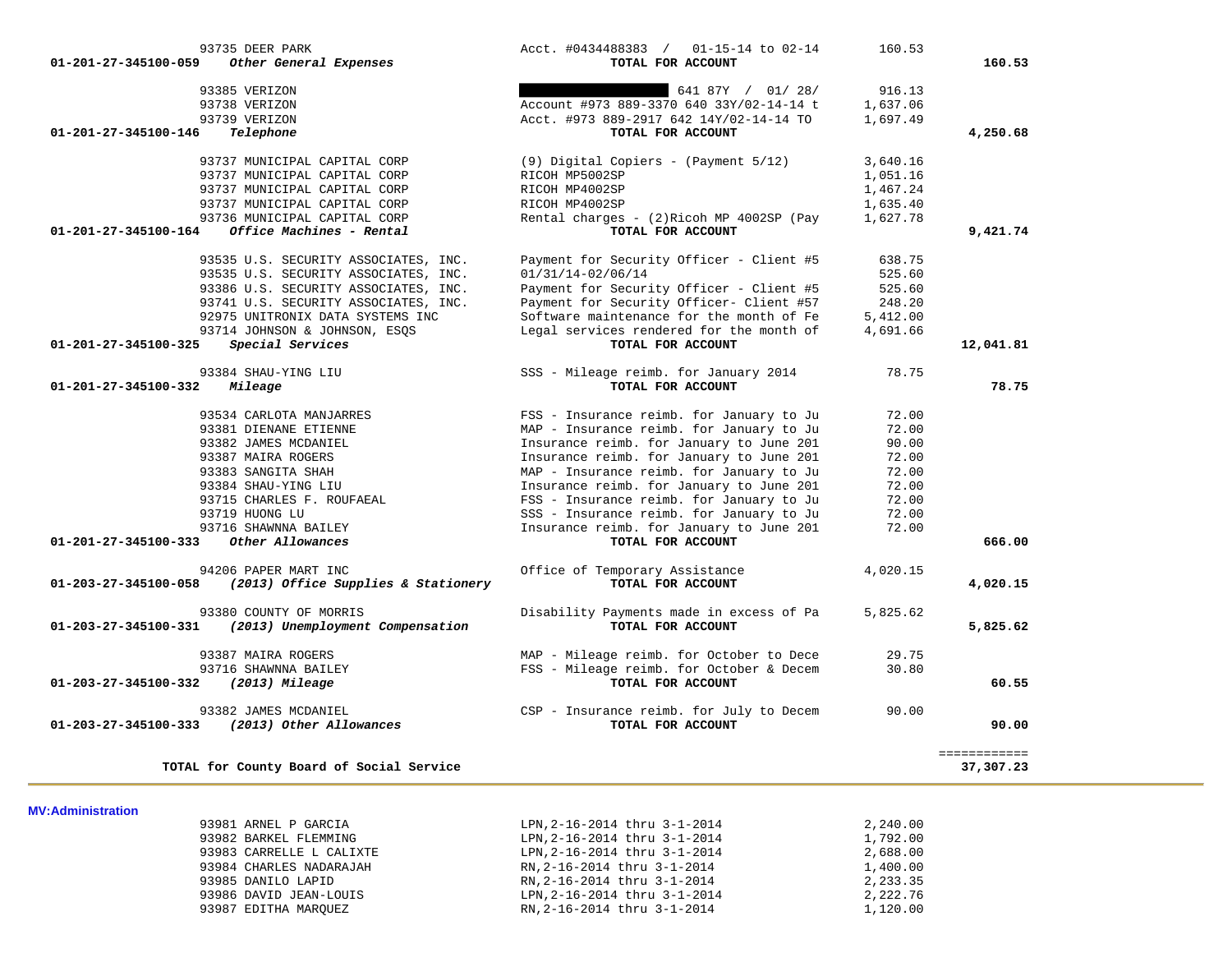| 93735 DEER PARK<br>01-201-27-345100-059<br>Other General Expenses                | Acct. #0434488383 / 01-15-14 to 02-14<br>TOTAL FOR ACCOUNT     | 160.53   | 160.53       |
|----------------------------------------------------------------------------------|----------------------------------------------------------------|----------|--------------|
|                                                                                  |                                                                |          |              |
| 93385 VERIZON                                                                    | 641 87Y / 01/ 28/                                              | 916.13   |              |
| 93738 VERIZON                                                                    | Account #973 889-3370 640 33Y/02-14-14 t                       | 1,637.06 |              |
| 93739 VERIZON                                                                    | Acct. #973 889-2917 642 14Y/02-14-14 TO                        | 1,697.49 |              |
| 01-201-27-345100-146<br>Telephone                                                | TOTAL FOR ACCOUNT                                              |          | 4,250.68     |
| 93737 MUNICIPAL CAPITAL CORP                                                     | (9) Digital Copiers - (Payment 5/12)                           | 3,640.16 |              |
| 93737 MUNICIPAL CAPITAL CORP                                                     |                                                                |          |              |
|                                                                                  | RICOH MP5002SP                                                 | 1,051.16 |              |
| 93737 MUNICIPAL CAPITAL CORP                                                     | RICOH MP4002SP                                                 | 1,467.24 |              |
| 93737 MUNICIPAL CAPITAL CORP                                                     | RICOH MP4002SP                                                 | 1,635.40 |              |
| 93736 MUNICIPAL CAPITAL CORP<br>Office Machines - Rental<br>01-201-27-345100-164 | Rental charges - (2) Ricoh MP 4002SP (Pay<br>TOTAL FOR ACCOUNT | 1,627.78 | 9,421.74     |
|                                                                                  |                                                                |          |              |
| 93535 U.S. SECURITY ASSOCIATES, INC.                                             | Payment for Security Officer - Client #5                       | 638.75   |              |
| 93535 U.S. SECURITY ASSOCIATES, INC.                                             | $01/31/14 - 02/06/14$                                          | 525.60   |              |
| 93386 U.S. SECURITY ASSOCIATES, INC.                                             | Payment for Security Officer - Client #5                       | 525.60   |              |
| 93741 U.S. SECURITY ASSOCIATES, INC.                                             | Payment for Security Officer- Client #57                       | 248.20   |              |
| 92975 UNITRONIX DATA SYSTEMS INC                                                 | Software maintenance for the month of Fe                       | 5,412.00 |              |
| 93714 JOHNSON & JOHNSON, ESQS                                                    | Legal services rendered for the month of                       | 4,691.66 |              |
| Special Services<br>01-201-27-345100-325                                         | TOTAL FOR ACCOUNT                                              |          | 12,041.81    |
| 93384 SHAU-YING LIU                                                              | SSS - Mileage reimb. for January 2014                          | 78.75    |              |
| 01-201-27-345100-332<br>Mileage                                                  | TOTAL FOR ACCOUNT                                              |          | 78.75        |
| 93534 CARLOTA MANJARRES                                                          | FSS - Insurance reimb. for January to Ju                       | 72.00    |              |
| 93381 DIENANE ETIENNE                                                            | MAP - Insurance reimb. for January to Ju                       | 72.00    |              |
| 93382 JAMES MCDANIEL                                                             | Insurance reimb. for January to June 201                       | 90.00    |              |
| 93387 MAIRA ROGERS                                                               | Insurance reimb. for January to June 201                       | 72.00    |              |
| 93383 SANGITA SHAH                                                               | MAP - Insurance reimb. for January to Ju                       | 72.00    |              |
| 93384 SHAU-YING LIU                                                              | Insurance reimb. for January to June 201                       | 72.00    |              |
| 93715 CHARLES F. ROUFAEAL                                                        | FSS - Insurance reimb. for January to Ju                       | 72.00    |              |
| 93719 HUONG LU                                                                   | SSS - Insurance reimb. for January to Ju                       | 72.00    |              |
| 93716 SHAWNNA BAILEY                                                             | Insurance reimb. for January to June 201                       | 72.00    |              |
| Other Allowances<br>01-201-27-345100-333                                         | TOTAL FOR ACCOUNT                                              |          | 666.00       |
|                                                                                  |                                                                |          |              |
| 94206 PAPER MART INC                                                             | Office of Temporary Assistance                                 | 4,020.15 |              |
| (2013) Office Supplies & Stationery<br>01-203-27-345100-058                      | TOTAL FOR ACCOUNT                                              |          | 4,020.15     |
| 93380 COUNTY OF MORRIS                                                           | Disability Payments made in excess of Pa                       | 5,825.62 |              |
| (2013) Unemployment Compensation<br>01-203-27-345100-331                         | TOTAL FOR ACCOUNT                                              |          | 5,825.62     |
| 93387 MAIRA ROGERS                                                               | MAP - Mileage reimb. for October to Dece                       | 29.75    |              |
| 93716 SHAWNNA BAILEY                                                             | FSS - Mileage reimb. for October & Decem                       | 30.80    |              |
| 01-203-27-345100-332<br>$(2013)$ Mileage                                         | TOTAL FOR ACCOUNT                                              |          | 60.55        |
|                                                                                  |                                                                |          |              |
| 93382 JAMES MCDANIEL                                                             | CSP - Insurance reimb. for July to Decem                       | 90.00    |              |
| 01-203-27-345100-333<br>(2013) Other Allowances                                  | TOTAL FOR ACCOUNT                                              |          | 90.00        |
|                                                                                  |                                                                |          | ============ |
|                                                                                  |                                                                |          |              |

**MV:Administration** 

| 93981 ARNEL P GARCIA     | LPN, 2-16-2014 thru 3-1-2014 | 2,240.00 |
|--------------------------|------------------------------|----------|
| 93982 BARKEL FLEMMING    | LPN, 2-16-2014 thru 3-1-2014 | 1,792.00 |
| 93983 CARRELLE L CALIXTE | LPN, 2-16-2014 thru 3-1-2014 | 2,688.00 |
| 93984 CHARLES NADARAJAH  | RN, 2-16-2014 thru 3-1-2014  | 1,400.00 |
| 93985 DANILO LAPID       | RN, 2-16-2014 thru 3-1-2014  | 2,233.35 |
| 93986 DAVID JEAN-LOUIS   | LPN, 2-16-2014 thru 3-1-2014 | 2,222.76 |
| 93987 EDITHA MAROUEZ     | RN, 2-16-2014 thru 3-1-2014  | 1,120.00 |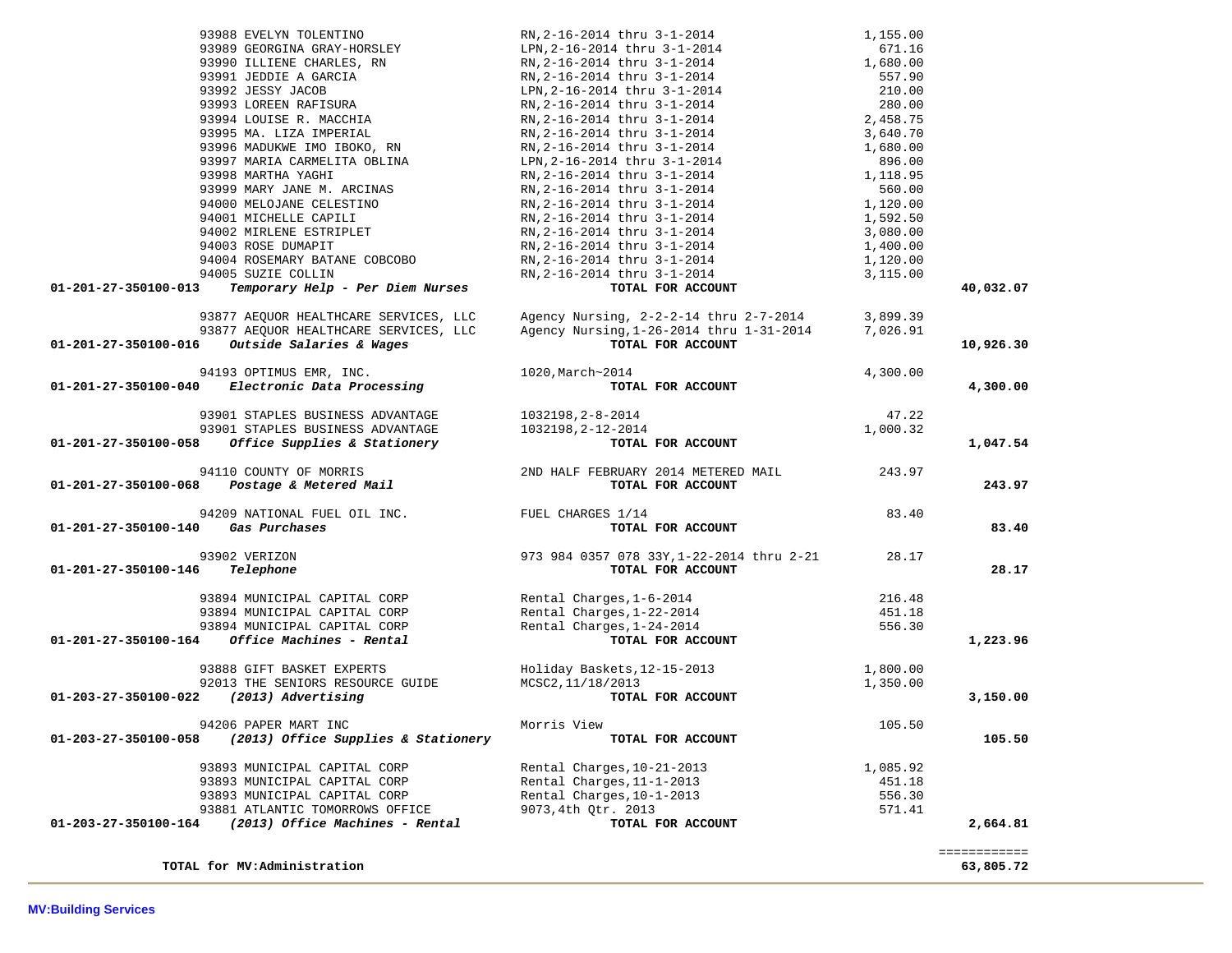|                                    | 93988 EVELYN TOLENTINO                                                    |                                                                                                                                                                                                                  | 1,155.00 |              |
|------------------------------------|---------------------------------------------------------------------------|------------------------------------------------------------------------------------------------------------------------------------------------------------------------------------------------------------------|----------|--------------|
|                                    | 93989 GEORGINA GRAY-HORSLEY<br>93990 ILLIENE CHARLES, RN                  |                                                                                                                                                                                                                  | 671.16   |              |
|                                    |                                                                           | LPN, 2-16-2014 thru 3-1-2014<br>RN, 2-16-2014 thru 3-1-2014<br>RN, 2-16-2014 thru 3-1-2014                                                                                                                       | 1,680.00 |              |
|                                    | 93991 JEDDIE A GARCIA                                                     |                                                                                                                                                                                                                  | 557.90   |              |
|                                    | 93992 JESSY JACOB                                                         | RN, 2-16-2014 thru 3-1-2014<br>LPN, 2-16-2014 thru 3-1-2014<br>RN, 2-16-2014 thru 3-1-2014<br>RN, 2-16-2014 thru 3-1-2014                                                                                        | 210.00   |              |
|                                    | 93993 LOREEN RAFISURA<br>93993 LOREEN RAFISURA<br>93994 LOUISE R. MACCHIA |                                                                                                                                                                                                                  | 280.00   |              |
|                                    |                                                                           |                                                                                                                                                                                                                  | 2,458.75 |              |
|                                    | 93995 MA. LIZA IMPERIAL                                                   | RN,2-16-2014 thru 3-1-2014                                                                                                                                                                                       | 3,640.70 |              |
|                                    | 93996 MADUKWE IMO IBOKO, RN                                               |                                                                                                                                                                                                                  | 1,680.00 |              |
|                                    | 93997 MARIA CARMELITA OBLINA                                              | RN, 2-16-2014 thru 3-1-2014<br>LPN, 2-16-2014 thru 3-1-2014<br>RN, 2-16-2014 thru 3-1-2014<br>RN, 2-16-2014 thru 3-1-2014                                                                                        | 896.00   |              |
|                                    | 93998 MARTHA YAGHI                                                        |                                                                                                                                                                                                                  | 1,118.95 |              |
|                                    | 93999 MARY JANE M. ARCINAS                                                | RN, 2-16-2014 thru 3-1-2014<br>RN, 2-16-2014 thru 3-1-2014<br>RN, 2-16-2014 thru 3-1-2014<br>RN, 2-16-2014 thru 3-1-2014                                                                                         | 560.00   |              |
|                                    | 94000 MELOJANE CELESTINO                                                  |                                                                                                                                                                                                                  | 1,120.00 |              |
|                                    | 94001 MICHELLE CAPILI                                                     |                                                                                                                                                                                                                  | 1,592.50 |              |
|                                    | 94002 MIRLENE ESTRIPLET                                                   |                                                                                                                                                                                                                  | 3,080.00 |              |
|                                    | 94003 ROSE DUMAPIT                                                        |                                                                                                                                                                                                                  | 1,400.00 |              |
|                                    | 94004 ROSEMARY BATANE COBCOBO                                             |                                                                                                                                                                                                                  | 1,120.00 |              |
|                                    | 94005 SUZIE COLLIN                                                        |                                                                                                                                                                                                                  | 3,115.00 |              |
| 01-201-27-350100-013               | Temporary Help - Per Diem Nurses                                          | RN, 2-16-2014 thru 3-1-2014<br>RN, 2-16-2014 thru 3-1-2014<br>RN, 2-16-2014 thru 3-1-2014<br>RN, 2-16-2014 thru 3-1-2014<br>--- 2-16-2014 thru 3-1-2014                                                          |          | 40,032.07    |
|                                    |                                                                           |                                                                                                                                                                                                                  |          |              |
|                                    | 93877 AEQUOR HEALTHCARE SERVICES, LLC                                     | Agency Nursing, 2-2-2-14 thru 2-7-2014                                                                                                                                                                           | 3,899.39 |              |
|                                    | 93877 AEQUOR HEALTHCARE SERVICES, LLC                                     | Agency Nursing, 1-26-2014 thru 1-31-2014                                                                                                                                                                         | 7,026.91 |              |
|                                    | 01-201-27-350100-016 Outside Salaries & Wages                             | TOTAL FOR ACCOUNT                                                                                                                                                                                                |          | 10,926.30    |
|                                    |                                                                           |                                                                                                                                                                                                                  |          |              |
|                                    | 94193 OPTIMUS EMR, INC.                                                   | 1020, March~2014                                                                                                                                                                                                 | 4,300.00 |              |
|                                    | 01-201-27-350100-040 Electronic Data Processing                           | TOTAL FOR ACCOUNT                                                                                                                                                                                                |          | 4,300.00     |
|                                    |                                                                           |                                                                                                                                                                                                                  |          |              |
|                                    | 93901 STAPLES BUSINESS ADVANTAGE                                          |                                                                                                                                                                                                                  | 47.22    |              |
|                                    | 93901 STAPLES BUSINESS ADVANTAGE                                          |                                                                                                                                                                                                                  | 1,000.32 |              |
|                                    | $01-201-27-350100-058$ Office Supplies & Stationery                       |                                                                                                                                                                                                                  |          | 1,047.54     |
|                                    |                                                                           | 2ND HALF FEBRUARY 2014 METERED MAIL<br>2019 TOTAL FOR ACCOUNT                                                                                                                                                    |          |              |
|                                    | 94110 COUNTY OF MORRIS                                                    |                                                                                                                                                                                                                  |          |              |
|                                    | 01-201-27-350100-068  Postage & Metered Mail                              |                                                                                                                                                                                                                  |          | 243.97       |
|                                    |                                                                           |                                                                                                                                                                                                                  |          |              |
|                                    | 94209 NATIONAL FUEL OIL INC. FUEL CHARGES 1/14                            |                                                                                                                                                                                                                  | 83.40    |              |
| 01-201-27-350100-140 Gas Purchases |                                                                           | TOTAL FOR ACCOUNT                                                                                                                                                                                                |          | 83.40        |
|                                    |                                                                           |                                                                                                                                                                                                                  |          |              |
|                                    | 93902 VERIZON                                                             | 973 984 0357 078 33Y, 1-22-2014 thru 2-21                                                                                                                                                                        | 28.17    |              |
| 01-201-27-350100-146 Telephone     |                                                                           | TOTAL FOR ACCOUNT                                                                                                                                                                                                |          | 28.17        |
|                                    |                                                                           |                                                                                                                                                                                                                  |          |              |
|                                    |                                                                           |                                                                                                                                                                                                                  | 216.48   |              |
|                                    |                                                                           |                                                                                                                                                                                                                  | 451.18   |              |
|                                    |                                                                           |                                                                                                                                                                                                                  | 556.30   |              |
| 01-201-27-350100-164               |                                                                           | 93894 MUNICIPAL CAPITAL CORP<br>93894 MUNICIPAL CAPITAL CORP<br>93894 MUNICIPAL CAPITAL CORP<br>93894 MUNICIPAL CAPITAL CORP<br><b>4</b> Office Machines - Rental Charges, 1-24-2014<br><b>70TAL FOR ACCOUNT</b> |          | 1,223.96     |
|                                    |                                                                           |                                                                                                                                                                                                                  |          |              |
|                                    | 93888 GIFT BASKET EXPERTS                                                 | Holiday Baskets,12-15-2013                                                                                                                                                                                       | 1,800.00 |              |
|                                    | 92013 THE SENIORS RESOURCE GUIDE                                          | MCSC2, 11/18/2013                                                                                                                                                                                                | 1,350.00 |              |
| 01-203-27-350100-022               | (2013) Advertising                                                        | TOTAL FOR ACCOUNT                                                                                                                                                                                                |          | 3,150.00     |
|                                    |                                                                           |                                                                                                                                                                                                                  |          |              |
|                                    | 94206 PAPER MART INC                                                      | Morris View                                                                                                                                                                                                      | 105.50   |              |
| 01-203-27-350100-058               | (2013) Office Supplies & Stationery                                       | TOTAL FOR ACCOUNT                                                                                                                                                                                                |          | 105.50       |
|                                    |                                                                           |                                                                                                                                                                                                                  |          |              |
|                                    | 93893 MUNICIPAL CAPITAL CORP                                              | Rental Charges, 10-21-2013                                                                                                                                                                                       | 1,085.92 |              |
|                                    | 93893 MUNICIPAL CAPITAL CORP                                              | Rental Charges, 11-1-2013                                                                                                                                                                                        | 451.18   |              |
|                                    | 93893 MUNICIPAL CAPITAL CORP                                              | Rental Charges, 10-1-2013                                                                                                                                                                                        | 556.30   |              |
|                                    | 93881 ATLANTIC TOMORROWS OFFICE                                           | 9073,4th Qtr. 2013                                                                                                                                                                                               | 571.41   |              |
| 01-203-27-350100-164               | (2013) Office Machines - Rental                                           | TOTAL FOR ACCOUNT                                                                                                                                                                                                |          | 2,664.81     |
|                                    |                                                                           |                                                                                                                                                                                                                  |          |              |
|                                    |                                                                           |                                                                                                                                                                                                                  |          | ============ |
|                                    | TOTAL for MV: Administration                                              |                                                                                                                                                                                                                  |          | 63,805.72    |
|                                    |                                                                           |                                                                                                                                                                                                                  |          |              |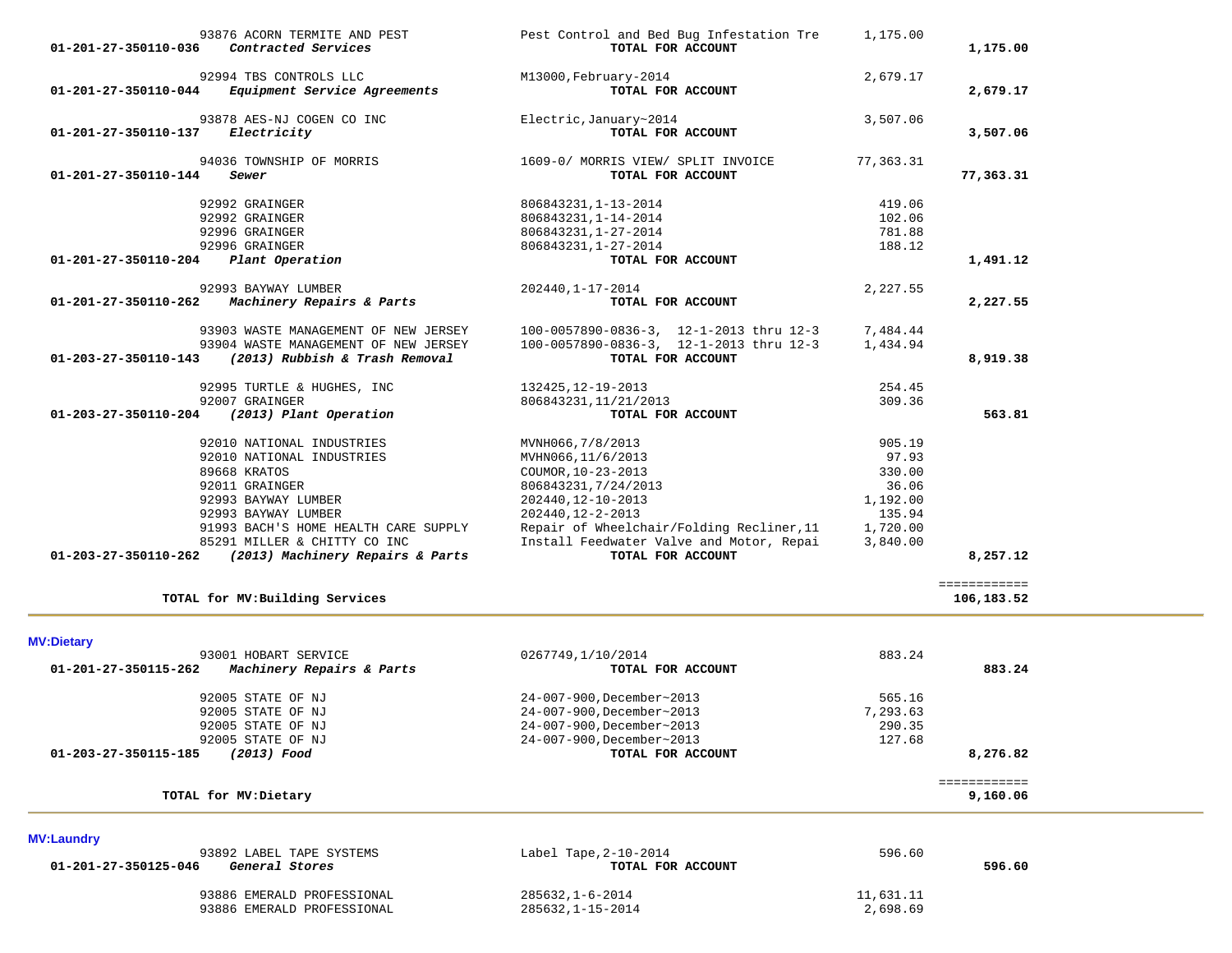| 01-201-27-350110-036 | Contracted Services                                                  | TOTAL FOR ACCOUNT                                                                     |                      | 1,175.00                 |  |
|----------------------|----------------------------------------------------------------------|---------------------------------------------------------------------------------------|----------------------|--------------------------|--|
|                      | 92994 TBS CONTROLS LLC                                               | M13000, February-2014                                                                 | 2,679.17             |                          |  |
| 01-201-27-350110-044 | Equipment Service Agreements                                         | TOTAL FOR ACCOUNT                                                                     |                      | 2,679.17                 |  |
|                      | 93878 AES-NJ COGEN CO INC                                            | Electric, January~2014                                                                | 3,507.06             |                          |  |
| 01-201-27-350110-137 | Electricity                                                          | TOTAL FOR ACCOUNT                                                                     |                      | 3,507.06                 |  |
|                      |                                                                      |                                                                                       |                      |                          |  |
| 01-201-27-350110-144 | 94036 TOWNSHIP OF MORRIS<br>Sewer                                    | 1609-0/ MORRIS VIEW/ SPLIT INVOICE                                                    | 77,363.31            | 77,363.31                |  |
|                      |                                                                      | TOTAL FOR ACCOUNT                                                                     |                      |                          |  |
|                      | 92992 GRAINGER                                                       | 806843231, 1-13-2014                                                                  | 419.06               |                          |  |
|                      | 92992 GRAINGER                                                       | 806843231, 1-14-2014                                                                  | 102.06               |                          |  |
|                      | 92996 GRAINGER                                                       | 806843231, 1-27-2014                                                                  | 781.88               |                          |  |
|                      | 92996 GRAINGER                                                       | 806843231, 1-27-2014                                                                  | 188.12               |                          |  |
| 01-201-27-350110-204 | Plant Operation                                                      | TOTAL FOR ACCOUNT                                                                     |                      | 1,491.12                 |  |
|                      | 92993 BAYWAY LUMBER                                                  | 202440, 1-17-2014                                                                     | 2,227.55             |                          |  |
| 01-201-27-350110-262 | Machinery Repairs & Parts                                            | TOTAL FOR ACCOUNT                                                                     |                      | 2,227.55                 |  |
|                      |                                                                      |                                                                                       |                      |                          |  |
|                      | 93903 WASTE MANAGEMENT OF NEW JERSEY                                 | 100-0057890-0836-3, 12-1-2013 thru 12-3                                               | 7,484.44             |                          |  |
|                      | 93904 WASTE MANAGEMENT OF NEW JERSEY                                 | 100-0057890-0836-3, 12-1-2013 thru 12-3                                               | 1,434.94             |                          |  |
| 01-203-27-350110-143 | (2013) Rubbish & Trash Removal                                       | TOTAL FOR ACCOUNT                                                                     |                      | 8,919.38                 |  |
|                      | 92995 TURTLE & HUGHES, INC                                           | 132425, 12-19-2013                                                                    | 254.45               |                          |  |
|                      | 92007 GRAINGER                                                       | 806843231, 11/21/2013                                                                 | 309.36               |                          |  |
| 01-203-27-350110-204 | (2013) Plant Operation                                               | TOTAL FOR ACCOUNT                                                                     |                      | 563.81                   |  |
|                      |                                                                      |                                                                                       |                      |                          |  |
|                      | 92010 NATIONAL INDUSTRIES                                            | MVNH066,7/8/2013                                                                      | 905.19               |                          |  |
|                      | 92010 NATIONAL INDUSTRIES                                            | MVHN066, 11/6/2013                                                                    | 97.93                |                          |  |
|                      | 89668 KRATOS                                                         | COUMOR, 10-23-2013                                                                    | 330.00               |                          |  |
|                      | 92011 GRAINGER                                                       | 806843231, 7/24/2013                                                                  | 36.06                |                          |  |
|                      | 92993 BAYWAY LUMBER                                                  | 202440, 12-10-2013                                                                    | 1,192.00             |                          |  |
|                      | 92993 BAYWAY LUMBER                                                  | 202440, 12-2-2013                                                                     | 135.94               |                          |  |
|                      | 91993 BACH'S HOME HEALTH CARE SUPPLY<br>85291 MILLER & CHITTY CO INC | Repair of Wheelchair/Folding Recliner, 11<br>Install Feedwater Valve and Motor, Repai | 1,720.00<br>3,840.00 |                          |  |
| 01-203-27-350110-262 | (2013) Machinery Repairs & Parts                                     | TOTAL FOR ACCOUNT                                                                     |                      | 8,257.12                 |  |
|                      |                                                                      |                                                                                       |                      |                          |  |
|                      |                                                                      |                                                                                       |                      | ============             |  |
|                      | TOTAL for MV: Building Services                                      |                                                                                       |                      | 106,183.52               |  |
|                      |                                                                      |                                                                                       |                      |                          |  |
| <b>MV:Dietary</b>    |                                                                      |                                                                                       |                      |                          |  |
|                      | 93001 HOBART SERVICE                                                 | 0267749,1/10/2014                                                                     | 883.24               |                          |  |
| 01-201-27-350115-262 | Machinery Repairs & Parts                                            | TOTAL FOR ACCOUNT                                                                     |                      | 883.24                   |  |
|                      | 92005 STATE OF NJ                                                    | 24-007-900, December~2013                                                             | 565.16               |                          |  |
|                      | 92005 STATE OF NJ                                                    | 24-007-900, December~2013                                                             | 7,293.63             |                          |  |
|                      | 92005 STATE OF NJ                                                    | 24-007-900, December~2013                                                             | 290.35               |                          |  |
|                      | 92005 STATE OF NJ                                                    | 24-007-900, December~2013                                                             | 127.68               |                          |  |
| 01-203-27-350115-185 | (2013) Food                                                          | TOTAL FOR ACCOUNT                                                                     |                      | 8,276.82                 |  |
|                      |                                                                      |                                                                                       |                      |                          |  |
|                      | TOTAL for MV: Dietary                                                |                                                                                       |                      | ============<br>9,160.06 |  |
|                      |                                                                      |                                                                                       |                      |                          |  |
|                      |                                                                      |                                                                                       |                      |                          |  |
| <b>MV:Laundry</b>    | 93892 LABEL TAPE SYSTEMS                                             |                                                                                       |                      |                          |  |
| 01-201-27-350125-046 | General Stores                                                       | Label Tape, 2-10-2014<br>TOTAL FOR ACCOUNT                                            | 596.60               | 596.60                   |  |
|                      |                                                                      |                                                                                       |                      |                          |  |
|                      | 93886 EMERALD PROFESSIONAL                                           | $285632, 1 - 6 - 2014$                                                                | 11,631.11            |                          |  |
|                      | 93886 EMERALD PROFESSIONAL                                           | 285632, 1-15-2014                                                                     | 2,698.69             |                          |  |

93876 ACORN TERMITE AND PEST Pest Control and Bed Bug Infestation Tre 1,175.00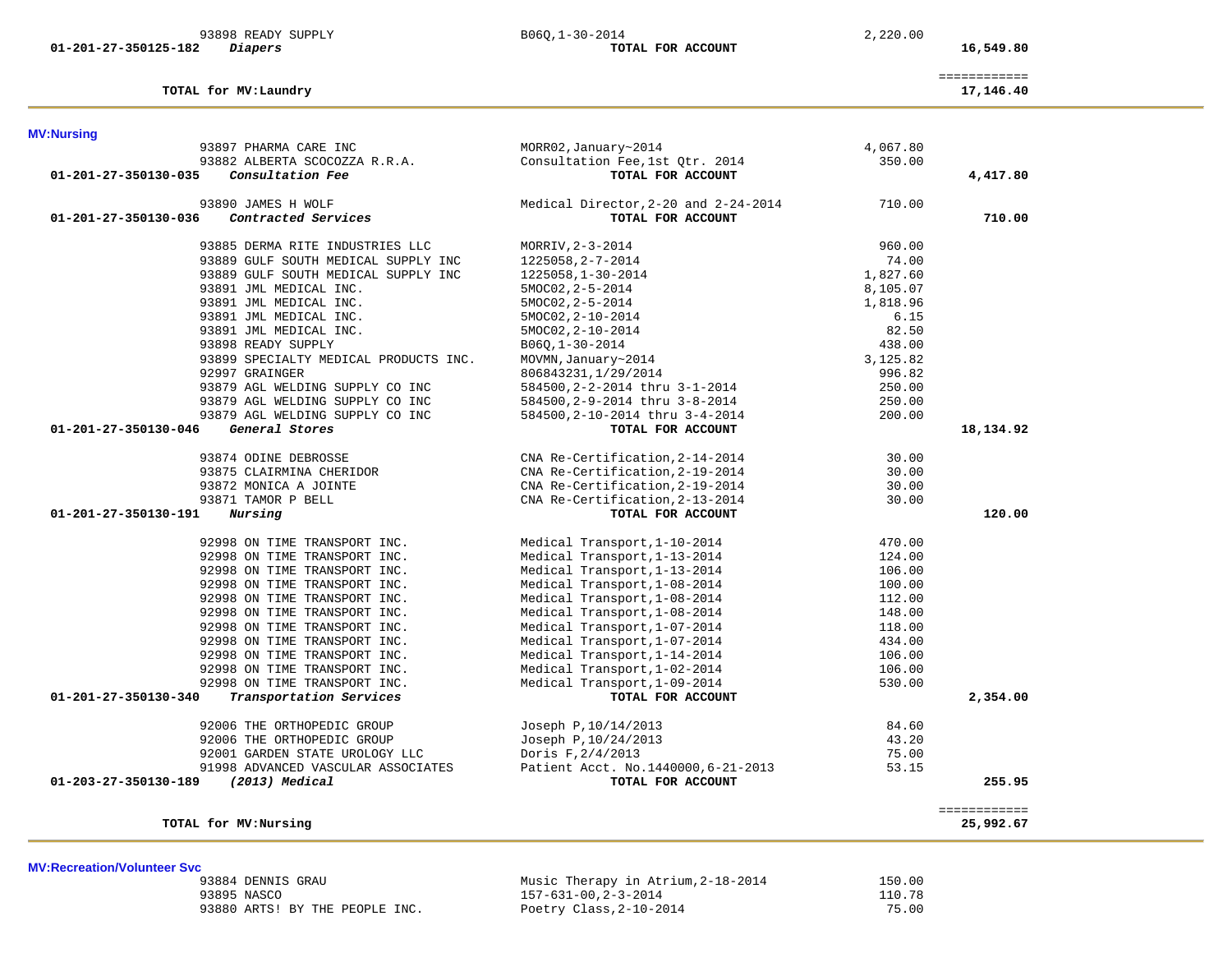|             | 93884 DENNIS GRAU |  |                                |  |
|-------------|-------------------|--|--------------------------------|--|
| 93895 NASCO |                   |  |                                |  |
|             |                   |  | 93880 ARTS! BY THE PEOPLE INC. |  |

**MV:Recreation/Volunteer Svc**

 93884 DENNIS GRAU Music Therapy in Atrium,2-18-2014 150.00 93895 NASCO 157-631-00,2-3-2014 110.78 Poetry Class, 2-10-2014 75.00

| 93897 PHARMA CARE INC                                                           | MORR02, January~2014                              | 4,067.80 |              |
|---------------------------------------------------------------------------------|---------------------------------------------------|----------|--------------|
| 93882 ALBERTA SCOCOZZA R.R.A.                                                   | Consultation Fee, 1st Qtr. 2014                   | 350.00   |              |
| Consultation Fee<br>01-201-27-350130-035                                        | TOTAL FOR ACCOUNT                                 |          | 4,417.80     |
| 93890 JAMES H WOLF                                                              | Medical Director, 2-20 and 2-24-2014              | 710.00   |              |
| Contracted Services<br>01-201-27-350130-036                                     | TOTAL FOR ACCOUNT                                 |          | 710.00       |
| 93885 DERMA RITE INDUSTRIES LLC                                                 | MORRIV, 2-3-2014                                  | 960.00   |              |
| 93889 GULF SOUTH MEDICAL SUPPLY INC                                             | 1225058, 2-7-2014                                 | 74.00    |              |
| 93889 GULF SOUTH MEDICAL SUPPLY INC                                             | 1225058, 1-30-2014                                | 1,827.60 |              |
| 93891 JML MEDICAL INC.                                                          | 5MOC02, 2-5-2014                                  | 8,105.07 |              |
| 93891 JML MEDICAL INC.                                                          | 5MOC02, 2-5-2014                                  | 1,818.96 |              |
| 93891 JML MEDICAL INC.                                                          | 5MOC02, 2-10-2014                                 | 6.15     |              |
| 93891 JML MEDICAL INC.                                                          | 5MOC02, 2-10-2014                                 | 82.50    |              |
| 93898 READY SUPPLY                                                              | $B06Q, 1-30-2014$                                 | 438.00   |              |
| 93899 SPECIALTY MEDICAL PRODUCTS INC.                                           | MOVMN, January~2014                               | 3,125.82 |              |
| 92997 GRAINGER                                                                  | 806843231, 1/29/2014                              | 996.82   |              |
| 93879 AGL WELDING SUPPLY CO INC                                                 | 584500,2-2-2014 thru 3-1-2014                     | 250.00   |              |
| 93879 AGL WELDING SUPPLY CO INC                                                 | 584500,2-9-2014 thru 3-8-2014                     | 250.00   |              |
| 93879 AGL WELDING SUPPLY CO INC                                                 | 584500, 2-10-2014 thru 3-4-2014                   | 200.00   |              |
| General Stores<br>01-201-27-350130-046                                          | TOTAL FOR ACCOUNT                                 |          | 18,134.92    |
|                                                                                 |                                                   |          |              |
| 93874 ODINE DEBROSSE                                                            | CNA Re-Certification, 2-14-2014                   | 30.00    |              |
|                                                                                 | CNA Re-Certification, 2-19-2014                   | 30.00    |              |
| 93875 CLAIRMINA CHERIDOR<br>93872 MONICA A JOINTE                               | CNA Re-Certification, 2-19-2014                   | 30.00    |              |
| 93871 TAMOR P BELL                                                              | CNA Re-Certification, 2-13-2014                   | 30.00    |              |
| Nursing<br>01-201-27-350130-191                                                 | TOTAL FOR ACCOUNT                                 |          | 120.00       |
| 92998 ON TIME TRANSPORT INC.                                                    | Medical Transport, 1-10-2014                      | 470.00   |              |
| 92998 ON TIME TRANSPORT INC.                                                    | Medical Transport, 1-13-2014                      | 124.00   |              |
| 92998 ON TIME TRANSPORT INC.                                                    | Medical Transport, 1-13-2014                      | 106.00   |              |
| 92998 ON TIME TRANSPORT INC.                                                    | Medical Transport, 1-08-2014                      | 100.00   |              |
| 92998 ON TIME TRANSPORT INC.                                                    | Medical Transport, 1-08-2014                      | 112.00   |              |
| 92998 ON TIME TRANSPORT INC.                                                    |                                                   | 148.00   |              |
|                                                                                 | Medical Transport, 1-08-2014                      |          |              |
| 92998 ON TIME TRANSPORT INC.<br>92998 ON TIME TRANSPORT INC.                    | Medical Transport, 1-07-2014                      | 118.00   |              |
|                                                                                 | Medical Transport, 1-07-2014                      | 434.00   |              |
| 92998 ON TIME TRANSPORT INC.                                                    | Medical Transport, 1-14-2014                      | 106.00   |              |
| 92998 ON TIME TRANSPORT INC.                                                    | Medical Transport, 1-02-2014                      | 106.00   |              |
| 92998 ON TIME TRANSPORT INC.<br>Transportation Services<br>01-201-27-350130-340 | Medical Transport, 1-09-2014<br>TOTAL FOR ACCOUNT | 530.00   | 2,354.00     |
|                                                                                 |                                                   |          |              |
| 92006 THE ORTHOPEDIC GROUP                                                      | Joseph P, 10/14/2013                              | 84.60    |              |
| 92006 THE ORTHOPEDIC GROUP                                                      | Joseph P, 10/24/2013                              | 43.20    |              |
| 92001 GARDEN STATE UROLOGY LLC                                                  | Doris F, 2/4/2013                                 | 75.00    |              |
| 91998 ADVANCED VASCULAR ASSOCIATES                                              | Patient Acct. No.1440000, 6-21-2013               | 53.15    |              |
| (2013) Medical<br>01-203-27-350130-189                                          | TOTAL FOR ACCOUNT                                 |          | 255.95       |
|                                                                                 |                                                   |          | ============ |
| TOTAL for MV: Nursing                                                           |                                                   |          | 25,992.67    |

============

#### TOTAL for MV: Laundry

# **MV:Nursing**

# 93898 READY SUPPLY B06Q,1-30-2014 2,220.00

17,146.40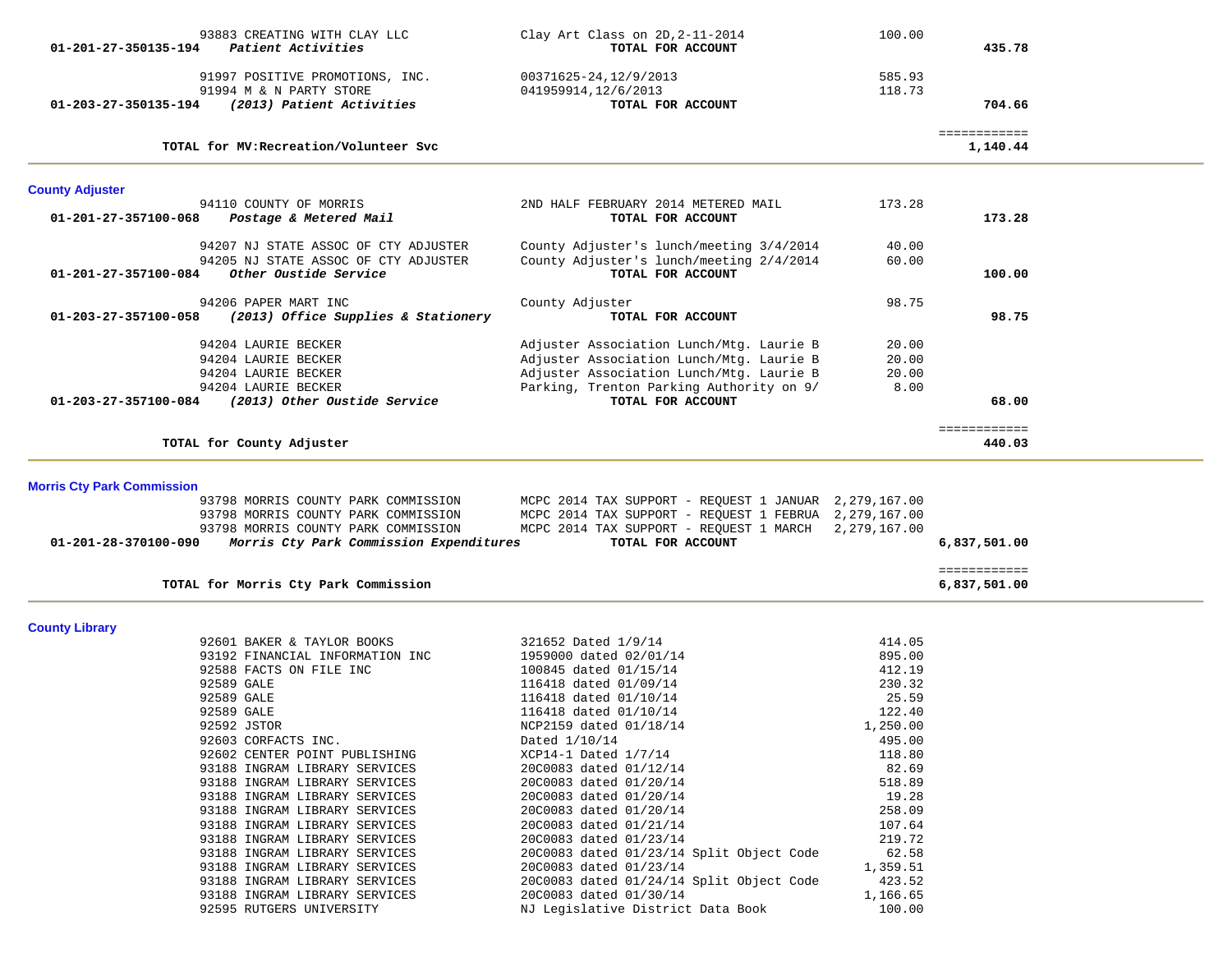| $01 - 201 - 27 - 350135 - 194$                            | 93883 CREATING WITH CLAY LLC<br>Patient Activities                                                                                                                                                                                                                                                                                                                 | Clay Art Class on 2D, 2-11-2014<br>TOTAL FOR ACCOUNT                                                                                                                                                                                                                                                                                      | 100.00                                                                                                      | 435.78                       |  |
|-----------------------------------------------------------|--------------------------------------------------------------------------------------------------------------------------------------------------------------------------------------------------------------------------------------------------------------------------------------------------------------------------------------------------------------------|-------------------------------------------------------------------------------------------------------------------------------------------------------------------------------------------------------------------------------------------------------------------------------------------------------------------------------------------|-------------------------------------------------------------------------------------------------------------|------------------------------|--|
| 01-203-27-350135-194                                      | 91997 POSITIVE PROMOTIONS, INC.<br>91994 M & N PARTY STORE<br>(2013) Patient Activities                                                                                                                                                                                                                                                                            | 00371625-24,12/9/2013<br>041959914, 12/6/2013<br>TOTAL FOR ACCOUNT                                                                                                                                                                                                                                                                        | 585.93<br>118.73                                                                                            | 704.66                       |  |
|                                                           | TOTAL for MV: Recreation/Volunteer Svc                                                                                                                                                                                                                                                                                                                             |                                                                                                                                                                                                                                                                                                                                           |                                                                                                             | ============<br>1,140.44     |  |
| <b>County Adjuster</b>                                    |                                                                                                                                                                                                                                                                                                                                                                    |                                                                                                                                                                                                                                                                                                                                           |                                                                                                             |                              |  |
| 01-201-27-357100-068                                      | 94110 COUNTY OF MORRIS<br>Postage & Metered Mail                                                                                                                                                                                                                                                                                                                   | 2ND HALF FEBRUARY 2014 METERED MAIL<br>TOTAL FOR ACCOUNT                                                                                                                                                                                                                                                                                  | 173.28                                                                                                      | 173.28                       |  |
| 01-201-27-357100-084                                      | 94207 NJ STATE ASSOC OF CTY ADJUSTER<br>94205 NJ STATE ASSOC OF CTY ADJUSTER<br>Other Oustide Service                                                                                                                                                                                                                                                              | County Adjuster's lunch/meeting 3/4/2014<br>County Adjuster's lunch/meeting 2/4/2014<br>TOTAL FOR ACCOUNT                                                                                                                                                                                                                                 | 40.00<br>60.00                                                                                              | 100.00                       |  |
| 01-203-27-357100-058                                      | 94206 PAPER MART INC<br>(2013) Office Supplies & Stationery                                                                                                                                                                                                                                                                                                        | County Adjuster<br>TOTAL FOR ACCOUNT                                                                                                                                                                                                                                                                                                      | 98.75                                                                                                       | 98.75                        |  |
| 01-203-27-357100-084                                      | 94204 LAURIE BECKER<br>94204 LAURIE BECKER<br>94204 LAURIE BECKER<br>94204 LAURIE BECKER<br>(2013) Other Oustide Service                                                                                                                                                                                                                                           | Adjuster Association Lunch/Mtg. Laurie B<br>Adjuster Association Lunch/Mtg. Laurie B<br>Adjuster Association Lunch/Mtg. Laurie B<br>Parking, Trenton Parking Authority on 9/<br>TOTAL FOR ACCOUNT                                                                                                                                         | 20.00<br>20.00<br>20.00<br>8.00                                                                             | 68.00                        |  |
|                                                           | TOTAL for County Adjuster                                                                                                                                                                                                                                                                                                                                          |                                                                                                                                                                                                                                                                                                                                           |                                                                                                             | ============<br>440.03       |  |
| <b>Morris Cty Park Commission</b><br>01-201-28-370100-090 | 93798 MORRIS COUNTY PARK COMMISSION<br>93798 MORRIS COUNTY PARK COMMISSION<br>93798 MORRIS COUNTY PARK COMMISSION<br>Morris Cty Park Commission Expenditures                                                                                                                                                                                                       | MCPC 2014 TAX SUPPORT - REQUEST 1 JANUAR 2,279,167.00<br>MCPC 2014 TAX SUPPORT - REQUEST 1 FEBRUA 2,279,167.00<br>MCPC 2014 TAX SUPPORT - REQUEST 1 MARCH<br>TOTAL FOR ACCOUNT                                                                                                                                                            | 2,279,167.00                                                                                                | 6,837,501.00                 |  |
|                                                           | TOTAL for Morris Cty Park Commission                                                                                                                                                                                                                                                                                                                               |                                                                                                                                                                                                                                                                                                                                           |                                                                                                             | ============<br>6,837,501.00 |  |
| <b>County Library</b>                                     | 92601 BAKER & TAYLOR BOOKS<br>93192 FINANCIAL INFORMATION INC<br>92588 FACTS ON FILE INC<br>92589 GALE<br>92589 GALE<br>92589 GALE<br>92592 JSTOR<br>92603 CORFACTS INC.<br>92602 CENTER POINT PUBLISHING                                                                                                                                                          | 321652 Dated 1/9/14<br>1959000 dated 02/01/14<br>100845 dated 01/15/14<br>116418 dated 01/09/14<br>116418 dated 01/10/14<br>116418 dated 01/10/14<br>NCP2159 dated 01/18/14<br>Dated 1/10/14<br>XCP14-1 Dated 1/7/14                                                                                                                      | 414.05<br>895.00<br>412.19<br>230.32<br>25.59<br>122.40<br>1,250.00<br>495.00<br>118.80                     |                              |  |
|                                                           | 93188 INGRAM LIBRARY SERVICES<br>93188 INGRAM LIBRARY SERVICES<br>93188 INGRAM LIBRARY SERVICES<br>93188 INGRAM LIBRARY SERVICES<br>93188 INGRAM LIBRARY SERVICES<br>93188 INGRAM LIBRARY SERVICES<br>93188 INGRAM LIBRARY SERVICES<br>93188 INGRAM LIBRARY SERVICES<br>93188 INGRAM LIBRARY SERVICES<br>93188 INGRAM LIBRARY SERVICES<br>92595 RUTGERS UNIVERSITY | 20C0083 dated 01/12/14<br>20C0083 dated 01/20/14<br>20C0083 dated 01/20/14<br>20C0083 dated 01/20/14<br>20C0083 dated 01/21/14<br>20C0083 dated 01/23/14<br>20C0083 dated 01/23/14 Split Object Code<br>20C0083 dated 01/23/14<br>20C0083 dated 01/24/14 Split Object Code<br>20C0083 dated 01/30/14<br>NJ Legislative District Data Book | 82.69<br>518.89<br>19.28<br>258.09<br>107.64<br>219.72<br>62.58<br>1,359.51<br>423.52<br>1,166.65<br>100.00 |                              |  |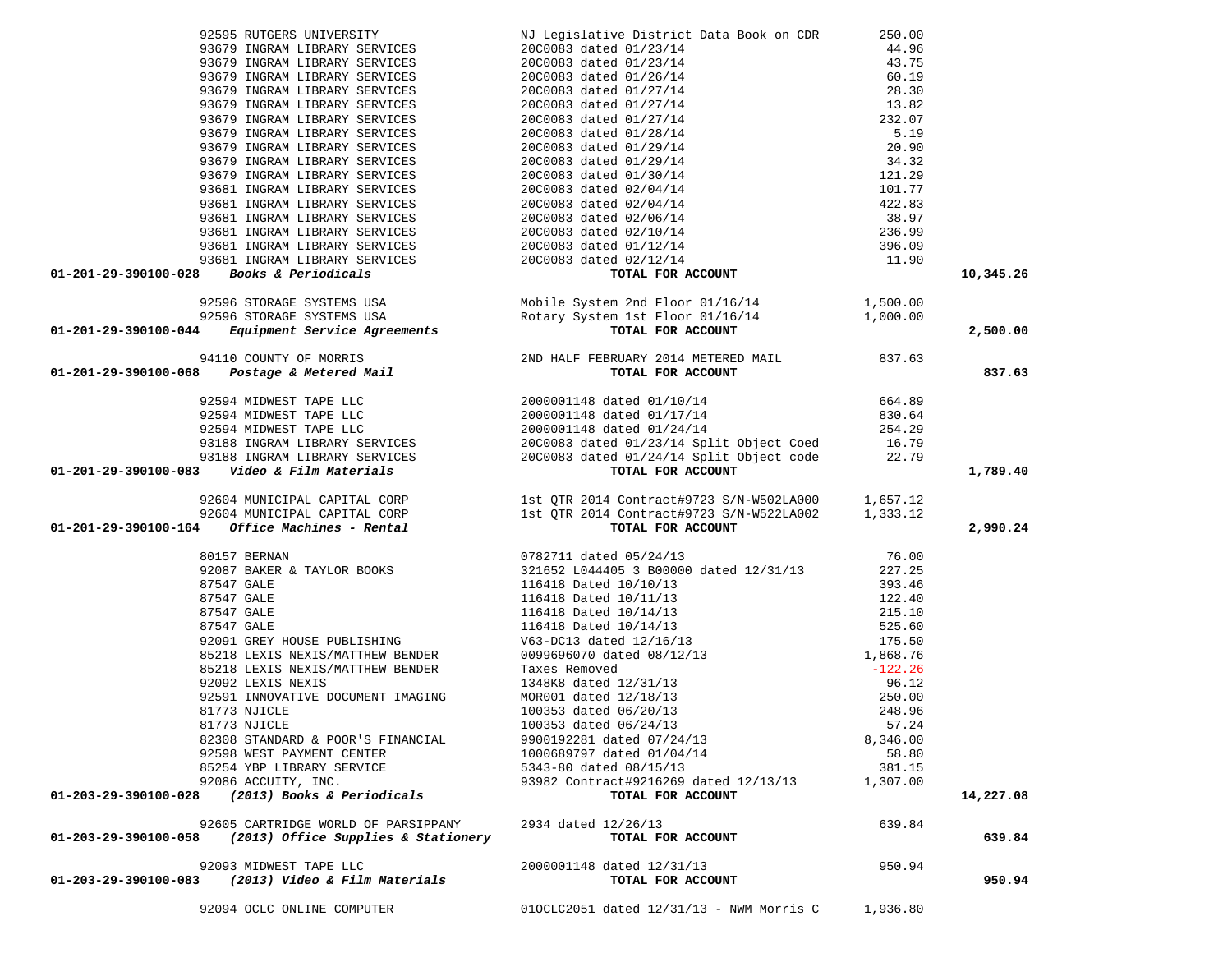| 92595 RUTGERS UNIVERSITY                                                 | NJ Legislative District Data Book on CDR                                                                                                                                                                                                                          | 250.00    |           |
|--------------------------------------------------------------------------|-------------------------------------------------------------------------------------------------------------------------------------------------------------------------------------------------------------------------------------------------------------------|-----------|-----------|
| 93679 INGRAM LIBRARY SERVICES                                            |                                                                                                                                                                                                                                                                   |           |           |
|                                                                          |                                                                                                                                                                                                                                                                   |           |           |
| 93679 INGRAM LIBRARY SERVICES                                            |                                                                                                                                                                                                                                                                   |           |           |
| 93679 INGRAM LIBRARY SERVICES                                            |                                                                                                                                                                                                                                                                   |           |           |
| 93679 INGRAM LIBRARY SERVICES                                            |                                                                                                                                                                                                                                                                   |           |           |
| 93679 INGRAM LIBRARY SERVICES                                            |                                                                                                                                                                                                                                                                   |           |           |
|                                                                          |                                                                                                                                                                                                                                                                   |           |           |
| 93679 INGRAM LIBRARY SERVICES                                            |                                                                                                                                                                                                                                                                   |           |           |
| 93679 INGRAM LIBRARY SERVICES                                            |                                                                                                                                                                                                                                                                   |           |           |
| 93679 INGRAM LIBRARY SERVICES                                            |                                                                                                                                                                                                                                                                   |           |           |
| 93679 INGRAM LIBRARY SERVICES                                            |                                                                                                                                                                                                                                                                   |           |           |
|                                                                          |                                                                                                                                                                                                                                                                   |           |           |
| 93679 INGRAM LIBRARY SERVICES                                            |                                                                                                                                                                                                                                                                   |           |           |
| 93681 INGRAM LIBRARY SERVICES                                            |                                                                                                                                                                                                                                                                   |           |           |
| 93681 INGRAM LIBRARY SERVICES                                            |                                                                                                                                                                                                                                                                   |           |           |
| 93681 INGRAM LIBRARY SERVICES                                            |                                                                                                                                                                                                                                                                   |           |           |
| 93681 INGRAM LIBRARY SERVICES                                            |                                                                                                                                                                                                                                                                   |           |           |
|                                                                          |                                                                                                                                                                                                                                                                   |           |           |
| 93681 INGRAM LIBRARY SERVICES                                            |                                                                                                                                                                                                                                                                   |           |           |
| 93681 INGRAM LIBRARY SERVICES                                            |                                                                                                                                                                                                                                                                   |           |           |
| 01-201-29-390100-028 Books & Periodicals                                 |                                                                                                                                                                                                                                                                   |           | 10,345.26 |
|                                                                          |                                                                                                                                                                                                                                                                   |           |           |
| 92596 STORAGE SYSTEMS USA                                                | Mobile System 2nd Floor 01/16/14 1,500.00                                                                                                                                                                                                                         |           |           |
| 92596 STORAGE SYSTEMS USA                                                | Rotary System 1st Floor $01/16/14$ 1,000.00                                                                                                                                                                                                                       |           |           |
| 01-201-29-390100-044 Equipment Service Agreements                        | TOTAL FOR ACCOUNT                                                                                                                                                                                                                                                 |           | 2,500.00  |
|                                                                          |                                                                                                                                                                                                                                                                   |           |           |
| 94110 COUNTY OF MORRIS<br>01-201-29-390100-068    Postage & Metered Mail | 2ND HALF FEBRUARY 2014 METERED MAIL 837.63                                                                                                                                                                                                                        |           |           |
|                                                                          | TOTAL FOR ACCOUNT                                                                                                                                                                                                                                                 |           | 837.63    |
|                                                                          |                                                                                                                                                                                                                                                                   |           |           |
|                                                                          | 92594 MIDWEST TAPE LLC<br>92594 MIDWEST TAPE LLC<br>92594 MIDWEST TAPE LLC<br>93188 INGRAM LIBRARY SERVICES<br>93188 INGRAM LIBRARY SERVICES<br>93188 INGRAM LIBRARY SERVICES<br>93188 INGRAM LIBRARY SERVICES<br>93188 INGRAM LIBRARY SERVI                      |           |           |
|                                                                          |                                                                                                                                                                                                                                                                   |           |           |
|                                                                          |                                                                                                                                                                                                                                                                   |           |           |
|                                                                          |                                                                                                                                                                                                                                                                   |           |           |
|                                                                          |                                                                                                                                                                                                                                                                   |           |           |
|                                                                          |                                                                                                                                                                                                                                                                   |           |           |
| $01-201-29-390100-083$ Video & Film Materials                            | TOTAL FOR ACCOUNT                                                                                                                                                                                                                                                 |           | 1,789.40  |
|                                                                          | 92604 MUNICIPAL CAPITAL CORP 1st QTR 2014 Contract#9723 S/N-W502LA000 1,657.12                                                                                                                                                                                    |           |           |
|                                                                          | 92604 MUNICIPAL CAPITAL CORP 1st QTR 2014 Contract#9723 S/N-W522LA002 1,333.12                                                                                                                                                                                    |           |           |
|                                                                          |                                                                                                                                                                                                                                                                   |           |           |
| $01-201-29-390100-164$ Office Machines - Rental                          | TOTAL FOR ACCOUNT                                                                                                                                                                                                                                                 |           | 2,990.24  |
| 80157 BERNAN                                                             | 0782711 dated 05/24/13                                                                                                                                                                                                                                            | 76.00     |           |
|                                                                          |                                                                                                                                                                                                                                                                   |           |           |
| 92087 BAKER & TAYLOR BOOKS                                               | 321652 L044405 3 B00000 dated 12/31/13                                                                                                                                                                                                                            | 227.25    |           |
|                                                                          |                                                                                                                                                                                                                                                                   |           |           |
|                                                                          |                                                                                                                                                                                                                                                                   |           |           |
|                                                                          |                                                                                                                                                                                                                                                                   |           |           |
|                                                                          |                                                                                                                                                                                                                                                                   |           |           |
|                                                                          |                                                                                                                                                                                                                                                                   |           |           |
|                                                                          |                                                                                                                                                                                                                                                                   |           |           |
|                                                                          | 37547 GALE<br>87547 GALE<br>87547 GALE<br>87547 GALE<br>87547 GALE<br>87547 GALE<br>87547 GALE<br>87547 GALE<br>87547 GALE<br>87547 GALE<br>87547 GALE<br>87547 GALE<br>87547 GALE<br>87547 GALE<br>87547 GALE<br>87547 GALE<br>87547 GALE<br>87547 GALE<br>87547 |           |           |
| 85218 LEXIS NEXIS/MATTHEW BENDER                                         | Taxes Removed<br>1348K8 dated 12/31/13<br>MOR001 dated 12/18/13<br>100353 dated 06/20/13                                                                                                                                                                          | $-122.26$ |           |
| 92092 LEXIS NEXIS                                                        |                                                                                                                                                                                                                                                                   | 96.12     |           |
| 92591 INNOVATIVE DOCUMENT IMAGING                                        |                                                                                                                                                                                                                                                                   | 250.00    |           |
| 81773 NJICLE                                                             |                                                                                                                                                                                                                                                                   | 248.96    |           |
|                                                                          |                                                                                                                                                                                                                                                                   |           |           |
| 81773 NJICLE                                                             | 100353 dated 06/24/13                                                                                                                                                                                                                                             | 57.24     |           |
| 82308 STANDARD & POOR'S FINANCIAL                                        | 9900192281 dated 07/24/13                                                                                                                                                                                                                                         | 8,346.00  |           |
| 92598 WEST PAYMENT CENTER                                                | 1000689797 dated 01/04/14                                                                                                                                                                                                                                         | 58.80     |           |
| 85254 YBP LIBRARY SERVICE                                                | 5343-80 dated 08/15/13                                                                                                                                                                                                                                            | 381.15    |           |
| 92086 ACCUITY, INC.                                                      | 93982 Contract#9216269 dated 12/13/13                                                                                                                                                                                                                             | 1,307.00  |           |
| 01-203-29-390100-028 (2013) Books & Periodicals                          | TOTAL FOR ACCOUNT                                                                                                                                                                                                                                                 |           | 14,227.08 |
|                                                                          |                                                                                                                                                                                                                                                                   |           |           |
| 92605 CARTRIDGE WORLD OF PARSIPPANY                                      | 2934 dated 12/26/13                                                                                                                                                                                                                                               | 639.84    |           |
| 01-203-29-390100-058 (2013) Office Supplies & Stationery                 | TOTAL FOR ACCOUNT                                                                                                                                                                                                                                                 |           | 639.84    |
| 92093 MIDWEST TAPE LLC                                                   | 2000001148 dated 12/31/13                                                                                                                                                                                                                                         | 950.94    |           |
| 01-203-29-390100-083 (2013) Video & Film Materials                       |                                                                                                                                                                                                                                                                   |           |           |
|                                                                          |                                                                                                                                                                                                                                                                   |           |           |
|                                                                          | TOTAL FOR ACCOUNT                                                                                                                                                                                                                                                 |           | 950.94    |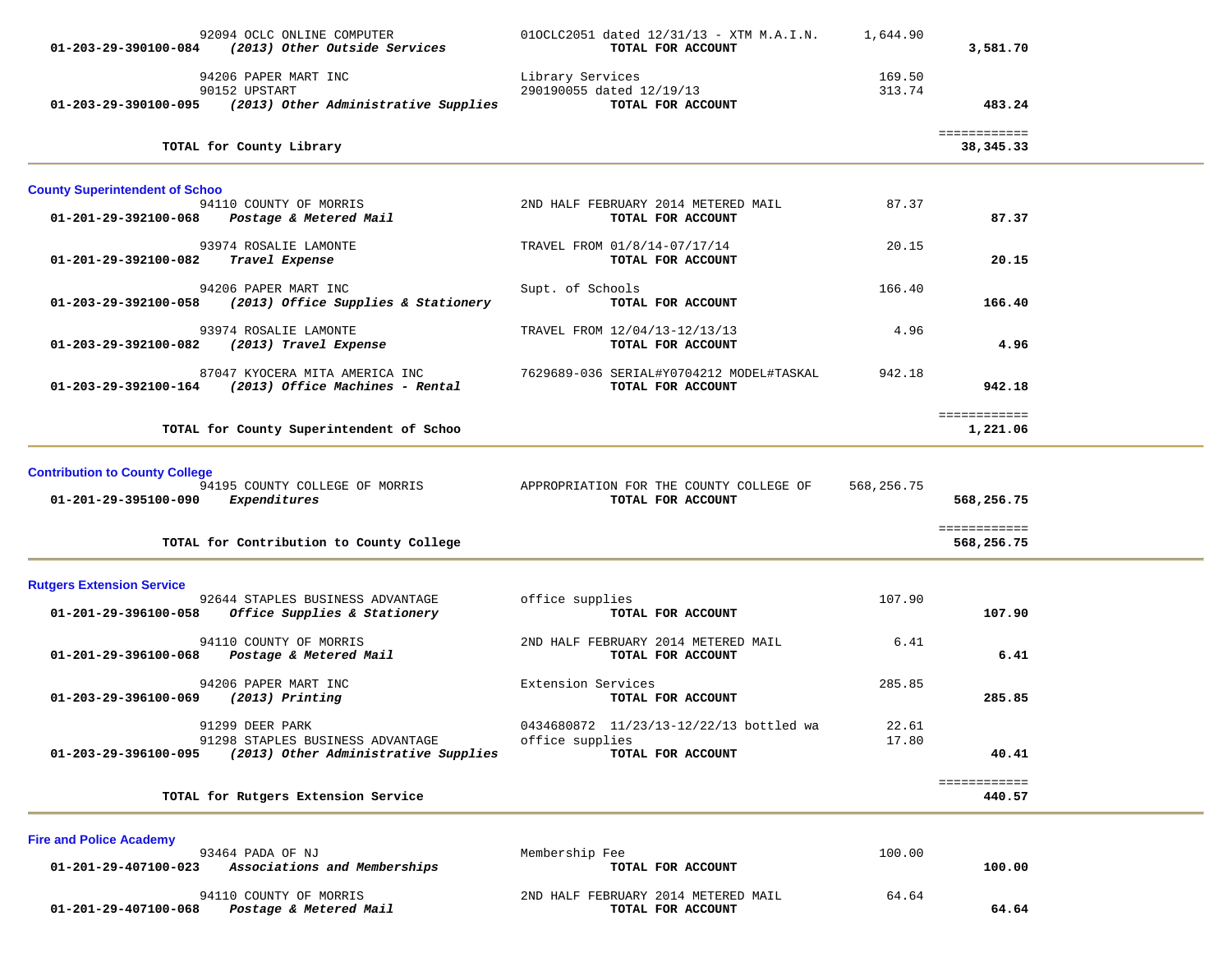|                                       | 92094 OCLC ONLINE COMPUTER<br>01-203-29-390100-084 (2013) Other Outside Services                   | 010CLC2051 dated 12/31/13 - XTM M.A.I.N.<br>TOTAL FOR ACCOUNT                   | 1,644.90         | 3,581.70                   |  |
|---------------------------------------|----------------------------------------------------------------------------------------------------|---------------------------------------------------------------------------------|------------------|----------------------------|--|
|                                       | 94206 PAPER MART INC<br>90152 UPSTART<br>01-203-29-390100-095 (2013) Other Administrative Supplies | Library Services<br>290190055 dated 12/19/13<br>TOTAL FOR ACCOUNT               | 169.50<br>313.74 | 483.24                     |  |
|                                       | TOTAL for County Library                                                                           |                                                                                 |                  | ============<br>38,345.33  |  |
| <b>County Superintendent of Schoo</b> |                                                                                                    |                                                                                 |                  |                            |  |
|                                       | 94110 COUNTY OF MORRIS<br>01-201-29-392100-068 Postage & Metered Mail                              | 2ND HALF FEBRUARY 2014 METERED MAIL<br>TOTAL FOR ACCOUNT                        | 87.37            | 87.37                      |  |
| 01-201-29-392100-082                  | 93974 ROSALIE LAMONTE<br>Travel Expense                                                            | TRAVEL FROM 01/8/14-07/17/14<br>TOTAL FOR ACCOUNT                               | 20.15            | 20.15                      |  |
|                                       | 94206 PAPER MART INC<br>01-203-29-392100-058 (2013) Office Supplies & Stationery                   | Supt. of Schools<br>TOTAL FOR ACCOUNT                                           | 166.40           | 166.40                     |  |
| 01-203-29-392100-082                  | 93974 ROSALIE LAMONTE<br>(2013) Travel Expense                                                     | TRAVEL FROM 12/04/13-12/13/13<br>TOTAL FOR ACCOUNT                              | 4.96             | 4.96                       |  |
|                                       | 87047 KYOCERA MITA AMERICA INC<br>$01-203-29-392100-164$ (2013) Office Machines - Rental           | 7629689-036 SERIAL#Y0704212 MODEL#TASKAL<br>TOTAL FOR ACCOUNT                   | 942.18           | 942.18                     |  |
|                                       | TOTAL for County Superintendent of Schoo                                                           |                                                                                 |                  | ============<br>1,221.06   |  |
| <b>Contribution to County College</b> |                                                                                                    |                                                                                 |                  |                            |  |
| 01-201-29-395100-090 Expenditures     | 94195 COUNTY COLLEGE OF MORRIS                                                                     | APPROPRIATION FOR THE COUNTY COLLEGE OF<br>TOTAL FOR ACCOUNT                    | 568,256.75       | 568,256.75                 |  |
|                                       | TOTAL for Contribution to County College                                                           |                                                                                 |                  | ============<br>568,256.75 |  |
| <b>Rutgers Extension Service</b>      |                                                                                                    |                                                                                 |                  |                            |  |
| 01-201-29-396100-058                  | 92644 STAPLES BUSINESS ADVANTAGE<br>Office Supplies & Stationery                                   | office supplies<br>TOTAL FOR ACCOUNT                                            | 107.90           | 107.90                     |  |
|                                       | 94110 COUNTY OF MORRIS<br>01-201-29-396100-068 Postage & Metered Mail                              | 2ND HALF FEBRUARY 2014 METERED MAIL<br>TOTAL FOR ACCOUNT                        | 6.41             | 6.41                       |  |
| 01-203-29-396100-069                  | 94206 PAPER MART INC<br>$(2013)$ Printing                                                          | Extension Services<br>TOTAL FOR ACCOUNT                                         | 285.85           | 285.85                     |  |
| 01-203-29-396100-095                  | 91299 DEER PARK<br>91298 STAPLES BUSINESS ADVANTAGE<br>(2013) Other Administrative Supplies        | 0434680872 11/23/13-12/22/13 bottled wa<br>office supplies<br>TOTAL FOR ACCOUNT | 22.61<br>17.80   | 40.41                      |  |
|                                       | TOTAL for Rutgers Extension Service                                                                |                                                                                 |                  | ============<br>440.57     |  |
| <b>Fire and Police Academy</b>        |                                                                                                    |                                                                                 |                  |                            |  |
| 01-201-29-407100-023                  | 93464 PADA OF NJ<br>Associations and Memberships                                                   | Membership Fee<br>TOTAL FOR ACCOUNT                                             | 100.00           | 100.00                     |  |
| 01-201-29-407100-068                  | 94110 COUNTY OF MORRIS<br>Postage & Metered Mail                                                   | 2ND HALF FEBRUARY 2014 METERED MAIL<br>TOTAL FOR ACCOUNT                        | 64.64            | 64.64                      |  |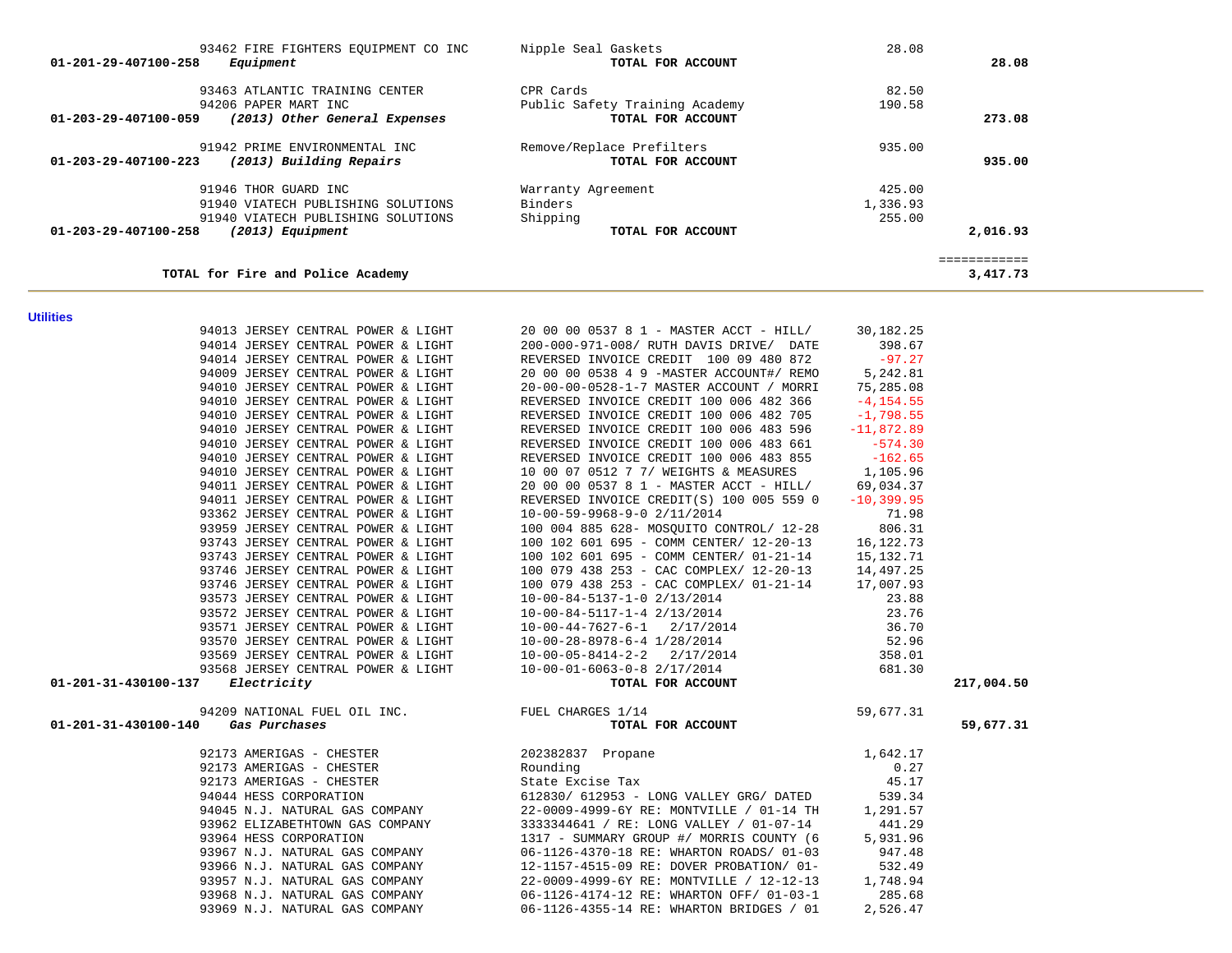| Nipple Seal Gaskets<br>TOTAL FOR ACCOUNT | 28.08             | 28.08                    |
|------------------------------------------|-------------------|--------------------------|
| CPR Cards                                | 82.50             |                          |
| Public Safety Training Academy           | 190.58            |                          |
|                                          |                   | 273.08                   |
| Remove/Replace Prefilters                | 935.00            |                          |
| TOTAL FOR ACCOUNT                        |                   | 935.00                   |
| Warranty Agreement                       | 425.00            |                          |
| Binders                                  | 1,336.93          |                          |
| Shipping                                 | 255.00            |                          |
| TOTAL FOR ACCOUNT                        |                   | 2,016.93                 |
|                                          |                   | ============<br>3,417.73 |
|                                          | TOTAL FOR ACCOUNT |                          |

**Utilities** 

| uunuu                                                      |                                                                                                                                                                                                                                           |            |
|------------------------------------------------------------|-------------------------------------------------------------------------------------------------------------------------------------------------------------------------------------------------------------------------------------------|------------|
|                                                            | 94013 JERSEY CENTRAL POWER & LIGHT 20 00 00 0537 8 1 - MASTER ACCT - HILL/ 30,182.25                                                                                                                                                      |            |
|                                                            |                                                                                                                                                                                                                                           |            |
|                                                            |                                                                                                                                                                                                                                           |            |
|                                                            |                                                                                                                                                                                                                                           |            |
|                                                            |                                                                                                                                                                                                                                           |            |
|                                                            |                                                                                                                                                                                                                                           |            |
|                                                            |                                                                                                                                                                                                                                           |            |
|                                                            |                                                                                                                                                                                                                                           |            |
|                                                            |                                                                                                                                                                                                                                           |            |
|                                                            | 94010 JERSEY CENTRAL POWER & LIGHT<br>94010 JERSEY CENTRAL POWER & LIGHT<br>94010 JERSEY CENTRAL POWER & LIGHT<br>94010 JERSEY CENTRAL POWER & LIGHT<br>94010 JERSEY CENTRAL POWER & LIGHT<br>94010 JERSEY CENTRAL POWER & LIGHT<br>94010 |            |
|                                                            |                                                                                                                                                                                                                                           |            |
|                                                            |                                                                                                                                                                                                                                           |            |
|                                                            |                                                                                                                                                                                                                                           |            |
|                                                            |                                                                                                                                                                                                                                           |            |
|                                                            |                                                                                                                                                                                                                                           |            |
|                                                            |                                                                                                                                                                                                                                           |            |
|                                                            |                                                                                                                                                                                                                                           |            |
|                                                            |                                                                                                                                                                                                                                           |            |
|                                                            |                                                                                                                                                                                                                                           |            |
|                                                            |                                                                                                                                                                                                                                           |            |
|                                                            |                                                                                                                                                                                                                                           |            |
|                                                            |                                                                                                                                                                                                                                           |            |
|                                                            |                                                                                                                                                                                                                                           |            |
|                                                            |                                                                                                                                                                                                                                           |            |
|                                                            |                                                                                                                                                                                                                                           |            |
| 01-201-31-430100-137 Electricity                           |                                                                                                                                                                                                                                           | 217,004.50 |
| 94209 NATIONAL FUEL OIL INC.<br><b>Gas Purchases TOTAL</b> | $\frac{1}{14}$ 59,677.31<br><b>TOTAL FOR ACCOUNT</b>                                                                                                                                                                                      |            |
| 01-201-31-430100-140 Gas Purchases                         |                                                                                                                                                                                                                                           | 59,677.31  |
|                                                            |                                                                                                                                                                                                                                           |            |
|                                                            |                                                                                                                                                                                                                                           |            |
|                                                            |                                                                                                                                                                                                                                           |            |
|                                                            |                                                                                                                                                                                                                                           |            |
|                                                            |                                                                                                                                                                                                                                           |            |
|                                                            |                                                                                                                                                                                                                                           |            |
|                                                            |                                                                                                                                                                                                                                           |            |
|                                                            |                                                                                                                                                                                                                                           |            |
|                                                            |                                                                                                                                                                                                                                           |            |
|                                                            |                                                                                                                                                                                                                                           |            |
|                                                            |                                                                                                                                                                                                                                           |            |
|                                                            |                                                                                                                                                                                                                                           |            |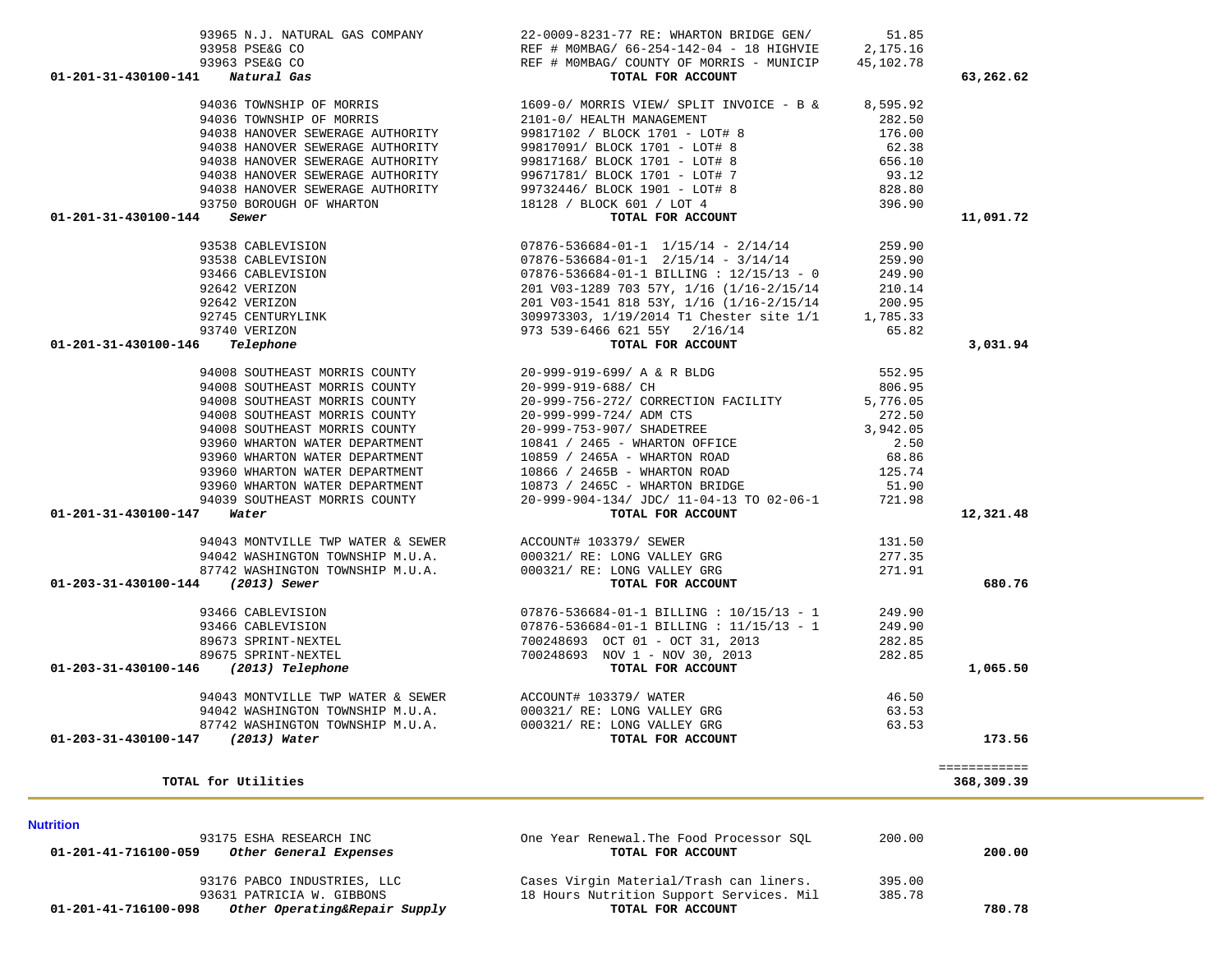| 93175 ESHA RESEARCH INC<br>01-201-41-716100-059<br>Other General Expenses | One Year Renewal. The Food Processor SOL<br>TOTAL FOR ACCOUNT | 200.00 | 200.00 |
|---------------------------------------------------------------------------|---------------------------------------------------------------|--------|--------|
| 93176 PABCO INDUSTRIES, LLC                                               | Cases Virgin Material/Trash can liners.                       | 395.00 |        |
| 93631 PATRICIA W. GIBBONS                                                 | 18 Hours Nutrition Support Services. Mil                      | 385.78 |        |
| Other Operating&Repair Supply<br>01-201-41-716100-098                     | TOTAL FOR ACCOUNT                                             |        | 780.78 |
|                                                                           |                                                               |        |        |

#### **Nutrition**

| 94036 TOWNSHIP OF MORRIS<br>94036 TOWNSHIP OF MORRIS<br>94038 HANOVER SEWERAGE AUTHORITY<br>94038 HANOVER SEWERAGE AUTHORITY<br>94038 HANOVER SEWERAGE AUTHORITY<br>94038 HANOVER SEWERAGE AUTHORITY<br>94038 HANOVER SEWERAGE AUTHORITY<br>93750 BOROUGH OF WHARTON<br>01-201-31-430100-144<br>Sewer | 1609-0/ MORKIS *--<br>2101-0/ HEALTH MANAGEMENT<br>99817102 / BLOCK 1701 - LOT# 8<br>99817091/ BLOCK 1701 - LOT# 8<br>00017168/ BLOCK 1701 - LOT# 8<br>99732446/ BLOCK 1901 - LOT# 8<br>18128 / BLOCK 601 / LOT 4<br>TOTAL FOR ACCOUNT | 8,595.92<br>282.50<br>176.00<br>62.38<br>656.10<br>93.12<br>828.80<br>396.90 | 11,091.72                  |  |
|-------------------------------------------------------------------------------------------------------------------------------------------------------------------------------------------------------------------------------------------------------------------------------------------------------|----------------------------------------------------------------------------------------------------------------------------------------------------------------------------------------------------------------------------------------|------------------------------------------------------------------------------|----------------------------|--|
| 93538 CABLEVISION                                                                                                                                                                                                                                                                                     | $07876 - 536684 - 01 - 1$ $1/15/14$ - $2/14/14$                                                                                                                                                                                        | 259.90                                                                       |                            |  |
| 93538 CABLEVISION                                                                                                                                                                                                                                                                                     | $07876 - 536684 - 01 - 1$ $2/15/14$ - $3/14/14$                                                                                                                                                                                        | 259.90                                                                       |                            |  |
| 93466 CABLEVISION                                                                                                                                                                                                                                                                                     | $07876 - 536684 - 01 - 1$ BILLING : $12/15/13 - 0$                                                                                                                                                                                     | 249.90                                                                       |                            |  |
| 92642 VERIZON                                                                                                                                                                                                                                                                                         | 201 V03-1289 703 57Y, 1/16 (1/16-2/15/14                                                                                                                                                                                               | 210.14                                                                       |                            |  |
| 92642 VERIZON                                                                                                                                                                                                                                                                                         | 201 V03-1541 818 53Y, 1/16 (1/16-2/15/14                                                                                                                                                                                               | 200.95<br>95.200<br>1,785.33                                                 |                            |  |
| 92745 CENTURYLINK                                                                                                                                                                                                                                                                                     | 309973303, 1/19/2014 T1 Chester site 1/1                                                                                                                                                                                               |                                                                              |                            |  |
| 93740 VERIZON<br>Telephone<br>01-201-31-430100-146                                                                                                                                                                                                                                                    | 973 539-6466 621 55Y 2/16/14<br>TOTAL FOR ACCOUNT                                                                                                                                                                                      | 65.82                                                                        | 3,031.94                   |  |
|                                                                                                                                                                                                                                                                                                       |                                                                                                                                                                                                                                        |                                                                              |                            |  |
| 94008 SOUTHEAST MORRIS COUNTY<br>94008 SOUTHEAST MORRIS COUNTY                                                                                                                                                                                                                                        | 20-999-919-699/ A & R BLDG<br>20-999-919-688/ CH                                                                                                                                                                                       | 552.95<br>806.95                                                             |                            |  |
| 94008 SOUTHEAST MORRIS COUNTY                                                                                                                                                                                                                                                                         | 20-999-756-272/ CORRECTION FACILITY                                                                                                                                                                                                    | 5,776.05                                                                     |                            |  |
| 94008 SOUTHEAST MORRIS COUNTY                                                                                                                                                                                                                                                                         | 20-999-999-724/ ADM CTS                                                                                                                                                                                                                | 272.50                                                                       |                            |  |
| 94008 SOUTHEAST MORRIS COUNTY                                                                                                                                                                                                                                                                         | 20-999-753-907/ SHADETREE                                                                                                                                                                                                              | 3,942.05                                                                     |                            |  |
| 93960 WHARTON WATER DEPARTMENT                                                                                                                                                                                                                                                                        | 10841 / 2465 - WHARTON OFFICE                                                                                                                                                                                                          | 2.50                                                                         |                            |  |
| 93960 WHARTON WATER DEPARTMENT                                                                                                                                                                                                                                                                        | 10859 / 2465A - WHARTON ROAD                                                                                                                                                                                                           | 68.86                                                                        |                            |  |
| 93960 WHARTON WATER DEPARTMENT                                                                                                                                                                                                                                                                        | 10866 / 2465B - WHARTON ROAD                                                                                                                                                                                                           | 125.74                                                                       |                            |  |
| 93960 WHARTON WATER DEPARTMENT                                                                                                                                                                                                                                                                        | 10873 / 2465C - WHARTON BRIDGE                                                                                                                                                                                                         | 51.90                                                                        |                            |  |
| 94039 SOUTHEAST MORRIS COUNTY                                                                                                                                                                                                                                                                         | 20-999-904-134/ JDC/ 11-04-13 TO 02-06-1                                                                                                                                                                                               | 721.98                                                                       |                            |  |
| 01-201-31-430100-147<br>Water                                                                                                                                                                                                                                                                         | TOTAL FOR ACCOUNT                                                                                                                                                                                                                      |                                                                              | 12,321.48                  |  |
| 94043 MONTVILLE TWP WATER & SEWER ACCOUNT# 103379/ SEWER                                                                                                                                                                                                                                              |                                                                                                                                                                                                                                        | 131.50                                                                       |                            |  |
| 94042 WASHINGTON TOWNSHIP M.U.A.                                                                                                                                                                                                                                                                      | 000321/ RE: LONG VALLEY GRG                                                                                                                                                                                                            | 277.35                                                                       |                            |  |
| 87742 WASHINGTON TOWNSHIP M.U.A.                                                                                                                                                                                                                                                                      | 000321/ RE: LONG VALLEY GRG                                                                                                                                                                                                            | 271.91                                                                       |                            |  |
| 01-203-31-430100-144 (2013) Sewer                                                                                                                                                                                                                                                                     | TOTAL FOR ACCOUNT                                                                                                                                                                                                                      |                                                                              | 680.76                     |  |
| 93466 CABLEVISION                                                                                                                                                                                                                                                                                     | $07876 - 536684 - 01 - 1$ BILLING : $10/15/13 - 1$                                                                                                                                                                                     | 249.90                                                                       |                            |  |
| 93466 CABLEVISION                                                                                                                                                                                                                                                                                     | $07876 - 536684 - 01 - 1$ BILLING : $11/15/13 - 1$                                                                                                                                                                                     | 249.90                                                                       |                            |  |
| 89673 SPRINT-NEXTEL                                                                                                                                                                                                                                                                                   | 700248693 OCT 01 - OCT 31, 2013                                                                                                                                                                                                        | 282.85                                                                       |                            |  |
| 89675 SPRINT-NEXTEL                                                                                                                                                                                                                                                                                   | 700248693 NOV 1 - NOV 30, 2013                                                                                                                                                                                                         | 282.85                                                                       |                            |  |
| 01-203-31-430100-146 (2013) Telephone                                                                                                                                                                                                                                                                 | TOTAL FOR ACCOUNT                                                                                                                                                                                                                      |                                                                              | 1,065.50                   |  |
| 94043 MONTVILLE TWP WATER & SEWER                                                                                                                                                                                                                                                                     | ACCOUNT# 103379/ WATER                                                                                                                                                                                                                 | 46.50                                                                        |                            |  |
| 94042 WASHINGTON TOWNSHIP M.U.A.                                                                                                                                                                                                                                                                      | 000321/ RE: LONG VALLEY GRG                                                                                                                                                                                                            | 63.53                                                                        |                            |  |
| 87742 WASHINGTON TOWNSHIP M.U.A.                                                                                                                                                                                                                                                                      | 000321/ RE: LONG VALLEY GRG                                                                                                                                                                                                            | 63.53                                                                        |                            |  |
| 01-203-31-430100-147 (2013) Water                                                                                                                                                                                                                                                                     | TOTAL FOR ACCOUNT                                                                                                                                                                                                                      |                                                                              | 173.56                     |  |
| TOTAL for Utilities                                                                                                                                                                                                                                                                                   |                                                                                                                                                                                                                                        |                                                                              | ============<br>368,309.39 |  |
|                                                                                                                                                                                                                                                                                                       |                                                                                                                                                                                                                                        |                                                                              |                            |  |

 93965 N.J. NATURAL GAS COMPANY 22-0009-8231-77 RE: WHARTON BRIDGE GEN/ 51.85 93958 PSE&G CO REF # M0MBAG/ 66-254-142-04 - 18 HIGHVIE 2,175.16

 **01-201-31-430100-141** *Natural Gas* **TOTAL FOR ACCOUNT 63,262.62**

REF # MOMBAG/ COUNTY OF MORRIS - MUNICIP 45,102.78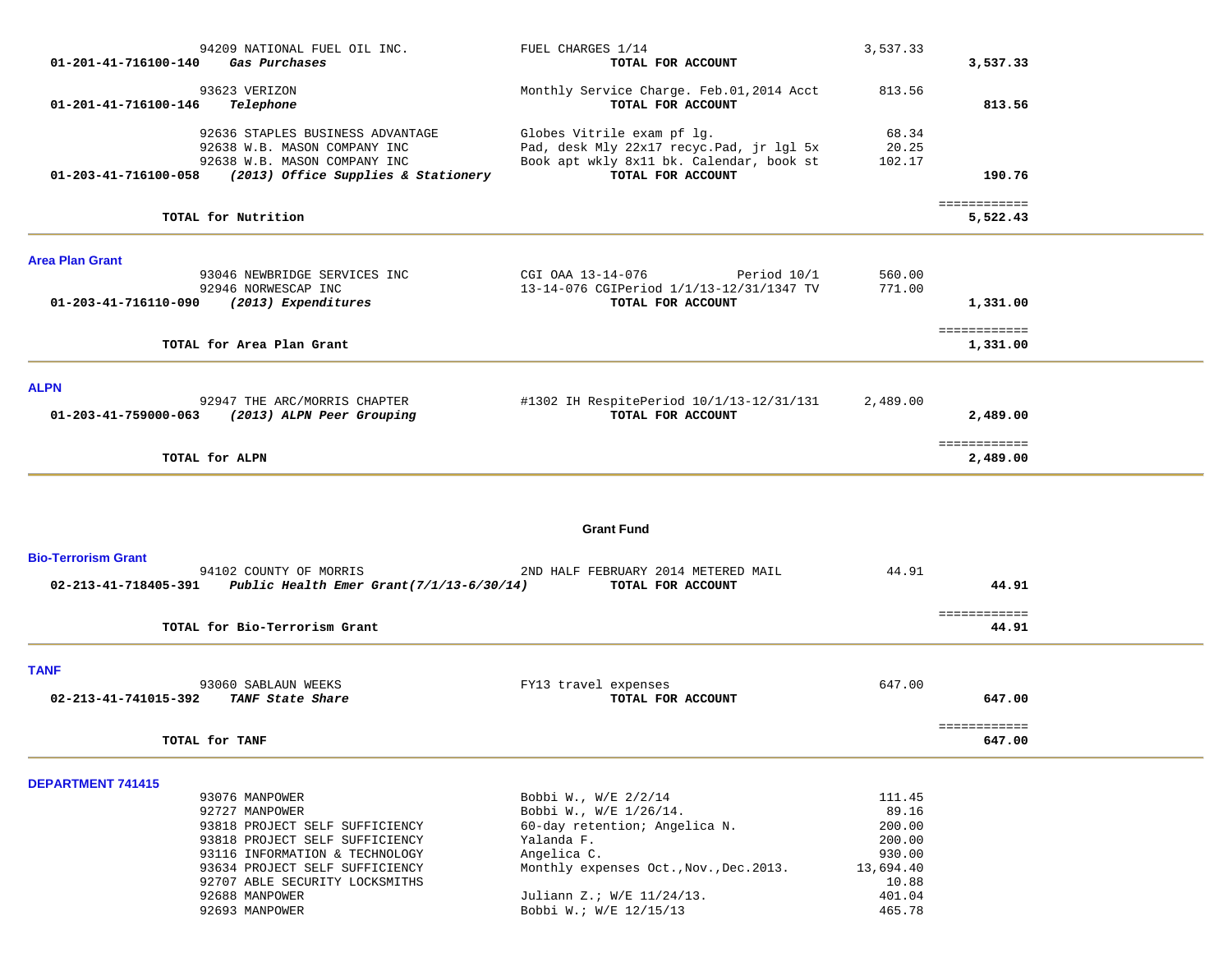| 01-201-41-716100-140       | 94209 NATIONAL FUEL OIL INC.<br>Gas Purchases                                            | FUEL CHARGES 1/14<br>TOTAL FOR ACCOUNT                                       | 3,537.33           | 3,537.33                 |  |
|----------------------------|------------------------------------------------------------------------------------------|------------------------------------------------------------------------------|--------------------|--------------------------|--|
|                            | 93623 VERIZON                                                                            | Monthly Service Charge. Feb.01,2014 Acct                                     | 813.56             |                          |  |
| 01-201-41-716100-146       | Telephone                                                                                | TOTAL FOR ACCOUNT                                                            |                    | 813.56                   |  |
|                            | 92636 STAPLES BUSINESS ADVANTAGE<br>92638 W.B. MASON COMPANY INC                         | Globes Vitrile exam pf lg.<br>Pad, desk Mly 22x17 recyc. Pad, jr lgl 5x      | 68.34<br>20.25     |                          |  |
|                            | 92638 W.B. MASON COMPANY INC<br>01-203-41-716100-058 (2013) Office Supplies & Stationery | Book apt wkly 8x11 bk. Calendar, book st<br>TOTAL FOR ACCOUNT                | 102.17             | 190.76                   |  |
|                            | TOTAL for Nutrition                                                                      |                                                                              |                    | ============<br>5,522.43 |  |
| <b>Area Plan Grant</b>     |                                                                                          |                                                                              |                    |                          |  |
|                            | 93046 NEWBRIDGE SERVICES INC<br>92946 NORWESCAP INC                                      | CGI OAA 13-14-076<br>Period 10/1<br>13-14-076 CGIPeriod 1/1/13-12/31/1347 TV | 560.00<br>771.00   |                          |  |
|                            | 01-203-41-716110-090 (2013) Expenditures                                                 | TOTAL FOR ACCOUNT                                                            |                    | 1,331.00                 |  |
|                            |                                                                                          |                                                                              |                    | ============             |  |
|                            | TOTAL for Area Plan Grant                                                                |                                                                              |                    | 1,331.00                 |  |
| <b>ALPN</b>                |                                                                                          |                                                                              |                    |                          |  |
| 01-203-41-759000-063       | 92947 THE ARC/MORRIS CHAPTER<br>(2013) ALPN Peer Grouping                                | #1302 IH RespitePeriod 10/1/13-12/31/131<br>TOTAL FOR ACCOUNT                | 2,489.00           | 2,489.00                 |  |
|                            | TOTAL for ALPN                                                                           |                                                                              |                    | ============<br>2,489.00 |  |
|                            |                                                                                          |                                                                              |                    |                          |  |
|                            |                                                                                          | <b>Grant Fund</b>                                                            |                    |                          |  |
| <b>Bio-Terrorism Grant</b> |                                                                                          |                                                                              |                    |                          |  |
|                            | 94102 COUNTY OF MORRIS<br>02-213-41-718405-391 Public Health Emer Grant(7/1/13-6/30/14)  | 2ND HALF FEBRUARY 2014 METERED MAIL<br>TOTAL FOR ACCOUNT                     | 44.91              | 44.91                    |  |
|                            | TOTAL for Bio-Terrorism Grant                                                            |                                                                              |                    | ============<br>44.91    |  |
|                            |                                                                                          |                                                                              |                    |                          |  |
| <b>TANF</b>                | 93060 SABLAUN WEEKS                                                                      | FY13 travel expenses                                                         | 647.00             |                          |  |
| 02-213-41-741015-392       | TANF State Share                                                                         | TOTAL FOR ACCOUNT                                                            |                    | 647.00                   |  |
|                            | TOTAL for TANF                                                                           |                                                                              |                    | ============<br>647.00   |  |
|                            |                                                                                          |                                                                              |                    |                          |  |
| <b>DEPARTMENT 741415</b>   | 93076 MANPOWER                                                                           | Bobbi W., W/E 2/2/14                                                         | 111.45             |                          |  |
|                            | 92727 MANPOWER                                                                           | Bobbi W., W/E 1/26/14.                                                       | 89.16              |                          |  |
|                            | 93818 PROJECT SELF SUFFICIENCY                                                           | 60-day retention; Angelica N.                                                | 200.00             |                          |  |
|                            | 93818 PROJECT SELF SUFFICIENCY                                                           | Yalanda F.                                                                   | 200.00             |                          |  |
|                            | 93116 INFORMATION & TECHNOLOGY                                                           | Angelica C.                                                                  | 930.00             |                          |  |
|                            | 93634 PROJECT SELF SUFFICIENCY<br>92707 ABLE SECURITY LOCKSMITHS                         | Monthly expenses Oct., Nov., Dec. 2013.                                      | 13,694.40<br>10.88 |                          |  |
|                            | 92688 MANPOWER                                                                           | Juliann Z.; W/E 11/24/13.                                                    | 401.04             |                          |  |
|                            | 92693 MANPOWER                                                                           | Bobbi W.; W/E 12/15/13                                                       | 465.78             |                          |  |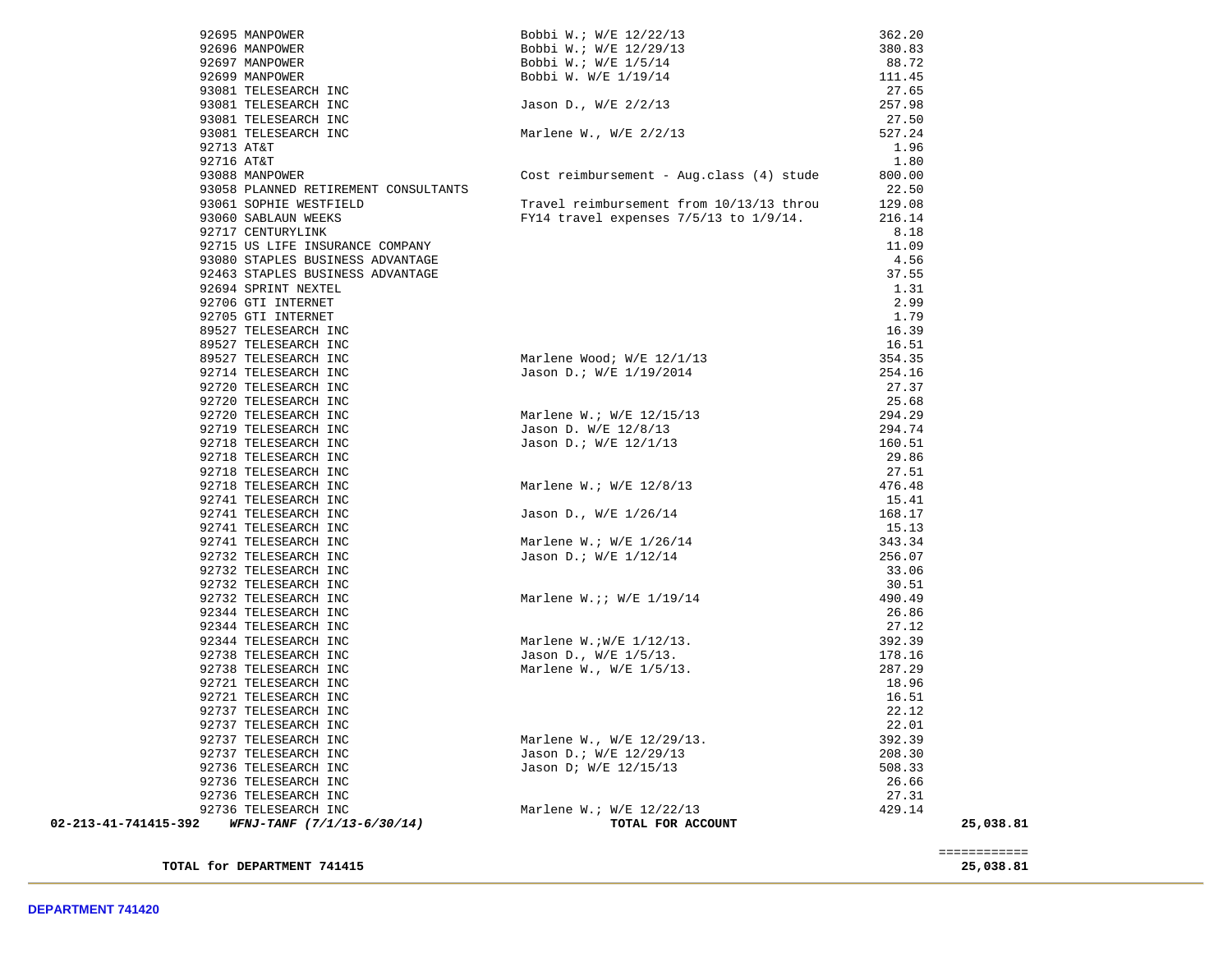| NC<br>NC<br>NC<br>NC<br>Bobbi W.: W/E 12/22/13<br>Bobbi W.: W/E 12/29/13<br>Bobbi W.: W/E 1/5/14<br>Bobbi W. W/E 1/19/14<br>Jason D., W/E 2/2/13<br>92696 MANPOWER<br>380.83<br>88.72<br>92697 MANPOWER<br>92699 MANPOWER<br>111.45<br>93081 TELESEARCH INC<br>27.65<br>93081 TELESEARCH INC<br>257.98<br>93081 TELESEARCH INC<br>27.50<br>93081 TELESEARCH INC<br>Marlene W., W/E 2/2/13<br>527.24<br>92713 AT&T<br>1.96<br>92716 AT&T<br>1.80<br>Cost reimbursement - Aug.class (4) stude<br>93088 MANPOWER<br>800.00<br>93058 PLANNED RETIREMENT CONSULTANTS<br>22.50<br>93061 SOPHIE WESTFIELD<br>Travel reimbursement from 10/13/13 throu<br>129.08<br>93060 SABLAUN WEEKS<br>FY14 travel expenses 7/5/13 to 1/9/14.<br>216.14<br>92717 CENTURYLINK<br>8.18<br>92715 US LIFE INSURANCE COMPANY<br>11.09<br>93080 STAPLES BUSINESS ADVANTAGE<br>4.56<br>92463 STAPLES BUSINESS ADVANTAGE<br>37.55<br>92694 SPRINT NEXTEL<br>1.31<br>2.99<br>92706 GTI INTERNET<br>92705 GTI INTERNET<br>1.79<br>89527 TELESEARCH INC<br>16.39<br>89527 TELESEARCH INC<br>16.51<br>Marlene Wood; W/E 12/1/13<br>Jason D.; W/E 1/19/2014<br>89527 TELESEARCH INC<br>354.35<br>92714 TELESEARCH INC<br>Marlene Wood; W/E 1/19/2014<br>Jason D.; W/E 1/19/2014<br>Marlene W.; W/E 12/15/13<br>Jason D. W/E 12/8/13<br>Jason D.; W/E 12/1/13<br>254.16<br>92720 TELESEARCH INC<br>27.37<br>92720 TELESEARCH INC<br>25.68<br>92720 TELESEARCH INC<br>294.29<br>92719 TELESEARCH INC<br>294.74<br>92718 TELESEARCH INC<br>160.51<br>92718 TELESEARCH INC<br>29.86<br>92718 TELESEARCH INC<br>27.51<br>Marlene W.; W/E 12/8/13<br>Jason D., W/E 1/26/14<br>Marlene W.; W/E 1/26/14<br>Jason D.; W/E 1/12/14<br>92718 TELESEARCH INC<br>476.48<br>92741 TELESEARCH INC<br>15.41<br>92741 TELESEARCH INC<br>168.17<br>92741 TELESEARCH INC<br>15.13<br>92741 TELESEARCH INC<br>343.34<br>92732 TELESEARCH INC<br>256.07<br>92732 TELESEARCH INC<br>33.06<br>92732 TELESEARCH INC<br>30.51<br>Marlene W. ;; W/E 1/19/14<br>92732 TELESEARCH INC<br>490.49<br>92344 TELESEARCH INC<br>26.86<br>92344 TELESEARCH INC<br>27.12<br>Marlene W.:W/E 1/12/13.<br>Jason D., W/E 1/5/13.<br>Marlene W., W/E 1/5/13.<br>392.39<br>92344 TELESEARCH INC<br>178.16<br>92738 TELESEARCH INC<br>92738 TELESEARCH INC<br>287.29<br>92721 TELESEARCH INC<br>18.96<br>92721 TELESEARCH INC<br>16.51<br>92737 TELESEARCH INC<br>22.12<br>92737 TELESEARCH INC<br>22.01<br>Marlene W., W/E 12/29/13.<br>Jason D.; W/E 12/29/13<br>Jason D; W/E 12/15/13<br>92737 TELESEARCH INC<br>392.39<br>92737 TELESEARCH INC<br>208.30<br>92736 TELESEARCH INC<br>508.33<br>92736 TELESEARCH INC<br>26.66<br>92736 TELESEARCH INC<br>27.31<br>Marlene W.; W/E 12/22/13<br>92736 TELESEARCH INC<br>429.14<br>02-213-41-741415-392 WFNJ-TANF (7/1/13-6/30/14)<br>TOTAL FOR ACCOUNT<br>25,038.81 | 92695 MANPOWER |  | 362.20 |  |
|------------------------------------------------------------------------------------------------------------------------------------------------------------------------------------------------------------------------------------------------------------------------------------------------------------------------------------------------------------------------------------------------------------------------------------------------------------------------------------------------------------------------------------------------------------------------------------------------------------------------------------------------------------------------------------------------------------------------------------------------------------------------------------------------------------------------------------------------------------------------------------------------------------------------------------------------------------------------------------------------------------------------------------------------------------------------------------------------------------------------------------------------------------------------------------------------------------------------------------------------------------------------------------------------------------------------------------------------------------------------------------------------------------------------------------------------------------------------------------------------------------------------------------------------------------------------------------------------------------------------------------------------------------------------------------------------------------------------------------------------------------------------------------------------------------------------------------------------------------------------------------------------------------------------------------------------------------------------------------------------------------------------------------------------------------------------------------------------------------------------------------------------------------------------------------------------------------------------------------------------------------------------------------------------------------------------------------------------------------------------------------------------------------------------------------------------------------------------------------------------------------------------------------------------------------------------------------------------------------------------------------------------------------------------------------------------------------------------------------------------------------------------------------------------------------------------------------------|----------------|--|--------|--|
|                                                                                                                                                                                                                                                                                                                                                                                                                                                                                                                                                                                                                                                                                                                                                                                                                                                                                                                                                                                                                                                                                                                                                                                                                                                                                                                                                                                                                                                                                                                                                                                                                                                                                                                                                                                                                                                                                                                                                                                                                                                                                                                                                                                                                                                                                                                                                                                                                                                                                                                                                                                                                                                                                                                                                                                                                                          |                |  |        |  |
|                                                                                                                                                                                                                                                                                                                                                                                                                                                                                                                                                                                                                                                                                                                                                                                                                                                                                                                                                                                                                                                                                                                                                                                                                                                                                                                                                                                                                                                                                                                                                                                                                                                                                                                                                                                                                                                                                                                                                                                                                                                                                                                                                                                                                                                                                                                                                                                                                                                                                                                                                                                                                                                                                                                                                                                                                                          |                |  |        |  |
|                                                                                                                                                                                                                                                                                                                                                                                                                                                                                                                                                                                                                                                                                                                                                                                                                                                                                                                                                                                                                                                                                                                                                                                                                                                                                                                                                                                                                                                                                                                                                                                                                                                                                                                                                                                                                                                                                                                                                                                                                                                                                                                                                                                                                                                                                                                                                                                                                                                                                                                                                                                                                                                                                                                                                                                                                                          |                |  |        |  |
|                                                                                                                                                                                                                                                                                                                                                                                                                                                                                                                                                                                                                                                                                                                                                                                                                                                                                                                                                                                                                                                                                                                                                                                                                                                                                                                                                                                                                                                                                                                                                                                                                                                                                                                                                                                                                                                                                                                                                                                                                                                                                                                                                                                                                                                                                                                                                                                                                                                                                                                                                                                                                                                                                                                                                                                                                                          |                |  |        |  |
|                                                                                                                                                                                                                                                                                                                                                                                                                                                                                                                                                                                                                                                                                                                                                                                                                                                                                                                                                                                                                                                                                                                                                                                                                                                                                                                                                                                                                                                                                                                                                                                                                                                                                                                                                                                                                                                                                                                                                                                                                                                                                                                                                                                                                                                                                                                                                                                                                                                                                                                                                                                                                                                                                                                                                                                                                                          |                |  |        |  |
|                                                                                                                                                                                                                                                                                                                                                                                                                                                                                                                                                                                                                                                                                                                                                                                                                                                                                                                                                                                                                                                                                                                                                                                                                                                                                                                                                                                                                                                                                                                                                                                                                                                                                                                                                                                                                                                                                                                                                                                                                                                                                                                                                                                                                                                                                                                                                                                                                                                                                                                                                                                                                                                                                                                                                                                                                                          |                |  |        |  |
|                                                                                                                                                                                                                                                                                                                                                                                                                                                                                                                                                                                                                                                                                                                                                                                                                                                                                                                                                                                                                                                                                                                                                                                                                                                                                                                                                                                                                                                                                                                                                                                                                                                                                                                                                                                                                                                                                                                                                                                                                                                                                                                                                                                                                                                                                                                                                                                                                                                                                                                                                                                                                                                                                                                                                                                                                                          |                |  |        |  |
|                                                                                                                                                                                                                                                                                                                                                                                                                                                                                                                                                                                                                                                                                                                                                                                                                                                                                                                                                                                                                                                                                                                                                                                                                                                                                                                                                                                                                                                                                                                                                                                                                                                                                                                                                                                                                                                                                                                                                                                                                                                                                                                                                                                                                                                                                                                                                                                                                                                                                                                                                                                                                                                                                                                                                                                                                                          |                |  |        |  |
|                                                                                                                                                                                                                                                                                                                                                                                                                                                                                                                                                                                                                                                                                                                                                                                                                                                                                                                                                                                                                                                                                                                                                                                                                                                                                                                                                                                                                                                                                                                                                                                                                                                                                                                                                                                                                                                                                                                                                                                                                                                                                                                                                                                                                                                                                                                                                                                                                                                                                                                                                                                                                                                                                                                                                                                                                                          |                |  |        |  |
|                                                                                                                                                                                                                                                                                                                                                                                                                                                                                                                                                                                                                                                                                                                                                                                                                                                                                                                                                                                                                                                                                                                                                                                                                                                                                                                                                                                                                                                                                                                                                                                                                                                                                                                                                                                                                                                                                                                                                                                                                                                                                                                                                                                                                                                                                                                                                                                                                                                                                                                                                                                                                                                                                                                                                                                                                                          |                |  |        |  |
|                                                                                                                                                                                                                                                                                                                                                                                                                                                                                                                                                                                                                                                                                                                                                                                                                                                                                                                                                                                                                                                                                                                                                                                                                                                                                                                                                                                                                                                                                                                                                                                                                                                                                                                                                                                                                                                                                                                                                                                                                                                                                                                                                                                                                                                                                                                                                                                                                                                                                                                                                                                                                                                                                                                                                                                                                                          |                |  |        |  |
|                                                                                                                                                                                                                                                                                                                                                                                                                                                                                                                                                                                                                                                                                                                                                                                                                                                                                                                                                                                                                                                                                                                                                                                                                                                                                                                                                                                                                                                                                                                                                                                                                                                                                                                                                                                                                                                                                                                                                                                                                                                                                                                                                                                                                                                                                                                                                                                                                                                                                                                                                                                                                                                                                                                                                                                                                                          |                |  |        |  |
|                                                                                                                                                                                                                                                                                                                                                                                                                                                                                                                                                                                                                                                                                                                                                                                                                                                                                                                                                                                                                                                                                                                                                                                                                                                                                                                                                                                                                                                                                                                                                                                                                                                                                                                                                                                                                                                                                                                                                                                                                                                                                                                                                                                                                                                                                                                                                                                                                                                                                                                                                                                                                                                                                                                                                                                                                                          |                |  |        |  |
|                                                                                                                                                                                                                                                                                                                                                                                                                                                                                                                                                                                                                                                                                                                                                                                                                                                                                                                                                                                                                                                                                                                                                                                                                                                                                                                                                                                                                                                                                                                                                                                                                                                                                                                                                                                                                                                                                                                                                                                                                                                                                                                                                                                                                                                                                                                                                                                                                                                                                                                                                                                                                                                                                                                                                                                                                                          |                |  |        |  |
|                                                                                                                                                                                                                                                                                                                                                                                                                                                                                                                                                                                                                                                                                                                                                                                                                                                                                                                                                                                                                                                                                                                                                                                                                                                                                                                                                                                                                                                                                                                                                                                                                                                                                                                                                                                                                                                                                                                                                                                                                                                                                                                                                                                                                                                                                                                                                                                                                                                                                                                                                                                                                                                                                                                                                                                                                                          |                |  |        |  |
|                                                                                                                                                                                                                                                                                                                                                                                                                                                                                                                                                                                                                                                                                                                                                                                                                                                                                                                                                                                                                                                                                                                                                                                                                                                                                                                                                                                                                                                                                                                                                                                                                                                                                                                                                                                                                                                                                                                                                                                                                                                                                                                                                                                                                                                                                                                                                                                                                                                                                                                                                                                                                                                                                                                                                                                                                                          |                |  |        |  |
|                                                                                                                                                                                                                                                                                                                                                                                                                                                                                                                                                                                                                                                                                                                                                                                                                                                                                                                                                                                                                                                                                                                                                                                                                                                                                                                                                                                                                                                                                                                                                                                                                                                                                                                                                                                                                                                                                                                                                                                                                                                                                                                                                                                                                                                                                                                                                                                                                                                                                                                                                                                                                                                                                                                                                                                                                                          |                |  |        |  |
|                                                                                                                                                                                                                                                                                                                                                                                                                                                                                                                                                                                                                                                                                                                                                                                                                                                                                                                                                                                                                                                                                                                                                                                                                                                                                                                                                                                                                                                                                                                                                                                                                                                                                                                                                                                                                                                                                                                                                                                                                                                                                                                                                                                                                                                                                                                                                                                                                                                                                                                                                                                                                                                                                                                                                                                                                                          |                |  |        |  |
|                                                                                                                                                                                                                                                                                                                                                                                                                                                                                                                                                                                                                                                                                                                                                                                                                                                                                                                                                                                                                                                                                                                                                                                                                                                                                                                                                                                                                                                                                                                                                                                                                                                                                                                                                                                                                                                                                                                                                                                                                                                                                                                                                                                                                                                                                                                                                                                                                                                                                                                                                                                                                                                                                                                                                                                                                                          |                |  |        |  |
|                                                                                                                                                                                                                                                                                                                                                                                                                                                                                                                                                                                                                                                                                                                                                                                                                                                                                                                                                                                                                                                                                                                                                                                                                                                                                                                                                                                                                                                                                                                                                                                                                                                                                                                                                                                                                                                                                                                                                                                                                                                                                                                                                                                                                                                                                                                                                                                                                                                                                                                                                                                                                                                                                                                                                                                                                                          |                |  |        |  |
|                                                                                                                                                                                                                                                                                                                                                                                                                                                                                                                                                                                                                                                                                                                                                                                                                                                                                                                                                                                                                                                                                                                                                                                                                                                                                                                                                                                                                                                                                                                                                                                                                                                                                                                                                                                                                                                                                                                                                                                                                                                                                                                                                                                                                                                                                                                                                                                                                                                                                                                                                                                                                                                                                                                                                                                                                                          |                |  |        |  |
|                                                                                                                                                                                                                                                                                                                                                                                                                                                                                                                                                                                                                                                                                                                                                                                                                                                                                                                                                                                                                                                                                                                                                                                                                                                                                                                                                                                                                                                                                                                                                                                                                                                                                                                                                                                                                                                                                                                                                                                                                                                                                                                                                                                                                                                                                                                                                                                                                                                                                                                                                                                                                                                                                                                                                                                                                                          |                |  |        |  |
|                                                                                                                                                                                                                                                                                                                                                                                                                                                                                                                                                                                                                                                                                                                                                                                                                                                                                                                                                                                                                                                                                                                                                                                                                                                                                                                                                                                                                                                                                                                                                                                                                                                                                                                                                                                                                                                                                                                                                                                                                                                                                                                                                                                                                                                                                                                                                                                                                                                                                                                                                                                                                                                                                                                                                                                                                                          |                |  |        |  |
|                                                                                                                                                                                                                                                                                                                                                                                                                                                                                                                                                                                                                                                                                                                                                                                                                                                                                                                                                                                                                                                                                                                                                                                                                                                                                                                                                                                                                                                                                                                                                                                                                                                                                                                                                                                                                                                                                                                                                                                                                                                                                                                                                                                                                                                                                                                                                                                                                                                                                                                                                                                                                                                                                                                                                                                                                                          |                |  |        |  |
|                                                                                                                                                                                                                                                                                                                                                                                                                                                                                                                                                                                                                                                                                                                                                                                                                                                                                                                                                                                                                                                                                                                                                                                                                                                                                                                                                                                                                                                                                                                                                                                                                                                                                                                                                                                                                                                                                                                                                                                                                                                                                                                                                                                                                                                                                                                                                                                                                                                                                                                                                                                                                                                                                                                                                                                                                                          |                |  |        |  |
|                                                                                                                                                                                                                                                                                                                                                                                                                                                                                                                                                                                                                                                                                                                                                                                                                                                                                                                                                                                                                                                                                                                                                                                                                                                                                                                                                                                                                                                                                                                                                                                                                                                                                                                                                                                                                                                                                                                                                                                                                                                                                                                                                                                                                                                                                                                                                                                                                                                                                                                                                                                                                                                                                                                                                                                                                                          |                |  |        |  |
|                                                                                                                                                                                                                                                                                                                                                                                                                                                                                                                                                                                                                                                                                                                                                                                                                                                                                                                                                                                                                                                                                                                                                                                                                                                                                                                                                                                                                                                                                                                                                                                                                                                                                                                                                                                                                                                                                                                                                                                                                                                                                                                                                                                                                                                                                                                                                                                                                                                                                                                                                                                                                                                                                                                                                                                                                                          |                |  |        |  |
|                                                                                                                                                                                                                                                                                                                                                                                                                                                                                                                                                                                                                                                                                                                                                                                                                                                                                                                                                                                                                                                                                                                                                                                                                                                                                                                                                                                                                                                                                                                                                                                                                                                                                                                                                                                                                                                                                                                                                                                                                                                                                                                                                                                                                                                                                                                                                                                                                                                                                                                                                                                                                                                                                                                                                                                                                                          |                |  |        |  |
|                                                                                                                                                                                                                                                                                                                                                                                                                                                                                                                                                                                                                                                                                                                                                                                                                                                                                                                                                                                                                                                                                                                                                                                                                                                                                                                                                                                                                                                                                                                                                                                                                                                                                                                                                                                                                                                                                                                                                                                                                                                                                                                                                                                                                                                                                                                                                                                                                                                                                                                                                                                                                                                                                                                                                                                                                                          |                |  |        |  |
|                                                                                                                                                                                                                                                                                                                                                                                                                                                                                                                                                                                                                                                                                                                                                                                                                                                                                                                                                                                                                                                                                                                                                                                                                                                                                                                                                                                                                                                                                                                                                                                                                                                                                                                                                                                                                                                                                                                                                                                                                                                                                                                                                                                                                                                                                                                                                                                                                                                                                                                                                                                                                                                                                                                                                                                                                                          |                |  |        |  |
|                                                                                                                                                                                                                                                                                                                                                                                                                                                                                                                                                                                                                                                                                                                                                                                                                                                                                                                                                                                                                                                                                                                                                                                                                                                                                                                                                                                                                                                                                                                                                                                                                                                                                                                                                                                                                                                                                                                                                                                                                                                                                                                                                                                                                                                                                                                                                                                                                                                                                                                                                                                                                                                                                                                                                                                                                                          |                |  |        |  |
|                                                                                                                                                                                                                                                                                                                                                                                                                                                                                                                                                                                                                                                                                                                                                                                                                                                                                                                                                                                                                                                                                                                                                                                                                                                                                                                                                                                                                                                                                                                                                                                                                                                                                                                                                                                                                                                                                                                                                                                                                                                                                                                                                                                                                                                                                                                                                                                                                                                                                                                                                                                                                                                                                                                                                                                                                                          |                |  |        |  |
|                                                                                                                                                                                                                                                                                                                                                                                                                                                                                                                                                                                                                                                                                                                                                                                                                                                                                                                                                                                                                                                                                                                                                                                                                                                                                                                                                                                                                                                                                                                                                                                                                                                                                                                                                                                                                                                                                                                                                                                                                                                                                                                                                                                                                                                                                                                                                                                                                                                                                                                                                                                                                                                                                                                                                                                                                                          |                |  |        |  |
|                                                                                                                                                                                                                                                                                                                                                                                                                                                                                                                                                                                                                                                                                                                                                                                                                                                                                                                                                                                                                                                                                                                                                                                                                                                                                                                                                                                                                                                                                                                                                                                                                                                                                                                                                                                                                                                                                                                                                                                                                                                                                                                                                                                                                                                                                                                                                                                                                                                                                                                                                                                                                                                                                                                                                                                                                                          |                |  |        |  |
|                                                                                                                                                                                                                                                                                                                                                                                                                                                                                                                                                                                                                                                                                                                                                                                                                                                                                                                                                                                                                                                                                                                                                                                                                                                                                                                                                                                                                                                                                                                                                                                                                                                                                                                                                                                                                                                                                                                                                                                                                                                                                                                                                                                                                                                                                                                                                                                                                                                                                                                                                                                                                                                                                                                                                                                                                                          |                |  |        |  |
|                                                                                                                                                                                                                                                                                                                                                                                                                                                                                                                                                                                                                                                                                                                                                                                                                                                                                                                                                                                                                                                                                                                                                                                                                                                                                                                                                                                                                                                                                                                                                                                                                                                                                                                                                                                                                                                                                                                                                                                                                                                                                                                                                                                                                                                                                                                                                                                                                                                                                                                                                                                                                                                                                                                                                                                                                                          |                |  |        |  |
|                                                                                                                                                                                                                                                                                                                                                                                                                                                                                                                                                                                                                                                                                                                                                                                                                                                                                                                                                                                                                                                                                                                                                                                                                                                                                                                                                                                                                                                                                                                                                                                                                                                                                                                                                                                                                                                                                                                                                                                                                                                                                                                                                                                                                                                                                                                                                                                                                                                                                                                                                                                                                                                                                                                                                                                                                                          |                |  |        |  |
|                                                                                                                                                                                                                                                                                                                                                                                                                                                                                                                                                                                                                                                                                                                                                                                                                                                                                                                                                                                                                                                                                                                                                                                                                                                                                                                                                                                                                                                                                                                                                                                                                                                                                                                                                                                                                                                                                                                                                                                                                                                                                                                                                                                                                                                                                                                                                                                                                                                                                                                                                                                                                                                                                                                                                                                                                                          |                |  |        |  |
|                                                                                                                                                                                                                                                                                                                                                                                                                                                                                                                                                                                                                                                                                                                                                                                                                                                                                                                                                                                                                                                                                                                                                                                                                                                                                                                                                                                                                                                                                                                                                                                                                                                                                                                                                                                                                                                                                                                                                                                                                                                                                                                                                                                                                                                                                                                                                                                                                                                                                                                                                                                                                                                                                                                                                                                                                                          |                |  |        |  |
|                                                                                                                                                                                                                                                                                                                                                                                                                                                                                                                                                                                                                                                                                                                                                                                                                                                                                                                                                                                                                                                                                                                                                                                                                                                                                                                                                                                                                                                                                                                                                                                                                                                                                                                                                                                                                                                                                                                                                                                                                                                                                                                                                                                                                                                                                                                                                                                                                                                                                                                                                                                                                                                                                                                                                                                                                                          |                |  |        |  |
|                                                                                                                                                                                                                                                                                                                                                                                                                                                                                                                                                                                                                                                                                                                                                                                                                                                                                                                                                                                                                                                                                                                                                                                                                                                                                                                                                                                                                                                                                                                                                                                                                                                                                                                                                                                                                                                                                                                                                                                                                                                                                                                                                                                                                                                                                                                                                                                                                                                                                                                                                                                                                                                                                                                                                                                                                                          |                |  |        |  |
|                                                                                                                                                                                                                                                                                                                                                                                                                                                                                                                                                                                                                                                                                                                                                                                                                                                                                                                                                                                                                                                                                                                                                                                                                                                                                                                                                                                                                                                                                                                                                                                                                                                                                                                                                                                                                                                                                                                                                                                                                                                                                                                                                                                                                                                                                                                                                                                                                                                                                                                                                                                                                                                                                                                                                                                                                                          |                |  |        |  |
|                                                                                                                                                                                                                                                                                                                                                                                                                                                                                                                                                                                                                                                                                                                                                                                                                                                                                                                                                                                                                                                                                                                                                                                                                                                                                                                                                                                                                                                                                                                                                                                                                                                                                                                                                                                                                                                                                                                                                                                                                                                                                                                                                                                                                                                                                                                                                                                                                                                                                                                                                                                                                                                                                                                                                                                                                                          |                |  |        |  |
|                                                                                                                                                                                                                                                                                                                                                                                                                                                                                                                                                                                                                                                                                                                                                                                                                                                                                                                                                                                                                                                                                                                                                                                                                                                                                                                                                                                                                                                                                                                                                                                                                                                                                                                                                                                                                                                                                                                                                                                                                                                                                                                                                                                                                                                                                                                                                                                                                                                                                                                                                                                                                                                                                                                                                                                                                                          |                |  |        |  |
|                                                                                                                                                                                                                                                                                                                                                                                                                                                                                                                                                                                                                                                                                                                                                                                                                                                                                                                                                                                                                                                                                                                                                                                                                                                                                                                                                                                                                                                                                                                                                                                                                                                                                                                                                                                                                                                                                                                                                                                                                                                                                                                                                                                                                                                                                                                                                                                                                                                                                                                                                                                                                                                                                                                                                                                                                                          |                |  |        |  |
|                                                                                                                                                                                                                                                                                                                                                                                                                                                                                                                                                                                                                                                                                                                                                                                                                                                                                                                                                                                                                                                                                                                                                                                                                                                                                                                                                                                                                                                                                                                                                                                                                                                                                                                                                                                                                                                                                                                                                                                                                                                                                                                                                                                                                                                                                                                                                                                                                                                                                                                                                                                                                                                                                                                                                                                                                                          |                |  |        |  |
|                                                                                                                                                                                                                                                                                                                                                                                                                                                                                                                                                                                                                                                                                                                                                                                                                                                                                                                                                                                                                                                                                                                                                                                                                                                                                                                                                                                                                                                                                                                                                                                                                                                                                                                                                                                                                                                                                                                                                                                                                                                                                                                                                                                                                                                                                                                                                                                                                                                                                                                                                                                                                                                                                                                                                                                                                                          |                |  |        |  |
|                                                                                                                                                                                                                                                                                                                                                                                                                                                                                                                                                                                                                                                                                                                                                                                                                                                                                                                                                                                                                                                                                                                                                                                                                                                                                                                                                                                                                                                                                                                                                                                                                                                                                                                                                                                                                                                                                                                                                                                                                                                                                                                                                                                                                                                                                                                                                                                                                                                                                                                                                                                                                                                                                                                                                                                                                                          |                |  |        |  |
|                                                                                                                                                                                                                                                                                                                                                                                                                                                                                                                                                                                                                                                                                                                                                                                                                                                                                                                                                                                                                                                                                                                                                                                                                                                                                                                                                                                                                                                                                                                                                                                                                                                                                                                                                                                                                                                                                                                                                                                                                                                                                                                                                                                                                                                                                                                                                                                                                                                                                                                                                                                                                                                                                                                                                                                                                                          |                |  |        |  |
|                                                                                                                                                                                                                                                                                                                                                                                                                                                                                                                                                                                                                                                                                                                                                                                                                                                                                                                                                                                                                                                                                                                                                                                                                                                                                                                                                                                                                                                                                                                                                                                                                                                                                                                                                                                                                                                                                                                                                                                                                                                                                                                                                                                                                                                                                                                                                                                                                                                                                                                                                                                                                                                                                                                                                                                                                                          |                |  |        |  |
|                                                                                                                                                                                                                                                                                                                                                                                                                                                                                                                                                                                                                                                                                                                                                                                                                                                                                                                                                                                                                                                                                                                                                                                                                                                                                                                                                                                                                                                                                                                                                                                                                                                                                                                                                                                                                                                                                                                                                                                                                                                                                                                                                                                                                                                                                                                                                                                                                                                                                                                                                                                                                                                                                                                                                                                                                                          |                |  |        |  |
|                                                                                                                                                                                                                                                                                                                                                                                                                                                                                                                                                                                                                                                                                                                                                                                                                                                                                                                                                                                                                                                                                                                                                                                                                                                                                                                                                                                                                                                                                                                                                                                                                                                                                                                                                                                                                                                                                                                                                                                                                                                                                                                                                                                                                                                                                                                                                                                                                                                                                                                                                                                                                                                                                                                                                                                                                                          |                |  |        |  |
|                                                                                                                                                                                                                                                                                                                                                                                                                                                                                                                                                                                                                                                                                                                                                                                                                                                                                                                                                                                                                                                                                                                                                                                                                                                                                                                                                                                                                                                                                                                                                                                                                                                                                                                                                                                                                                                                                                                                                                                                                                                                                                                                                                                                                                                                                                                                                                                                                                                                                                                                                                                                                                                                                                                                                                                                                                          |                |  |        |  |
|                                                                                                                                                                                                                                                                                                                                                                                                                                                                                                                                                                                                                                                                                                                                                                                                                                                                                                                                                                                                                                                                                                                                                                                                                                                                                                                                                                                                                                                                                                                                                                                                                                                                                                                                                                                                                                                                                                                                                                                                                                                                                                                                                                                                                                                                                                                                                                                                                                                                                                                                                                                                                                                                                                                                                                                                                                          |                |  |        |  |
|                                                                                                                                                                                                                                                                                                                                                                                                                                                                                                                                                                                                                                                                                                                                                                                                                                                                                                                                                                                                                                                                                                                                                                                                                                                                                                                                                                                                                                                                                                                                                                                                                                                                                                                                                                                                                                                                                                                                                                                                                                                                                                                                                                                                                                                                                                                                                                                                                                                                                                                                                                                                                                                                                                                                                                                                                                          |                |  |        |  |
|                                                                                                                                                                                                                                                                                                                                                                                                                                                                                                                                                                                                                                                                                                                                                                                                                                                                                                                                                                                                                                                                                                                                                                                                                                                                                                                                                                                                                                                                                                                                                                                                                                                                                                                                                                                                                                                                                                                                                                                                                                                                                                                                                                                                                                                                                                                                                                                                                                                                                                                                                                                                                                                                                                                                                                                                                                          |                |  |        |  |

**TOTAL for DEPARTMENT 741415 25,038.81**

 ============ ============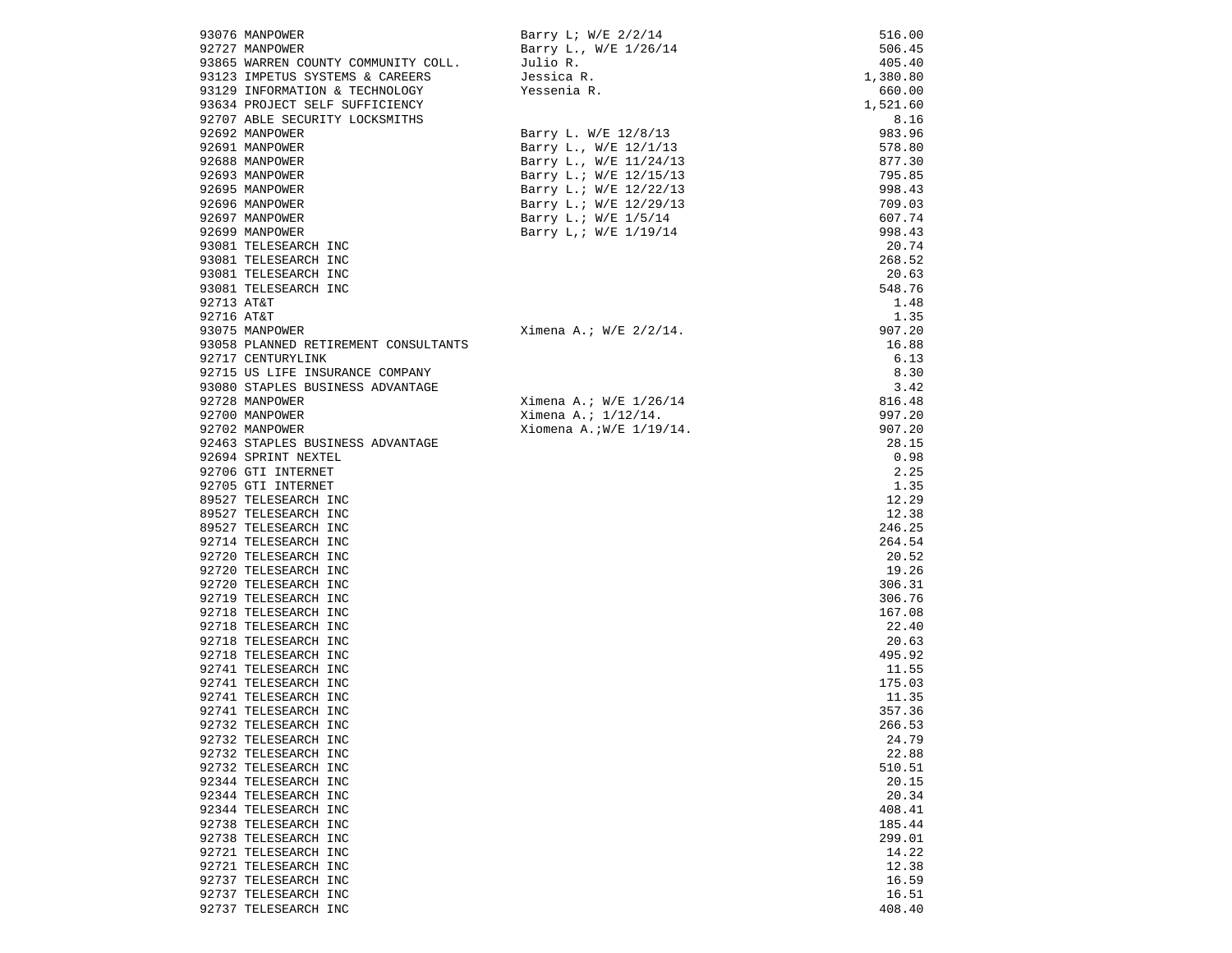|            | 93076 MANPOWER                       | Barry L; W/E 2/2/14        | 516.00   |
|------------|--------------------------------------|----------------------------|----------|
|            | 92727 MANPOWER                       | Barry L., W/E 1/26/14      | 506.45   |
|            | 93865 WARREN COUNTY COMMUNITY COLL.  | Julio R.                   | 405.40   |
|            | 93123 IMPETUS SYSTEMS & CAREERS      | Jessica R.                 | 1,380.80 |
|            | 93129 INFORMATION & TECHNOLOGY       | Yessenia R.                | 660.00   |
|            | 93634 PROJECT SELF SUFFICIENCY       |                            | 1,521.60 |
|            | 92707 ABLE SECURITY LOCKSMITHS       |                            | 8.16     |
|            | 92692 MANPOWER                       | Barry L. W/E 12/8/13       | 983.96   |
|            | 92691 MANPOWER                       | Barry L., W/E 12/1/13      | 578.80   |
|            | 92688 MANPOWER                       | Barry L., W/E 11/24/13     | 877.30   |
|            | 92693 MANPOWER                       | Barry L.; W/E 12/15/13     | 795.85   |
|            | 92695 MANPOWER                       | Barry L.; W/E 12/22/13     | 998.43   |
|            | 92696 MANPOWER                       | Barry L.; W/E 12/29/13     | 709.03   |
|            | 92697 MANPOWER                       | Barry L.; W/E 1/5/14       | 607.74   |
|            | 92699 MANPOWER                       | Barry L, ; W/E 1/19/14     | 998.43   |
|            | 93081 TELESEARCH INC                 |                            | 20.74    |
|            | 93081 TELESEARCH INC                 |                            | 268.52   |
|            | 93081 TELESEARCH INC                 |                            | 20.63    |
|            | 93081 TELESEARCH INC                 |                            | 548.76   |
| 92713 AT&T |                                      |                            | 1.48     |
| 92716 AT&T |                                      |                            | 1.35     |
|            | 93075 MANPOWER                       | Ximena A.; $W/E$ 2/2/14.   | 907.20   |
|            | 93058 PLANNED RETIREMENT CONSULTANTS |                            | 16.88    |
|            | 92717 CENTURYLINK                    |                            | 6.13     |
|            | 92715 US LIFE INSURANCE COMPANY      |                            | 8.30     |
|            | 93080 STAPLES BUSINESS ADVANTAGE     |                            | 3.42     |
|            | 92728 MANPOWER                       |                            | 816.48   |
|            | 92700 MANPOWER                       | Ximena A.; $W/E$ 1/26/14   | 997.20   |
|            | 92702 MANPOWER                       | Ximena A.; $1/12/14$ .     |          |
|            |                                      | Xiomena A.; $W/E$ 1/19/14. | 907.20   |
|            | 92463 STAPLES BUSINESS ADVANTAGE     |                            | 28.15    |
|            | 92694 SPRINT NEXTEL                  |                            | 0.98     |
|            | 92706 GTI INTERNET                   |                            | 2.25     |
|            | 92705 GTI INTERNET                   |                            | 1.35     |
|            | 89527 TELESEARCH INC                 |                            | 12.29    |
|            | 89527 TELESEARCH INC                 |                            | 12.38    |
|            | 89527 TELESEARCH INC                 |                            | 246.25   |
|            | 92714 TELESEARCH INC                 |                            | 264.54   |
|            | 92720 TELESEARCH INC                 |                            | 20.52    |
|            | 92720 TELESEARCH INC                 |                            | 19.26    |
|            | 92720 TELESEARCH INC                 |                            | 306.31   |
|            | 92719 TELESEARCH INC                 |                            | 306.76   |
|            | 92718 TELESEARCH INC                 |                            | 167.08   |
|            | 92718 TELESEARCH INC                 |                            | 22.40    |
|            | 92718 TELESEARCH INC                 |                            | 20.63    |
|            | 92718 TELESEARCH INC                 |                            | 495.92   |
|            | 92741 TELESEARCH INC                 |                            | 11.55    |
|            | 92741 TELESEARCH INC                 |                            | 175.03   |
|            | 92741 TELESEARCH INC                 |                            | 11.35    |
|            | 92741 TELESEARCH INC                 |                            | 357.36   |
|            | 92732 TELESEARCH INC                 |                            | 266.53   |
|            | 92732 TELESEARCH INC                 |                            | 24.79    |
|            | 92732 TELESEARCH INC                 |                            | 22.88    |
|            | 92732 TELESEARCH INC                 |                            | 510.51   |
|            | 92344 TELESEARCH INC                 |                            | 20.15    |
|            | 92344 TELESEARCH INC                 |                            | 20.34    |
|            | 92344 TELESEARCH INC                 |                            | 408.41   |
|            | 92738 TELESEARCH INC                 |                            | 185.44   |
|            | 92738 TELESEARCH INC                 |                            | 299.01   |
|            | 92721 TELESEARCH INC                 |                            | 14.22    |
|            | 92721 TELESEARCH INC                 |                            | 12.38    |
|            | 92737 TELESEARCH INC                 |                            | 16.59    |
|            | 92737 TELESEARCH INC                 |                            | 16.51    |
|            | 92737 TELESEARCH INC                 |                            | 408.40   |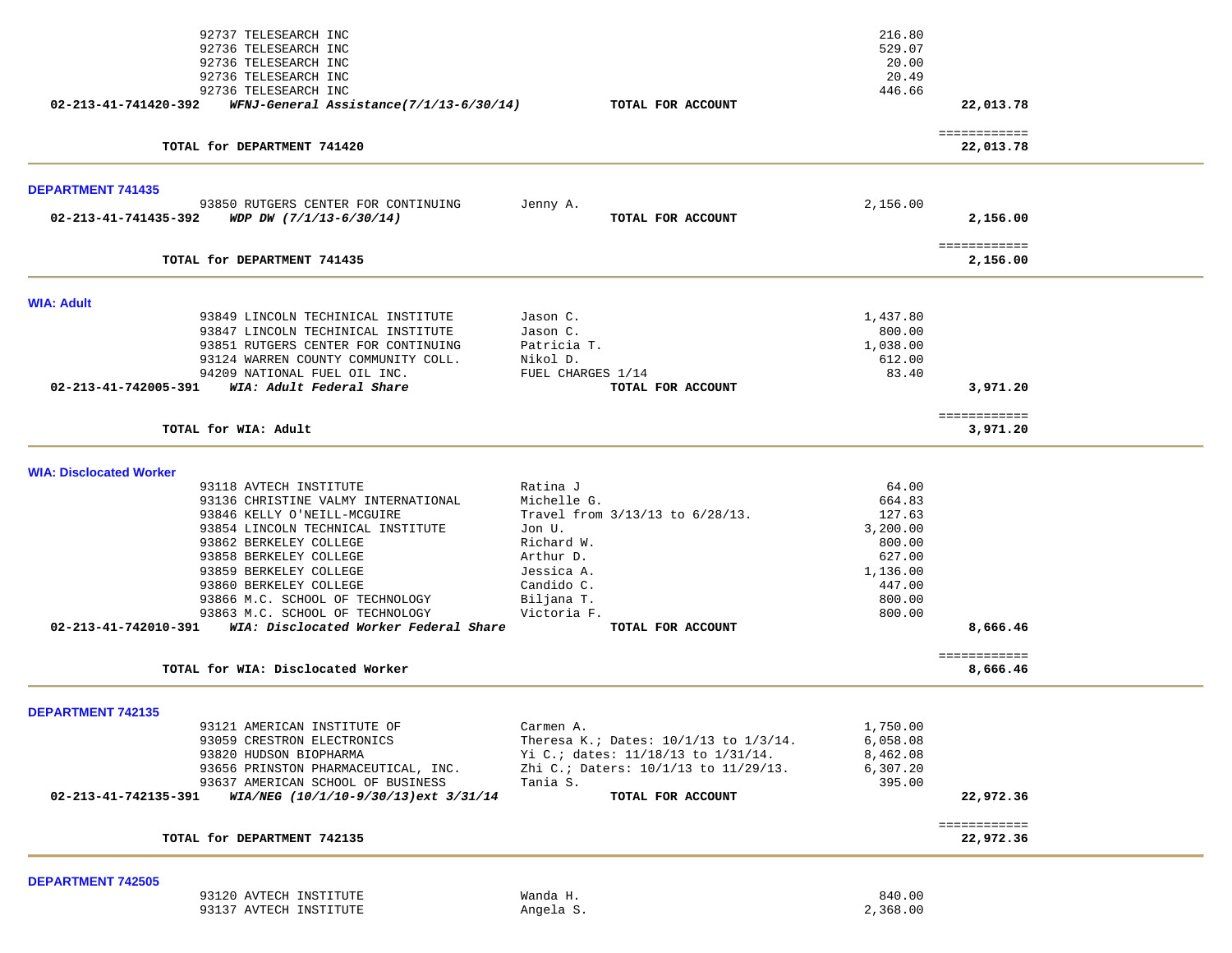|                                | 92737 TELESEARCH INC                                       |                                       | 216.80   |                           |  |
|--------------------------------|------------------------------------------------------------|---------------------------------------|----------|---------------------------|--|
|                                | 92736 TELESEARCH INC                                       |                                       | 529.07   |                           |  |
|                                | 92736 TELESEARCH INC                                       |                                       | 20.00    |                           |  |
|                                | 92736 TELESEARCH INC                                       |                                       | 20.49    |                           |  |
|                                | 92736 TELESEARCH INC                                       |                                       | 446.66   |                           |  |
| 02-213-41-741420-392           | WFNJ-General Assistance(7/1/13-6/30/14)                    | TOTAL FOR ACCOUNT                     |          | 22,013.78                 |  |
|                                |                                                            |                                       |          |                           |  |
|                                | TOTAL for DEPARTMENT 741420                                |                                       |          | ============<br>22,013.78 |  |
|                                |                                                            |                                       |          |                           |  |
| <b>DEPARTMENT 741435</b>       |                                                            |                                       |          |                           |  |
|                                | 93850 RUTGERS CENTER FOR CONTINUING                        | Jenny A.                              | 2,156.00 |                           |  |
| 02-213-41-741435-392           | WDP DW (7/1/13-6/30/14)                                    | TOTAL FOR ACCOUNT                     |          | 2,156.00                  |  |
|                                |                                                            |                                       |          | ============              |  |
|                                | TOTAL for DEPARTMENT 741435                                |                                       |          | 2,156.00                  |  |
|                                |                                                            |                                       |          |                           |  |
| <b>WIA: Adult</b>              | 93849 LINCOLN TECHINICAL INSTITUTE                         | Jason C.                              | 1,437.80 |                           |  |
|                                | 93847 LINCOLN TECHINICAL INSTITUTE                         | Jason C.                              | 800.00   |                           |  |
|                                |                                                            |                                       |          |                           |  |
|                                | 93851 RUTGERS CENTER FOR CONTINUING                        | Patricia T.                           | 1,038.00 |                           |  |
|                                | 93124 WARREN COUNTY COMMUNITY COLL.                        | Nikol D.                              | 612.00   |                           |  |
|                                | 94209 NATIONAL FUEL OIL INC.                               | FUEL CHARGES 1/14                     | 83.40    |                           |  |
| 02-213-41-742005-391           | WIA: Adult Federal Share                                   | TOTAL FOR ACCOUNT                     |          | 3,971.20                  |  |
|                                |                                                            |                                       |          | ============              |  |
|                                | TOTAL for WIA: Adult                                       |                                       |          | 3,971.20                  |  |
|                                |                                                            |                                       |          |                           |  |
| <b>WIA: Disclocated Worker</b> |                                                            |                                       |          |                           |  |
|                                | 93118 AVTECH INSTITUTE                                     | Ratina J                              | 64.00    |                           |  |
|                                | 93136 CHRISTINE VALMY INTERNATIONAL                        | Michelle G.                           | 664.83   |                           |  |
|                                | 93846 KELLY O'NEILL-MCGUIRE                                | Travel from $3/13/13$ to $6/28/13$ .  | 127.63   |                           |  |
|                                | 93854 LINCOLN TECHNICAL INSTITUTE                          | Jon U.                                | 3,200.00 |                           |  |
|                                | 93862 BERKELEY COLLEGE                                     | Richard W.                            | 800.00   |                           |  |
|                                | 93858 BERKELEY COLLEGE                                     | Arthur D.                             | 627.00   |                           |  |
|                                | 93859 BERKELEY COLLEGE                                     | Jessica A.                            | 1,136.00 |                           |  |
|                                | 93860 BERKELEY COLLEGE                                     | Candido C.                            | 447.00   |                           |  |
|                                | 93866 M.C. SCHOOL OF TECHNOLOGY                            | Biljana T.                            | 800.00   |                           |  |
|                                | 93863 M.C. SCHOOL OF TECHNOLOGY                            | Victoria F.                           | 800.00   |                           |  |
|                                | 02-213-41-742010-391 WIA: Disclocated Worker Federal Share | TOTAL FOR ACCOUNT                     |          | 8,666.46                  |  |
|                                |                                                            |                                       |          |                           |  |
|                                | TOTAL for WIA: Disclocated Worker                          |                                       |          | ============<br>8,666.46  |  |
|                                |                                                            |                                       |          |                           |  |
| <b>DEPARTMENT 742135</b>       |                                                            |                                       |          |                           |  |
|                                | 93121 AMERICAN INSTITUTE OF                                | Carmen A                              | 1,750.00 |                           |  |
|                                | 93059 CRESTRON ELECTRONICS                                 | Theresa K.; Dates: 10/1/13 to 1/3/14. | 6,058.08 |                           |  |
|                                | 93820 HUDSON BIOPHARMA                                     | Yi C.; dates: 11/18/13 to 1/31/14.    | 8,462.08 |                           |  |
|                                | 93656 PRINSTON PHARMACEUTICAL, INC.                        | Zhi C.; Daters: 10/1/13 to 11/29/13.  | 6,307.20 |                           |  |
|                                | 93637 AMERICAN SCHOOL OF BUSINESS                          | Tania S.                              | 395.00   |                           |  |
| 02-213-41-742135-391           | WIA/NEG (10/1/10-9/30/13)ext 3/31/14                       | TOTAL FOR ACCOUNT                     |          | 22,972.36                 |  |
|                                |                                                            |                                       |          | ============              |  |
|                                | TOTAL for DEPARTMENT 742135                                |                                       |          | 22,972.36                 |  |
|                                |                                                            |                                       |          |                           |  |
| <b>DEPARTMENT 742505</b>       |                                                            |                                       |          |                           |  |
|                                | 93120 AVTECH INSTITUTE                                     | Wanda H.                              | 840.00   |                           |  |
|                                | 93137 AVTECH INSTITUTE                                     | Angela S.                             | 2,368.00 |                           |  |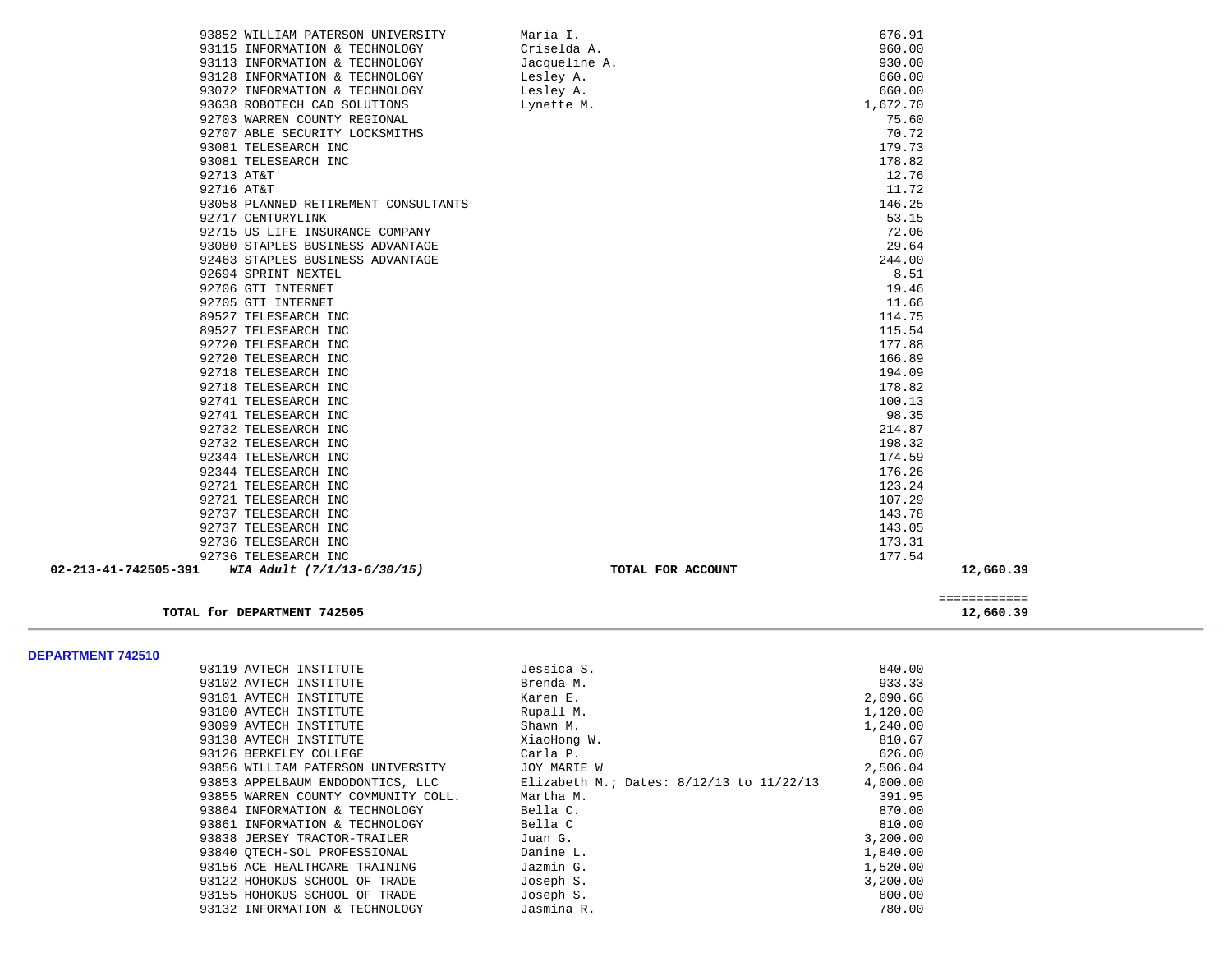|                      | 93852 WILLIAM PATERSON UNIVERSITY    | Maria I.          | 676.91   |           |
|----------------------|--------------------------------------|-------------------|----------|-----------|
|                      | 93115 INFORMATION & TECHNOLOGY       | Criselda A.       | 960.00   |           |
|                      | 93113 INFORMATION & TECHNOLOGY       | Jacqueline A.     | 930.00   |           |
|                      | 93128 INFORMATION & TECHNOLOGY       | Lesley A.         | 660.00   |           |
|                      | 93072 INFORMATION & TECHNOLOGY       | Lesley A.         | 660.00   |           |
|                      | 93638 ROBOTECH CAD SOLUTIONS         | Lynette M.        | 1,672.70 |           |
|                      | 92703 WARREN COUNTY REGIONAL         |                   | 75.60    |           |
|                      | 92707 ABLE SECURITY LOCKSMITHS       |                   | 70.72    |           |
|                      | 93081 TELESEARCH INC                 |                   | 179.73   |           |
|                      | 93081 TELESEARCH INC                 |                   | 178.82   |           |
| 92713 AT&T           |                                      |                   | 12.76    |           |
| 92716 AT&T           |                                      |                   | 11.72    |           |
|                      | 93058 PLANNED RETIREMENT CONSULTANTS |                   | 146.25   |           |
|                      | 92717 CENTURYLINK                    |                   | 53.15    |           |
|                      | 92715 US LIFE INSURANCE COMPANY      |                   | 72.06    |           |
|                      | 93080 STAPLES BUSINESS ADVANTAGE     |                   | 29.64    |           |
|                      | 92463 STAPLES BUSINESS ADVANTAGE     |                   | 244.00   |           |
|                      | 92694 SPRINT NEXTEL                  |                   | 8.51     |           |
|                      | 92706 GTI INTERNET                   |                   | 19.46    |           |
|                      | 92705 GTI INTERNET                   |                   | 11.66    |           |
|                      | 89527 TELESEARCH INC                 |                   | 114.75   |           |
|                      | 89527 TELESEARCH INC                 |                   | 115.54   |           |
|                      | 92720 TELESEARCH INC                 |                   | 177.88   |           |
|                      | 92720 TELESEARCH INC                 |                   | 166.89   |           |
|                      | 92718 TELESEARCH INC                 |                   | 194.09   |           |
|                      | 92718 TELESEARCH INC                 |                   | 178.82   |           |
|                      | 92741 TELESEARCH INC                 |                   | 100.13   |           |
|                      | 92741 TELESEARCH INC                 |                   | 98.35    |           |
|                      | 92732 TELESEARCH INC                 |                   | 214.87   |           |
|                      | 92732 TELESEARCH INC                 |                   | 198.32   |           |
|                      | 92344 TELESEARCH INC                 |                   | 174.59   |           |
|                      | 92344 TELESEARCH INC                 |                   | 176.26   |           |
|                      | 92721 TELESEARCH INC                 |                   | 123.24   |           |
|                      | 92721 TELESEARCH INC                 |                   | 107.29   |           |
|                      | 92737 TELESEARCH INC                 |                   | 143.78   |           |
|                      | 92737 TELESEARCH INC                 |                   | 143.05   |           |
|                      | 92736 TELESEARCH INC                 |                   | 173.31   |           |
|                      | 92736 TELESEARCH INC                 |                   | 177.54   |           |
| 02-213-41-742505-391 | WIA Adult (7/1/13-6/30/15)           | TOTAL FOR ACCOUNT |          | 12,660.39 |
|                      |                                      |                   |          |           |

TOTAL for DEPARTMENT 742505

 ============ 12,660.39

**DEPARTMENT 742510** 

| 93119 AVTECH INSTITUTE              | Jessica S.                                   | 840.00   |
|-------------------------------------|----------------------------------------------|----------|
| 93102 AVTECH INSTITUTE              | Brenda M.                                    | 933.33   |
| 93101 AVTECH INSTITUTE              | Karen E.                                     | 2,090.66 |
| 93100 AVTECH INSTITUTE              | Rupall M.                                    | 1,120.00 |
| 93099 AVTECH INSTITUTE              | Shawn M.                                     | 1,240.00 |
| 93138 AVTECH INSTITUTE              | XiaoHong W.                                  | 810.67   |
| 93126 BERKELEY COLLEGE              | Carla P.                                     | 626.00   |
| 93856 WILLIAM PATERSON UNIVERSITY   | JOY MARIE W                                  | 2,506.04 |
| 93853 APPELBAUM ENDODONTICS, LLC    | Elizabeth M.; Dates: $8/12/13$ to $11/22/13$ | 4,000.00 |
| 93855 WARREN COUNTY COMMUNITY COLL. | Martha M.                                    | 391.95   |
| 93864 INFORMATION & TECHNOLOGY      | Bella C.                                     | 870.00   |
| 93861 INFORMATION & TECHNOLOGY      | Bella C                                      | 810.00   |
| 93838 JERSEY TRACTOR-TRAILER        | Juan G.                                      | 3,200.00 |
| 93840 OTECH-SOL PROFESSIONAL        | Danine L.                                    | 1,840.00 |
| 93156 ACE HEALTHCARE TRAINING       | Jazmin G.                                    | 1,520.00 |
| 93122 HOHOKUS SCHOOL OF TRADE       | Joseph S.                                    | 3,200.00 |
| 93155 HOHOKUS SCHOOL OF TRADE       | Joseph S.                                    | 800.00   |
| 93132 INFORMATION & TECHNOLOGY      | Jasmina R.                                   | 780.00   |
|                                     |                                              |          |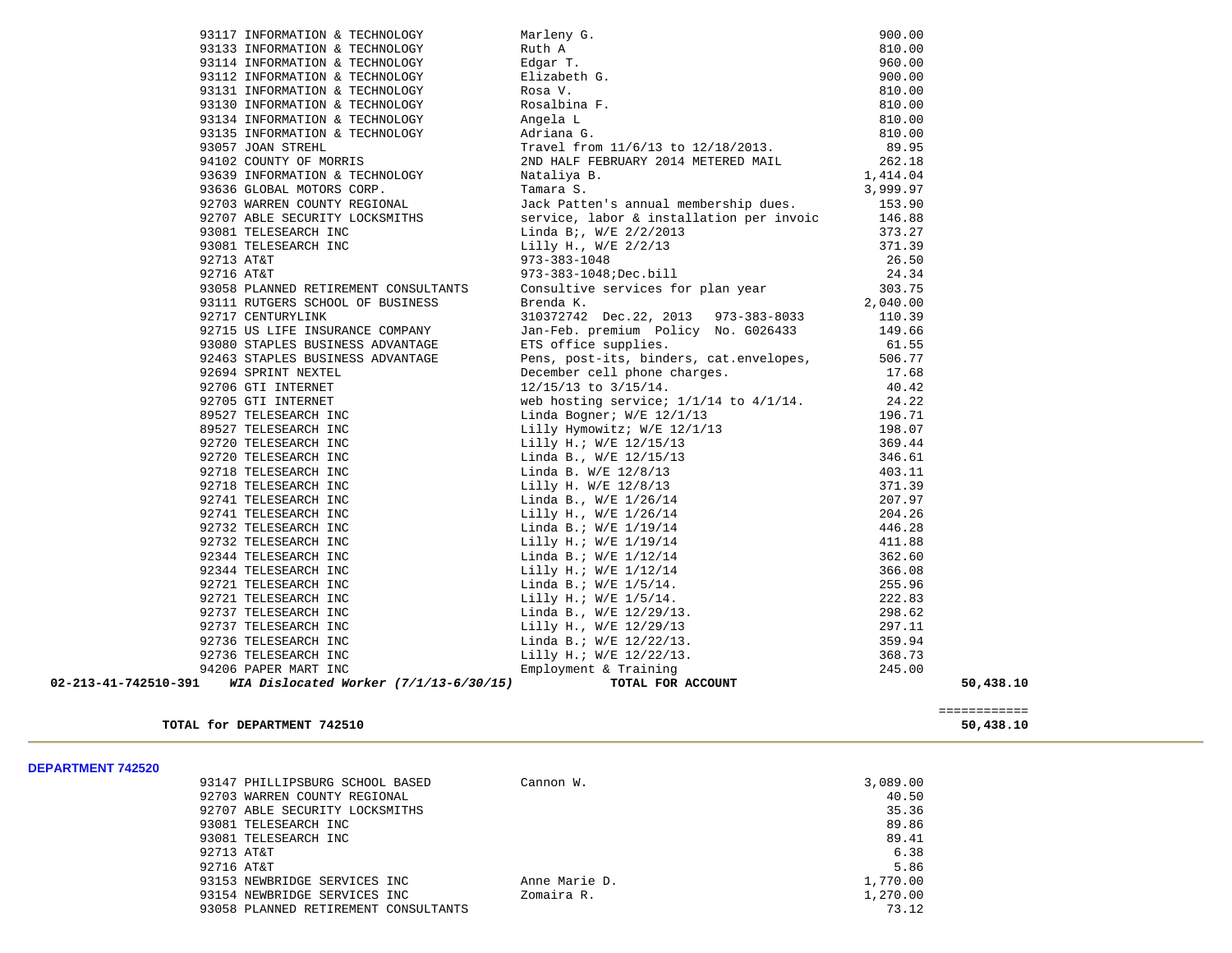|                      | 93117 INFORMATION & TECHNOLOGY           | Marleny G.<br>Ruth A<br>Edgar T.<br>Elizabeth G.<br>Rosa V.<br>Rosalbina F.<br>Angela L<br>Adriana G.                                                                                                                                                             | 900.00   |                           |
|----------------------|------------------------------------------|-------------------------------------------------------------------------------------------------------------------------------------------------------------------------------------------------------------------------------------------------------------------|----------|---------------------------|
|                      | 93133 INFORMATION & TECHNOLOGY           |                                                                                                                                                                                                                                                                   | 810.00   |                           |
|                      | 93114 INFORMATION & TECHNOLOGY           |                                                                                                                                                                                                                                                                   | 960.00   |                           |
|                      | 93112 INFORMATION & TECHNOLOGY           |                                                                                                                                                                                                                                                                   | 900.00   |                           |
|                      | 93131 INFORMATION & TECHNOLOGY           |                                                                                                                                                                                                                                                                   | 810.00   |                           |
|                      | 93130 INFORMATION & TECHNOLOGY           |                                                                                                                                                                                                                                                                   | 810.00   |                           |
|                      | 93134 INFORMATION & TECHNOLOGY           |                                                                                                                                                                                                                                                                   | 810.00   |                           |
|                      | 93135 INFORMATION & TECHNOLOGY           |                                                                                                                                                                                                                                                                   | 810.00   |                           |
|                      | 93057 JOAN STREHL                        | Travel from 11/6/13 to 12/18/2013.                                                                                                                                                                                                                                | 89.95    |                           |
|                      | 94102 COUNTY OF MORRIS                   | 2ND HALF FEBRUARY 2014 METERED MAIL                                                                                                                                                                                                                               | 262.18   |                           |
|                      | 93639 INFORMATION & TECHNOLOGY           | Nataliya B.                                                                                                                                                                                                                                                       | 1,414.04 |                           |
|                      | 93636 GLOBAL MOTORS CORP.                | Tamara S.                                                                                                                                                                                                                                                         | 3,999.97 |                           |
|                      | 92703 WARREN COUNTY REGIONAL             | Jack Patten's annual membership dues.                                                                                                                                                                                                                             | 153.90   |                           |
|                      | 92707 ABLE SECURITY LOCKSMITHS           | service, labor & installation per invoic                                                                                                                                                                                                                          | 146.88   |                           |
|                      | 93081 TELESEARCH INC                     |                                                                                                                                                                                                                                                                   | 373.27   |                           |
|                      | 93081 TELESEARCH INC                     |                                                                                                                                                                                                                                                                   | 371.39   |                           |
| 92713 AT&T           |                                          |                                                                                                                                                                                                                                                                   | 26.50    |                           |
| 92716 AT&T           |                                          | Linda B;, W/E 2/2/2013<br>Lilly H., W/E 2/2/13<br>973-383-1048<br>973-383-1048;Dec.bill                                                                                                                                                                           | 24.34    |                           |
|                      | 93058 PLANNED RETIREMENT CONSULTANTS     | Consultive services for plan year<br>Prends K                                                                                                                                                                                                                     | 303.75   |                           |
|                      | 93111 RUTGERS SCHOOL OF BUSINESS         | Brenda K.                                                                                                                                                                                                                                                         | 2,040.00 |                           |
|                      | 92717 CENTURYLINK                        | 310372742 Dec.22, 2013 973-383-8033                                                                                                                                                                                                                               | 110.39   |                           |
|                      | 92715 US LIFE INSURANCE COMPANY          | Jan-Feb. premium Policy No. G026433                                                                                                                                                                                                                               | 149.66   |                           |
|                      | 93080 STAPLES BUSINESS ADVANTAGE         | ETS office supplies.                                                                                                                                                                                                                                              | 61.55    |                           |
|                      | 92463 STAPLES BUSINESS ADVANTAGE         | Pens, post-its, binders, cat.envelopes,                                                                                                                                                                                                                           | 506.77   |                           |
|                      | 92694 SPRINT NEXTEL                      |                                                                                                                                                                                                                                                                   | 17.68    |                           |
|                      | 92706 GTI INTERNET                       | December cell phone charges.<br>12/15/13 to 3/15/14.                                                                                                                                                                                                              | 40.42    |                           |
|                      | 92705 GTI INTERNET                       | web hosting service; $1/1/14$ to $4/1/14$ .                                                                                                                                                                                                                       | 24.22    |                           |
|                      | 89527 TELESEARCH INC                     |                                                                                                                                                                                                                                                                   |          |                           |
|                      | 89527 TELESEARCH INC                     |                                                                                                                                                                                                                                                                   |          |                           |
|                      | 92720 TELESEARCH INC                     |                                                                                                                                                                                                                                                                   |          |                           |
|                      | 92720 TELESEARCH INC                     |                                                                                                                                                                                                                                                                   |          |                           |
|                      | 92718 TELESEARCH INC                     |                                                                                                                                                                                                                                                                   |          |                           |
|                      | 92718 TELESEARCH INC                     |                                                                                                                                                                                                                                                                   |          |                           |
|                      | 92741 TELESEARCH INC                     |                                                                                                                                                                                                                                                                   |          |                           |
|                      | 92741 TELESEARCH INC                     |                                                                                                                                                                                                                                                                   |          |                           |
|                      | 92732 TELESEARCH INC                     |                                                                                                                                                                                                                                                                   |          |                           |
|                      | 92732 TELESEARCH INC                     |                                                                                                                                                                                                                                                                   |          |                           |
|                      | 92344 TELESEARCH INC                     |                                                                                                                                                                                                                                                                   |          |                           |
|                      | 92344 TELESEARCH INC                     |                                                                                                                                                                                                                                                                   |          |                           |
|                      | 92721 TELESEARCH INC                     |                                                                                                                                                                                                                                                                   |          |                           |
|                      | 92721 TELESEARCH INC                     |                                                                                                                                                                                                                                                                   |          |                           |
|                      | 92737 TELESEARCH INC                     |                                                                                                                                                                                                                                                                   |          |                           |
|                      | 92737 TELESEARCH INC                     |                                                                                                                                                                                                                                                                   |          |                           |
|                      | 92736 TELESEARCH INC                     |                                                                                                                                                                                                                                                                   |          |                           |
|                      | 92736 TELESEARCH INC                     |                                                                                                                                                                                                                                                                   |          |                           |
|                      | 94206 PAPER MART INC                     |                                                                                                                                                                                                                                                                   |          |                           |
| 02-213-41-742510-391 | WIA Dislocated Worker $(7/1/13-6/30/15)$ | veb hosting service; 1/1/14 to 4/1/14.<br>24.22<br>Linda Bogner; W/E 12/1/13<br>196.71<br>Lilly H.; W <sub>N</sub> owhitz; WE 12/15/13<br>198.07<br>Lilly H.; WE 12/15/13<br>269.44<br>Linda B., W/E 1/2/15/13<br>24.22<br>Linda B.; W/E 1/25/13<br>24.661<br>Lin |          | 50,438.10                 |
|                      |                                          |                                                                                                                                                                                                                                                                   |          |                           |
|                      | TOTAL for DEPARTMENT 742510              |                                                                                                                                                                                                                                                                   |          | ============<br>50,438.10 |
|                      |                                          |                                                                                                                                                                                                                                                                   |          |                           |

#### TOTAL for DEPARTMENT 742510

#### **DEPARTMENT 742520**

| 93147 PHILLIPSBURG SCHOOL BASED      | Cannon W.     | 3,089.00 |
|--------------------------------------|---------------|----------|
| 92703 WARREN COUNTY REGIONAL         |               | 40.50    |
| 92707 ABLE SECURITY LOCKSMITHS       |               | 35.36    |
| 93081 TELESEARCH INC                 |               | 89.86    |
| 93081 TELESEARCH INC                 |               | 89.41    |
| 92713 AT&T                           |               | 6.38     |
| 92716 AT&T                           |               | 5.86     |
| 93153 NEWBRIDGE SERVICES INC         | Anne Marie D. | 1,770.00 |
| 93154 NEWBRIDGE SERVICES INC         | Zomaira R.    | 1,270.00 |
| 93058 PLANNED RETIREMENT CONSULTANTS |               | 73.12    |
|                                      |               |          |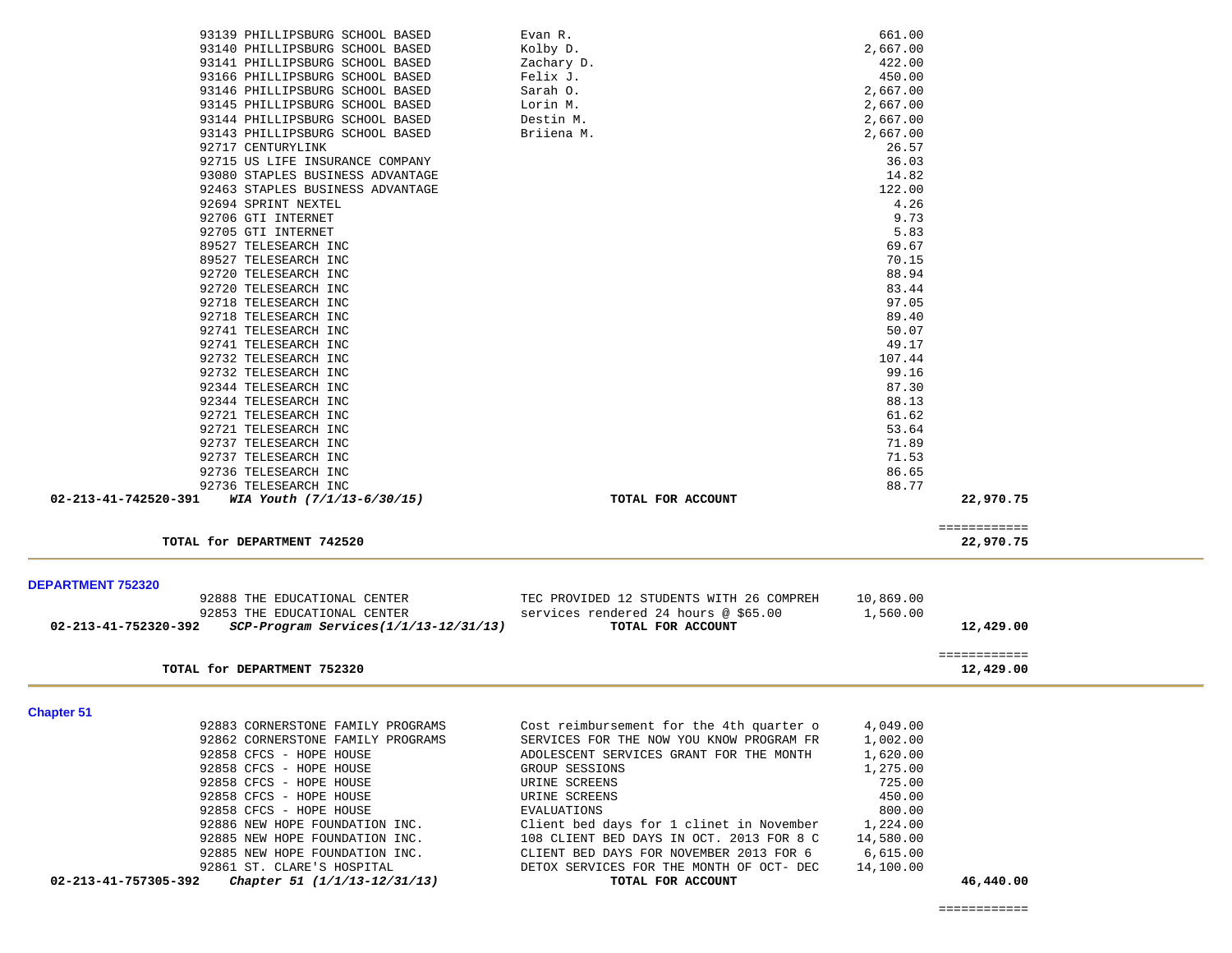$22,970.75$ 

| onapter or           |                                   |                                          |           |           |
|----------------------|-----------------------------------|------------------------------------------|-----------|-----------|
|                      | 92883 CORNERSTONE FAMILY PROGRAMS | Cost reimbursement for the 4th quarter o | 4,049.00  |           |
|                      | 92862 CORNERSTONE FAMILY PROGRAMS | SERVICES FOR THE NOW YOU KNOW PROGRAM FR | 1,002.00  |           |
|                      | 92858 CFCS - HOPE HOUSE           | ADOLESCENT SERVICES GRANT FOR THE MONTH  | 1,620.00  |           |
|                      | 92858 CFCS - HOPE HOUSE           | GROUP SESSIONS                           | 1,275.00  |           |
|                      | 92858 CFCS - HOPE HOUSE           | URINE SCREENS                            | 725.00    |           |
|                      | 92858 CFCS - HOPE HOUSE           | URINE SCREENS                            | 450.00    |           |
|                      | 92858 CFCS - HOPE HOUSE           | EVALUATIONS                              | 800.00    |           |
|                      | 92886 NEW HOPE FOUNDATION INC.    | Client bed days for 1 clinet in November | 1,224.00  |           |
|                      | 92885 NEW HOPE FOUNDATION INC.    | 108 CLIENT BED DAYS IN OCT. 2013 FOR 8 C | 14,580.00 |           |
|                      | 92885 NEW HOPE FOUNDATION INC.    | CLIENT BED DAYS FOR NOVEMBER 2013 FOR 6  | 6,615.00  |           |
|                      | 92861 ST. CLARE'S HOSPITAL        | DETOX SERVICES FOR THE MONTH OF OCT- DEC | 14,100.00 |           |
| 02-213-41-757305-392 | Chapter 51 (1/1/13-12/31/13)      | TOTAL FOR ACCOUNT                        |           | 46,440.00 |

| <b>DEPARTMENT 752320</b>                                            |                                          |           |           |
|---------------------------------------------------------------------|------------------------------------------|-----------|-----------|
| 92888 THE EDUCATIONAL CENTER                                        | TEC PROVIDED 12 STUDENTS WITH 26 COMPREH | 10,869.00 |           |
| 92853 THE EDUCATIONAL CENTER                                        | services rendered 24 hours @ \$65.00     | 1,560.00  |           |
| $SCP-Program$ Services( $1/1/13-12/31/13$ )<br>02-213-41-752320-392 | TOTAL FOR ACCOUNT                        |           | 12,429.00 |
|                                                                     |                                          |           |           |
|                                                                     |                                          |           |           |
| TOTAL for DEPARTMENT 752320                                         |                                          |           | 12,429.00 |

============

|                      | 92736 TELESEARCH INC       |       |
|----------------------|----------------------------|-------|
| 02-213-41-742520-391 | WIA Youth (7/1/13-6/30/15) | TOTAL |
|                      |                            |       |

TOTAL for DEPARTMENT 742520

| 93139 PHILLIPSBURG SCHOOL BASED              | Evan R.           | 661.00    |  |
|----------------------------------------------|-------------------|-----------|--|
| 93140 PHILLIPSBURG SCHOOL BASED              | Kolby D.          | 2,667.00  |  |
| 93141 PHILLIPSBURG SCHOOL BASED              | Zachary D.        | 422.00    |  |
| 93166 PHILLIPSBURG SCHOOL BASED              | Felix J.          | 450.00    |  |
| 93146 PHILLIPSBURG SCHOOL BASED              | Sarah 0.          | 2,667.00  |  |
| 93145 PHILLIPSBURG SCHOOL BASED              | Lorin M.          | 2,667.00  |  |
| 93144 PHILLIPSBURG SCHOOL BASED              | Destin M.         | 2,667.00  |  |
| 93143 PHILLIPSBURG SCHOOL BASED              | Briiena M.        | 2,667.00  |  |
| 92717 CENTURYLINK                            |                   | 26.57     |  |
| 92715 US LIFE INSURANCE COMPANY              |                   | 36.03     |  |
| 93080 STAPLES BUSINESS ADVANTAGE             |                   | 14.82     |  |
| 92463 STAPLES BUSINESS ADVANTAGE             |                   | 122.00    |  |
| 92694 SPRINT NEXTEL                          |                   | 4.26      |  |
| 92706 GTI INTERNET                           |                   | 9.73      |  |
| 92705 GTI INTERNET                           |                   | 5.83      |  |
| 89527 TELESEARCH INC                         |                   | 69.67     |  |
| 89527 TELESEARCH INC                         |                   | 70.15     |  |
| 92720 TELESEARCH INC                         |                   | 88.94     |  |
| 92720 TELESEARCH INC                         |                   | 83.44     |  |
| 92718 TELESEARCH INC                         |                   | 97.05     |  |
| 92718 TELESEARCH INC                         |                   | 89.40     |  |
| 92741 TELESEARCH INC                         |                   | 50.07     |  |
| 92741 TELESEARCH INC                         |                   | 49.17     |  |
| 92732 TELESEARCH INC                         |                   | 107.44    |  |
| 92732 TELESEARCH INC                         |                   | 99.16     |  |
| 92344 TELESEARCH INC                         |                   | 87.30     |  |
| 92344 TELESEARCH INC                         |                   | 88.13     |  |
| 92721 TELESEARCH INC                         |                   | 61.62     |  |
| 92721 TELESEARCH INC                         |                   | 53.64     |  |
| 92737 TELESEARCH INC                         |                   | 71.89     |  |
| 92737 TELESEARCH INC                         |                   | 71.53     |  |
| 92736 TELESEARCH INC                         |                   | 86.65     |  |
| 92736 TELESEARCH INC<br>02-213-41-742520-391 |                   | 88.77     |  |
| WIA Youth (7/1/13-6/30/15)                   | TOTAL FOR ACCOUNT | 22,970.75 |  |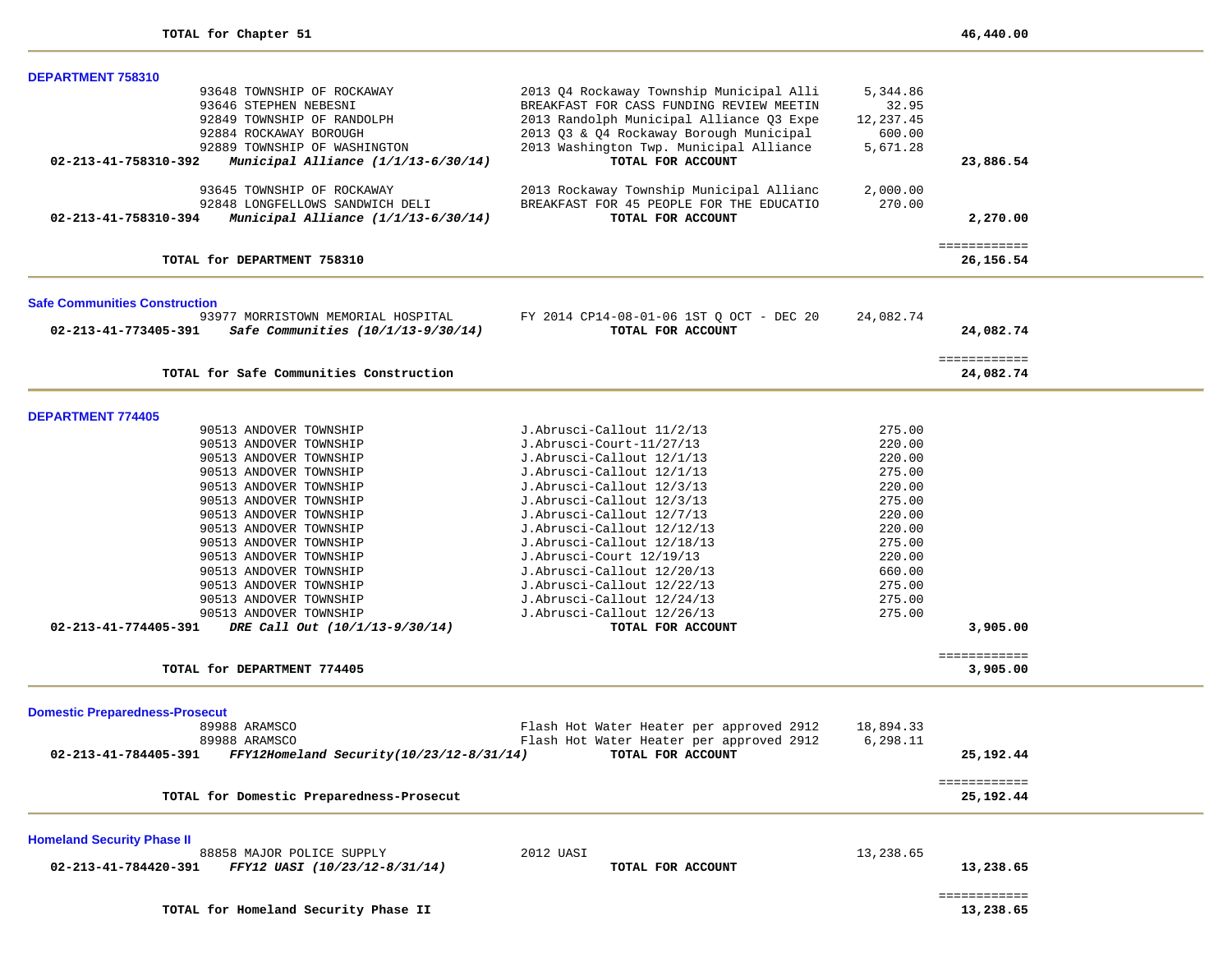| DEPARTMENT 758310                                                |                                          |           |                           |  |
|------------------------------------------------------------------|------------------------------------------|-----------|---------------------------|--|
| 93648 TOWNSHIP OF ROCKAWAY                                       | 2013 Q4 Rockaway Township Municipal Alli | 5,344.86  |                           |  |
| 93646 STEPHEN NEBESNI                                            | BREAKFAST FOR CASS FUNDING REVIEW MEETIN | 32.95     |                           |  |
| 92849 TOWNSHIP OF RANDOLPH                                       | 2013 Randolph Municipal Alliance Q3 Expe | 12,237.45 |                           |  |
| 92884 ROCKAWAY BOROUGH                                           | 2013 Q3 & Q4 Rockaway Borough Municipal  | 600.00    |                           |  |
| 92889 TOWNSHIP OF WASHINGTON                                     | 2013 Washington Twp. Municipal Alliance  | 5,671.28  |                           |  |
| 02-213-41-758310-392                                             | TOTAL FOR ACCOUNT                        |           | 23,886.54                 |  |
| Municipal Alliance $(1/1/13-6/30/14)$                            |                                          |           |                           |  |
| 93645 TOWNSHIP OF ROCKAWAY                                       | 2013 Rockaway Township Municipal Allianc | 2,000.00  |                           |  |
| 92848 LONGFELLOWS SANDWICH DELI                                  | BREAKFAST FOR 45 PEOPLE FOR THE EDUCATIO | 270.00    |                           |  |
| Municipal Alliance $(1/1/13-6/30/14)$<br>02-213-41-758310-394    | TOTAL FOR ACCOUNT                        |           | 2,270.00                  |  |
|                                                                  |                                          |           |                           |  |
| TOTAL for DEPARTMENT 758310                                      |                                          |           | ============<br>26,156.54 |  |
| <b>Safe Communities Construction</b>                             |                                          |           |                           |  |
| 93977 MORRISTOWN MEMORIAL HOSPITAL                               | FY 2014 CP14-08-01-06 1ST Q OCT - DEC 20 | 24,082.74 |                           |  |
| 02-213-41-773405-391<br>Safe Communities (10/1/13-9/30/14)       | TOTAL FOR ACCOUNT                        |           | 24,082.74                 |  |
|                                                                  |                                          |           |                           |  |
|                                                                  |                                          |           | ============              |  |
| TOTAL for Safe Communities Construction                          |                                          |           | 24,082.74                 |  |
|                                                                  |                                          |           |                           |  |
| <b>DEPARTMENT 774405</b>                                         |                                          |           |                           |  |
| 90513 ANDOVER TOWNSHIP                                           | J.Abrusci-Callout 11/2/13                | 275.00    |                           |  |
| 90513 ANDOVER TOWNSHIP                                           | J.Abrusci-Court-11/27/13                 | 220.00    |                           |  |
| 90513 ANDOVER TOWNSHIP                                           | J.Abrusci-Callout 12/1/13                | 220.00    |                           |  |
| 90513 ANDOVER TOWNSHIP                                           | J.Abrusci-Callout 12/1/13                | 275.00    |                           |  |
| 90513 ANDOVER TOWNSHIP                                           | J.Abrusci-Callout 12/3/13                | 220.00    |                           |  |
| 90513 ANDOVER TOWNSHIP                                           | J.Abrusci-Callout 12/3/13                | 275.00    |                           |  |
| 90513 ANDOVER TOWNSHIP                                           | J.Abrusci-Callout 12/7/13                | 220.00    |                           |  |
| 90513 ANDOVER TOWNSHIP                                           | J.Abrusci-Callout 12/12/13               | 220.00    |                           |  |
| 90513 ANDOVER TOWNSHIP                                           | J.Abrusci-Callout 12/18/13               | 275.00    |                           |  |
|                                                                  |                                          |           |                           |  |
| 90513 ANDOVER TOWNSHIP                                           | J.Abrusci-Court 12/19/13                 | 220.00    |                           |  |
| 90513 ANDOVER TOWNSHIP                                           | J.Abrusci-Callout 12/20/13               | 660.00    |                           |  |
| 90513 ANDOVER TOWNSHIP                                           | J.Abrusci-Callout 12/22/13               | 275.00    |                           |  |
| 90513 ANDOVER TOWNSHIP                                           | J.Abrusci-Callout 12/24/13               | 275.00    |                           |  |
| 90513 ANDOVER TOWNSHIP                                           | J.Abrusci-Callout 12/26/13               | 275.00    |                           |  |
| 02-213-41-774405-391<br>DRE Call Out (10/1/13-9/30/14)           | TOTAL FOR ACCOUNT                        |           | 3,905.00                  |  |
|                                                                  |                                          |           | ============              |  |
| TOTAL for DEPARTMENT 774405                                      |                                          |           | 3,905.00                  |  |
| <b>Domestic Preparedness-Prosecut</b>                            |                                          |           |                           |  |
| 89988 ARAMSCO                                                    | Flash Hot Water Heater per approved 2912 | 18,894.33 |                           |  |
| 89988 ARAMSCO                                                    | Flash Hot Water Heater per approved 2912 | 6,298.11  |                           |  |
| 02-213-41-784405-391<br>FFY12Homeland Security(10/23/12-8/31/14) | TOTAL FOR ACCOUNT                        |           | 25,192.44                 |  |
|                                                                  |                                          |           |                           |  |
| TOTAL for Domestic Preparedness-Prosecut                         |                                          |           | ============<br>25,192.44 |  |
|                                                                  |                                          |           |                           |  |
| <b>Homeland Security Phase II</b><br>88858 MAJOR POLICE SUPPLY   | 2012 UASI                                | 13,238.65 |                           |  |
|                                                                  |                                          |           |                           |  |
| 02-213-41-784420-391<br>FFY12 UASI (10/23/12-8/31/14)            | TOTAL FOR ACCOUNT                        |           | 13,238.65                 |  |
|                                                                  |                                          |           | ============              |  |
| TOTAL for Homeland Security Phase II                             |                                          |           | 13,238.65                 |  |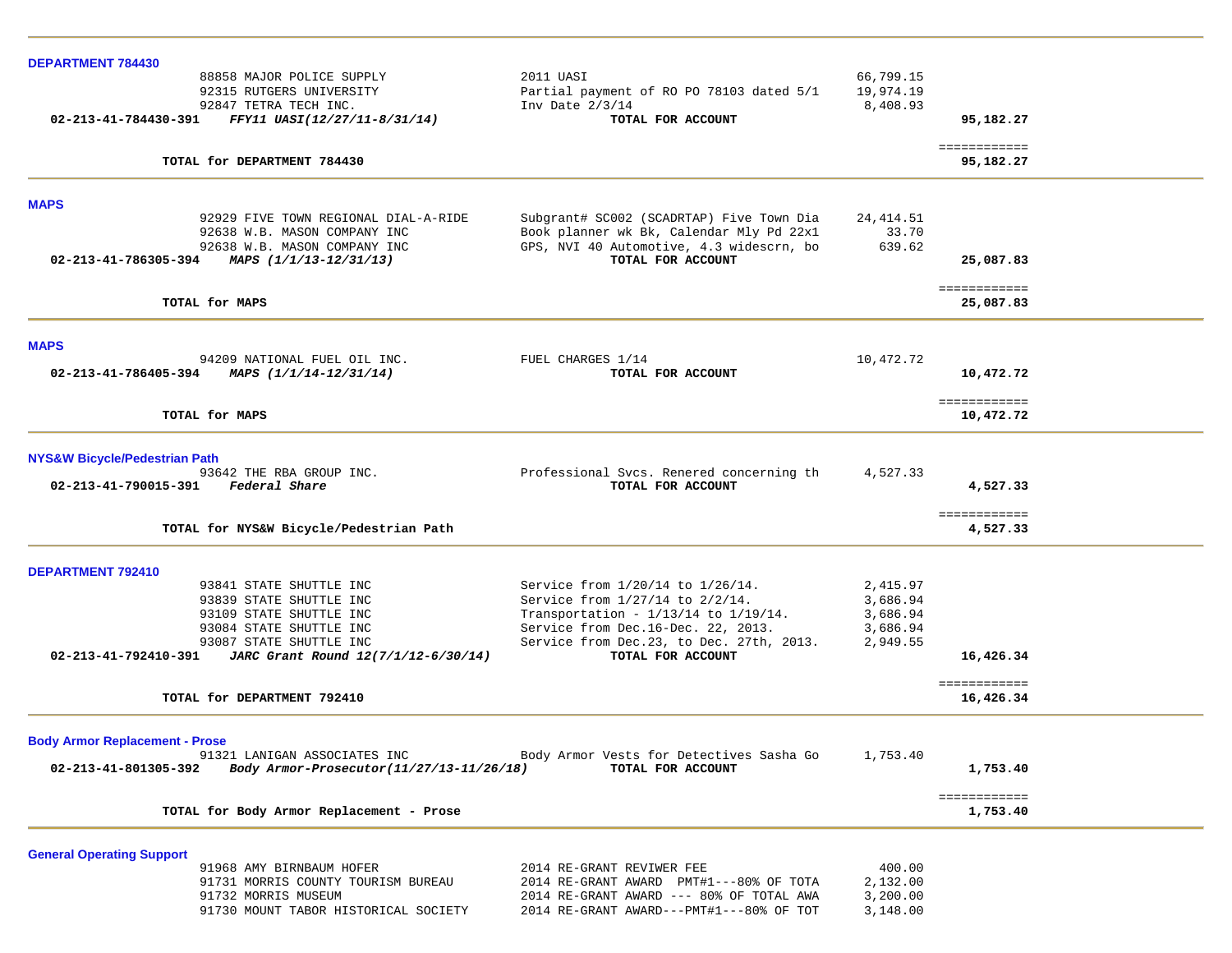| <b>DEPARTMENT 784430</b>              |                                                                      |                                                                                      |                      |                           |  |
|---------------------------------------|----------------------------------------------------------------------|--------------------------------------------------------------------------------------|----------------------|---------------------------|--|
|                                       | 88858 MAJOR POLICE SUPPLY                                            | 2011 UASI                                                                            | 66,799.15            |                           |  |
|                                       | 92315 RUTGERS UNIVERSITY                                             | Partial payment of RO PO 78103 dated 5/1                                             | 19,974.19            |                           |  |
|                                       | 92847 TETRA TECH INC.                                                | Inv Date $2/3/14$                                                                    | 8,408.93             |                           |  |
| 02-213-41-784430-391                  | FFY11 UASI(12/27/11-8/31/14)                                         | TOTAL FOR ACCOUNT                                                                    |                      | 95,182.27                 |  |
|                                       | TOTAL for DEPARTMENT 784430                                          |                                                                                      |                      | ============<br>95,182.27 |  |
|                                       |                                                                      |                                                                                      |                      |                           |  |
| <b>MAPS</b>                           |                                                                      |                                                                                      |                      |                           |  |
|                                       | 92929 FIVE TOWN REGIONAL DIAL-A-RIDE<br>92638 W.B. MASON COMPANY INC | Subgrant# SC002 (SCADRTAP) Five Town Dia                                             | 24, 414.51           |                           |  |
|                                       | 92638 W.B. MASON COMPANY INC                                         | Book planner wk Bk, Calendar Mly Pd 22x1<br>GPS, NVI 40 Automotive, 4.3 widescrn, bo | 33.70<br>639.62      |                           |  |
| 02-213-41-786305-394                  | MAPS (1/1/13-12/31/13)                                               | TOTAL FOR ACCOUNT                                                                    |                      | 25,087.83                 |  |
|                                       |                                                                      |                                                                                      |                      |                           |  |
|                                       | TOTAL for MAPS                                                       |                                                                                      |                      | ============<br>25,087.83 |  |
|                                       |                                                                      |                                                                                      |                      |                           |  |
| <b>MAPS</b>                           |                                                                      |                                                                                      |                      |                           |  |
| 02-213-41-786405-394                  | 94209 NATIONAL FUEL OIL INC.<br>MAPS (1/1/14-12/31/14)               | FUEL CHARGES 1/14<br>TOTAL FOR ACCOUNT                                               | 10,472.72            | 10,472.72                 |  |
|                                       |                                                                      |                                                                                      |                      |                           |  |
|                                       | TOTAL for MAPS                                                       |                                                                                      |                      | ============<br>10,472.72 |  |
|                                       |                                                                      |                                                                                      |                      |                           |  |
| NYS&W Bicycle/Pedestrian Path         | 93642 THE RBA GROUP INC.                                             | Professional Svcs. Renered concerning th                                             | 4,527.33             |                           |  |
| 02-213-41-790015-391 Federal Share    |                                                                      | TOTAL FOR ACCOUNT                                                                    |                      | 4,527.33                  |  |
|                                       |                                                                      |                                                                                      |                      | ============              |  |
|                                       | TOTAL for NYS&W Bicycle/Pedestrian Path                              |                                                                                      |                      | 4,527.33                  |  |
| <b>DEPARTMENT 792410</b>              |                                                                      |                                                                                      |                      |                           |  |
|                                       | 93841 STATE SHUTTLE INC                                              | Service from 1/20/14 to 1/26/14.                                                     | 2,415.97             |                           |  |
|                                       | 93839 STATE SHUTTLE INC                                              | Service from 1/27/14 to 2/2/14.                                                      | 3,686.94             |                           |  |
|                                       | 93109 STATE SHUTTLE INC                                              | Transportation - 1/13/14 to 1/19/14.                                                 | 3,686.94             |                           |  |
|                                       | 93084 STATE SHUTTLE INC                                              | Service from Dec.16-Dec. 22, 2013.                                                   | 3,686.94             |                           |  |
|                                       | 93087 STATE SHUTTLE INC                                              | Service from Dec.23, to Dec. 27th, 2013.                                             | 2,949.55             |                           |  |
| 02-213-41-792410-391                  | JARC Grant Round 12(7/1/12-6/30/14)                                  | TOTAL FOR ACCOUNT                                                                    |                      | 16,426.34                 |  |
|                                       | TOTAL for DEPARTMENT 792410                                          |                                                                                      |                      | ============<br>16,426.34 |  |
|                                       |                                                                      |                                                                                      |                      |                           |  |
| <b>Body Armor Replacement - Prose</b> | 91321 LANIGAN ASSOCIATES INC                                         | Body Armor Vests for Detectives Sasha Go 1,753.40                                    |                      |                           |  |
| 02-213-41-801305-392                  | Body Armor-Prosecutor(11/27/13-11/26/18)                             | TOTAL FOR ACCOUNT                                                                    |                      | 1,753.40                  |  |
|                                       | TOTAL for Body Armor Replacement - Prose                             |                                                                                      |                      | ============<br>1,753.40  |  |
|                                       |                                                                      |                                                                                      |                      |                           |  |
| <b>General Operating Support</b>      |                                                                      |                                                                                      |                      |                           |  |
|                                       | 91968 AMY BIRNBAUM HOFER                                             | 2014 RE-GRANT REVIWER FEE                                                            | 400.00               |                           |  |
|                                       | 91731 MORRIS COUNTY TOURISM BUREAU<br>91732 MORRIS MUSEUM            | 2014 RE-GRANT AWARD PMT#1---80% OF TOTA<br>2014 RE-GRANT AWARD --- 80% OF TOTAL AWA  | 2,132.00<br>3,200.00 |                           |  |
|                                       | 91730 MOUNT TABOR HISTORICAL SOCIETY                                 | 2014 RE-GRANT AWARD---PMT#1---80% OF TOT                                             | 3,148.00             |                           |  |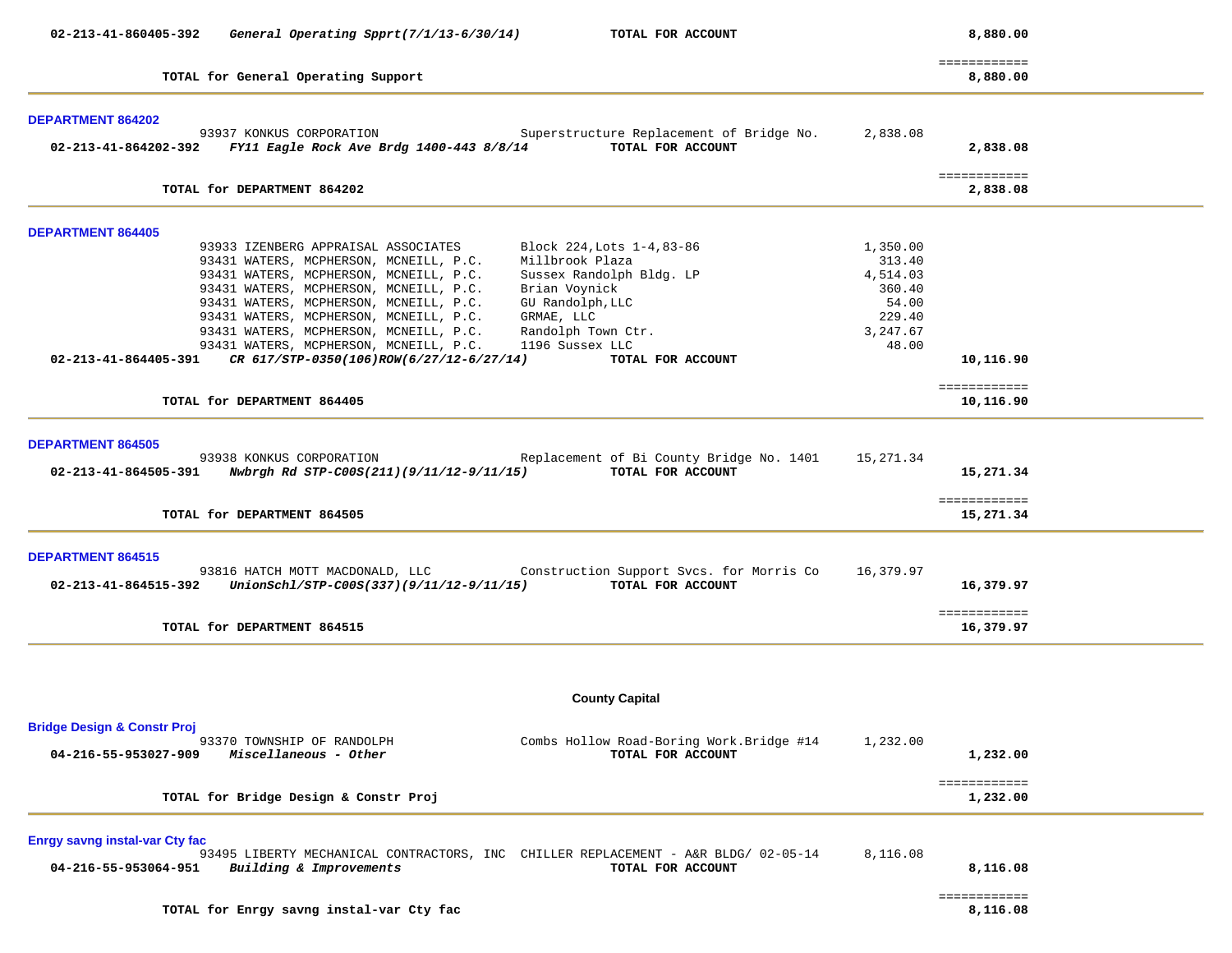| 02-213-41-860405-392<br>General Operating Spprt(7/1/13-6/30/14)<br>TOTAL FOR ACCOUNT                                                                                                                                                                                                                                                                                                                                                                                                                                                                                                                     |                                                                                  | 8,880.00                               |  |
|----------------------------------------------------------------------------------------------------------------------------------------------------------------------------------------------------------------------------------------------------------------------------------------------------------------------------------------------------------------------------------------------------------------------------------------------------------------------------------------------------------------------------------------------------------------------------------------------------------|----------------------------------------------------------------------------------|----------------------------------------|--|
| TOTAL for General Operating Support                                                                                                                                                                                                                                                                                                                                                                                                                                                                                                                                                                      |                                                                                  | ============<br>8,880.00               |  |
| <b>DEPARTMENT 864202</b>                                                                                                                                                                                                                                                                                                                                                                                                                                                                                                                                                                                 |                                                                                  |                                        |  |
| 93937 KONKUS CORPORATION Superstructure Replacement of Bridge No.<br>TOTAL FOR ACCOUNT<br>02-213-41-864202-392 FY11 Eagle Rock Ave Brdg 1400-443 8/8/14                                                                                                                                                                                                                                                                                                                                                                                                                                                  | 2,838.08                                                                         | 2,838.08                               |  |
| TOTAL for DEPARTMENT 864202                                                                                                                                                                                                                                                                                                                                                                                                                                                                                                                                                                              |                                                                                  | ============<br>2,838.08               |  |
| <b>DEPARTMENT 864405</b>                                                                                                                                                                                                                                                                                                                                                                                                                                                                                                                                                                                 |                                                                                  |                                        |  |
| 93933 IZENBERG APPRAISAL ASSOCIATES<br>Block 224, Lots 1-4, 83-86<br>93431 WATERS, MCPHERSON, MCNEILL, P.C.<br>Millbrook Plaza<br>93431 WATERS, MCPHERSON, MCNEILL, P.C.<br>Sussex Randolph Bldg. LP<br>93431 WATERS, MCPHERSON, MCNEILL, P.C.<br>Brian Voynick<br>93431 WATERS, MCPHERSON, MCNEILL, P.C.<br>GU Randolph, LLC<br>93431 WATERS, MCPHERSON, MCNEILL, P.C.<br>GRMAE, LLC<br>93431 WATERS, MCPHERSON, MCNEILL, P.C.<br>Randolph Town Ctr.<br>1196 Sussex LLC<br>93431 WATERS, MCPHERSON, MCNEILL, P.C.<br>02-213-41-864405-391 CR 617/STP-0350(106)ROW(6/27/12-6/27/14)<br>TOTAL FOR ACCOUNT | 1,350.00<br>313.40<br>4,514.03<br>360.40<br>54.00<br>229.40<br>3,247.67<br>48.00 | 10,116.90                              |  |
|                                                                                                                                                                                                                                                                                                                                                                                                                                                                                                                                                                                                          |                                                                                  | ============                           |  |
| TOTAL for DEPARTMENT 864405                                                                                                                                                                                                                                                                                                                                                                                                                                                                                                                                                                              |                                                                                  | 10,116.90                              |  |
| <b>DEPARTMENT 864505</b><br>93938 KONKUS CORPORATION<br>Replacement of Bi County Bridge No. 1401 15,271.34<br>TOTAL FOR ACCOUNT<br>TOTAL for DEPARTMENT 864505                                                                                                                                                                                                                                                                                                                                                                                                                                           |                                                                                  | 15,271.34<br>============<br>15,271.34 |  |
| <b>DEPARTMENT 864515</b><br>93816 HATCH MOTT MACDONALD, LLC Construction Support Svcs. for Morris Co 16,379.97<br>02-213-41-864515-392 UnionSchl/STP-C00S(337)(9/11/12-9/11/15)<br>TOTAL FOR ACCOUNT                                                                                                                                                                                                                                                                                                                                                                                                     |                                                                                  | 16,379.97<br>============              |  |
| TOTAL for DEPARTMENT 864515                                                                                                                                                                                                                                                                                                                                                                                                                                                                                                                                                                              |                                                                                  | 16,379.97                              |  |
|                                                                                                                                                                                                                                                                                                                                                                                                                                                                                                                                                                                                          |                                                                                  |                                        |  |
| <b>County Capital</b>                                                                                                                                                                                                                                                                                                                                                                                                                                                                                                                                                                                    |                                                                                  |                                        |  |
| <b>Bridge Design &amp; Constr Proj</b><br>93370 TOWNSHIP OF RANDOLPH<br>Combs Hollow Road-Boring Work.Bridge #14<br>04-216-55-953027-909<br>Miscellaneous - Other<br>TOTAL FOR ACCOUNT                                                                                                                                                                                                                                                                                                                                                                                                                   | 1,232.00                                                                         | 1,232.00                               |  |
| TOTAL for Bridge Design & Constr Proj                                                                                                                                                                                                                                                                                                                                                                                                                                                                                                                                                                    |                                                                                  | ============<br>1,232.00               |  |
| <b>Enrgy savng instal-var Cty fac</b><br>93495 LIBERTY MECHANICAL CONTRACTORS, INC CHILLER REPLACEMENT - A&R BLDG/ 02-05-14<br>04-216-55-953064-951<br>Building & Improvements<br>TOTAL FOR ACCOUNT                                                                                                                                                                                                                                                                                                                                                                                                      | 8,116.08                                                                         | 8,116.08                               |  |
| TOTAL for Enrgy savng instal-var Cty fac                                                                                                                                                                                                                                                                                                                                                                                                                                                                                                                                                                 |                                                                                  | ============<br>8,116.08               |  |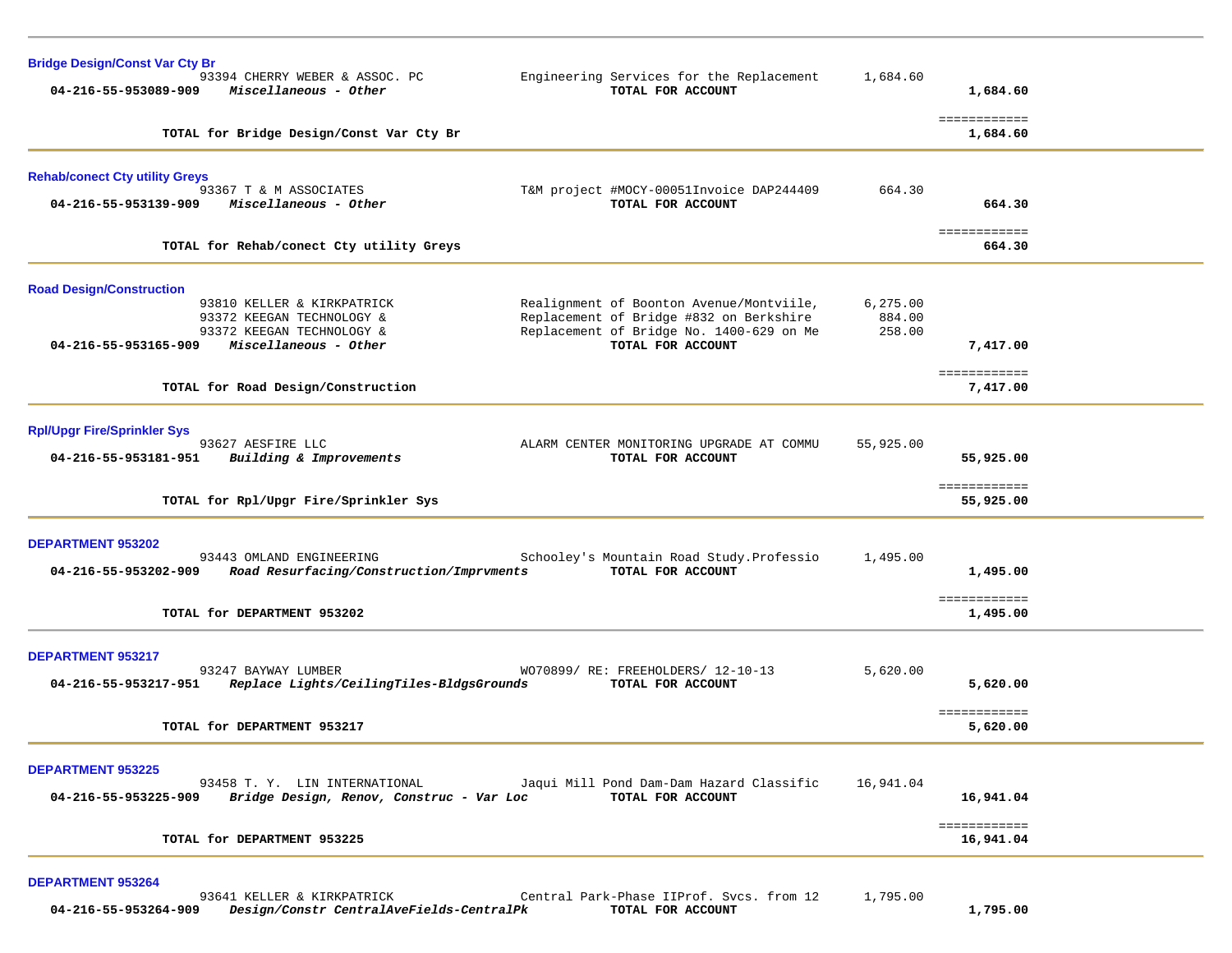| <b>Bridge Design/Const Var Cty Br</b>                                                   |                                                                                                               |                                                                                                                                                      |                               |                           |  |
|-----------------------------------------------------------------------------------------|---------------------------------------------------------------------------------------------------------------|------------------------------------------------------------------------------------------------------------------------------------------------------|-------------------------------|---------------------------|--|
| 04-216-55-953089-909                                                                    | 93394 CHERRY WEBER & ASSOC. PC<br>Miscellaneous - Other                                                       | Engineering Services for the Replacement<br>TOTAL FOR ACCOUNT                                                                                        | 1,684.60                      | 1,684.60                  |  |
|                                                                                         | TOTAL for Bridge Design/Const Var Cty Br                                                                      |                                                                                                                                                      |                               | ============<br>1,684.60  |  |
| <b>Rehab/conect Cty utility Greys</b><br>93367 T & M ASSOCIATES<br>04-216-55-953139-909 | Miscellaneous - Other                                                                                         | T&M project #MOCY-00051Invoice DAP244409<br>TOTAL FOR ACCOUNT                                                                                        | 664.30                        | 664.30                    |  |
|                                                                                         |                                                                                                               |                                                                                                                                                      |                               | ============              |  |
|                                                                                         | TOTAL for Rehab/conect Cty utility Greys                                                                      |                                                                                                                                                      |                               | 664.30                    |  |
| <b>Road Design/Construction</b><br>04-216-55-953165-909                                 | 93810 KELLER & KIRKPATRICK<br>93372 KEEGAN TECHNOLOGY &<br>93372 KEEGAN TECHNOLOGY &<br>Miscellaneous - Other | Realignment of Boonton Avenue/Montviile,<br>Replacement of Bridge #832 on Berkshire<br>Replacement of Bridge No. 1400-629 on Me<br>TOTAL FOR ACCOUNT | 6, 275.00<br>884.00<br>258.00 | 7,417.00                  |  |
|                                                                                         |                                                                                                               |                                                                                                                                                      |                               | ============              |  |
|                                                                                         | TOTAL for Road Design/Construction                                                                            |                                                                                                                                                      |                               | 7,417.00                  |  |
| <b>Rpl/Upgr Fire/Sprinkler Sys</b><br>93627 AESFIRE LLC                                 |                                                                                                               | ALARM CENTER MONITORING UPGRADE AT COMMU                                                                                                             | 55,925.00                     |                           |  |
| 04-216-55-953181-951                                                                    | Building & Improvements                                                                                       | TOTAL FOR ACCOUNT                                                                                                                                    |                               | 55,925.00                 |  |
|                                                                                         | TOTAL for Rpl/Upgr Fire/Sprinkler Sys                                                                         |                                                                                                                                                      |                               | ============<br>55,925.00 |  |
| <b>DEPARTMENT 953202</b>                                                                |                                                                                                               |                                                                                                                                                      |                               |                           |  |
| 04-216-55-953202-909                                                                    | 93443 OMLAND ENGINEERING<br>Road Resurfacing/Construction/Imprvments                                          | Schooley's Mountain Road Study. Professio<br>TOTAL FOR ACCOUNT                                                                                       | 1,495.00                      | 1,495.00                  |  |
| TOTAL for DEPARTMENT 953202                                                             |                                                                                                               |                                                                                                                                                      |                               | ============<br>1,495.00  |  |
| <b>DEPARTMENT 953217</b><br>93247 BAYWAY LUMBER<br>04-216-55-953217-951                 | Replace Lights/CeilingTiles-BldgsGrounds                                                                      | WO70899/ RE: FREEHOLDERS/ 12-10-13<br>TOTAL FOR ACCOUNT                                                                                              | 5,620.00                      | 5,620.00                  |  |
| TOTAL for DEPARTMENT 953217                                                             |                                                                                                               |                                                                                                                                                      |                               | ============<br>5,620.00  |  |
| <b>DEPARTMENT 953225</b><br>04-216-55-953225-909                                        | 93458 T.Y. LIN INTERNATIONAL<br>Bridge Design, Renov, Construc - Var Loc                                      | Jaqui Mill Pond Dam-Dam Hazard Classific<br>TOTAL FOR ACCOUNT                                                                                        | 16,941.04                     | 16,941.04                 |  |
| TOTAL for DEPARTMENT 953225                                                             |                                                                                                               |                                                                                                                                                      |                               | ============<br>16,941.04 |  |
| <b>DEPARTMENT 953264</b>                                                                | 93641 KELLER & KIRKPATRICK                                                                                    | Central Park-Phase IIProf. Svcs. from 12 1,795.00                                                                                                    |                               |                           |  |

 **04-216-55-953264-909** *Design/Constr CentralAveFields-CentralPk* **TOTAL FOR ACCOUNT 1,795.00**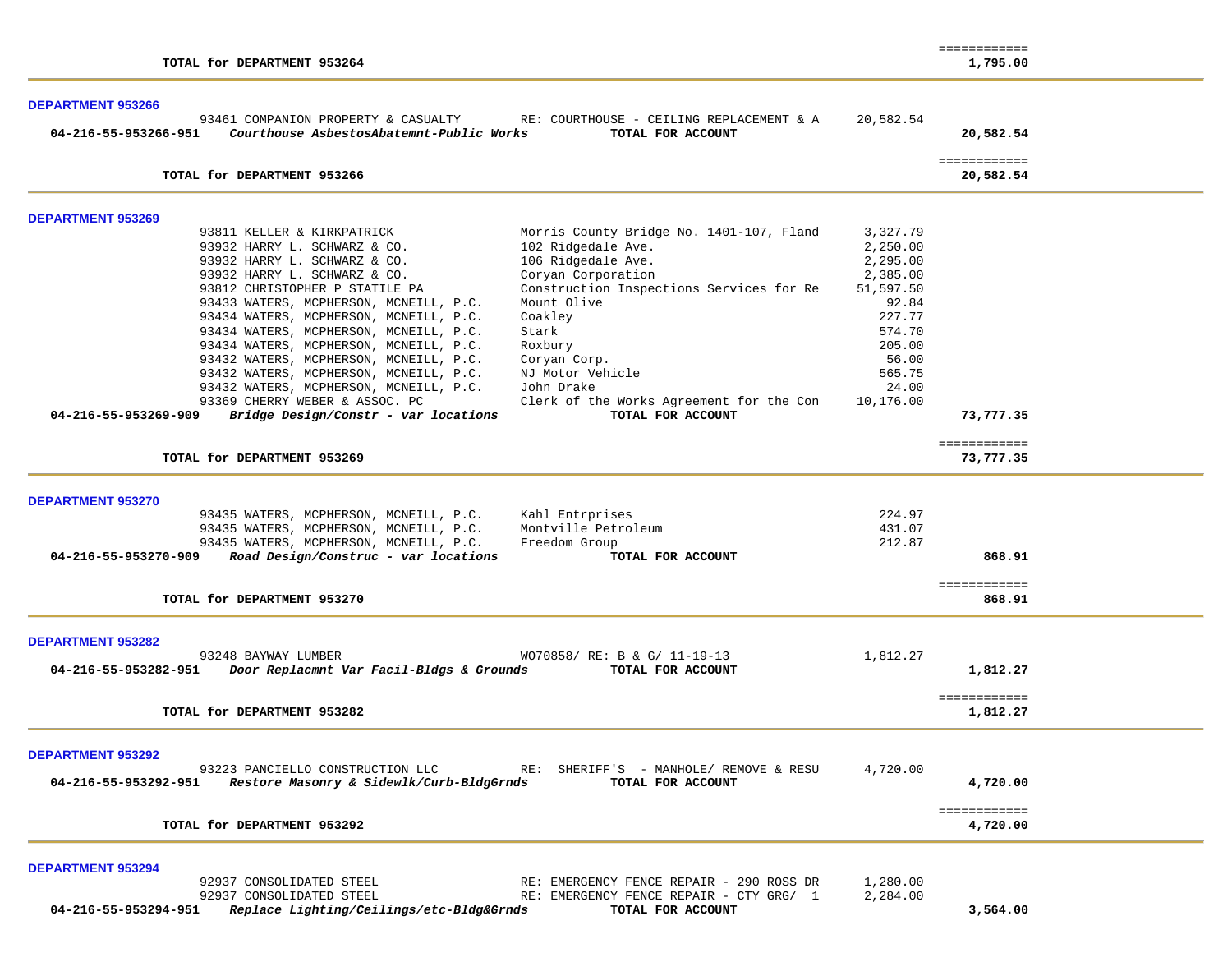|                                                                                                                                                                                                                                                                                                                                                                                                                                                                                                                                                                                                                                                                                                                                                                                                                                                                                                 |                                                                                                                                           | ============                     |  |
|-------------------------------------------------------------------------------------------------------------------------------------------------------------------------------------------------------------------------------------------------------------------------------------------------------------------------------------------------------------------------------------------------------------------------------------------------------------------------------------------------------------------------------------------------------------------------------------------------------------------------------------------------------------------------------------------------------------------------------------------------------------------------------------------------------------------------------------------------------------------------------------------------|-------------------------------------------------------------------------------------------------------------------------------------------|----------------------------------|--|
| TOTAL for DEPARTMENT 953264                                                                                                                                                                                                                                                                                                                                                                                                                                                                                                                                                                                                                                                                                                                                                                                                                                                                     |                                                                                                                                           | 1,795.00                         |  |
| <b>DEPARTMENT 953266</b><br>93461 COMPANION PROPERTY & CASUALTY<br>RE: COURTHOUSE - CEILING REPLACEMENT & A<br>04-216-55-953266-951<br>Courthouse AsbestosAbatemnt-Public Works<br>TOTAL FOR ACCOUNT                                                                                                                                                                                                                                                                                                                                                                                                                                                                                                                                                                                                                                                                                            | 20,582.54                                                                                                                                 | 20,582.54                        |  |
| TOTAL for DEPARTMENT 953266                                                                                                                                                                                                                                                                                                                                                                                                                                                                                                                                                                                                                                                                                                                                                                                                                                                                     |                                                                                                                                           | ============<br>20,582.54        |  |
| <b>DEPARTMENT 953269</b>                                                                                                                                                                                                                                                                                                                                                                                                                                                                                                                                                                                                                                                                                                                                                                                                                                                                        |                                                                                                                                           |                                  |  |
| Morris County Bridge No. 1401-107, Fland<br>93811 KELLER & KIRKPATRICK<br>102 Ridgedale Ave.<br>93932 HARRY L. SCHWARZ & CO.<br>93932 HARRY L. SCHWARZ & CO.<br>106 Ridgedale Ave.<br>Coryan Corporation<br>93932 HARRY L. SCHWARZ & CO.<br>93812 CHRISTOPHER P STATILE PA<br>Construction Inspections Services for Re<br>93433 WATERS, MCPHERSON, MCNEILL, P.C.<br>Mount Olive<br>93434 WATERS, MCPHERSON, MCNEILL, P.C.<br>Coakley<br>93434 WATERS, MCPHERSON, MCNEILL, P.C.<br>Stark<br>93434 WATERS, MCPHERSON, MCNEILL, P.C.<br>Roxbury<br>93432 WATERS, MCPHERSON, MCNEILL, P.C.<br>Coryan Corp.<br>93432 WATERS, MCPHERSON, MCNEILL, P.C.<br>NJ Motor Vehicle<br>93432 WATERS, MCPHERSON, MCNEILL, P.C.<br>John Drake<br>93369 CHERRY WEBER & ASSOC. PC<br>Clerk of the Works Agreement for the Con<br>04-216-55-953269-909<br>Bridge Design/Constr - var locations<br>TOTAL FOR ACCOUNT | 3,327.79<br>2,250.00<br>2,295.00<br>2,385.00<br>51,597.50<br>92.84<br>227.77<br>574.70<br>205.00<br>56.00<br>565.75<br>24.00<br>10,176.00 | 73,777.35                        |  |
| TOTAL for DEPARTMENT 953269                                                                                                                                                                                                                                                                                                                                                                                                                                                                                                                                                                                                                                                                                                                                                                                                                                                                     |                                                                                                                                           | ============<br>73,777.35        |  |
| <b>DEPARTMENT 953270</b><br>93435 WATERS, MCPHERSON, MCNEILL, P.C.<br>Kahl Entrprises<br>93435 WATERS, MCPHERSON, MCNEILL, P.C.<br>Montville Petroleum<br>93435 WATERS, MCPHERSON, MCNEILL, P.C.<br>Freedom Group<br>Road Design/Construc - var locations<br>04-216-55-953270-909<br>TOTAL FOR ACCOUNT<br>TOTAL for DEPARTMENT 953270                                                                                                                                                                                                                                                                                                                                                                                                                                                                                                                                                           | 224.97<br>431.07<br>212.87                                                                                                                | 868.91<br>============<br>868.91 |  |
|                                                                                                                                                                                                                                                                                                                                                                                                                                                                                                                                                                                                                                                                                                                                                                                                                                                                                                 |                                                                                                                                           |                                  |  |
| <b>DEPARTMENT 953282</b><br>93248 BAYWAY LUMBER<br>WO70858/ RE: B & G/ 11-19-13<br>Door Replacmnt Var Facil-Bldgs & Grounds<br>TOTAL FOR ACCOUNT<br>04-216-55-953282-951                                                                                                                                                                                                                                                                                                                                                                                                                                                                                                                                                                                                                                                                                                                        | 1,812.27                                                                                                                                  | 1,812.27                         |  |
| TOTAL for DEPARTMENT 953282                                                                                                                                                                                                                                                                                                                                                                                                                                                                                                                                                                                                                                                                                                                                                                                                                                                                     |                                                                                                                                           | ============<br>1,812.27         |  |
| <b>DEPARTMENT 953292</b><br>93223 PANCIELLO CONSTRUCTION LLC<br>RE: SHERIFF'S - MANHOLE/ REMOVE & RESU<br>Restore Masonry & Sidewlk/Curb-BldgGrnds<br>04-216-55-953292-951<br>TOTAL FOR ACCOUNT                                                                                                                                                                                                                                                                                                                                                                                                                                                                                                                                                                                                                                                                                                 | 4,720.00                                                                                                                                  | 4,720.00                         |  |
| TOTAL for DEPARTMENT 953292                                                                                                                                                                                                                                                                                                                                                                                                                                                                                                                                                                                                                                                                                                                                                                                                                                                                     |                                                                                                                                           | ============<br>4,720.00         |  |
| <b>DEPARTMENT 953294</b><br>92937 CONSOLIDATED STEEL<br>RE: EMERGENCY FENCE REPAIR - 290 ROSS DR<br>92937 CONSOLIDATED STEEL<br>RE: EMERGENCY FENCE REPAIR - CTY GRG/ 1<br>04-216-55-953294-951<br>Replace Lighting/Ceilings/etc-Bldg&Grnds<br>TOTAL FOR ACCOUNT                                                                                                                                                                                                                                                                                                                                                                                                                                                                                                                                                                                                                                | 1,280.00<br>2,284.00                                                                                                                      | 3,564.00                         |  |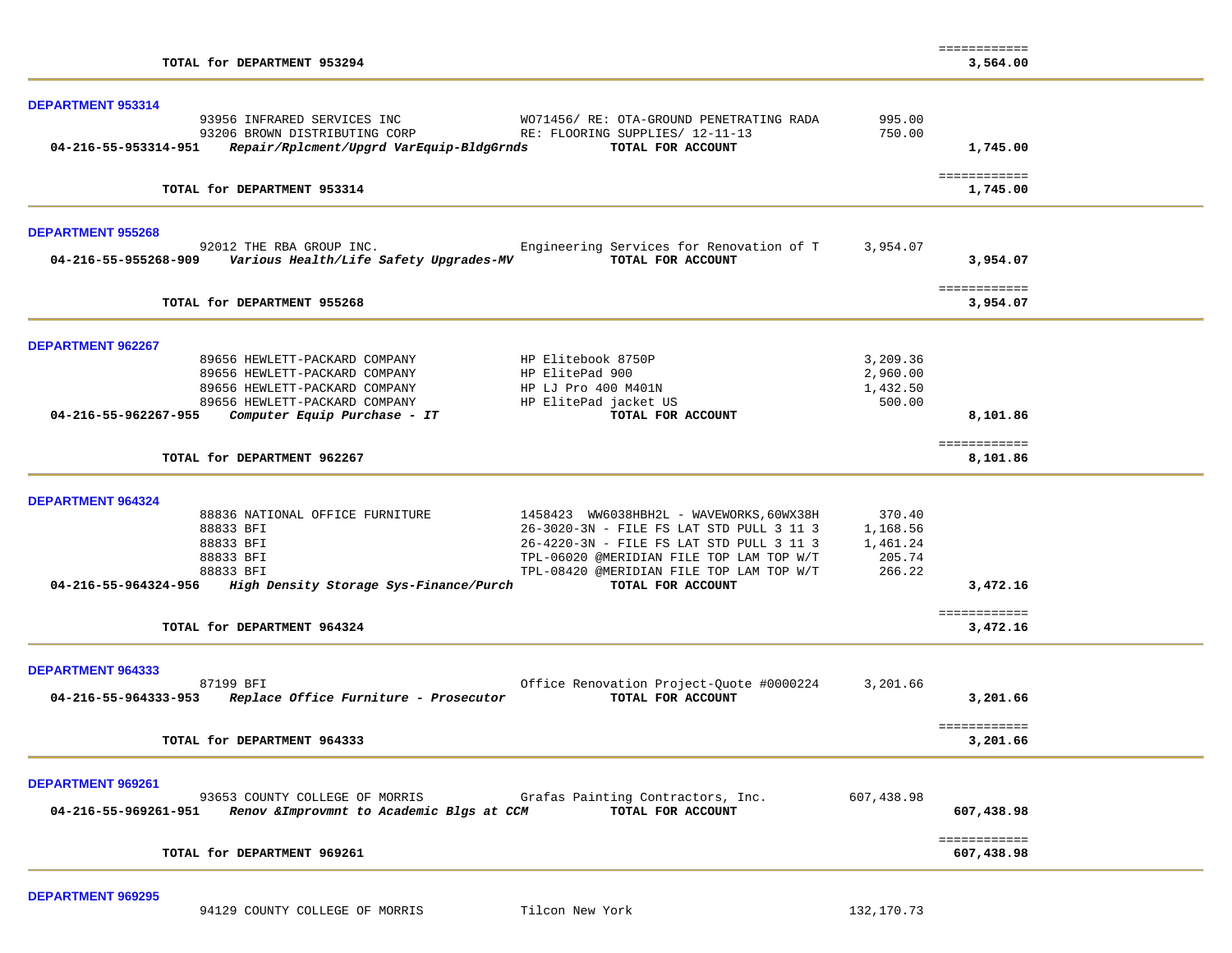|                                                                                                                                                               | ============               |
|---------------------------------------------------------------------------------------------------------------------------------------------------------------|----------------------------|
| TOTAL for DEPARTMENT 953294                                                                                                                                   | 3,564.00                   |
| DEPARTMENT 953314                                                                                                                                             |                            |
| 93956 INFRARED SERVICES INC<br>WO71456/ RE: OTA-GROUND PENETRATING RADA                                                                                       | 995.00                     |
| 93206 BROWN DISTRIBUTING CORP<br>RE: FLOORING SUPPLIES/ 12-11-13                                                                                              | 750.00                     |
| 04-216-55-953314-951<br>Repair/Rplcment/Upgrd VarEquip-BldgGrnds<br>TOTAL FOR ACCOUNT                                                                         | 1,745.00                   |
|                                                                                                                                                               | ============               |
| TOTAL for DEPARTMENT 953314                                                                                                                                   | 1,745.00                   |
| <b>DEPARTMENT 955268</b>                                                                                                                                      |                            |
| 92012 THE RBA GROUP INC.<br>Engineering Services for Renovation of T                                                                                          | 3,954.07                   |
| TOTAL FOR ACCOUNT                                                                                                                                             | 3,954.07                   |
| TOTAL for DEPARTMENT 955268                                                                                                                                   | ============<br>3,954.07   |
|                                                                                                                                                               |                            |
| <b>DEPARTMENT 962267</b>                                                                                                                                      |                            |
| 89656 HEWLETT-PACKARD COMPANY<br>HP Elitebook 8750P                                                                                                           | 3,209.36                   |
| HP ElitePad 900<br>89656 HEWLETT-PACKARD COMPANY                                                                                                              | 2,960.00                   |
| 89656 HEWLETT-PACKARD COMPANY<br>HP LJ Pro 400 M401N                                                                                                          | 1,432.50                   |
| 89656 HEWLETT-PACKARD COMPANY<br>HP ElitePad jacket US                                                                                                        | 500.00                     |
| 04-216-55-962267-955<br>Computer Equip Purchase - IT<br>TOTAL FOR ACCOUNT                                                                                     | 8,101.86                   |
| TOTAL for DEPARTMENT 962267                                                                                                                                   | ============<br>8,101.86   |
| <b>DEPARTMENT 964324</b>                                                                                                                                      |                            |
| 88836 NATIONAL OFFICE FURNITURE<br>1458423 WW6038HBH2L - WAVEWORKS,60WX38H                                                                                    | 370.40                     |
| 88833 BFI<br>26-3020-3N - FILE FS LAT STD PULL 3 11 3                                                                                                         | 1,168.56                   |
| 88833 BFI<br>26-4220-3N - FILE FS LAT STD PULL 3 11 3                                                                                                         | 1,461.24                   |
| 88833 BFI<br>TPL-06020 @MERIDIAN FILE TOP LAM TOP W/T                                                                                                         | 205.74                     |
| 88833 BFI<br>TPL-08420 @MERIDIAN FILE TOP LAM TOP W/T                                                                                                         | 266.22                     |
| High Density Storage Sys-Finance/Purch<br>04-216-55-964324-956<br>TOTAL FOR ACCOUNT                                                                           | 3,472.16                   |
|                                                                                                                                                               | ============               |
| TOTAL for DEPARTMENT 964324                                                                                                                                   | 3,472.16                   |
| <b>DEPARTMENT 964333</b>                                                                                                                                      |                            |
| 87199 BFI<br>Office Renovation Project-Quote #0000224                                                                                                         | 3,201.66                   |
| 04-216-55-964333-953 Replace Office Furniture - Prosecutor<br>TOTAL FOR ACCOUNT                                                                               | 3,201.66                   |
| TOTAL for DEPARTMENT 964333                                                                                                                                   | ============<br>3,201.66   |
|                                                                                                                                                               |                            |
| DEPARTMENT 969261                                                                                                                                             |                            |
| 93653 COUNTY COLLEGE OF MORRIS<br>Grafas Painting Contractors, Inc.<br>04-216-55-969261-951<br>Renov & Improvmnt to Academic Blgs at CCM<br>TOTAL FOR ACCOUNT | 607,438.98<br>607,438.98   |
|                                                                                                                                                               |                            |
| TOTAL for DEPARTMENT 969261                                                                                                                                   | ============<br>607,438.98 |

**DEPARTMENT 969295**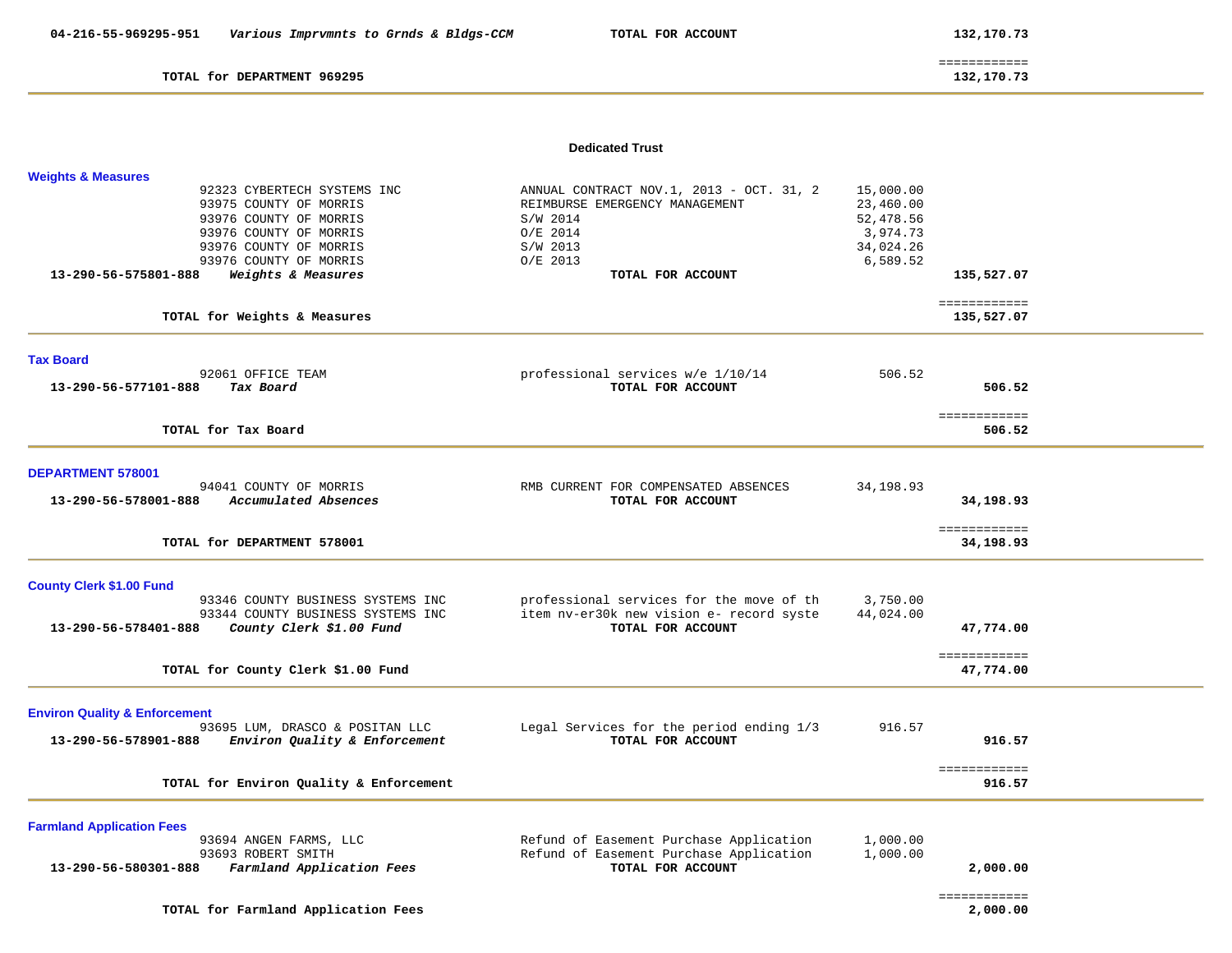TOTAL for DEPARTMENT 969295

 ============ 132,170.73

#### **Dedicated Trust**

| <b>Weights &amp; Measures</b>                                          |                                                           |           |                            |  |
|------------------------------------------------------------------------|-----------------------------------------------------------|-----------|----------------------------|--|
| 92323 CYBERTECH SYSTEMS INC                                            | ANNUAL CONTRACT NOV.1, 2013 - OCT. 31, 2                  | 15,000.00 |                            |  |
| 93975 COUNTY OF MORRIS                                                 | REIMBURSE EMERGENCY MANAGEMENT                            | 23,460.00 |                            |  |
| 93976 COUNTY OF MORRIS                                                 | S/W 2014                                                  | 52,478.56 |                            |  |
| 93976 COUNTY OF MORRIS                                                 | $O/E$ 2014                                                | 3,974.73  |                            |  |
| 93976 COUNTY OF MORRIS                                                 | S/W 2013                                                  | 34,024.26 |                            |  |
| 93976 COUNTY OF MORRIS<br>13-290-56-575801-888<br>Weights & Measures   | O/E 2013<br>TOTAL FOR ACCOUNT                             | 6,589.52  | 135,527.07                 |  |
|                                                                        |                                                           |           |                            |  |
| TOTAL for Weights & Measures                                           |                                                           |           | ============<br>135,527.07 |  |
| <b>Tax Board</b>                                                       |                                                           |           |                            |  |
| 92061 OFFICE TEAM                                                      | professional services w/e 1/10/14                         | 506.52    |                            |  |
| 13-290-56-577101-888<br>Tax Board                                      | TOTAL FOR ACCOUNT                                         |           | 506.52                     |  |
|                                                                        |                                                           |           | ============               |  |
| TOTAL for Tax Board                                                    |                                                           |           | 506.52                     |  |
|                                                                        |                                                           |           |                            |  |
| <b>DEPARTMENT 578001</b>                                               |                                                           |           |                            |  |
| 94041 COUNTY OF MORRIS<br>13-290-56-578001-888<br>Accumulated Absences | RMB CURRENT FOR COMPENSATED ABSENCES<br>TOTAL FOR ACCOUNT | 34,198.93 | 34,198.93                  |  |
|                                                                        |                                                           |           |                            |  |
| TOTAL for DEPARTMENT 578001                                            |                                                           |           | ============<br>34,198.93  |  |
|                                                                        |                                                           |           |                            |  |
| <b>County Clerk \$1.00 Fund</b>                                        |                                                           |           |                            |  |
| 93346 COUNTY BUSINESS SYSTEMS INC                                      | professional services for the move of th                  | 3,750.00  |                            |  |
| 93344 COUNTY BUSINESS SYSTEMS INC                                      | item nv-er30k new vision e- record syste                  | 44,024.00 |                            |  |
| County Clerk \$1.00 Fund<br>13-290-56-578401-888                       | TOTAL FOR ACCOUNT                                         |           | 47,774.00                  |  |
|                                                                        |                                                           |           | ============               |  |
| TOTAL for County Clerk \$1.00 Fund                                     |                                                           |           | 47,774.00                  |  |
| <b>Environ Quality &amp; Enforcement</b>                               |                                                           |           |                            |  |
| 93695 LUM, DRASCO & POSITAN LLC                                        | Legal Services for the period ending 1/3                  | 916.57    |                            |  |
| 13-290-56-578901-888<br>Environ Quality & Enforcement                  | TOTAL FOR ACCOUNT                                         |           | 916.57                     |  |
| TOTAL for Environ Quality & Enforcement                                |                                                           |           | ============<br>916.57     |  |
|                                                                        |                                                           |           |                            |  |
| <b>Farmland Application Fees</b>                                       |                                                           |           |                            |  |
| 93694 ANGEN FARMS, LLC                                                 | Refund of Easement Purchase Application                   | 1,000.00  |                            |  |
| 93693 ROBERT SMITH                                                     | Refund of Easement Purchase Application                   | 1,000.00  |                            |  |
| 13-290-56-580301-888<br>Farmland Application Fees                      | TOTAL FOR ACCOUNT                                         |           | 2,000.00                   |  |
|                                                                        |                                                           |           | ============               |  |
| TOTAL for Farmland Application Fees                                    |                                                           |           | 2,000.00                   |  |